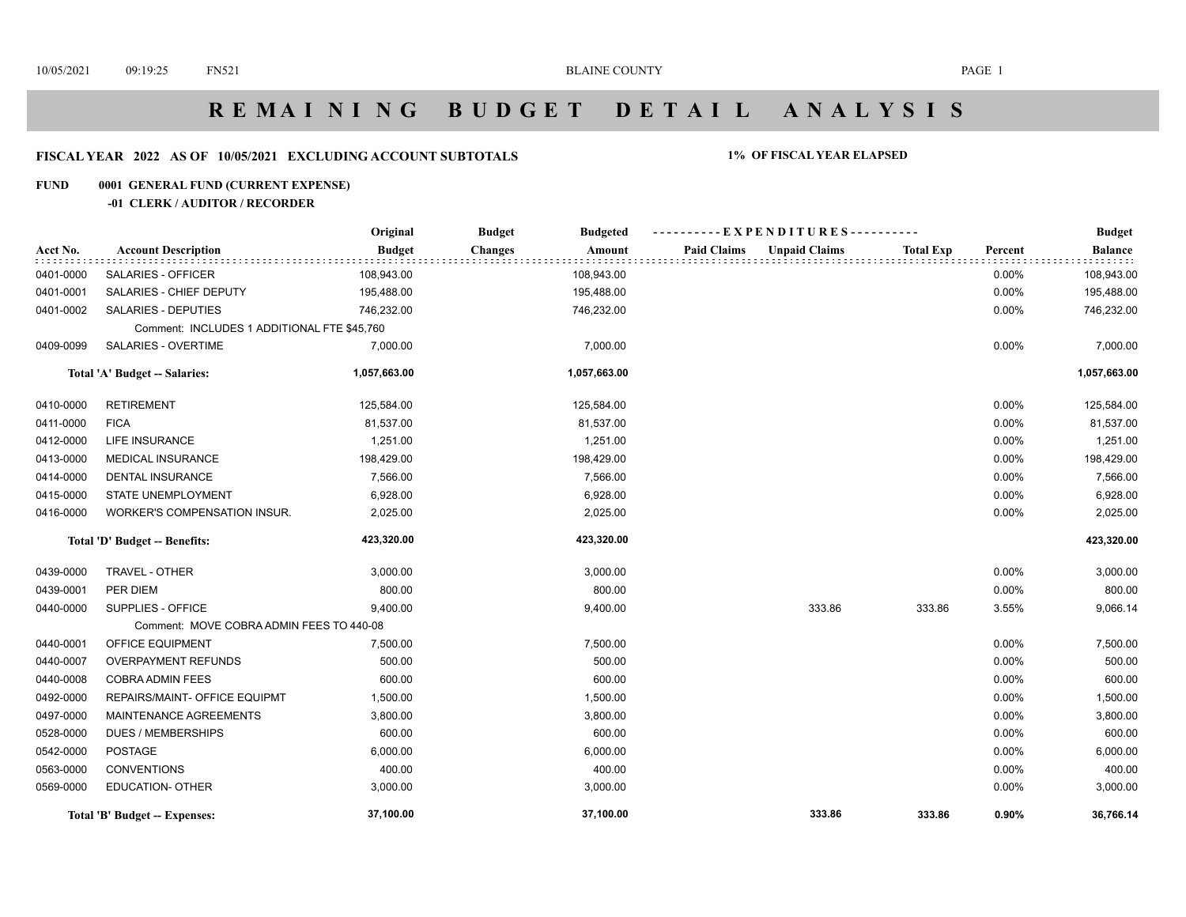# **R E M A I N I N G B U D G E T D E T A I L A N A L Y S I S**

## **FISCAL YEAR 2022 AS OF 10/05/2021 EXCLUDING ACCOUNT SUBTOTALS 1% OF FISCAL YEAR ELAPSED**

## **FUND 0001 GENERAL FUND (CURRENT EXPENSE)**

## **-01 CLERK / AUDITOR / RECORDER**

|           |                                             | Original      | <b>Budget</b><br><b>Budgeted</b> | ----------EXPENDITURES---------- |                                          |          | <b>Budget</b>  |
|-----------|---------------------------------------------|---------------|----------------------------------|----------------------------------|------------------------------------------|----------|----------------|
| Acct No.  | <b>Account Description</b>                  | <b>Budget</b> | <b>Changes</b><br>Amount         | <b>Paid Claims</b>               | <b>Unpaid Claims</b><br><b>Total Exp</b> | Percent  | <b>Balance</b> |
| 0401-0000 | <b>SALARIES - OFFICER</b>                   | 108,943.00    | 108,943.00                       |                                  |                                          | $0.00\%$ | 108,943.00     |
| 0401-0001 | SALARIES - CHIEF DEPUTY                     | 195,488.00    | 195,488.00                       |                                  |                                          | $0.00\%$ | 195,488.00     |
| 0401-0002 | <b>SALARIES - DEPUTIES</b>                  | 746,232.00    | 746,232.00                       |                                  |                                          | 0.00%    | 746,232.00     |
|           | Comment: INCLUDES 1 ADDITIONAL FTE \$45,760 |               |                                  |                                  |                                          |          |                |
| 0409-0099 | SALARIES - OVERTIME                         | 7,000.00      | 7,000.00                         |                                  |                                          | 0.00%    | 7,000.00       |
|           | Total 'A' Budget -- Salaries:               | 1,057,663.00  | 1,057,663.00                     |                                  |                                          |          | 1,057,663.00   |
| 0410-0000 | <b>RETIREMENT</b>                           | 125,584.00    | 125,584.00                       |                                  |                                          | 0.00%    | 125,584.00     |
| 0411-0000 | <b>FICA</b>                                 | 81,537.00     | 81,537.00                        |                                  |                                          | $0.00\%$ | 81,537.00      |
| 0412-0000 | LIFE INSURANCE                              | 1,251.00      | 1,251.00                         |                                  |                                          | $0.00\%$ | 1,251.00       |
| 0413-0000 | MEDICAL INSURANCE                           | 198,429.00    | 198,429.00                       |                                  |                                          | $0.00\%$ | 198,429.00     |
| 0414-0000 | <b>DENTAL INSURANCE</b>                     | 7,566.00      | 7,566.00                         |                                  |                                          | 0.00%    | 7,566.00       |
| 0415-0000 | <b>STATE UNEMPLOYMENT</b>                   | 6,928.00      | 6,928.00                         |                                  |                                          | $0.00\%$ | 6,928.00       |
| 0416-0000 | WORKER'S COMPENSATION INSUR.                | 2,025.00      | 2,025.00                         |                                  |                                          | $0.00\%$ | 2,025.00       |
|           | Total 'D' Budget -- Benefits:               | 423,320.00    | 423,320.00                       |                                  |                                          |          | 423,320.00     |
| 0439-0000 | TRAVEL - OTHER                              | 3,000.00      | 3,000.00                         |                                  |                                          | 0.00%    | 3,000.00       |
| 0439-0001 | PER DIEM                                    | 800.00        | 800.00                           |                                  |                                          | $0.00\%$ | 800.00         |
| 0440-0000 | SUPPLIES - OFFICE                           | 9,400.00      | 9,400.00                         |                                  | 333.86<br>333.86                         | 3.55%    | 9,066.14       |
|           | Comment: MOVE COBRA ADMIN FEES TO 440-08    |               |                                  |                                  |                                          |          |                |
| 0440-0001 | OFFICE EQUIPMENT                            | 7,500.00      | 7,500.00                         |                                  |                                          | 0.00%    | 7,500.00       |
| 0440-0007 | <b>OVERPAYMENT REFUNDS</b>                  | 500.00        | 500.00                           |                                  |                                          | 0.00%    | 500.00         |
| 0440-0008 | <b>COBRA ADMIN FEES</b>                     | 600.00        | 600.00                           |                                  |                                          | $0.00\%$ | 600.00         |
| 0492-0000 | REPAIRS/MAINT- OFFICE EQUIPMT               | 1,500.00      | 1,500.00                         |                                  |                                          | $0.00\%$ | 1,500.00       |
| 0497-0000 | MAINTENANCE AGREEMENTS                      | 3,800.00      | 3,800.00                         |                                  |                                          | $0.00\%$ | 3,800.00       |
| 0528-0000 | <b>DUES / MEMBERSHIPS</b>                   | 600.00        | 600.00                           |                                  |                                          | $0.00\%$ | 600.00         |
| 0542-0000 | <b>POSTAGE</b>                              | 6,000.00      | 6,000.00                         |                                  |                                          | 0.00%    | 6,000.00       |
| 0563-0000 | <b>CONVENTIONS</b>                          | 400.00        | 400.00                           |                                  |                                          | 0.00%    | 400.00         |
| 0569-0000 | <b>EDUCATION- OTHER</b>                     | 3,000.00      | 3,000.00                         |                                  |                                          | $0.00\%$ | 3,000.00       |
|           | Total 'B' Budget -- Expenses:               | 37,100.00     | 37,100.00                        |                                  | 333.86<br>333.86                         | $0.90\%$ | 36,766.14      |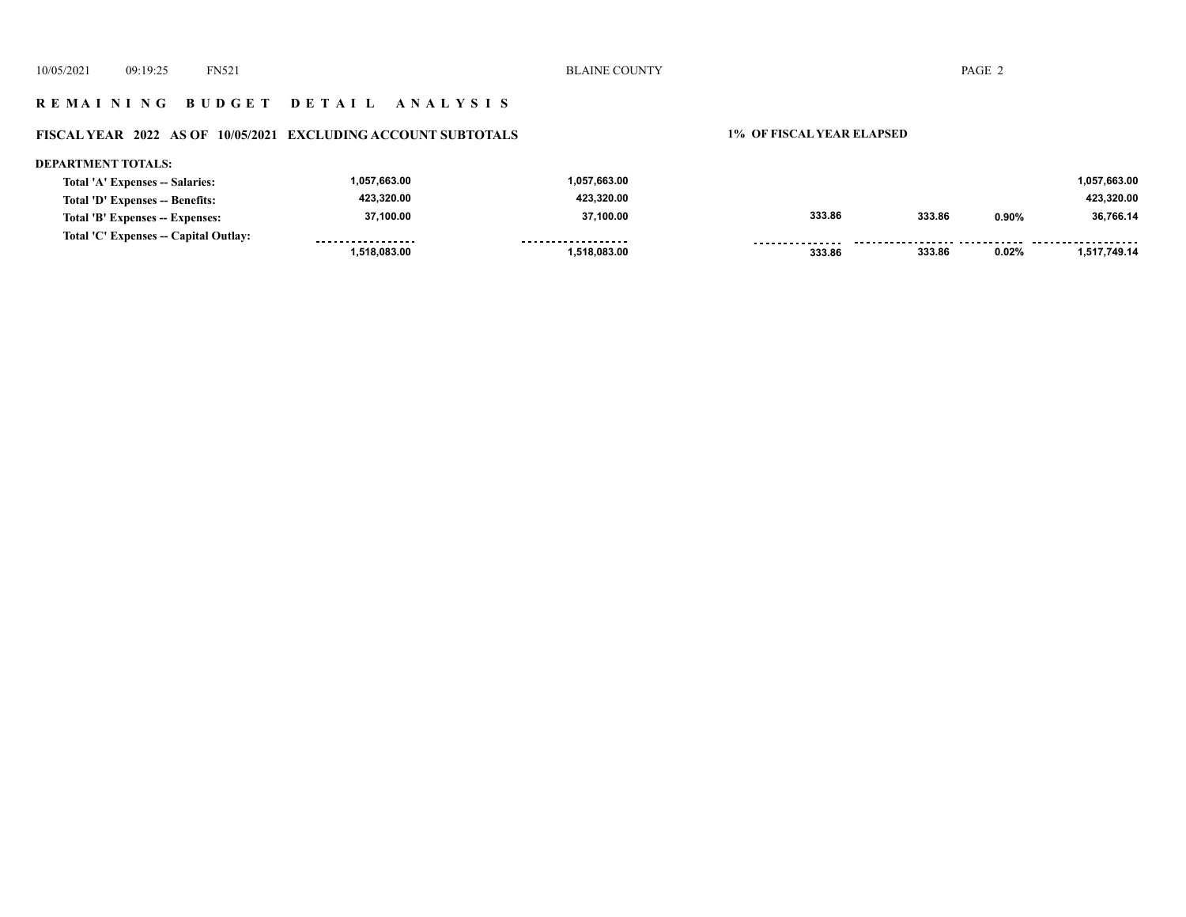10/05/2021 09:19:25 FN521 PAGE 2

## **R E M A I N I N G B U D G E T D E T A I L A N A L Y S I S**

## **FISCAL YEAR 2022 AS OF 10/05/2021 EXCLUDING ACCOUNT SUBTOTALS 1% OF FISCAL YEAR ELAPSED**

#### **DEPARTMENT TOTALS: 1,057,663.00 1,057,663.00 1,057,663.00 Total 'A' Expenses -- Salaries: 423,320.00 423,320.00 423,320.00 Total 'D' Expenses -- Benefits: 37,100.00 37,100.00 333.86 333.86 0.90% 36,766.14 Total 'B' Expenses -- Expenses: Total 'C' Expenses -- Capital Outlay:** ------------------.................. **...............** . . . . . . . . . . . . . . . . .  **333.86 0.02% 1,517,749.14 1,518,083.00 1,518,083.00 333.86**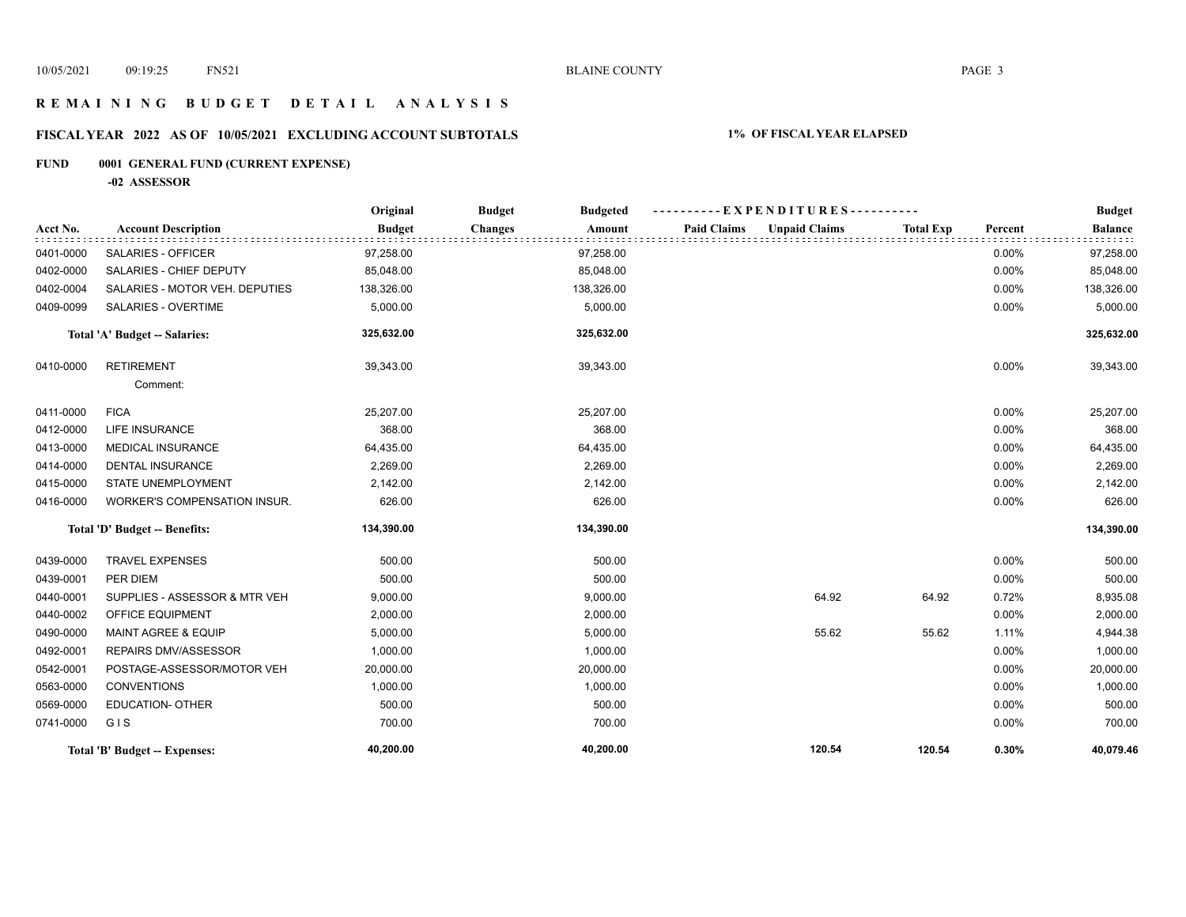## **R E M A I N I N G B U D G E T D E T A I L A N A L Y S I S**

## **FISCAL YEAR 2022 AS OF 10/05/2021 EXCLUDING ACCOUNT SUBTOTALS 1% OF FISCAL YEAR ELAPSED**

## **FUND 0001 GENERAL FUND (CURRENT EXPENSE)**

**-02 ASSESSOR**

|           |                                | Original      | <b>Budget</b><br><b>Budgeted</b> | -EXPENDITURES--                            |                  |         | <b>Budget</b>  |
|-----------|--------------------------------|---------------|----------------------------------|--------------------------------------------|------------------|---------|----------------|
| Acct No.  | <b>Account Description</b>     | <b>Budget</b> | <b>Changes</b><br>Amount         | <b>Paid Claims</b><br><b>Unpaid Claims</b> | <b>Total Exp</b> | Percent | <b>Balance</b> |
| 0401-0000 | SALARIES - OFFICER             | 97,258.00     | 97,258.00                        |                                            |                  | 0.00%   | 97,258.00      |
| 0402-0000 | SALARIES - CHIEF DEPUTY        | 85,048.00     | 85,048.00                        |                                            |                  | 0.00%   | 85,048.00      |
| 0402-0004 | SALARIES - MOTOR VEH. DEPUTIES | 138,326.00    | 138,326.00                       |                                            |                  | 0.00%   | 138,326.00     |
| 0409-0099 | SALARIES - OVERTIME            | 5,000.00      | 5,000.00                         |                                            |                  | 0.00%   | 5,000.00       |
|           | Total 'A' Budget -- Salaries:  | 325,632.00    | 325,632.00                       |                                            |                  |         | 325,632.00     |
| 0410-0000 | <b>RETIREMENT</b>              | 39,343.00     | 39,343.00                        |                                            |                  | 0.00%   | 39,343.00      |
|           | Comment:                       |               |                                  |                                            |                  |         |                |
| 0411-0000 | <b>FICA</b>                    | 25,207.00     | 25,207.00                        |                                            |                  | 0.00%   | 25,207.00      |
| 0412-0000 | <b>LIFE INSURANCE</b>          | 368.00        | 368.00                           |                                            |                  | 0.00%   | 368.00         |
| 0413-0000 | <b>MEDICAL INSURANCE</b>       | 64,435.00     | 64,435.00                        |                                            |                  | 0.00%   | 64,435.00      |
| 0414-0000 | <b>DENTAL INSURANCE</b>        | 2,269.00      | 2,269.00                         |                                            |                  | 0.00%   | 2,269.00       |
| 0415-0000 | <b>STATE UNEMPLOYMENT</b>      | 2,142.00      | 2,142.00                         |                                            |                  | 0.00%   | 2,142.00       |
| 0416-0000 | WORKER'S COMPENSATION INSUR.   | 626.00        | 626.00                           |                                            |                  | 0.00%   | 626.00         |
|           | Total 'D' Budget -- Benefits:  | 134,390.00    | 134,390.00                       |                                            |                  |         | 134,390.00     |
| 0439-0000 | <b>TRAVEL EXPENSES</b>         | 500.00        | 500.00                           |                                            |                  | 0.00%   | 500.00         |
| 0439-0001 | PER DIEM                       | 500.00        | 500.00                           |                                            |                  | 0.00%   | 500.00         |
| 0440-0001 | SUPPLIES - ASSESSOR & MTR VEH  | 9,000.00      | 9,000.00                         | 64.92                                      | 64.92            | 0.72%   | 8,935.08       |
| 0440-0002 | OFFICE EQUIPMENT               | 2,000.00      | 2,000.00                         |                                            |                  | 0.00%   | 2,000.00       |
| 0490-0000 | MAINT AGREE & EQUIP            | 5,000.00      | 5,000.00                         | 55.62                                      | 55.62            | 1.11%   | 4,944.38       |
| 0492-0001 | REPAIRS DMV/ASSESSOR           | 1,000.00      | 1,000.00                         |                                            |                  | 0.00%   | 1,000.00       |
| 0542-0001 | POSTAGE-ASSESSOR/MOTOR VEH     | 20,000.00     | 20,000.00                        |                                            |                  | 0.00%   | 20,000.00      |
| 0563-0000 | <b>CONVENTIONS</b>             | 1,000.00      | 1,000.00                         |                                            |                  | 0.00%   | 1,000.00       |
| 0569-0000 | <b>EDUCATION- OTHER</b>        | 500.00        | 500.00                           |                                            |                  | 0.00%   | 500.00         |
| 0741-0000 | GIS                            | 700.00        | 700.00                           |                                            |                  | 0.00%   | 700.00         |
|           | Total 'B' Budget -- Expenses:  | 40,200.00     | 40,200.00                        | 120.54                                     | 120.54           | 0.30%   | 40,079.46      |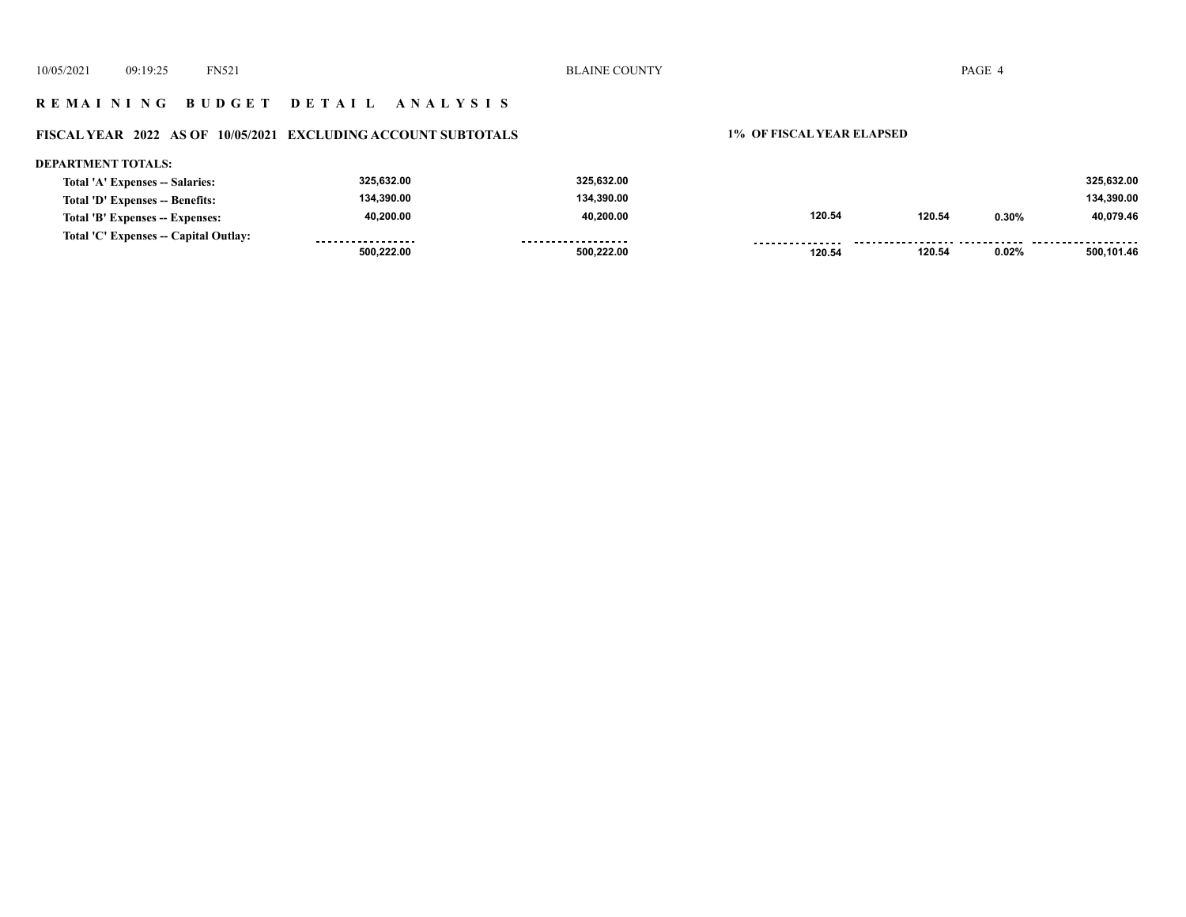#### **R E M A I N I N G B U D G E T D E T A I L A N A L Y S I S**

#### **FISCAL YEAR 2022 AS OF 10/05/2021 EXCLUDING ACCOUNT SUBTOTALS 1% OF FISCAL YEAR ELAPSED**

#### **DEPARTMENT TOTALS: 325,632.00 325,632.00 325,632.00 Total 'A' Expenses -- Salaries: 134,390.00 134,390.00 134,390.00 Total 'D' Expenses -- Benefits: 40,200.00 40,200.00 120.54 120.54 0.30% 40,079.46 Total 'B' Expenses -- Expenses: Total 'C' Expenses -- Capital Outlay:** ------------------.................. . . . . . . . . . . . . . . . . . . . . . . . . . . . . . . . . .  **120.54 0.02% 500,101.46 500,222.00 500,222.00 120.54**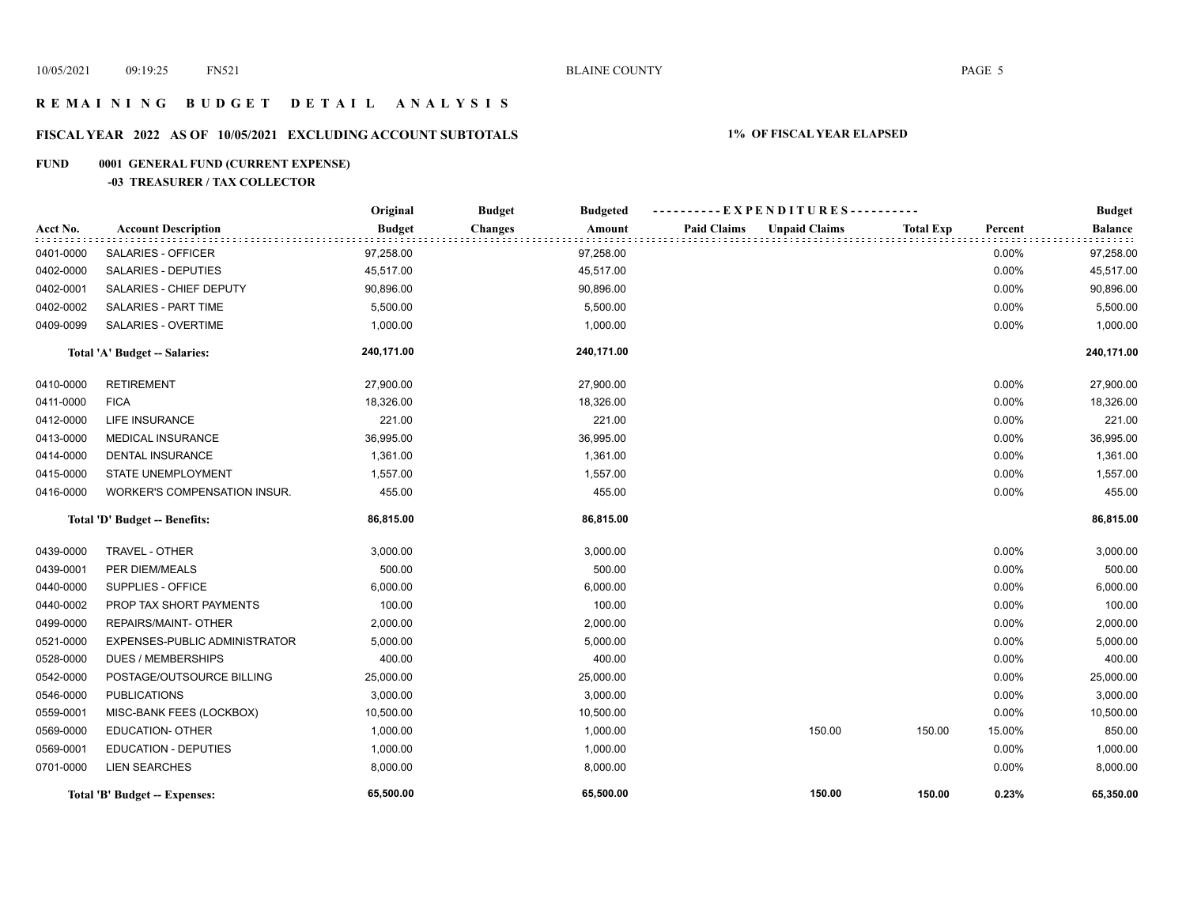## **R E M A I N I N G B U D G E T D E T A I L A N A L Y S I S**

# **FISCAL YEAR 2022 AS OF 10/05/2021 EXCLUDING ACCOUNT SUBTOTALS 1% OF FISCAL YEAR ELAPSED**

## **FUND 0001 GENERAL FUND (CURRENT EXPENSE)**

## **-03 TREASURER / TAX COLLECTOR**

|           |                               | Original      | <b>Budget</b><br><b>Budgeted</b> | ----------EXPENDITURES----------           |                  |          | <b>Budget</b>  |
|-----------|-------------------------------|---------------|----------------------------------|--------------------------------------------|------------------|----------|----------------|
| Acct No.  | <b>Account Description</b>    | <b>Budget</b> | <b>Changes</b><br>Amount         | <b>Paid Claims</b><br><b>Unpaid Claims</b> | <b>Total Exp</b> | Percent  | <b>Balance</b> |
| 0401-0000 | SALARIES - OFFICER            | 97,258.00     | 97,258.00                        |                                            |                  | 0.00%    | 97,258.00      |
| 0402-0000 | SALARIES - DEPUTIES           | 45,517.00     | 45,517.00                        |                                            |                  | 0.00%    | 45,517.00      |
| 0402-0001 | SALARIES - CHIEF DEPUTY       | 90,896.00     | 90,896.00                        |                                            |                  | 0.00%    | 90,896.00      |
| 0402-0002 | SALARIES - PART TIME          | 5,500.00      | 5,500.00                         |                                            |                  | 0.00%    | 5,500.00       |
| 0409-0099 | SALARIES - OVERTIME           | 1,000.00      | 1,000.00                         |                                            |                  | 0.00%    | 1,000.00       |
|           | Total 'A' Budget -- Salaries: | 240,171.00    | 240,171.00                       |                                            |                  |          | 240,171.00     |
| 0410-0000 | <b>RETIREMENT</b>             | 27,900.00     | 27,900.00                        |                                            |                  | 0.00%    | 27,900.00      |
| 0411-0000 | <b>FICA</b>                   | 18,326.00     | 18,326.00                        |                                            |                  | 0.00%    | 18,326.00      |
| 0412-0000 | LIFE INSURANCE                | 221.00        | 221.00                           |                                            |                  | 0.00%    | 221.00         |
| 0413-0000 | MEDICAL INSURANCE             | 36,995.00     | 36,995.00                        |                                            |                  | 0.00%    | 36,995.00      |
| 0414-0000 | <b>DENTAL INSURANCE</b>       | 1,361.00      | 1,361.00                         |                                            |                  | 0.00%    | 1,361.00       |
| 0415-0000 | STATE UNEMPLOYMENT            | 1,557.00      | 1,557.00                         |                                            |                  | 0.00%    | 1,557.00       |
| 0416-0000 | WORKER'S COMPENSATION INSUR.  | 455.00        | 455.00                           |                                            |                  | 0.00%    | 455.00         |
|           | Total 'D' Budget -- Benefits: | 86,815.00     | 86,815.00                        |                                            |                  |          | 86,815.00      |
| 0439-0000 | TRAVEL - OTHER                | 3,000.00      | 3,000.00                         |                                            |                  | 0.00%    | 3,000.00       |
| 0439-0001 | PER DIEM/MEALS                | 500.00        | 500.00                           |                                            |                  | 0.00%    | 500.00         |
| 0440-0000 | SUPPLIES - OFFICE             | 6,000.00      | 6,000.00                         |                                            |                  | 0.00%    | 6,000.00       |
| 0440-0002 | PROP TAX SHORT PAYMENTS       | 100.00        | 100.00                           |                                            |                  | 0.00%    | 100.00         |
| 0499-0000 | REPAIRS/MAINT- OTHER          | 2,000.00      | 2,000.00                         |                                            |                  | 0.00%    | 2,000.00       |
| 0521-0000 | EXPENSES-PUBLIC ADMINISTRATOR | 5,000.00      | 5,000.00                         |                                            |                  | $0.00\%$ | 5,000.00       |
| 0528-0000 | <b>DUES / MEMBERSHIPS</b>     | 400.00        | 400.00                           |                                            |                  | 0.00%    | 400.00         |
| 0542-0000 | POSTAGE/OUTSOURCE BILLING     | 25,000.00     | 25,000.00                        |                                            |                  | 0.00%    | 25,000.00      |
| 0546-0000 | <b>PUBLICATIONS</b>           | 3,000.00      | 3,000.00                         |                                            |                  | 0.00%    | 3,000.00       |
| 0559-0001 | MISC-BANK FEES (LOCKBOX)      | 10,500.00     | 10,500.00                        |                                            |                  | 0.00%    | 10,500.00      |
| 0569-0000 | <b>EDUCATION- OTHER</b>       | 1,000.00      | 1,000.00                         | 150.00                                     | 150.00           | 15.00%   | 850.00         |
| 0569-0001 | EDUCATION - DEPUTIES          | 1,000.00      | 1,000.00                         |                                            |                  | 0.00%    | 1,000.00       |
| 0701-0000 | <b>LIEN SEARCHES</b>          | 8,000.00      | 8,000.00                         |                                            |                  | $0.00\%$ | 8,000.00       |
|           | Total 'B' Budget -- Expenses: | 65,500.00     | 65,500.00                        | 150.00                                     | 150.00           | 0.23%    | 65,350.00      |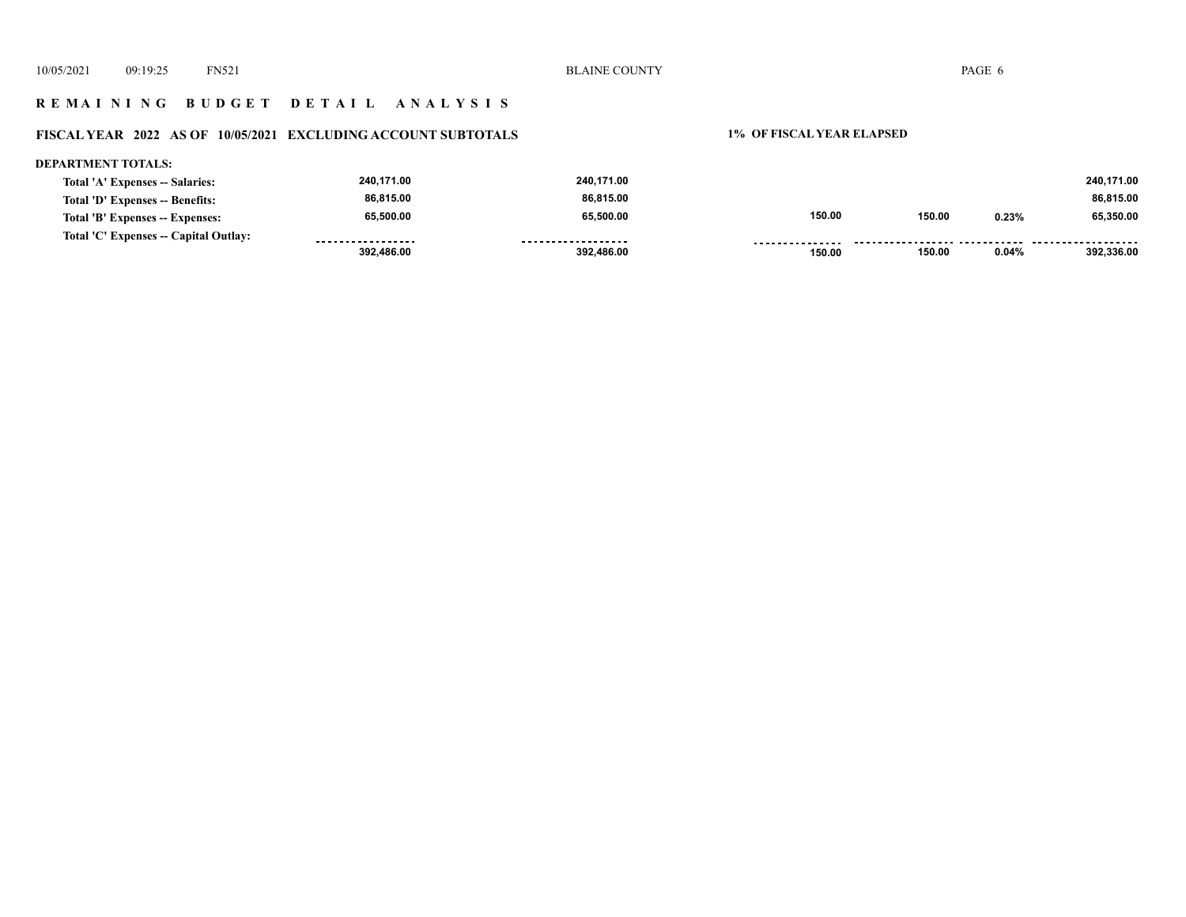## **R E M A I N I N G B U D G E T D E T A I L A N A L Y S I S**

## **FISCAL YEAR 2022 AS OF 10/05/2021 EXCLUDING ACCOUNT SUBTOTALS 1% OF FISCAL YEAR ELAPSED**

| <b>DEPARTMENT TOTALS:</b>             |                   |                    |                 |        |       |            |
|---------------------------------------|-------------------|--------------------|-----------------|--------|-------|------------|
| Total 'A' Expenses -- Salaries:       | 240,171.00        | 240,171.00         |                 |        |       | 240,171.00 |
| Total 'D' Expenses -- Benefits:       | 86,815.00         | 86.815.00          |                 |        |       | 86,815.00  |
| Total 'B' Expenses -- Expenses:       | 65.500.00         | 65,500.00          | 150.00          | 150.00 | 0.23% | 65,350.00  |
| Total 'C' Expenses -- Capital Outlay: | ----------------- | ------------------ | --------------- |        |       |            |
|                                       | 392.486.00        | 392.486.00         | 150.00          | 150.00 | 0.04% | 392.336.00 |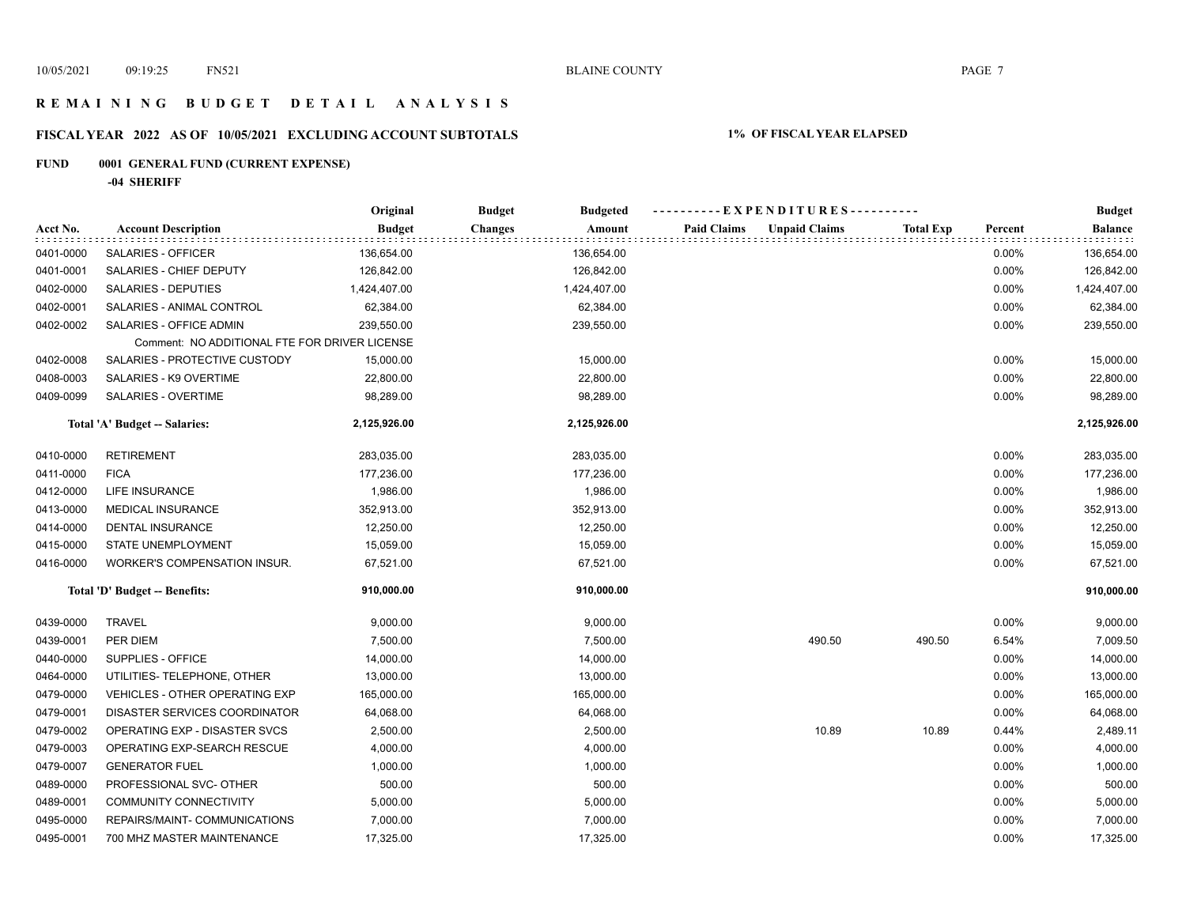## **R E M A I N I N G B U D G E T D E T A I L A N A L Y S I S**

# **FISCAL YEAR 2022 AS OF 10/05/2021 EXCLUDING ACCOUNT SUBTOTALS 1% OF FISCAL YEAR ELAPSED**

## **FUND 0001 GENERAL FUND (CURRENT EXPENSE)**

**-04 SHERIFF**

|           |                                               | Original      | <b>Budget</b><br><b>Budgeted</b> | ----------EXPENDITURES----------           |                  |         | <b>Budget</b>  |
|-----------|-----------------------------------------------|---------------|----------------------------------|--------------------------------------------|------------------|---------|----------------|
| Acct No.  | <b>Account Description</b>                    | <b>Budget</b> | <b>Changes</b><br>Amount         | <b>Paid Claims</b><br><b>Unpaid Claims</b> | <b>Total Exp</b> | Percent | <b>Balance</b> |
| 0401-0000 | SALARIES - OFFICER                            | 136,654.00    | 136,654.00                       |                                            |                  | 0.00%   | 136,654.00     |
| 0401-0001 | SALARIES - CHIEF DEPUTY                       | 126,842.00    | 126,842.00                       |                                            |                  | 0.00%   | 126,842.00     |
| 0402-0000 | SALARIES - DEPUTIES                           | 1,424,407.00  | 1,424,407.00                     |                                            |                  | 0.00%   | 1,424,407.00   |
| 0402-0001 | SALARIES - ANIMAL CONTROL                     | 62,384.00     | 62,384.00                        |                                            |                  | 0.00%   | 62,384.00      |
| 0402-0002 | SALARIES - OFFICE ADMIN                       | 239,550.00    | 239,550.00                       |                                            |                  | 0.00%   | 239,550.00     |
|           | Comment: NO ADDITIONAL FTE FOR DRIVER LICENSE |               |                                  |                                            |                  |         |                |
| 0402-0008 | SALARIES - PROTECTIVE CUSTODY                 | 15,000.00     | 15,000.00                        |                                            |                  | 0.00%   | 15,000.00      |
| 0408-0003 | SALARIES - K9 OVERTIME                        | 22,800.00     | 22,800.00                        |                                            |                  | 0.00%   | 22,800.00      |
| 0409-0099 | SALARIES - OVERTIME                           | 98,289.00     | 98,289.00                        |                                            |                  | 0.00%   | 98,289.00      |
|           | Total 'A' Budget -- Salaries:                 | 2,125,926.00  | 2,125,926.00                     |                                            |                  |         | 2,125,926.00   |
| 0410-0000 | <b>RETIREMENT</b>                             | 283,035.00    | 283,035.00                       |                                            |                  | 0.00%   | 283,035.00     |
| 0411-0000 | <b>FICA</b>                                   | 177,236.00    | 177,236.00                       |                                            |                  | 0.00%   | 177,236.00     |
| 0412-0000 | <b>LIFE INSURANCE</b>                         | 1,986.00      | 1,986.00                         |                                            |                  | 0.00%   | 1,986.00       |
| 0413-0000 | <b>MEDICAL INSURANCE</b>                      | 352,913.00    | 352,913.00                       |                                            |                  | 0.00%   | 352,913.00     |
| 0414-0000 | <b>DENTAL INSURANCE</b>                       | 12,250.00     | 12,250.00                        |                                            |                  | 0.00%   | 12,250.00      |
| 0415-0000 | STATE UNEMPLOYMENT                            | 15,059.00     | 15,059.00                        |                                            |                  | 0.00%   | 15,059.00      |
| 0416-0000 | WORKER'S COMPENSATION INSUR.                  | 67,521.00     | 67,521.00                        |                                            |                  | 0.00%   | 67,521.00      |
|           | Total 'D' Budget -- Benefits:                 | 910,000.00    | 910,000.00                       |                                            |                  |         | 910,000.00     |
| 0439-0000 | <b>TRAVEL</b>                                 | 9,000.00      | 9,000.00                         |                                            |                  | 0.00%   | 9,000.00       |
| 0439-0001 | PER DIEM                                      | 7,500.00      | 7,500.00                         | 490.50                                     | 490.50           | 6.54%   | 7,009.50       |
| 0440-0000 | SUPPLIES - OFFICE                             | 14,000.00     | 14,000.00                        |                                            |                  | 0.00%   | 14,000.00      |
| 0464-0000 | UTILITIES- TELEPHONE, OTHER                   | 13,000.00     | 13,000.00                        |                                            |                  | 0.00%   | 13,000.00      |
| 0479-0000 | <b>VEHICLES - OTHER OPERATING EXP</b>         | 165,000.00    | 165,000.00                       |                                            |                  | 0.00%   | 165,000.00     |
| 0479-0001 | DISASTER SERVICES COORDINATOR                 | 64,068.00     | 64,068.00                        |                                            |                  | 0.00%   | 64,068.00      |
| 0479-0002 | OPERATING EXP - DISASTER SVCS                 | 2,500.00      | 2,500.00                         | 10.89                                      | 10.89            | 0.44%   | 2,489.11       |
| 0479-0003 | OPERATING EXP-SEARCH RESCUE                   | 4,000.00      | 4,000.00                         |                                            |                  | 0.00%   | 4,000.00       |
| 0479-0007 | <b>GENERATOR FUEL</b>                         | 1,000.00      | 1,000.00                         |                                            |                  | 0.00%   | 1,000.00       |
| 0489-0000 | PROFESSIONAL SVC- OTHER                       | 500.00        | 500.00                           |                                            |                  | 0.00%   | 500.00         |
| 0489-0001 | COMMUNITY CONNECTIVITY                        | 5,000.00      | 5,000.00                         |                                            |                  | 0.00%   | 5,000.00       |
| 0495-0000 | REPAIRS/MAINT- COMMUNICATIONS                 | 7,000.00      | 7,000.00                         |                                            |                  | 0.00%   | 7,000.00       |
| 0495-0001 | 700 MHZ MASTER MAINTENANCE                    | 17,325.00     | 17,325.00                        |                                            |                  | 0.00%   | 17,325.00      |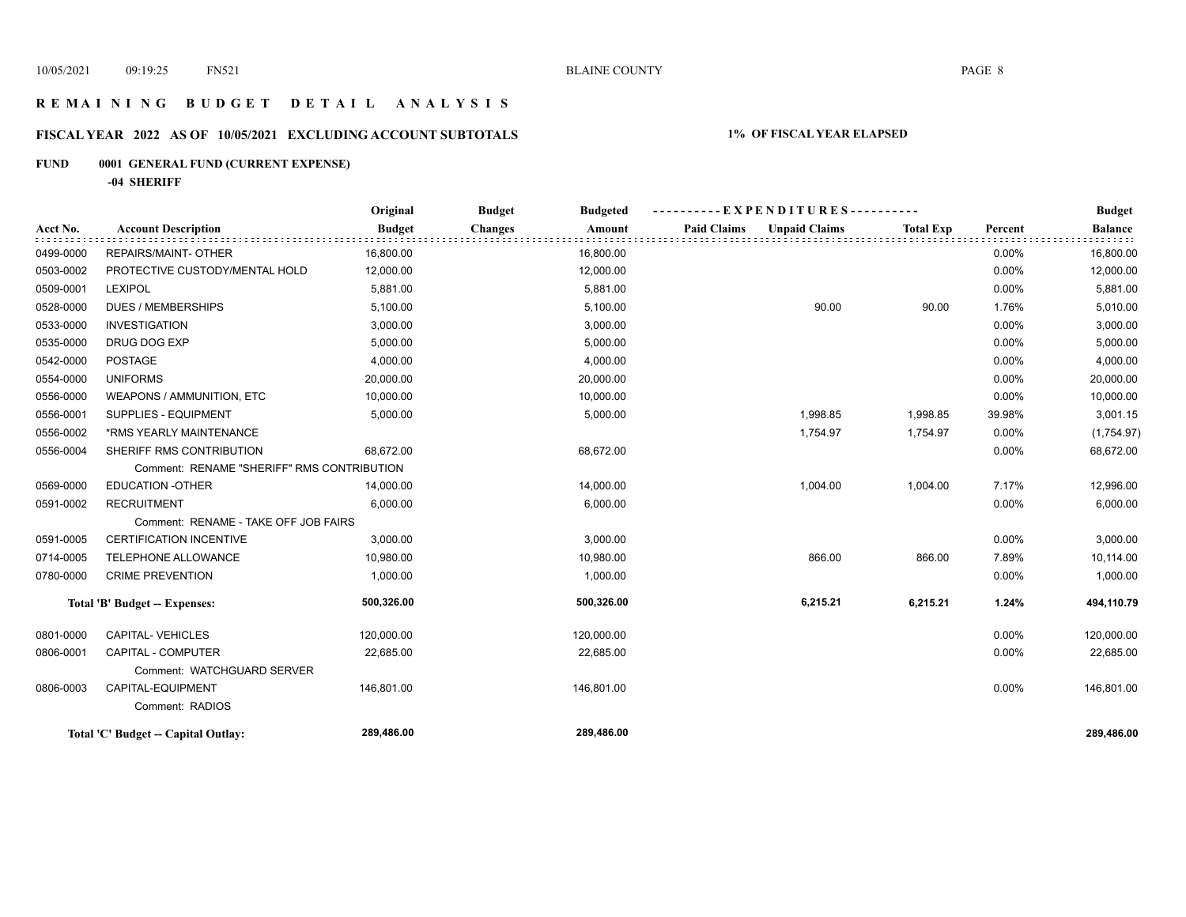## **R E M A I N I N G B U D G E T D E T A I L A N A L Y S I S**

## **FISCAL YEAR 2022 AS OF 10/05/2021 EXCLUDING ACCOUNT SUBTOTALS 1% OF FISCAL YEAR ELAPSED**

## **FUND 0001 GENERAL FUND (CURRENT EXPENSE)**

**-04 SHERIFF**

|           |                                            | Original      | <b>Budget</b><br><b>Budgeted</b> | --EXPENDITURES---------- |                      |                  |         | <b>Budget</b>  |
|-----------|--------------------------------------------|---------------|----------------------------------|--------------------------|----------------------|------------------|---------|----------------|
| Acct No.  | <b>Account Description</b>                 | <b>Budget</b> | <b>Changes</b><br>Amount         | <b>Paid Claims</b>       | <b>Unpaid Claims</b> | <b>Total Exp</b> | Percent | <b>Balance</b> |
| 0499-0000 | <b>REPAIRS/MAINT- OTHER</b>                | 16,800.00     | 16,800.00                        |                          |                      |                  | 0.00%   | 16,800.00      |
| 0503-0002 | PROTECTIVE CUSTODY/MENTAL HOLD             | 12,000.00     | 12,000.00                        |                          |                      |                  | 0.00%   | 12,000.00      |
| 0509-0001 | <b>LEXIPOL</b>                             | 5,881.00      | 5,881.00                         |                          |                      |                  | 0.00%   | 5,881.00       |
| 0528-0000 | <b>DUES / MEMBERSHIPS</b>                  | 5,100.00      | 5,100.00                         |                          | 90.00                | 90.00            | 1.76%   | 5,010.00       |
| 0533-0000 | <b>INVESTIGATION</b>                       | 3,000.00      | 3,000.00                         |                          |                      |                  | 0.00%   | 3,000.00       |
| 0535-0000 | DRUG DOG EXP                               | 5,000.00      | 5,000.00                         |                          |                      |                  | 0.00%   | 5,000.00       |
| 0542-0000 | <b>POSTAGE</b>                             | 4,000.00      | 4,000.00                         |                          |                      |                  | 0.00%   | 4,000.00       |
| 0554-0000 | <b>UNIFORMS</b>                            | 20,000.00     | 20,000.00                        |                          |                      |                  | 0.00%   | 20,000.00      |
| 0556-0000 | <b>WEAPONS / AMMUNITION, ETC</b>           | 10,000.00     | 10,000.00                        |                          |                      |                  | 0.00%   | 10,000.00      |
| 0556-0001 | SUPPLIES - EQUIPMENT                       | 5,000.00      | 5,000.00                         |                          | 1,998.85             | 1,998.85         | 39.98%  | 3,001.15       |
| 0556-0002 | *RMS YEARLY MAINTENANCE                    |               |                                  |                          | 1,754.97             | 1,754.97         | 0.00%   | (1,754.97)     |
| 0556-0004 | SHERIFF RMS CONTRIBUTION                   | 68,672.00     | 68,672.00                        |                          |                      |                  | 0.00%   | 68,672.00      |
|           | Comment: RENAME "SHERIFF" RMS CONTRIBUTION |               |                                  |                          |                      |                  |         |                |
| 0569-0000 | <b>EDUCATION -OTHER</b>                    | 14,000.00     | 14,000.00                        |                          | 1,004.00             | 1,004.00         | 7.17%   | 12,996.00      |
| 0591-0002 | <b>RECRUITMENT</b>                         | 6,000.00      | 6,000.00                         |                          |                      |                  | 0.00%   | 6,000.00       |
|           | Comment: RENAME - TAKE OFF JOB FAIRS       |               |                                  |                          |                      |                  |         |                |
| 0591-0005 | <b>CERTIFICATION INCENTIVE</b>             | 3,000.00      | 3,000.00                         |                          |                      |                  | 0.00%   | 3,000.00       |
| 0714-0005 | TELEPHONE ALLOWANCE                        | 10,980.00     | 10,980.00                        |                          | 866.00               | 866.00           | 7.89%   | 10,114.00      |
| 0780-0000 | <b>CRIME PREVENTION</b>                    | 1,000.00      | 1,000.00                         |                          |                      |                  | 0.00%   | 1,000.00       |
|           | Total 'B' Budget -- Expenses:              | 500,326.00    | 500,326.00                       |                          | 6,215.21             | 6,215.21         | 1.24%   | 494,110.79     |
| 0801-0000 | CAPITAL-VEHICLES                           | 120,000.00    | 120,000.00                       |                          |                      |                  | 0.00%   | 120,000.00     |
| 0806-0001 | CAPITAL - COMPUTER                         | 22,685.00     | 22,685.00                        |                          |                      |                  | 0.00%   | 22,685.00      |
|           | Comment: WATCHGUARD SERVER                 |               |                                  |                          |                      |                  |         |                |
| 0806-0003 | CAPITAL-EQUIPMENT                          | 146,801.00    | 146,801.00                       |                          |                      |                  | 0.00%   | 146,801.00     |
|           | Comment: RADIOS                            |               |                                  |                          |                      |                  |         |                |
|           | Total 'C' Budget -- Capital Outlay:        | 289,486.00    | 289,486.00                       |                          |                      |                  |         | 289.486.00     |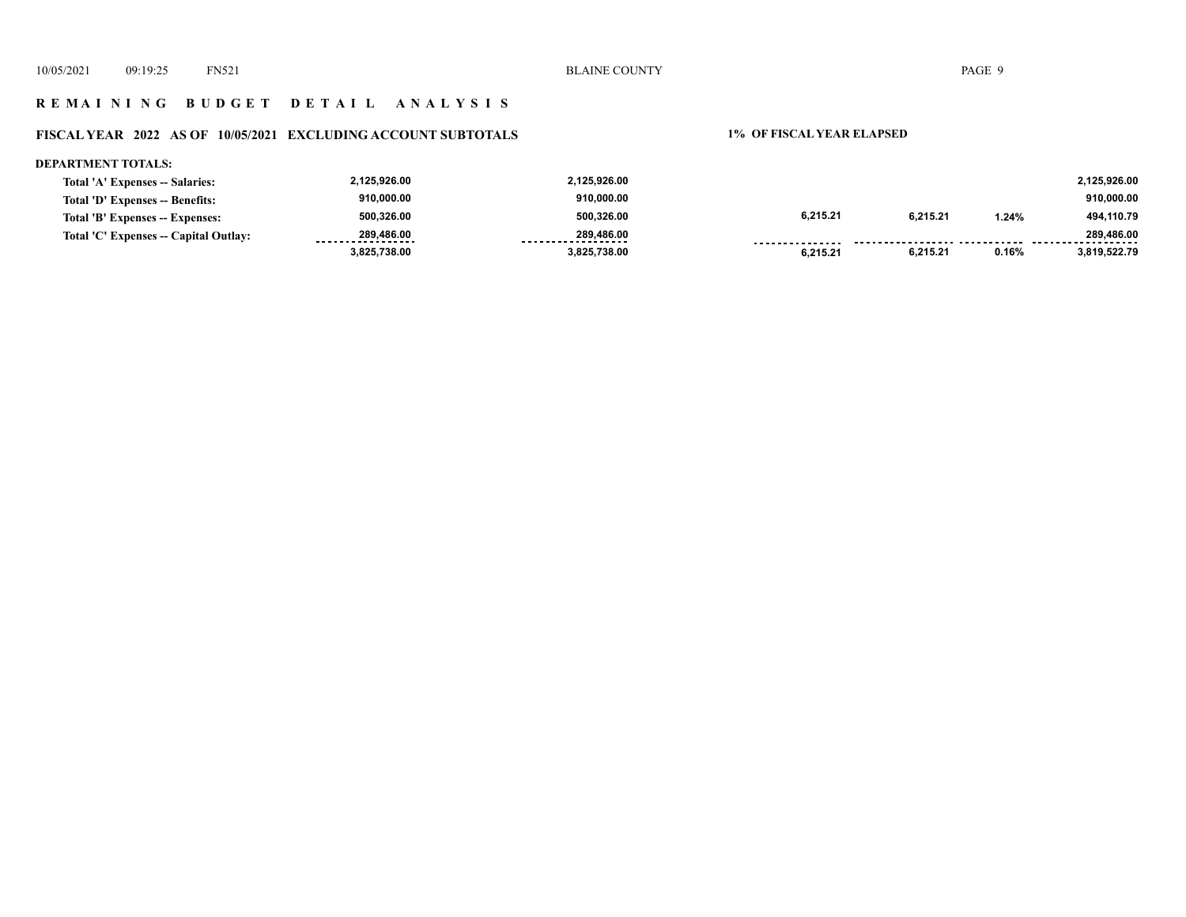## **R E M A I N I N G B U D G E T D E T A I L A N A L Y S I S**

## **FISCAL YEAR 2022 AS OF 10/05/2021 EXCLUDING ACCOUNT SUBTOTALS 1% OF FISCAL YEAR ELAPSED**

#### **DEPARTMENT TOTALS:**

| 6.215.21<br>6.215.21<br>500.326.00<br>500.326.00<br>494,110.79<br>1.24%<br>Total 'B' Expenses -- Expenses: |
|------------------------------------------------------------------------------------------------------------|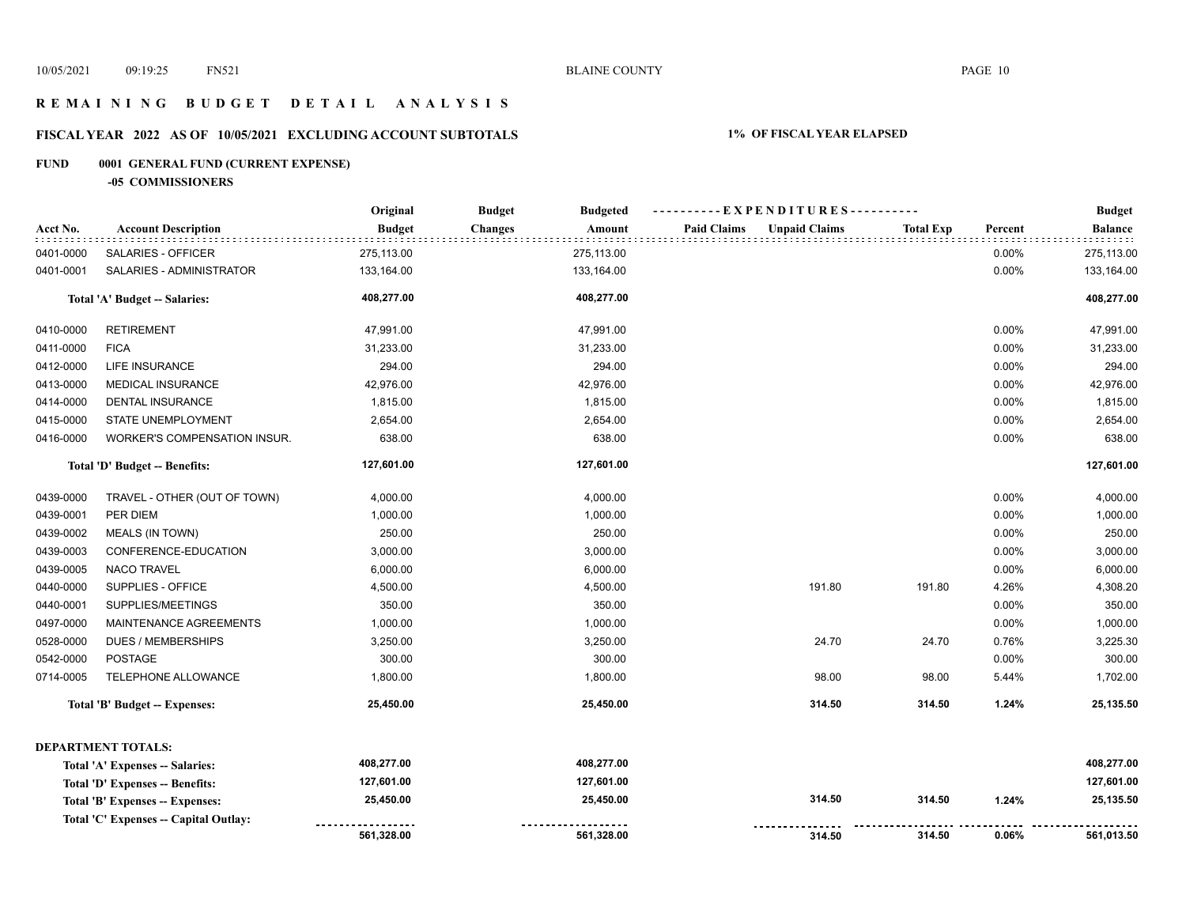## **R E M A I N I N G B U D G E T D E T A I L A N A L Y S I S**

## **FISCAL YEAR 2022 AS OF 10/05/2021 EXCLUDING ACCOUNT SUBTOTALS 1% OF FISCAL YEAR ELAPSED**

## **FUND 0001 GENERAL FUND (CURRENT EXPENSE)**

**-05 COMMISSIONERS**

|           |                                       | Original      | <b>Budget</b>  | <b>Budgeted</b> | ----------EXPENDITURES---------- |                      |                  | <b>Budget</b> |                |
|-----------|---------------------------------------|---------------|----------------|-----------------|----------------------------------|----------------------|------------------|---------------|----------------|
| Acct No.  | <b>Account Description</b>            | <b>Budget</b> | <b>Changes</b> | Amount          | <b>Paid Claims</b>               | <b>Unpaid Claims</b> | <b>Total Exp</b> | Percent       | <b>Balance</b> |
| 0401-0000 | SALARIES - OFFICER                    | 275,113.00    |                | 275,113.00      |                                  |                      |                  | 0.00%         | 275,113.00     |
| 0401-0001 | SALARIES - ADMINISTRATOR              | 133,164.00    |                | 133,164.00      |                                  |                      |                  | 0.00%         | 133,164.00     |
|           | Total 'A' Budget -- Salaries:         | 408,277.00    |                | 408,277.00      |                                  |                      |                  |               | 408,277.00     |
| 0410-0000 | <b>RETIREMENT</b>                     | 47,991.00     |                | 47,991.00       |                                  |                      |                  | 0.00%         | 47,991.00      |
| 0411-0000 | <b>FICA</b>                           | 31,233.00     |                | 31,233.00       |                                  |                      |                  | 0.00%         | 31,233.00      |
| 0412-0000 | LIFE INSURANCE                        | 294.00        |                | 294.00          |                                  |                      |                  | 0.00%         | 294.00         |
| 0413-0000 | <b>MEDICAL INSURANCE</b>              | 42,976.00     |                | 42,976.00       |                                  |                      |                  | 0.00%         | 42,976.00      |
| 0414-0000 | <b>DENTAL INSURANCE</b>               | 1,815.00      |                | 1,815.00        |                                  |                      |                  | 0.00%         | 1,815.00       |
| 0415-0000 | STATE UNEMPLOYMENT                    | 2,654.00      |                | 2,654.00        |                                  |                      |                  | 0.00%         | 2,654.00       |
| 0416-0000 | WORKER'S COMPENSATION INSUR.          | 638.00        |                | 638.00          |                                  |                      |                  | 0.00%         | 638.00         |
|           | Total 'D' Budget -- Benefits:         | 127,601.00    |                | 127,601.00      |                                  |                      |                  |               | 127,601.00     |
| 0439-0000 | TRAVEL - OTHER (OUT OF TOWN)          | 4,000.00      |                | 4,000.00        |                                  |                      |                  | 0.00%         | 4,000.00       |
| 0439-0001 | PER DIEM                              | 1,000.00      |                | 1,000.00        |                                  |                      |                  | 0.00%         | 1,000.00       |
| 0439-0002 | <b>MEALS (IN TOWN)</b>                | 250.00        |                | 250.00          |                                  |                      |                  | 0.00%         | 250.00         |
| 0439-0003 | CONFERENCE-EDUCATION                  | 3,000.00      |                | 3,000.00        |                                  |                      |                  | 0.00%         | 3,000.00       |
| 0439-0005 | <b>NACO TRAVEL</b>                    | 6,000.00      |                | 6,000.00        |                                  |                      |                  | 0.00%         | 6,000.00       |
| 0440-0000 | SUPPLIES - OFFICE                     | 4,500.00      |                | 4,500.00        |                                  | 191.80               | 191.80           | 4.26%         | 4,308.20       |
| 0440-0001 | SUPPLIES/MEETINGS                     | 350.00        |                | 350.00          |                                  |                      |                  | 0.00%         | 350.00         |
| 0497-0000 | MAINTENANCE AGREEMENTS                | 1,000.00      |                | 1,000.00        |                                  |                      |                  | 0.00%         | 1,000.00       |
| 0528-0000 | <b>DUES / MEMBERSHIPS</b>             | 3,250.00      |                | 3,250.00        |                                  | 24.70                | 24.70            | 0.76%         | 3,225.30       |
| 0542-0000 | POSTAGE                               | 300.00        |                | 300.00          |                                  |                      |                  | 0.00%         | 300.00         |
| 0714-0005 | TELEPHONE ALLOWANCE                   | 1,800.00      |                | 1,800.00        |                                  | 98.00                | 98.00            | 5.44%         | 1,702.00       |
|           | Total 'B' Budget -- Expenses:         | 25,450.00     |                | 25,450.00       |                                  | 314.50               | 314.50           | 1.24%         | 25,135.50      |
|           | <b>DEPARTMENT TOTALS:</b>             |               |                |                 |                                  |                      |                  |               |                |
|           | Total 'A' Expenses -- Salaries:       | 408,277.00    |                | 408,277.00      |                                  |                      |                  |               | 408,277.00     |
|           | Total 'D' Expenses -- Benefits:       | 127,601.00    |                | 127,601.00      |                                  |                      |                  |               | 127,601.00     |
|           | Total 'B' Expenses -- Expenses:       | 25,450.00     |                | 25,450.00       |                                  | 314.50               | 314.50           | 1.24%         | 25,135.50      |
|           | Total 'C' Expenses -- Capital Outlay: |               |                |                 |                                  |                      |                  |               |                |
|           |                                       | 561,328.00    |                | 561,328.00      |                                  | 314.50               | 314.50           | 0.06%         | 561,013.50     |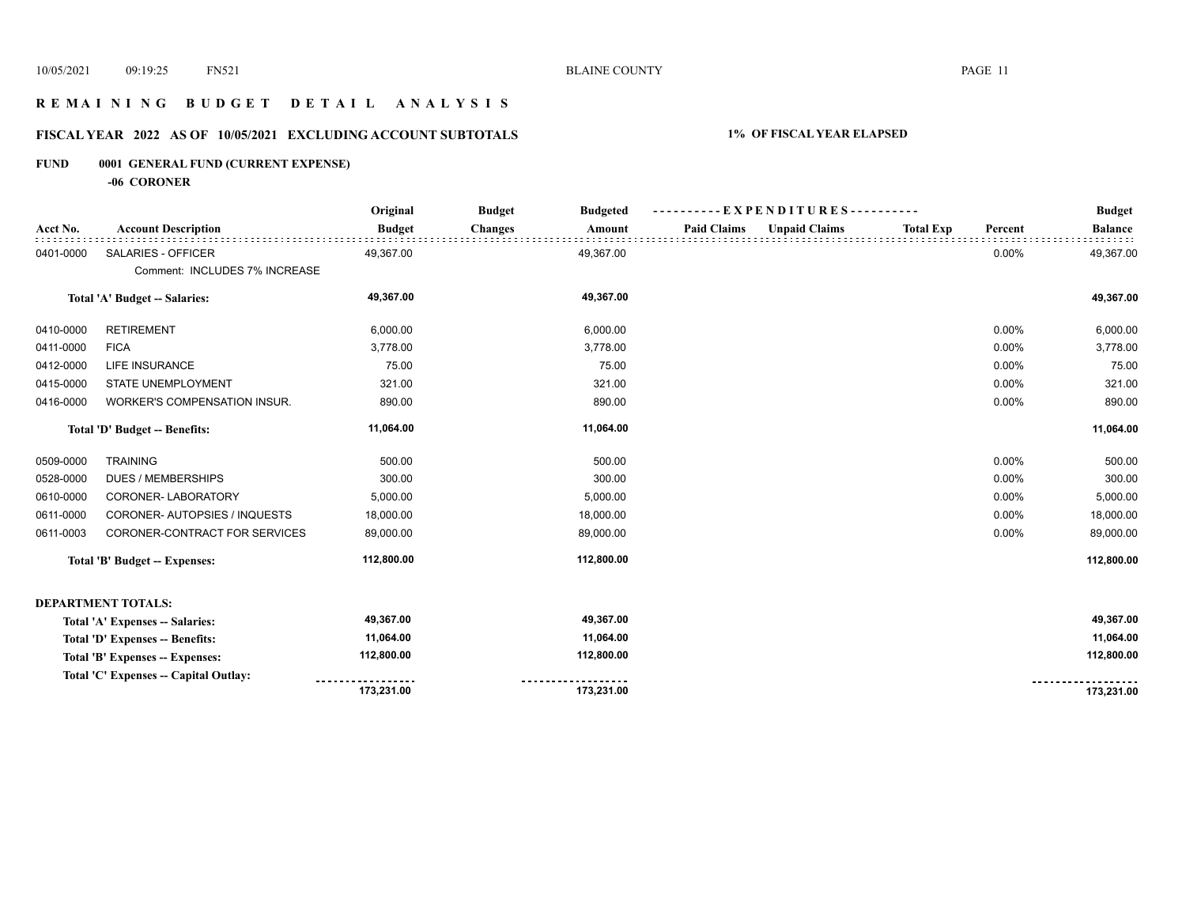## **R E M A I N I N G B U D G E T D E T A I L A N A L Y S I S**

## **FISCAL YEAR 2022 AS OF 10/05/2021 EXCLUDING ACCOUNT SUBTOTALS 1% OF FISCAL YEAR ELAPSED**

## **FUND 0001 GENERAL FUND (CURRENT EXPENSE)**

**-06 CORONER**

|           |                                       | Original      | <b>Budget</b>  | <b>Budgeted</b> |                    | -EXPENDITURES---     |                  |         | <b>Budget</b>  |
|-----------|---------------------------------------|---------------|----------------|-----------------|--------------------|----------------------|------------------|---------|----------------|
| Acct No.  | <b>Account Description</b>            | <b>Budget</b> | <b>Changes</b> | Amount          | <b>Paid Claims</b> | <b>Unpaid Claims</b> | <b>Total Exp</b> | Percent | <b>Balance</b> |
| 0401-0000 | <b>SALARIES - OFFICER</b>             | 49,367.00     |                | 49,367.00       |                    |                      |                  | 0.00%   | 49,367.00      |
|           | Comment: INCLUDES 7% INCREASE         |               |                |                 |                    |                      |                  |         |                |
|           | Total 'A' Budget -- Salaries:         | 49,367.00     |                | 49,367.00       |                    |                      |                  |         | 49,367.00      |
| 0410-0000 | <b>RETIREMENT</b>                     | 6,000.00      |                | 6,000.00        |                    |                      |                  | 0.00%   | 6,000.00       |
| 0411-0000 | <b>FICA</b>                           | 3,778.00      |                | 3,778.00        |                    |                      |                  | 0.00%   | 3,778.00       |
| 0412-0000 | <b>LIFE INSURANCE</b>                 | 75.00         |                | 75.00           |                    |                      |                  | 0.00%   | 75.00          |
| 0415-0000 | STATE UNEMPLOYMENT                    | 321.00        |                | 321.00          |                    |                      |                  | 0.00%   | 321.00         |
| 0416-0000 | WORKER'S COMPENSATION INSUR.          | 890.00        |                | 890.00          |                    |                      |                  | 0.00%   | 890.00         |
|           | Total 'D' Budget -- Benefits:         | 11,064.00     |                | 11,064.00       |                    |                      |                  |         | 11,064.00      |
| 0509-0000 | <b>TRAINING</b>                       | 500.00        |                | 500.00          |                    |                      |                  | 0.00%   | 500.00         |
| 0528-0000 | <b>DUES / MEMBERSHIPS</b>             | 300.00        |                | 300.00          |                    |                      |                  | 0.00%   | 300.00         |
| 0610-0000 | CORONER-LABORATORY                    | 5,000.00      |                | 5,000.00        |                    |                      |                  | 0.00%   | 5,000.00       |
| 0611-0000 | CORONER- AUTOPSIES / INQUESTS         | 18,000.00     |                | 18,000.00       |                    |                      |                  | 0.00%   | 18,000.00      |
| 0611-0003 | CORONER-CONTRACT FOR SERVICES         | 89,000.00     |                | 89,000.00       |                    |                      |                  | 0.00%   | 89,000.00      |
|           | <b>Total 'B' Budget -- Expenses:</b>  | 112,800.00    |                | 112,800.00      |                    |                      |                  |         | 112,800.00     |
|           | <b>DEPARTMENT TOTALS:</b>             |               |                |                 |                    |                      |                  |         |                |
|           | Total 'A' Expenses -- Salaries:       | 49,367.00     |                | 49,367.00       |                    |                      |                  |         | 49,367.00      |
|           | Total 'D' Expenses -- Benefits:       | 11,064.00     |                | 11,064.00       |                    |                      |                  |         | 11,064.00      |
|           | Total 'B' Expenses -- Expenses:       | 112,800.00    |                | 112,800.00      |                    |                      |                  |         | 112,800.00     |
|           | Total 'C' Expenses -- Capital Outlay: |               |                |                 |                    |                      |                  |         |                |
|           |                                       | 173,231.00    |                | 173,231.00      |                    |                      |                  |         | 173,231.00     |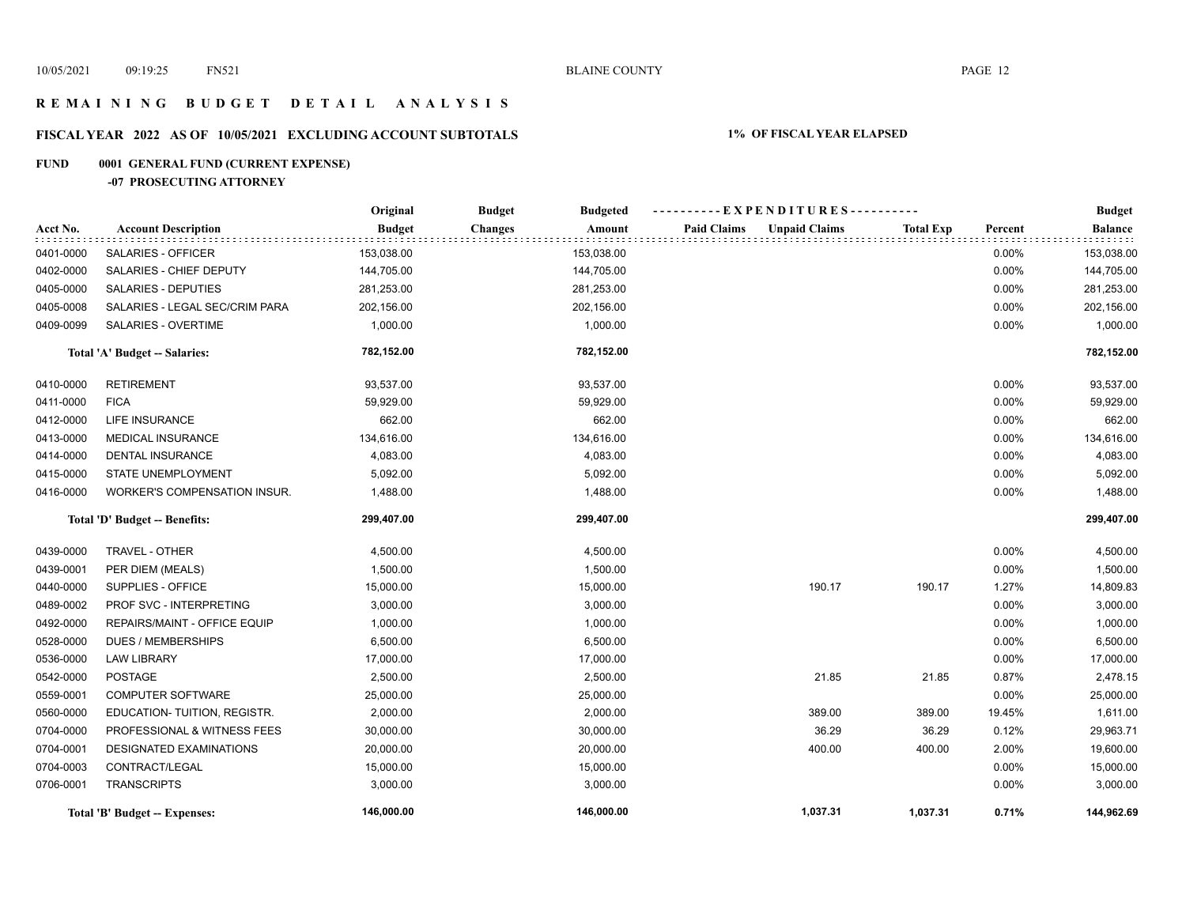## **R E M A I N I N G B U D G E T D E T A I L A N A L Y S I S**

## **FISCAL YEAR 2022 AS OF 10/05/2021 EXCLUDING ACCOUNT SUBTOTALS 1% OF FISCAL YEAR ELAPSED**

## **FUND 0001 GENERAL FUND (CURRENT EXPENSE)**

## **-07 PROSECUTING ATTORNEY**

|           |                                     | Original      | <b>Budget</b><br><b>Budgeted</b> | ----------EXPENDITURES----------           |                  |         | <b>Budget</b>  |
|-----------|-------------------------------------|---------------|----------------------------------|--------------------------------------------|------------------|---------|----------------|
| Acct No.  | <b>Account Description</b>          | <b>Budget</b> | <b>Changes</b><br>Amount         | <b>Paid Claims</b><br><b>Unpaid Claims</b> | <b>Total Exp</b> | Percent | <b>Balance</b> |
| 0401-0000 | SALARIES - OFFICER                  | 153,038.00    | 153,038.00                       |                                            |                  | 0.00%   | 153,038.00     |
| 0402-0000 | SALARIES - CHIEF DEPUTY             | 144,705.00    | 144,705.00                       |                                            |                  | 0.00%   | 144,705.00     |
| 0405-0000 | <b>SALARIES - DEPUTIES</b>          | 281,253.00    | 281,253.00                       |                                            |                  | 0.00%   | 281,253.00     |
| 0405-0008 | SALARIES - LEGAL SEC/CRIM PARA      | 202,156.00    | 202,156.00                       |                                            |                  | 0.00%   | 202,156.00     |
| 0409-0099 | SALARIES - OVERTIME                 | 1,000.00      | 1,000.00                         |                                            |                  | 0.00%   | 1,000.00       |
|           | Total 'A' Budget -- Salaries:       | 782,152.00    | 782,152.00                       |                                            |                  |         | 782,152.00     |
| 0410-0000 | <b>RETIREMENT</b>                   | 93,537.00     | 93,537.00                        |                                            |                  | 0.00%   | 93,537.00      |
| 0411-0000 | <b>FICA</b>                         | 59,929.00     | 59,929.00                        |                                            |                  | 0.00%   | 59,929.00      |
| 0412-0000 | <b>LIFE INSURANCE</b>               | 662.00        | 662.00                           |                                            |                  | 0.00%   | 662.00         |
| 0413-0000 | MEDICAL INSURANCE                   | 134,616.00    | 134,616.00                       |                                            |                  | 0.00%   | 134,616.00     |
| 0414-0000 | <b>DENTAL INSURANCE</b>             | 4,083.00      | 4,083.00                         |                                            |                  | 0.00%   | 4,083.00       |
| 0415-0000 | STATE UNEMPLOYMENT                  | 5,092.00      | 5,092.00                         |                                            |                  | 0.00%   | 5,092.00       |
| 0416-0000 | <b>WORKER'S COMPENSATION INSUR.</b> | 1,488.00      | 1,488.00                         |                                            |                  | 0.00%   | 1,488.00       |
|           | Total 'D' Budget -- Benefits:       | 299,407.00    | 299,407.00                       |                                            |                  |         | 299,407.00     |
| 0439-0000 | TRAVEL - OTHER                      | 4,500.00      | 4,500.00                         |                                            |                  | 0.00%   | 4,500.00       |
| 0439-0001 | PER DIEM (MEALS)                    | 1,500.00      | 1,500.00                         |                                            |                  | 0.00%   | 1,500.00       |
| 0440-0000 | SUPPLIES - OFFICE                   | 15,000.00     | 15,000.00                        | 190.17                                     | 190.17           | 1.27%   | 14,809.83      |
| 0489-0002 | PROF SVC - INTERPRETING             | 3,000.00      | 3,000.00                         |                                            |                  | 0.00%   | 3,000.00       |
| 0492-0000 | REPAIRS/MAINT - OFFICE EQUIP        | 1,000.00      | 1,000.00                         |                                            |                  | 0.00%   | 1,000.00       |
| 0528-0000 | <b>DUES / MEMBERSHIPS</b>           | 6,500.00      | 6,500.00                         |                                            |                  | 0.00%   | 6,500.00       |
| 0536-0000 | <b>LAW LIBRARY</b>                  | 17,000.00     | 17,000.00                        |                                            |                  | 0.00%   | 17,000.00      |
| 0542-0000 | <b>POSTAGE</b>                      | 2,500.00      | 2,500.00                         | 21.85                                      | 21.85            | 0.87%   | 2,478.15       |
| 0559-0001 | <b>COMPUTER SOFTWARE</b>            | 25,000.00     | 25,000.00                        |                                            |                  | 0.00%   | 25,000.00      |
| 0560-0000 | EDUCATION- TUITION, REGISTR.        | 2,000.00      | 2,000.00                         | 389.00                                     | 389.00           | 19.45%  | 1,611.00       |
| 0704-0000 | PROFESSIONAL & WITNESS FEES         | 30,000.00     | 30,000.00                        | 36.29                                      | 36.29            | 0.12%   | 29,963.71      |
| 0704-0001 | DESIGNATED EXAMINATIONS             | 20,000.00     | 20,000.00                        | 400.00                                     | 400.00           | 2.00%   | 19,600.00      |
| 0704-0003 | CONTRACT/LEGAL                      | 15,000.00     | 15,000.00                        |                                            |                  | 0.00%   | 15,000.00      |
| 0706-0001 | <b>TRANSCRIPTS</b>                  | 3,000.00      | 3,000.00                         |                                            |                  | 0.00%   | 3,000.00       |
|           | Total 'B' Budget -- Expenses:       | 146,000.00    | 146,000.00                       | 1,037.31                                   | 1,037.31         | 0.71%   | 144,962.69     |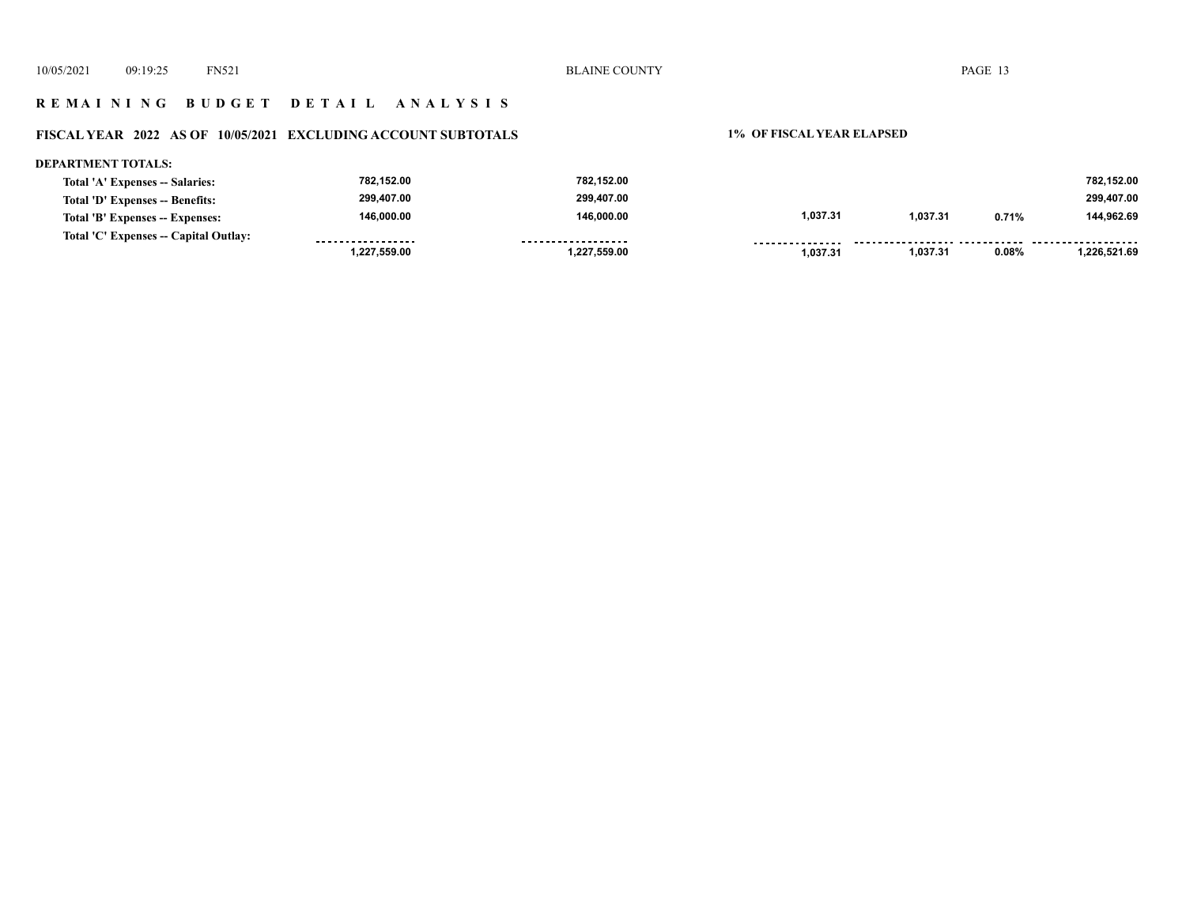## **R E M A I N I N G B U D G E T D E T A I L A N A L Y S I S**

# **FISCAL YEAR 2022 AS OF 10/05/2021 EXCLUDING ACCOUNT SUBTOTALS 1% OF FISCAL YEAR ELAPSED**

| DEPARTMENT TOTALS:                    |                   |                    |                 |          |       |              |
|---------------------------------------|-------------------|--------------------|-----------------|----------|-------|--------------|
| Total 'A' Expenses -- Salaries:       | 782,152.00        | 782,152.00         |                 |          |       | 782.152.00   |
| Total 'D' Expenses -- Benefits:       | 299.407.00        | 299.407.00         |                 |          |       | 299.407.00   |
| Total 'B' Expenses -- Expenses:       | 146.000.00        | 146.000.00         | 1,037.31        | 1.037.31 | 0.71% | 144.962.69   |
| Total 'C' Expenses -- Capital Outlay: | ----------------- | ------------------ | --------------- |          |       |              |
|                                       | 1.227.559.00      | 1,227,559.00       | 1.037.31        | 1,037.31 | 0.08% | 1.226.521.69 |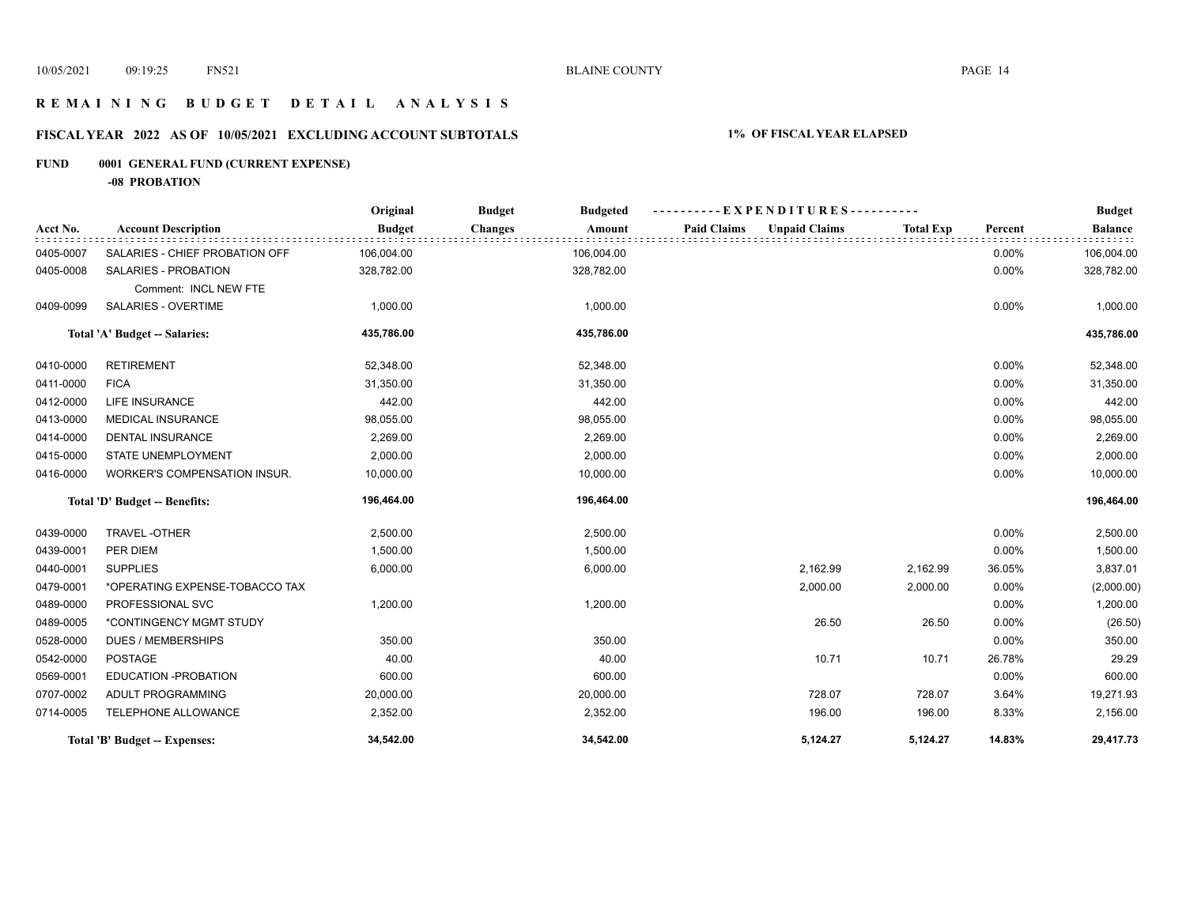## **R E M A I N I N G B U D G E T D E T A I L A N A L Y S I S**

## **FISCAL YEAR 2022 AS OF 10/05/2021 EXCLUDING ACCOUNT SUBTOTALS 1% OF FISCAL YEAR ELAPSED**

## **FUND 0001 GENERAL FUND (CURRENT EXPENSE)**

**-08 PROBATION**

|           |                                | Original      | <b>Budget</b><br><b>Budgeted</b> | EXPENDITURES----------                     |                  |         | <b>Budget</b>  |
|-----------|--------------------------------|---------------|----------------------------------|--------------------------------------------|------------------|---------|----------------|
| Acct No.  | <b>Account Description</b>     | <b>Budget</b> | <b>Changes</b><br>Amount         | <b>Unpaid Claims</b><br><b>Paid Claims</b> | <b>Total Exp</b> | Percent | <b>Balance</b> |
| 0405-0007 | SALARIES - CHIEF PROBATION OFF | 106,004.00    | 106,004.00                       |                                            |                  | 0.00%   | 106,004.00     |
| 0405-0008 | <b>SALARIES - PROBATION</b>    | 328,782.00    | 328,782.00                       |                                            |                  | 0.00%   | 328,782.00     |
|           | Comment: INCL NEW FTE          |               |                                  |                                            |                  |         |                |
| 0409-0099 | SALARIES - OVERTIME            | 1,000.00      | 1,000.00                         |                                            |                  | 0.00%   | 1,000.00       |
|           | Total 'A' Budget -- Salaries:  | 435,786.00    | 435,786.00                       |                                            |                  |         | 435,786.00     |
| 0410-0000 | <b>RETIREMENT</b>              | 52,348.00     | 52,348.00                        |                                            |                  | 0.00%   | 52,348.00      |
| 0411-0000 | <b>FICA</b>                    | 31,350.00     | 31,350.00                        |                                            |                  | 0.00%   | 31,350.00      |
| 0412-0000 | LIFE INSURANCE                 | 442.00        | 442.00                           |                                            |                  | 0.00%   | 442.00         |
| 0413-0000 | <b>MEDICAL INSURANCE</b>       | 98,055.00     | 98,055.00                        |                                            |                  | 0.00%   | 98,055.00      |
| 0414-0000 | <b>DENTAL INSURANCE</b>        | 2,269.00      | 2,269.00                         |                                            |                  | 0.00%   | 2,269.00       |
| 0415-0000 | STATE UNEMPLOYMENT             | 2,000.00      | 2,000.00                         |                                            |                  | 0.00%   | 2,000.00       |
| 0416-0000 | WORKER'S COMPENSATION INSUR.   | 10,000.00     | 10,000.00                        |                                            |                  | 0.00%   | 10,000.00      |
|           | Total 'D' Budget -- Benefits:  | 196,464.00    | 196,464.00                       |                                            |                  |         | 196,464.00     |
| 0439-0000 | TRAVEL-OTHER                   | 2,500.00      | 2,500.00                         |                                            |                  | 0.00%   | 2,500.00       |
| 0439-0001 | PER DIEM                       | 1,500.00      | 1,500.00                         |                                            |                  | 0.00%   | 1,500.00       |
| 0440-0001 | <b>SUPPLIES</b>                | 6,000.00      | 6,000.00                         | 2,162.99                                   | 2,162.99         | 36.05%  | 3,837.01       |
| 0479-0001 | *OPERATING EXPENSE-TOBACCO TAX |               |                                  | 2,000.00                                   | 2,000.00         | 0.00%   | (2,000.00)     |
| 0489-0000 | PROFESSIONAL SVC               | 1,200.00      | 1,200.00                         |                                            |                  | 0.00%   | 1,200.00       |
| 0489-0005 | *CONTINGENCY MGMT STUDY        |               |                                  | 26.50                                      | 26.50            | 0.00%   | (26.50)        |
| 0528-0000 | <b>DUES / MEMBERSHIPS</b>      | 350.00        | 350.00                           |                                            |                  | 0.00%   | 350.00         |
| 0542-0000 | <b>POSTAGE</b>                 | 40.00         | 40.00                            | 10.71                                      | 10.71            | 26.78%  | 29.29          |
| 0569-0001 | EDUCATION -PROBATION           | 600.00        | 600.00                           |                                            |                  | 0.00%   | 600.00         |
| 0707-0002 | ADULT PROGRAMMING              | 20,000.00     | 20,000.00                        | 728.07                                     | 728.07           | 3.64%   | 19,271.93      |
| 0714-0005 | TELEPHONE ALLOWANCE            | 2,352.00      | 2,352.00                         | 196.00                                     | 196.00           | 8.33%   | 2,156.00       |
|           | Total 'B' Budget -- Expenses:  | 34,542.00     | 34,542.00                        | 5,124.27                                   | 5.124.27         | 14.83%  | 29,417.73      |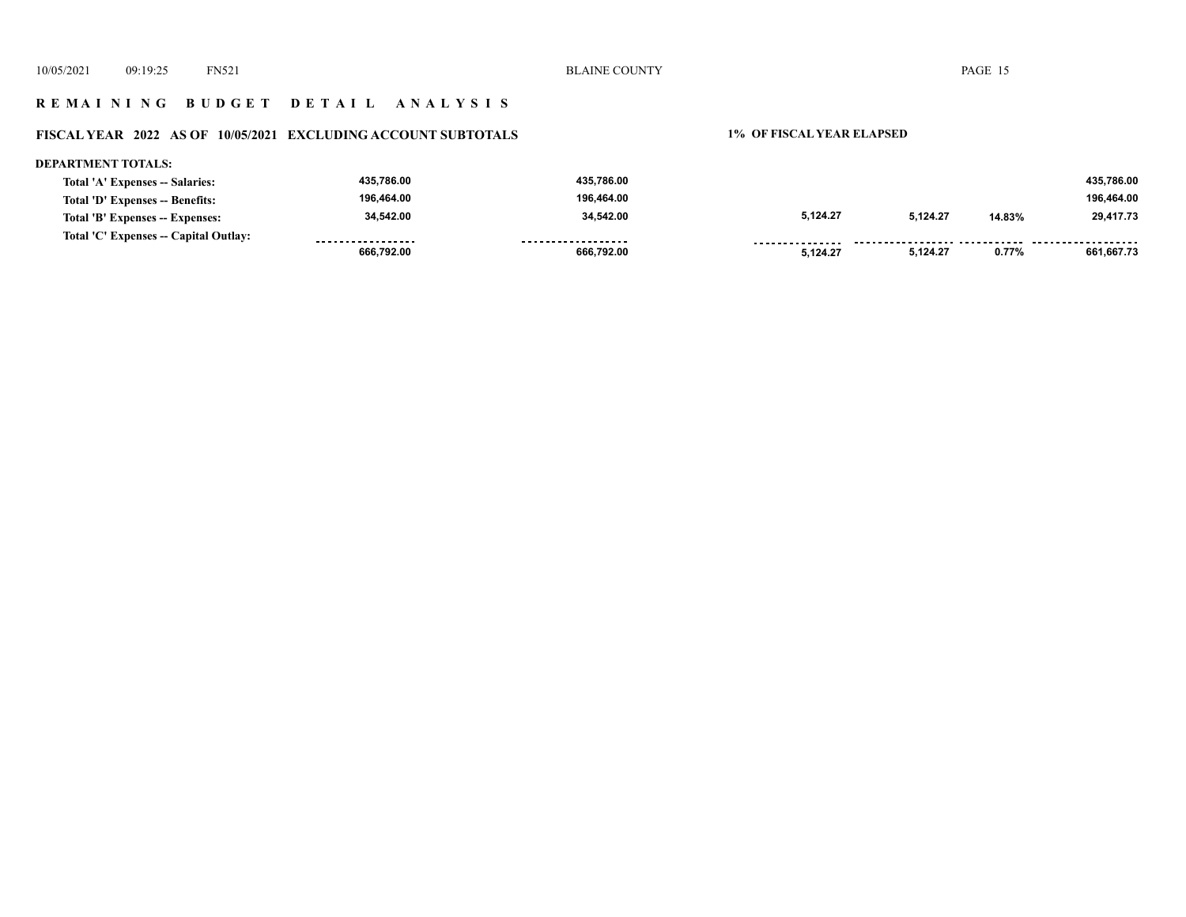## **R E M A I N I N G B U D G E T D E T A I L A N A L Y S I S**

## **FISCAL YEAR 2022 AS OF 10/05/2021 EXCLUDING ACCOUNT SUBTOTALS 1% OF FISCAL YEAR ELAPSED**

#### **DEPARTMENT TOTALS: 435,786.00 435,786.00 435,786.00 Total 'A' Expenses -- Salaries: 196,464.00 196,464.00 196,464.00 Total 'D' Expenses -- Benefits: 34,542.00 34,542.00 5,124.27 5,124.27 14.83% 29,417.73 Total 'B' Expenses -- Expenses: Total 'C' Expenses -- Capital Outlay:** . . . . . . . . . . . . . . . . . . .................. ....... ................... . . . . . . . . . . . . . . . . . . . . . . . . . . . . . . . . . . .  **5,124.27 0.77% 661,667.73 666,792.00 666,792.00 5,124.27**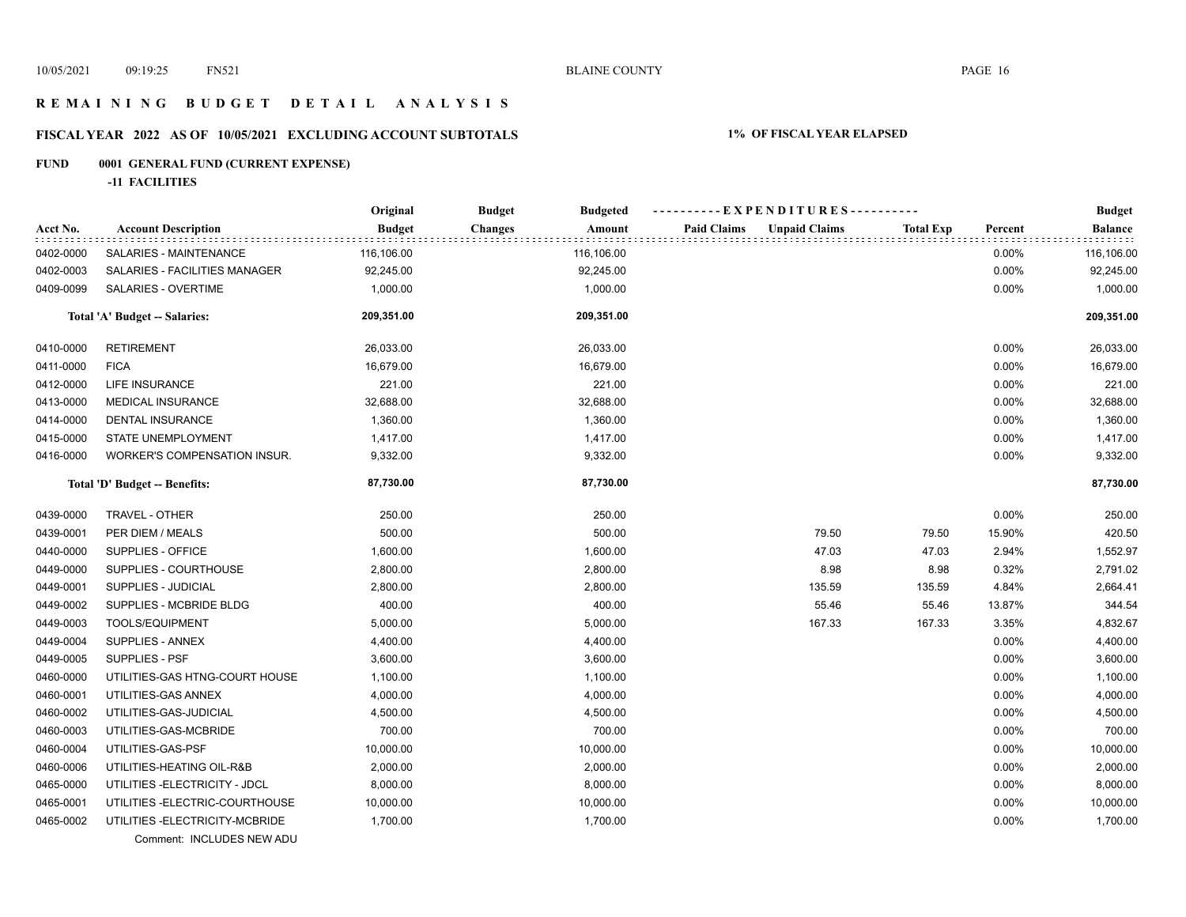## **R E M A I N I N G B U D G E T D E T A I L A N A L Y S I S**

## **FISCAL YEAR 2022 AS OF 10/05/2021 EXCLUDING ACCOUNT SUBTOTALS 1% OF FISCAL YEAR ELAPSED**

## **FUND 0001 GENERAL FUND (CURRENT EXPENSE)**

**-11 FACILITIES**

|           |                                                              | Original      | <b>Budget</b><br><b>Budgeted</b> | ----------EXPENDITURES----------           |                  |         | <b>Budget</b> |
|-----------|--------------------------------------------------------------|---------------|----------------------------------|--------------------------------------------|------------------|---------|---------------|
| Acct No.  | <b>Account Description</b>                                   | <b>Budget</b> | <b>Changes</b><br>Amount         | <b>Paid Claims</b><br><b>Unpaid Claims</b> | <b>Total Exp</b> | Percent | Balance       |
| 0402-0000 | SALARIES - MAINTENANCE                                       | 116,106.00    | 116,106.00                       |                                            |                  | 0.00%   | 116,106.00    |
| 0402-0003 | SALARIES - FACILITIES MANAGER                                | 92,245.00     | 92,245.00                        |                                            |                  | 0.00%   | 92,245.00     |
| 0409-0099 | SALARIES - OVERTIME                                          | 1,000.00      | 1,000.00                         |                                            |                  | 0.00%   | 1,000.00      |
|           | Total 'A' Budget -- Salaries:                                | 209,351.00    | 209,351.00                       |                                            |                  |         | 209,351.00    |
| 0410-0000 | <b>RETIREMENT</b>                                            | 26,033.00     | 26,033.00                        |                                            |                  | 0.00%   | 26,033.00     |
| 0411-0000 | <b>FICA</b>                                                  | 16,679.00     | 16,679.00                        |                                            |                  | 0.00%   | 16,679.00     |
| 0412-0000 | LIFE INSURANCE                                               | 221.00        | 221.00                           |                                            |                  | 0.00%   | 221.00        |
| 0413-0000 | MEDICAL INSURANCE                                            | 32,688.00     | 32,688.00                        |                                            |                  | 0.00%   | 32,688.00     |
| 0414-0000 | <b>DENTAL INSURANCE</b>                                      | 1,360.00      | 1,360.00                         |                                            |                  | 0.00%   | 1,360.00      |
| 0415-0000 | STATE UNEMPLOYMENT                                           | 1,417.00      | 1,417.00                         |                                            |                  | 0.00%   | 1,417.00      |
| 0416-0000 | WORKER'S COMPENSATION INSUR.                                 | 9,332.00      | 9,332.00                         |                                            |                  | 0.00%   | 9,332.00      |
|           | Total 'D' Budget -- Benefits:                                | 87,730.00     | 87,730.00                        |                                            |                  |         | 87,730.00     |
| 0439-0000 | TRAVEL - OTHER                                               | 250.00        | 250.00                           |                                            |                  | 0.00%   | 250.00        |
| 0439-0001 | PER DIEM / MEALS                                             | 500.00        | 500.00                           | 79.50                                      | 79.50            | 15.90%  | 420.50        |
| 0440-0000 | SUPPLIES - OFFICE                                            | 1,600.00      | 1,600.00                         | 47.03                                      | 47.03            | 2.94%   | 1,552.97      |
| 0449-0000 | SUPPLIES - COURTHOUSE                                        | 2,800.00      | 2,800.00                         | 8.98                                       | 8.98             | 0.32%   | 2,791.02      |
| 0449-0001 | SUPPLIES - JUDICIAL                                          | 2,800.00      | 2,800.00                         | 135.59                                     | 135.59           | 4.84%   | 2,664.41      |
| 0449-0002 | SUPPLIES - MCBRIDE BLDG                                      | 400.00        | 400.00                           | 55.46                                      | 55.46            | 13.87%  | 344.54        |
| 0449-0003 | <b>TOOLS/EQUIPMENT</b>                                       | 5,000.00      | 5,000.00                         | 167.33                                     | 167.33           | 3.35%   | 4,832.67      |
| 0449-0004 | SUPPLIES - ANNEX                                             | 4,400.00      | 4,400.00                         |                                            |                  | 0.00%   | 4,400.00      |
| 0449-0005 | <b>SUPPLIES - PSF</b>                                        | 3,600.00      | 3,600.00                         |                                            |                  | 0.00%   | 3,600.00      |
| 0460-0000 | UTILITIES-GAS HTNG-COURT HOUSE                               | 1,100.00      | 1,100.00                         |                                            |                  | 0.00%   | 1,100.00      |
| 0460-0001 | UTILITIES-GAS ANNEX                                          | 4,000.00      | 4,000.00                         |                                            |                  | 0.00%   | 4,000.00      |
| 0460-0002 | UTILITIES-GAS-JUDICIAL                                       | 4,500.00      | 4,500.00                         |                                            |                  | 0.00%   | 4,500.00      |
| 0460-0003 | UTILITIES-GAS-MCBRIDE                                        | 700.00        | 700.00                           |                                            |                  | 0.00%   | 700.00        |
| 0460-0004 | UTILITIES-GAS-PSF                                            | 10,000.00     | 10,000.00                        |                                            |                  | 0.00%   | 10,000.00     |
| 0460-0006 | UTILITIES-HEATING OIL-R&B                                    | 2,000.00      | 2,000.00                         |                                            |                  | 0.00%   | 2,000.00      |
| 0465-0000 | UTILITIES - ELECTRICITY - JDCL                               | 8,000.00      | 8,000.00                         |                                            |                  | 0.00%   | 8,000.00      |
| 0465-0001 | UTILITIES - ELECTRIC-COURTHOUSE                              | 10,000.00     | 10,000.00                        |                                            |                  | 0.00%   | 10,000.00     |
| 0465-0002 | UTILITIES - ELECTRICITY-MCBRIDE<br>Comment: INCLUDES NEW ADU | 1,700.00      | 1,700.00                         |                                            |                  | 0.00%   | 1,700.00      |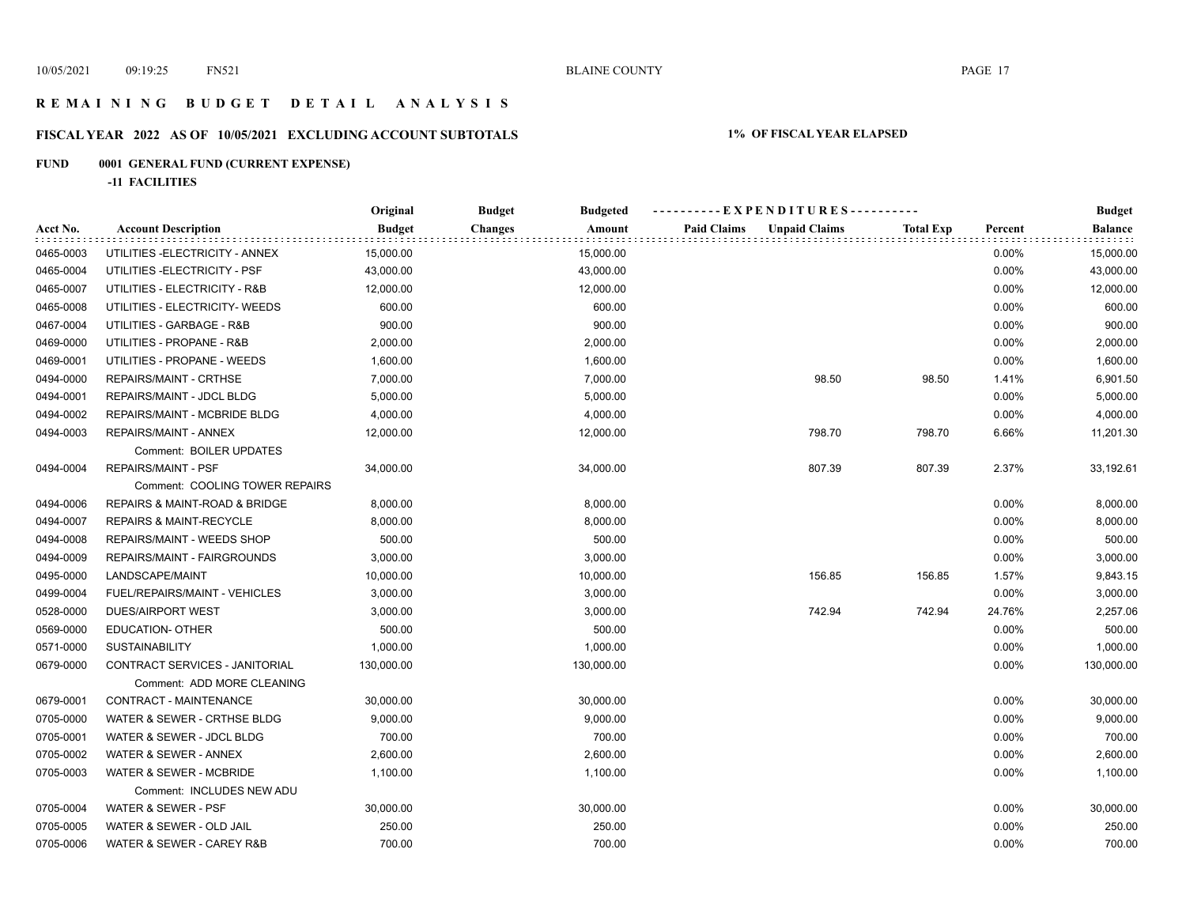## **R E M A I N I N G B U D G E T D E T A I L A N A L Y S I S**

## **FISCAL YEAR 2022 AS OF 10/05/2021 EXCLUDING ACCOUNT SUBTOTALS 1% OF FISCAL YEAR ELAPSED**

## **FUND 0001 GENERAL FUND (CURRENT EXPENSE)**

**-11 FACILITIES**

|           |                                    | Original      | <b>Budget</b>  | <b>Budgeted</b> | ----------EXPENDITURES----------           |                  |         | <b>Budget</b>  |
|-----------|------------------------------------|---------------|----------------|-----------------|--------------------------------------------|------------------|---------|----------------|
| Acct No.  | <b>Account Description</b>         | <b>Budget</b> | <b>Changes</b> | Amount          | <b>Paid Claims</b><br><b>Unpaid Claims</b> | <b>Total Exp</b> | Percent | <b>Balance</b> |
| 0465-0003 | UTILITIES - ELECTRICITY - ANNEX    | 15,000.00     |                | 15,000.00       |                                            |                  | 0.00%   | 15,000.00      |
| 0465-0004 | UTILITIES - ELECTRICITY - PSF      | 43,000.00     |                | 43,000.00       |                                            |                  | 0.00%   | 43,000.00      |
| 0465-0007 | UTILITIES - ELECTRICITY - R&B      | 12,000.00     |                | 12,000.00       |                                            |                  | 0.00%   | 12,000.00      |
| 0465-0008 | UTILITIES - ELECTRICITY- WEEDS     | 600.00        |                | 600.00          |                                            |                  | 0.00%   | 600.00         |
| 0467-0004 | UTILITIES - GARBAGE - R&B          | 900.00        |                | 900.00          |                                            |                  | 0.00%   | 900.00         |
| 0469-0000 | UTILITIES - PROPANE - R&B          | 2,000.00      |                | 2,000.00        |                                            |                  | 0.00%   | 2,000.00       |
| 0469-0001 | UTILITIES - PROPANE - WEEDS        | 1,600.00      |                | 1,600.00        |                                            |                  | 0.00%   | 1,600.00       |
| 0494-0000 | REPAIRS/MAINT - CRTHSE             | 7,000.00      |                | 7,000.00        | 98.50                                      | 98.50            | 1.41%   | 6,901.50       |
| 0494-0001 | REPAIRS/MAINT - JDCL BLDG          | 5,000.00      |                | 5,000.00        |                                            |                  | 0.00%   | 5,000.00       |
| 0494-0002 | REPAIRS/MAINT - MCBRIDE BLDG       | 4,000.00      |                | 4,000.00        |                                            |                  | 0.00%   | 4,000.00       |
| 0494-0003 | REPAIRS/MAINT - ANNEX              | 12,000.00     |                | 12,000.00       | 798.70                                     | 798.70           | 6.66%   | 11,201.30      |
|           | Comment: BOILER UPDATES            |               |                |                 |                                            |                  |         |                |
| 0494-0004 | <b>REPAIRS/MAINT - PSF</b>         | 34,000.00     |                | 34,000.00       | 807.39                                     | 807.39           | 2.37%   | 33,192.61      |
|           | Comment: COOLING TOWER REPAIRS     |               |                |                 |                                            |                  |         |                |
| 0494-0006 | REPAIRS & MAINT-ROAD & BRIDGE      | 8,000.00      |                | 8,000.00        |                                            |                  | 0.00%   | 8,000.00       |
| 0494-0007 | <b>REPAIRS &amp; MAINT-RECYCLE</b> | 8,000.00      |                | 8,000.00        |                                            |                  | 0.00%   | 8,000.00       |
| 0494-0008 | <b>REPAIRS/MAINT - WEEDS SHOP</b>  | 500.00        |                | 500.00          |                                            |                  | 0.00%   | 500.00         |
| 0494-0009 | REPAIRS/MAINT - FAIRGROUNDS        | 3,000.00      |                | 3,000.00        |                                            |                  | 0.00%   | 3,000.00       |
| 0495-0000 | LANDSCAPE/MAINT                    | 10,000.00     |                | 10,000.00       | 156.85                                     | 156.85           | 1.57%   | 9,843.15       |
| 0499-0004 | FUEL/REPAIRS/MAINT - VEHICLES      | 3,000.00      |                | 3,000.00        |                                            |                  | 0.00%   | 3,000.00       |
| 0528-0000 | <b>DUES/AIRPORT WEST</b>           | 3,000.00      |                | 3,000.00        | 742.94                                     | 742.94           | 24.76%  | 2,257.06       |
| 0569-0000 | <b>EDUCATION- OTHER</b>            | 500.00        |                | 500.00          |                                            |                  | 0.00%   | 500.00         |
| 0571-0000 | <b>SUSTAINABILITY</b>              | 1,000.00      |                | 1,000.00        |                                            |                  | 0.00%   | 1,000.00       |
| 0679-0000 | CONTRACT SERVICES - JANITORIAL     | 130,000.00    | 130,000.00     |                 |                                            |                  | 0.00%   | 130,000.00     |
|           | Comment: ADD MORE CLEANING         |               |                |                 |                                            |                  |         |                |
| 0679-0001 | CONTRACT - MAINTENANCE             | 30,000.00     |                | 30,000.00       |                                            |                  | 0.00%   | 30,000.00      |
| 0705-0000 | WATER & SEWER - CRTHSE BLDG        | 9,000.00      |                | 9,000.00        |                                            |                  | 0.00%   | 9,000.00       |
| 0705-0001 | WATER & SEWER - JDCL BLDG          | 700.00        |                | 700.00          |                                            |                  | 0.00%   | 700.00         |
| 0705-0002 | WATER & SEWER - ANNEX              | 2,600.00      |                | 2,600.00        |                                            |                  | 0.00%   | 2,600.00       |
| 0705-0003 | WATER & SEWER - MCBRIDE            | 1,100.00      |                | 1,100.00        |                                            |                  | 0.00%   | 1,100.00       |
|           | Comment: INCLUDES NEW ADU          |               |                |                 |                                            |                  |         |                |
| 0705-0004 | WATER & SEWER - PSF                | 30,000.00     |                | 30,000.00       |                                            |                  | 0.00%   | 30,000.00      |
| 0705-0005 | WATER & SEWER - OLD JAIL           | 250.00        |                | 250.00          |                                            |                  | 0.00%   | 250.00         |
| 0705-0006 | WATER & SEWER - CAREY R&B          | 700.00        |                | 700.00          |                                            |                  | 0.00%   | 700.00         |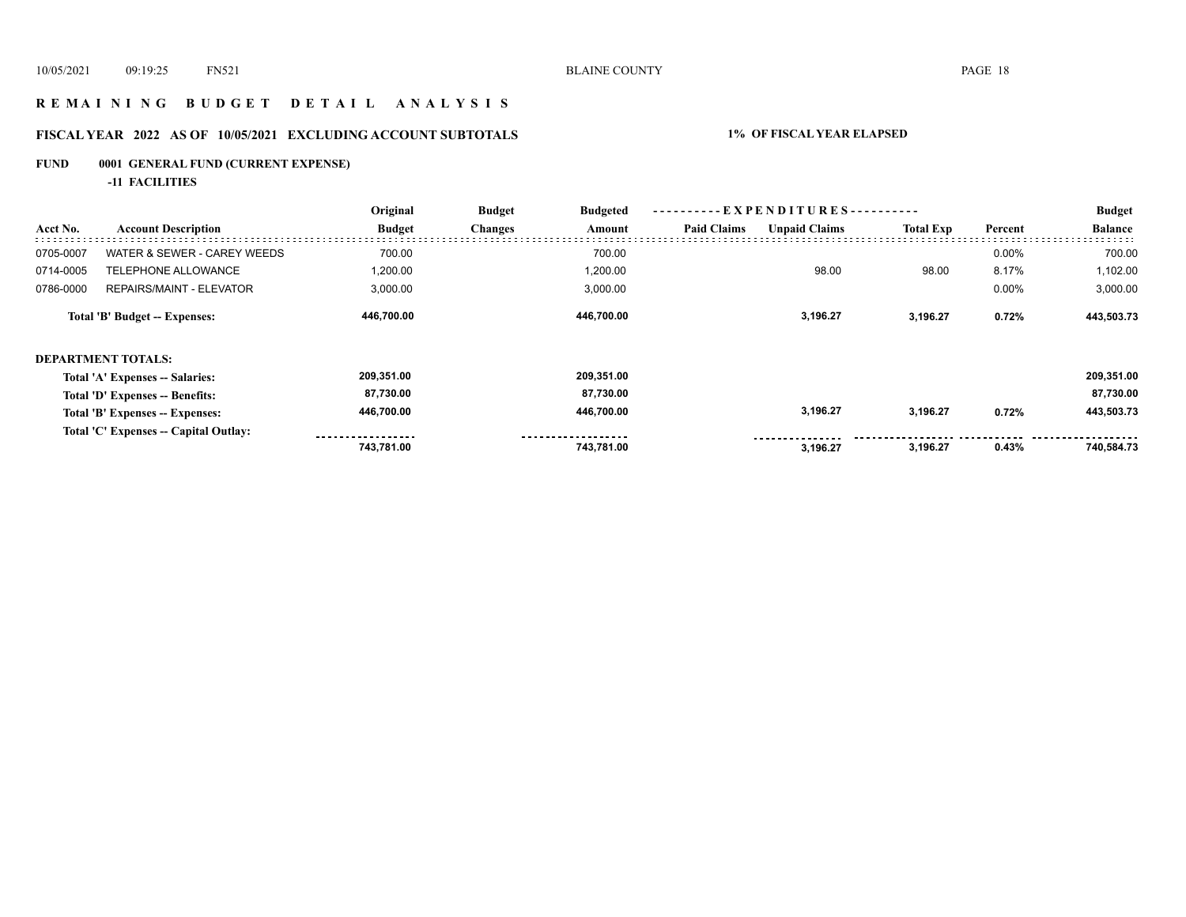## **R E M A I N I N G B U D G E T D E T A I L A N A L Y S I S**

## **FISCAL YEAR 2022 AS OF 10/05/2021 EXCLUDING ACCOUNT SUBTOTALS 1% OF FISCAL YEAR ELAPSED**

## **FUND 0001 GENERAL FUND (CURRENT EXPENSE)**

**-11 FACILITIES**

|           |                                       | Original      | <b>Budget</b>  | <b>Budgeted</b> | ----------EXPENDITURES---------- |                      |                  |         | <b>Budget</b>  |
|-----------|---------------------------------------|---------------|----------------|-----------------|----------------------------------|----------------------|------------------|---------|----------------|
| Acct No.  | <b>Account Description</b>            | <b>Budget</b> | <b>Changes</b> | Amount          | <b>Paid Claims</b>               | <b>Unpaid Claims</b> | <b>Total Exp</b> | Percent | <b>Balance</b> |
| 0705-0007 | WATER & SEWER - CAREY WEEDS           | 700.00        |                | 700.00          |                                  |                      |                  | 0.00%   | 700.00         |
| 0714-0005 | <b>TELEPHONE ALLOWANCE</b>            | 1,200.00      |                | 1,200.00        |                                  | 98.00                | 98.00            | 8.17%   | 1,102.00       |
| 0786-0000 | <b>REPAIRS/MAINT - ELEVATOR</b>       | 3,000.00      |                | 3,000.00        |                                  |                      |                  | 0.00%   | 3,000.00       |
|           | <b>Total 'B' Budget -- Expenses:</b>  | 446,700.00    |                | 446,700.00      |                                  | 3,196.27             | 3,196.27         | 0.72%   | 443,503.73     |
|           | <b>DEPARTMENT TOTALS:</b>             |               |                |                 |                                  |                      |                  |         |                |
|           | Total 'A' Expenses -- Salaries:       | 209,351.00    |                | 209,351.00      |                                  |                      |                  |         | 209,351.00     |
|           | Total 'D' Expenses -- Benefits:       | 87,730.00     |                | 87,730.00       |                                  |                      |                  |         | 87,730.00      |
|           | Total 'B' Expenses -- Expenses:       | 446,700.00    |                | 446,700.00      |                                  | 3,196.27             | 3,196.27         | 0.72%   | 443,503.73     |
|           | Total 'C' Expenses -- Capital Outlay: |               |                |                 |                                  |                      |                  |         |                |
|           |                                       | 743.781.00    |                | 743.781.00      |                                  | 3.196.27             | 3,196.27         | 0.43%   | 740,584.73     |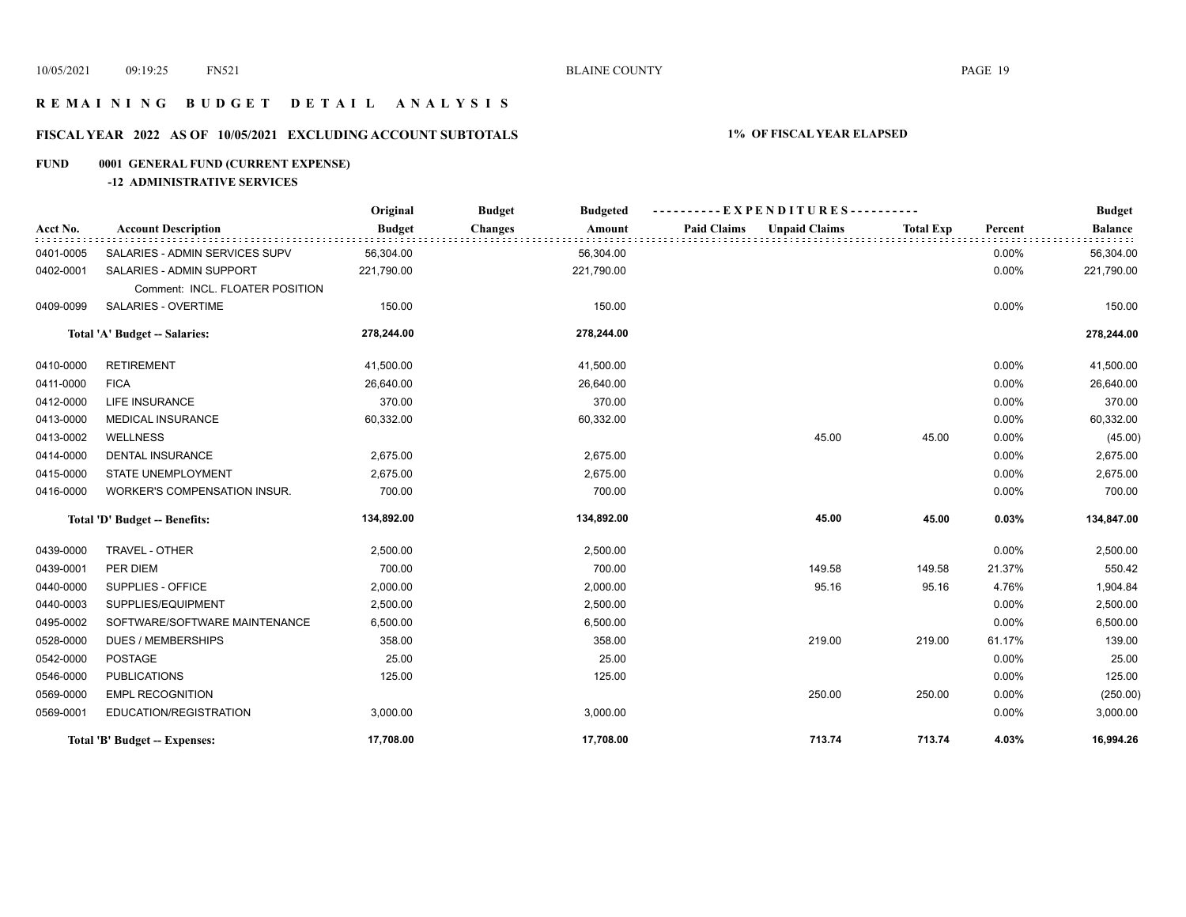## **R E M A I N I N G B U D G E T D E T A I L A N A L Y S I S**

## **FISCAL YEAR 2022 AS OF 10/05/2021 EXCLUDING ACCOUNT SUBTOTALS 1% OF FISCAL YEAR ELAPSED**

## **FUND 0001 GENERAL FUND (CURRENT EXPENSE)**

## **-12 ADMINISTRATIVE SERVICES**

|           |                                                             | Original      | <b>Budget</b><br><b>Budgeted</b> | ----------EXPENDITURES----------           |                  |         | <b>Budget</b>  |
|-----------|-------------------------------------------------------------|---------------|----------------------------------|--------------------------------------------|------------------|---------|----------------|
| Acct No.  | <b>Account Description</b>                                  | <b>Budget</b> | <b>Changes</b><br>Amount         | <b>Paid Claims</b><br><b>Unpaid Claims</b> | <b>Total Exp</b> | Percent | <b>Balance</b> |
| 0401-0005 | SALARIES - ADMIN SERVICES SUPV                              | 56,304.00     | 56,304.00                        |                                            |                  | 0.00%   | 56,304.00      |
| 0402-0001 | SALARIES - ADMIN SUPPORT<br>Comment: INCL. FLOATER POSITION | 221,790.00    | 221,790.00                       |                                            |                  | 0.00%   | 221,790.00     |
| 0409-0099 | <b>SALARIES - OVERTIME</b>                                  | 150.00        | 150.00                           |                                            |                  | 0.00%   | 150.00         |
|           | Total 'A' Budget -- Salaries:                               | 278,244.00    | 278,244.00                       |                                            |                  |         | 278,244.00     |
| 0410-0000 | <b>RETIREMENT</b>                                           | 41,500.00     | 41,500.00                        |                                            |                  | 0.00%   | 41,500.00      |
| 0411-0000 | <b>FICA</b>                                                 | 26,640.00     | 26,640.00                        |                                            |                  | 0.00%   | 26,640.00      |
| 0412-0000 | <b>LIFE INSURANCE</b>                                       | 370.00        | 370.00                           |                                            |                  | 0.00%   | 370.00         |
| 0413-0000 | <b>MEDICAL INSURANCE</b>                                    | 60,332.00     | 60,332.00                        |                                            |                  | 0.00%   | 60,332.00      |
| 0413-0002 | <b>WELLNESS</b>                                             |               |                                  | 45.00                                      | 45.00            | 0.00%   | (45.00)        |
| 0414-0000 | <b>DENTAL INSURANCE</b>                                     | 2,675.00      | 2,675.00                         |                                            |                  | 0.00%   | 2,675.00       |
| 0415-0000 | STATE UNEMPLOYMENT                                          | 2,675.00      | 2,675.00                         |                                            |                  | 0.00%   | 2,675.00       |
| 0416-0000 | WORKER'S COMPENSATION INSUR.                                | 700.00        | 700.00                           |                                            |                  | 0.00%   | 700.00         |
|           | Total 'D' Budget -- Benefits:                               | 134,892.00    | 134,892.00                       | 45.00                                      | 45.00            | 0.03%   | 134,847.00     |
| 0439-0000 | TRAVEL - OTHER                                              | 2,500.00      | 2,500.00                         |                                            |                  | 0.00%   | 2,500.00       |
| 0439-0001 | PER DIEM                                                    | 700.00        | 700.00                           | 149.58                                     | 149.58           | 21.37%  | 550.42         |
| 0440-0000 | SUPPLIES - OFFICE                                           | 2,000.00      | 2,000.00                         | 95.16                                      | 95.16            | 4.76%   | 1,904.84       |
| 0440-0003 | SUPPLIES/EQUIPMENT                                          | 2,500.00      | 2,500.00                         |                                            |                  | 0.00%   | 2,500.00       |
| 0495-0002 | SOFTWARE/SOFTWARE MAINTENANCE                               | 6,500.00      | 6,500.00                         |                                            |                  | 0.00%   | 6,500.00       |
| 0528-0000 | <b>DUES / MEMBERSHIPS</b>                                   | 358.00        | 358.00                           | 219.00                                     | 219.00           | 61.17%  | 139.00         |
| 0542-0000 | <b>POSTAGE</b>                                              | 25.00         | 25.00                            |                                            |                  | 0.00%   | 25.00          |
| 0546-0000 | <b>PUBLICATIONS</b>                                         | 125.00        | 125.00                           |                                            |                  | 0.00%   | 125.00         |
| 0569-0000 | <b>EMPL RECOGNITION</b>                                     |               |                                  | 250.00                                     | 250.00           | 0.00%   | (250.00)       |
| 0569-0001 | EDUCATION/REGISTRATION                                      | 3,000.00      | 3,000.00                         |                                            |                  | 0.00%   | 3,000.00       |
|           | Total 'B' Budget -- Expenses:                               | 17,708.00     | 17,708.00                        | 713.74                                     | 713.74           | 4.03%   | 16,994.26      |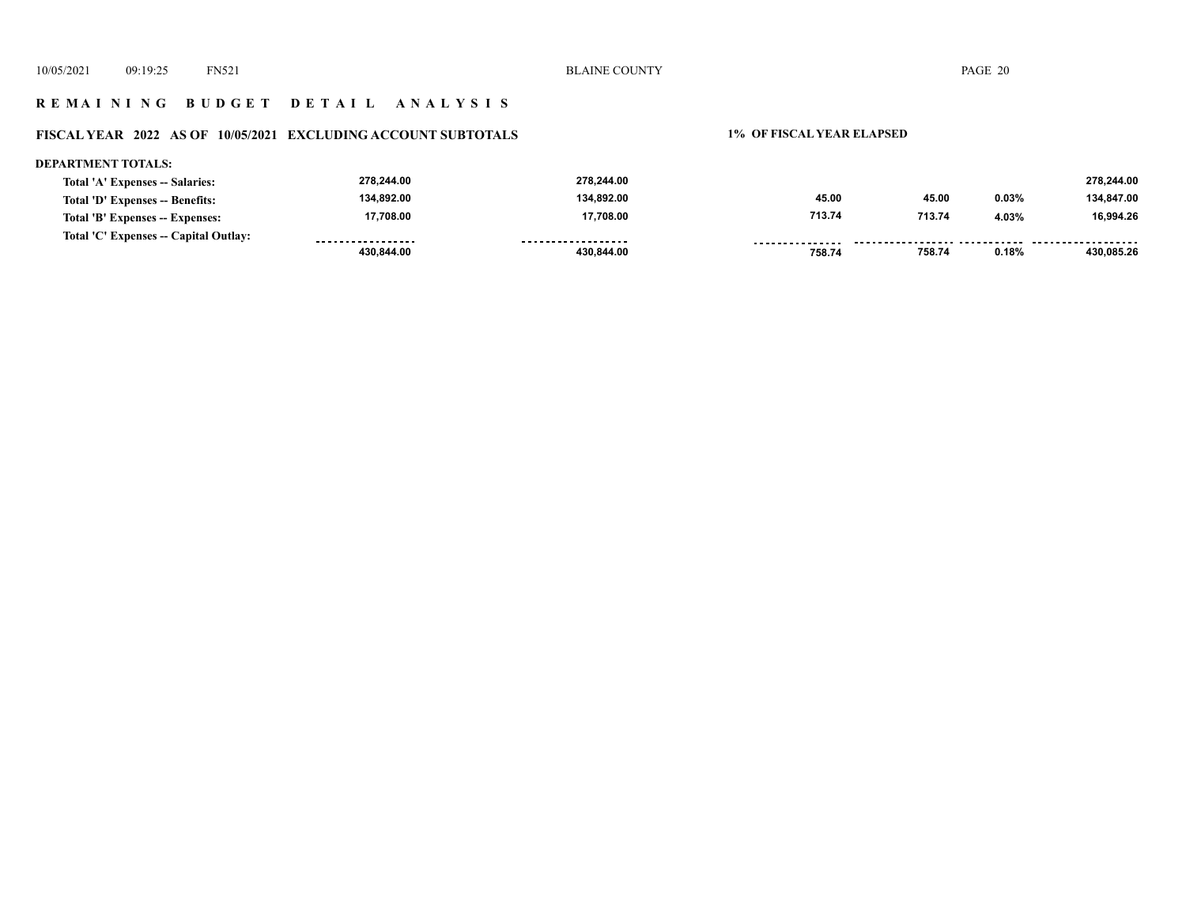## **R E M A I N I N G B U D G E T D E T A I L A N A L Y S I S**

## **FISCAL YEAR 2022 AS OF 10/05/2021 EXCLUDING ACCOUNT SUBTOTALS 1% OF FISCAL YEAR ELAPSED**

#### **DEPARTMENT TOTALS: 278,244.00 278,244.00 278,244.00 Total 'A' Expenses -- Salaries: 134,892.00 134,892.00 134,847.00 45.00 Total 'D' Expenses -- Benefits: 45.00 0.03% 17,708.00 17,708.00 713.74 713.74 4.03% 16,994.26 Total 'B' Expenses -- Expenses: Total 'C' Expenses -- Capital Outlay:** ------------------.................. **...............** . . . . . . . . . . . . . . . . .  **758.74 0.18% 430,085.26 430,844.00 430,844.00 758.74**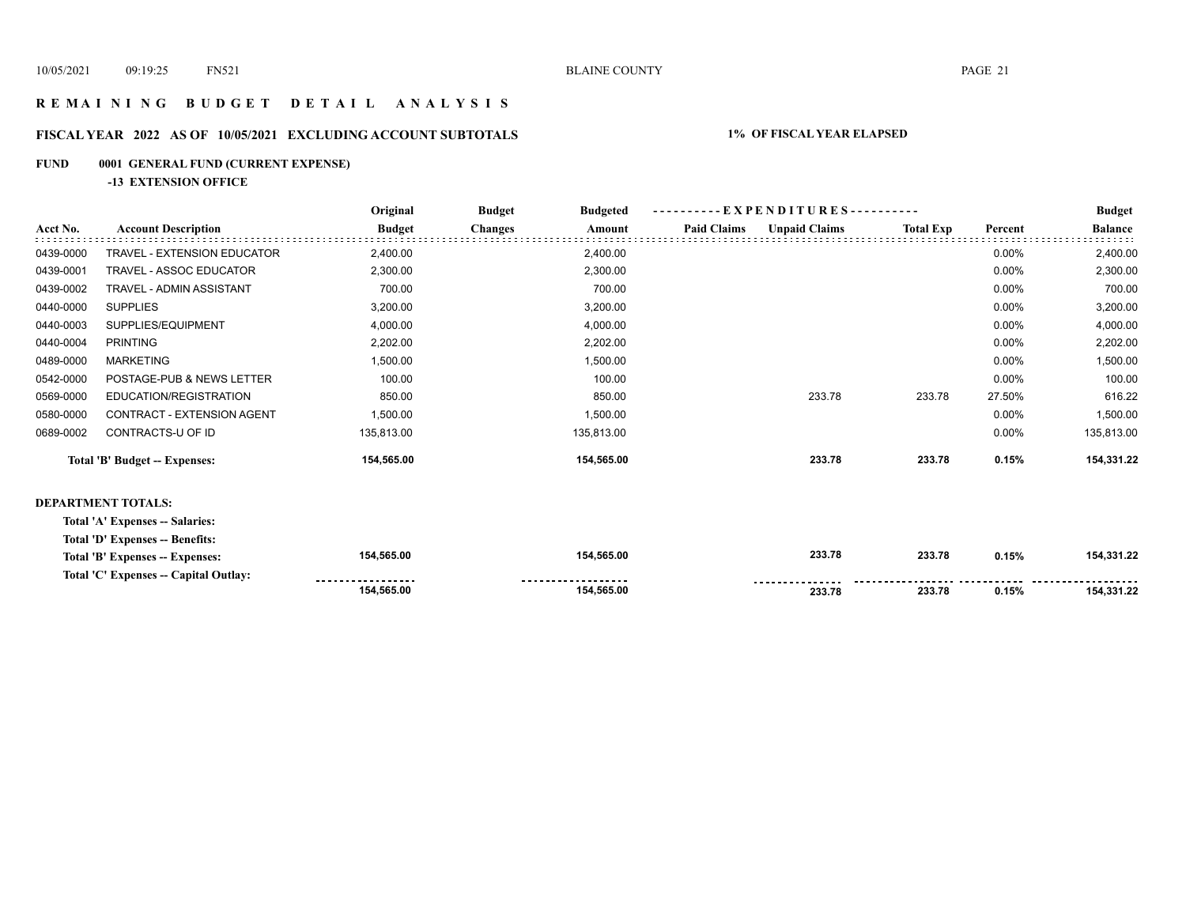## **R E M A I N I N G B U D G E T D E T A I L A N A L Y S I S**

## **FISCAL YEAR 2022 AS OF 10/05/2021 EXCLUDING ACCOUNT SUBTOTALS 1% OF FISCAL YEAR ELAPSED**

## **FUND 0001 GENERAL FUND (CURRENT EXPENSE)**

**-13 EXTENSION OFFICE**

|                                      | Original      | <b>Budget</b><br><b>Budgeted</b> |            |                    |                      |                  | <b>Budget</b>            |                |
|--------------------------------------|---------------|----------------------------------|------------|--------------------|----------------------|------------------|--------------------------|----------------|
| <b>Account Description</b>           | <b>Budget</b> | <b>Changes</b>                   | Amount     | <b>Paid Claims</b> | <b>Unpaid Claims</b> | <b>Total Exp</b> | Percent                  | <b>Balance</b> |
| <b>TRAVEL - EXTENSION EDUCATOR</b>   | 2,400.00      |                                  | 2,400.00   |                    |                      |                  | $0.00\%$                 | 2,400.00       |
| TRAVEL - ASSOC EDUCATOR              | 2,300.00      |                                  | 2,300.00   |                    |                      |                  | 0.00%                    | 2,300.00       |
| <b>TRAVEL - ADMIN ASSISTANT</b>      | 700.00        |                                  | 700.00     |                    |                      |                  | 0.00%                    | 700.00         |
| <b>SUPPLIES</b>                      | 3,200.00      |                                  | 3,200.00   |                    |                      |                  | 0.00%                    | 3,200.00       |
| SUPPLIES/EQUIPMENT                   | 4,000.00      |                                  | 4,000.00   |                    |                      |                  | 0.00%                    | 4,000.00       |
| <b>PRINTING</b>                      | 2,202.00      |                                  | 2,202.00   |                    |                      |                  | 0.00%                    | 2,202.00       |
| <b>MARKETING</b>                     | 1,500.00      |                                  | 1,500.00   |                    |                      |                  | 0.00%                    | 1,500.00       |
| POSTAGE-PUB & NEWS LETTER            | 100.00        |                                  | 100.00     |                    |                      |                  | 0.00%                    | 100.00         |
| EDUCATION/REGISTRATION               | 850.00        |                                  | 850.00     |                    | 233.78               | 233.78           | 27.50%                   | 616.22         |
| CONTRACT - EXTENSION AGENT           | 1,500.00      |                                  | 1,500.00   |                    |                      |                  | 0.00%                    | 1,500.00       |
| CONTRACTS-U OF ID                    | 135,813.00    |                                  | 135,813.00 |                    |                      |                  | 0.00%                    | 135,813.00     |
| <b>Total 'B' Budget -- Expenses:</b> | 154,565.00    |                                  | 154,565.00 |                    | 233.78               | 233.78           | 0.15%                    | 154,331.22     |
|                                      |               |                                  |            |                    |                      |                  |                          |                |
|                                      |               |                                  |            |                    |                      |                  | - EXPENDITURES---------- |                |

#### **DEPARTMENT TOTALS:**

| Total 'A' Expenses -- Salaries:       |                    |                     |        |        |       |            |
|---------------------------------------|--------------------|---------------------|--------|--------|-------|------------|
| Total 'D' Expenses -- Benefits:       |                    |                     |        |        |       |            |
| Total 'B' Expenses -- Expenses:       | 154,565.00         | 154,565.00          | 233.78 | 233.78 | 0.15% | 154.331.22 |
| Total 'C' Expenses -- Capital Outlay: | ------------------ | ------------------- |        |        |       |            |
|                                       | 154.565.00         | 154,565.00          | 233.78 | 233.78 | 0.15% | 154.331.22 |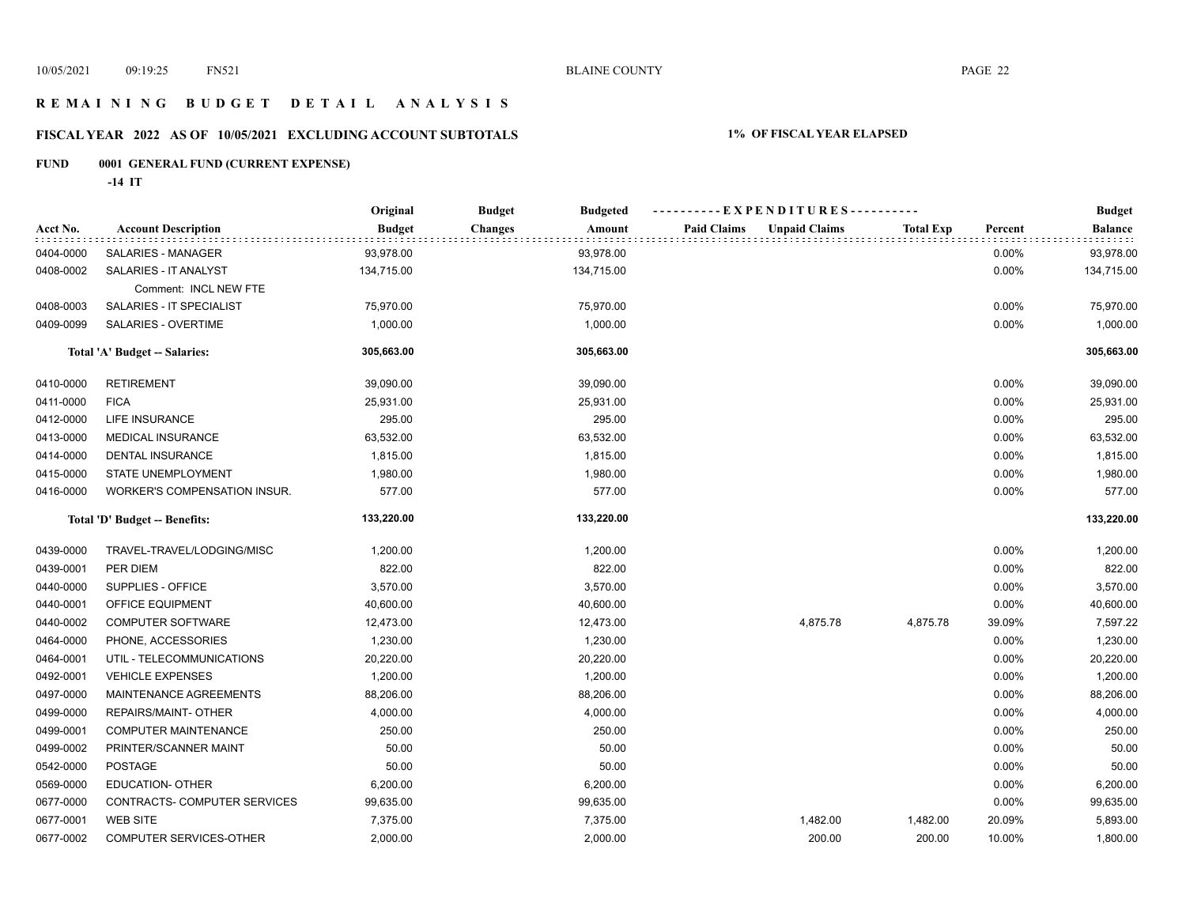## **R E M A I N I N G B U D G E T D E T A I L A N A L Y S I S**

## **FISCAL YEAR 2022 AS OF 10/05/2021 EXCLUDING ACCOUNT SUBTOTALS 1% OF FISCAL YEAR ELAPSED**

## **FUND 0001 GENERAL FUND (CURRENT EXPENSE)**

**-14 IT**

|           |                                     | Original      | <b>Budget</b><br><b>Budgeted</b> | ----------EXPENDITURES----------           |                  |         | <b>Budget</b>  |
|-----------|-------------------------------------|---------------|----------------------------------|--------------------------------------------|------------------|---------|----------------|
| Acct No.  | <b>Account Description</b>          | <b>Budget</b> | <b>Changes</b><br>Amount         | <b>Paid Claims</b><br><b>Unpaid Claims</b> | <b>Total Exp</b> | Percent | <b>Balance</b> |
| 0404-0000 | SALARIES - MANAGER                  | 93,978.00     | 93,978.00                        |                                            |                  | 0.00%   | 93,978.00      |
| 0408-0002 | SALARIES - IT ANALYST               | 134,715.00    | 134,715.00                       |                                            |                  | 0.00%   | 134,715.00     |
|           | Comment: INCL NEW FTE               |               |                                  |                                            |                  |         |                |
| 0408-0003 | SALARIES - IT SPECIALIST            | 75,970.00     | 75,970.00                        |                                            |                  | 0.00%   | 75,970.00      |
| 0409-0099 | SALARIES - OVERTIME                 | 1,000.00      | 1,000.00                         |                                            |                  | 0.00%   | 1,000.00       |
|           | Total 'A' Budget -- Salaries:       | 305,663.00    | 305,663.00                       |                                            |                  |         | 305,663.00     |
| 0410-0000 | <b>RETIREMENT</b>                   | 39,090.00     | 39,090.00                        |                                            |                  | 0.00%   | 39,090.00      |
| 0411-0000 | <b>FICA</b>                         | 25,931.00     | 25,931.00                        |                                            |                  | 0.00%   | 25,931.00      |
| 0412-0000 | LIFE INSURANCE                      | 295.00        | 295.00                           |                                            |                  | 0.00%   | 295.00         |
| 0413-0000 | MEDICAL INSURANCE                   | 63,532.00     | 63,532.00                        |                                            |                  | 0.00%   | 63,532.00      |
| 0414-0000 | <b>DENTAL INSURANCE</b>             | 1,815.00      | 1,815.00                         |                                            |                  | 0.00%   | 1,815.00       |
| 0415-0000 | STATE UNEMPLOYMENT                  | 1,980.00      | 1,980.00                         |                                            |                  | 0.00%   | 1,980.00       |
| 0416-0000 | <b>WORKER'S COMPENSATION INSUR.</b> | 577.00        | 577.00                           |                                            |                  | 0.00%   | 577.00         |
|           | Total 'D' Budget -- Benefits:       | 133,220.00    | 133,220.00                       |                                            |                  |         | 133,220.00     |
| 0439-0000 | TRAVEL-TRAVEL/LODGING/MISC          | 1,200.00      | 1,200.00                         |                                            |                  | 0.00%   | 1,200.00       |
| 0439-0001 | PER DIEM                            | 822.00        | 822.00                           |                                            |                  | 0.00%   | 822.00         |
| 0440-0000 | SUPPLIES - OFFICE                   | 3,570.00      | 3,570.00                         |                                            |                  | 0.00%   | 3,570.00       |
| 0440-0001 | OFFICE EQUIPMENT                    | 40,600.00     | 40,600.00                        |                                            |                  | 0.00%   | 40,600.00      |
| 0440-0002 | <b>COMPUTER SOFTWARE</b>            | 12,473.00     | 12,473.00                        | 4,875.78                                   | 4,875.78         | 39.09%  | 7,597.22       |
| 0464-0000 | PHONE, ACCESSORIES                  | 1,230.00      | 1,230.00                         |                                            |                  | 0.00%   | 1,230.00       |
| 0464-0001 | UTIL - TELECOMMUNICATIONS           | 20,220.00     | 20,220.00                        |                                            |                  | 0.00%   | 20,220.00      |
| 0492-0001 | <b>VEHICLE EXPENSES</b>             | 1,200.00      | 1,200.00                         |                                            |                  | 0.00%   | 1,200.00       |
| 0497-0000 | MAINTENANCE AGREEMENTS              | 88,206.00     | 88,206.00                        |                                            |                  | 0.00%   | 88,206.00      |
| 0499-0000 | REPAIRS/MAINT- OTHER                | 4,000.00      | 4,000.00                         |                                            |                  | 0.00%   | 4,000.00       |
| 0499-0001 | <b>COMPUTER MAINTENANCE</b>         | 250.00        | 250.00                           |                                            |                  | 0.00%   | 250.00         |
| 0499-0002 | PRINTER/SCANNER MAINT               | 50.00         | 50.00                            |                                            |                  | 0.00%   | 50.00          |
| 0542-0000 | <b>POSTAGE</b>                      | 50.00         | 50.00                            |                                            |                  | 0.00%   | 50.00          |
| 0569-0000 | EDUCATION- OTHER                    | 6,200.00      | 6,200.00                         |                                            |                  | 0.00%   | 6,200.00       |
| 0677-0000 | CONTRACTS- COMPUTER SERVICES        | 99,635.00     | 99,635.00                        |                                            |                  | 0.00%   | 99,635.00      |
| 0677-0001 | <b>WEB SITE</b>                     | 7,375.00      | 7,375.00                         | 1,482.00                                   | 1,482.00         | 20.09%  | 5,893.00       |
| 0677-0002 | COMPUTER SERVICES-OTHER             | 2,000.00      | 2,000.00                         | 200.00                                     | 200.00           | 10.00%  | 1,800.00       |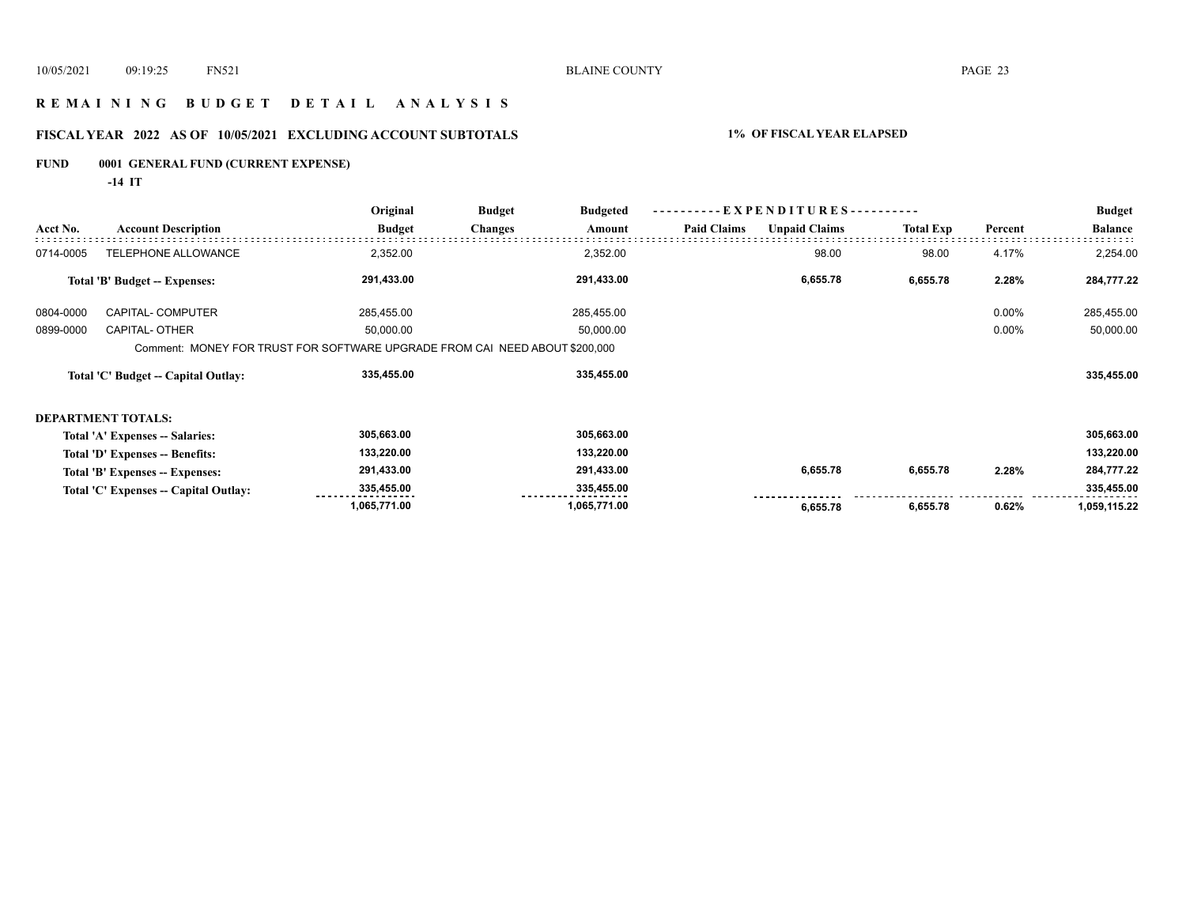## **R E M A I N I N G B U D G E T D E T A I L A N A L Y S I S**

## **FISCAL YEAR 2022 AS OF 10/05/2021 EXCLUDING ACCOUNT SUBTOTALS 1% OF FISCAL YEAR ELAPSED**

## **FUND 0001 GENERAL FUND (CURRENT EXPENSE)**

**-14 IT**

|           |                                       | Original                                                                    | <b>Budget</b>  | <b>Budgeted</b> | E X P E N D I T U R E S - - - - - - - - - - |                      |                  |          | <b>Budget</b>  |
|-----------|---------------------------------------|-----------------------------------------------------------------------------|----------------|-----------------|---------------------------------------------|----------------------|------------------|----------|----------------|
| Acct No.  | <b>Account Description</b>            | <b>Budget</b>                                                               | <b>Changes</b> | Amount          | <b>Paid Claims</b>                          | <b>Unpaid Claims</b> | <b>Total Exp</b> | Percent  | <b>Balance</b> |
| 0714-0005 | TELEPHONE ALLOWANCE                   | 2,352.00                                                                    |                | 2,352.00        |                                             | 98.00                | 98.00            | 4.17%    | 2,254.00       |
|           | Total 'B' Budget -- Expenses:         | 291,433.00                                                                  |                | 291,433.00      |                                             | 6,655.78             | 6,655.78         | 2.28%    | 284,777.22     |
| 0804-0000 | CAPITAL- COMPUTER                     | 285,455.00                                                                  |                | 285,455.00      |                                             |                      |                  | $0.00\%$ | 285,455.00     |
| 0899-0000 | <b>CAPITAL- OTHER</b>                 | 50,000.00                                                                   |                | 50,000.00       |                                             |                      |                  | $0.00\%$ | 50,000.00      |
|           |                                       | Comment: MONEY FOR TRUST FOR SOFTWARE UPGRADE FROM CAI NEED ABOUT \$200,000 |                |                 |                                             |                      |                  |          |                |
|           | Total 'C' Budget -- Capital Outlay:   | 335,455.00                                                                  |                | 335,455.00      |                                             |                      |                  |          | 335,455.00     |
|           | <b>DEPARTMENT TOTALS:</b>             |                                                                             |                |                 |                                             |                      |                  |          |                |
|           | Total 'A' Expenses -- Salaries:       | 305,663.00                                                                  |                | 305,663.00      |                                             |                      |                  |          | 305,663.00     |
|           | Total 'D' Expenses -- Benefits:       | 133,220.00                                                                  |                | 133,220.00      |                                             |                      |                  |          | 133,220.00     |
|           | Total 'B' Expenses -- Expenses:       | 291,433.00                                                                  |                | 291,433.00      |                                             | 6,655.78             | 6,655.78         | 2.28%    | 284,777.22     |
|           | Total 'C' Expenses -- Capital Outlay: | 335,455.00                                                                  |                | 335,455.00      |                                             |                      |                  |          | 335,455.00     |
|           |                                       | 1,065,771.00                                                                |                | 1,065,771.00    |                                             | 6,655.78             | 6,655.78         | 0.62%    | 1,059,115.22   |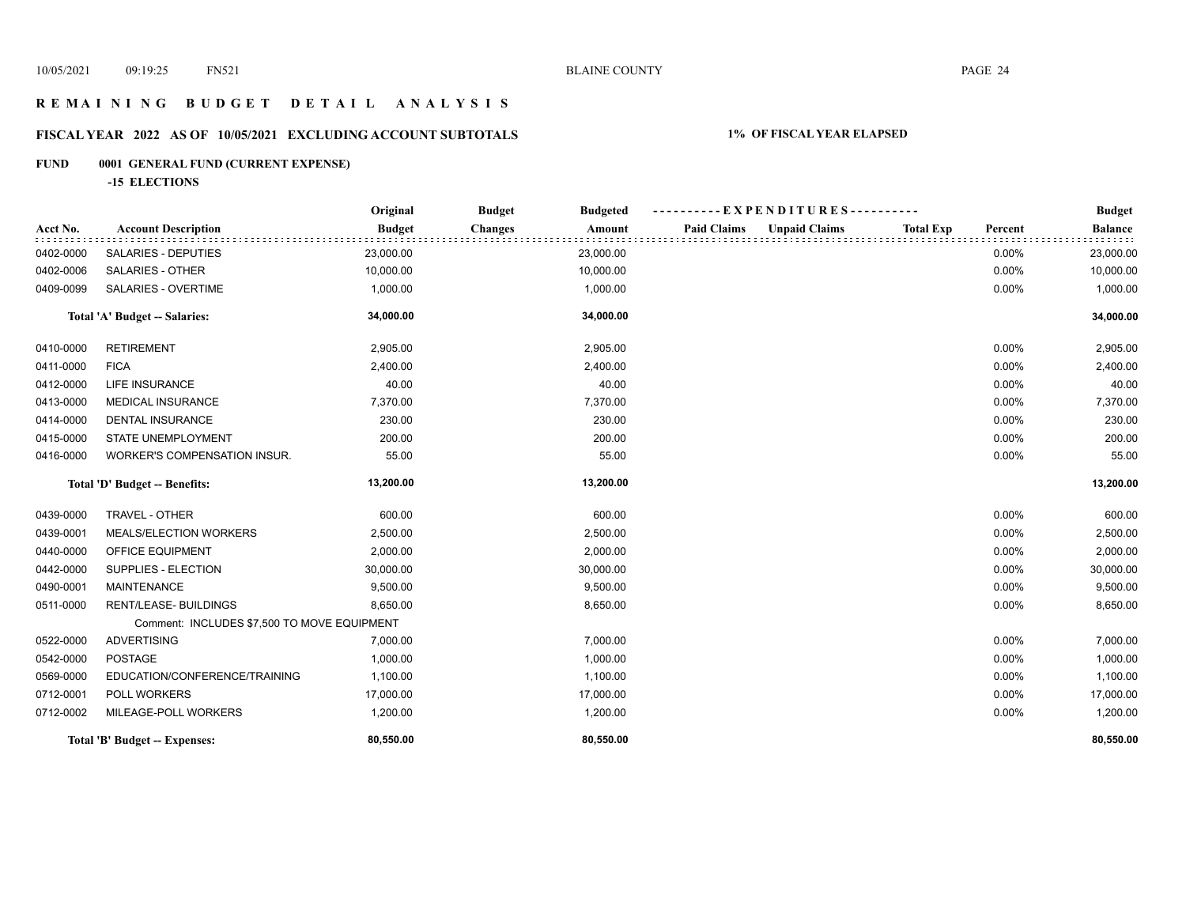## **R E M A I N I N G B U D G E T D E T A I L A N A L Y S I S**

## **FISCAL YEAR 2022 AS OF 10/05/2021 EXCLUDING ACCOUNT SUBTOTALS 1% OF FISCAL YEAR ELAPSED**

## **FUND 0001 GENERAL FUND (CURRENT EXPENSE)**

**-15 ELECTIONS**

|           |                                             | Original      | <b>Budget</b><br><b>Budgeted</b> | - EXPENDITURES---------                    |                             | <b>Budget</b>  |
|-----------|---------------------------------------------|---------------|----------------------------------|--------------------------------------------|-----------------------------|----------------|
| Acct No.  | <b>Account Description</b>                  | <b>Budget</b> | <b>Changes</b><br>Amount         | <b>Unpaid Claims</b><br><b>Paid Claims</b> | <b>Total Exp</b><br>Percent | <b>Balance</b> |
| 0402-0000 | <b>SALARIES - DEPUTIES</b>                  | 23,000.00     | 23,000.00                        |                                            | 0.00%                       | 23,000.00      |
| 0402-0006 | <b>SALARIES - OTHER</b>                     | 10,000.00     | 10,000.00                        |                                            | 0.00%                       | 10,000.00      |
| 0409-0099 | SALARIES - OVERTIME                         | 1,000.00      | 1,000.00                         |                                            | 0.00%                       | 1,000.00       |
|           | Total 'A' Budget -- Salaries:               | 34,000.00     | 34,000.00                        |                                            |                             | 34,000.00      |
| 0410-0000 | <b>RETIREMENT</b>                           | 2,905.00      | 2,905.00                         |                                            | 0.00%                       | 2,905.00       |
| 0411-0000 | <b>FICA</b>                                 | 2,400.00      | 2,400.00                         |                                            | 0.00%                       | 2,400.00       |
| 0412-0000 | LIFE INSURANCE                              | 40.00         | 40.00                            |                                            | 0.00%                       | 40.00          |
| 0413-0000 | <b>MEDICAL INSURANCE</b>                    | 7,370.00      | 7,370.00                         |                                            | 0.00%                       | 7,370.00       |
| 0414-0000 | <b>DENTAL INSURANCE</b>                     | 230.00        | 230.00                           |                                            | 0.00%                       | 230.00         |
| 0415-0000 | STATE UNEMPLOYMENT                          | 200.00        | 200.00                           |                                            | 0.00%                       | 200.00         |
| 0416-0000 | WORKER'S COMPENSATION INSUR.                | 55.00         | 55.00                            |                                            | 0.00%                       | 55.00          |
|           | Total 'D' Budget -- Benefits:               | 13,200.00     | 13,200.00                        |                                            |                             | 13,200.00      |
| 0439-0000 | TRAVEL - OTHER                              | 600.00        | 600.00                           |                                            | 0.00%                       | 600.00         |
| 0439-0001 | MEALS/ELECTION WORKERS                      | 2,500.00      | 2,500.00                         |                                            | 0.00%                       | 2,500.00       |
| 0440-0000 | OFFICE EQUIPMENT                            | 2,000.00      | 2,000.00                         |                                            | 0.00%                       | 2,000.00       |
| 0442-0000 | SUPPLIES - ELECTION                         | 30,000.00     | 30,000.00                        |                                            | 0.00%                       | 30,000.00      |
| 0490-0001 | <b>MAINTENANCE</b>                          | 9,500.00      | 9,500.00                         |                                            | 0.00%                       | 9,500.00       |
| 0511-0000 | RENT/LEASE- BUILDINGS                       | 8,650.00      | 8,650.00                         |                                            | 0.00%                       | 8,650.00       |
|           | Comment: INCLUDES \$7,500 TO MOVE EQUIPMENT |               |                                  |                                            |                             |                |
| 0522-0000 | <b>ADVERTISING</b>                          | 7,000.00      | 7,000.00                         |                                            | 0.00%                       | 7,000.00       |
| 0542-0000 | <b>POSTAGE</b>                              | 1,000.00      | 1,000.00                         |                                            | 0.00%                       | 1,000.00       |
| 0569-0000 | EDUCATION/CONFERENCE/TRAINING               | 1,100.00      | 1,100.00                         |                                            | 0.00%                       | 1,100.00       |
| 0712-0001 | POLL WORKERS                                | 17,000.00     | 17,000.00                        |                                            | 0.00%                       | 17,000.00      |
| 0712-0002 | MILEAGE-POLL WORKERS                        | 1,200.00      | 1,200.00                         |                                            | 0.00%                       | 1,200.00       |
|           | Total 'B' Budget -- Expenses:               | 80,550.00     | 80,550.00                        |                                            |                             | 80,550.00      |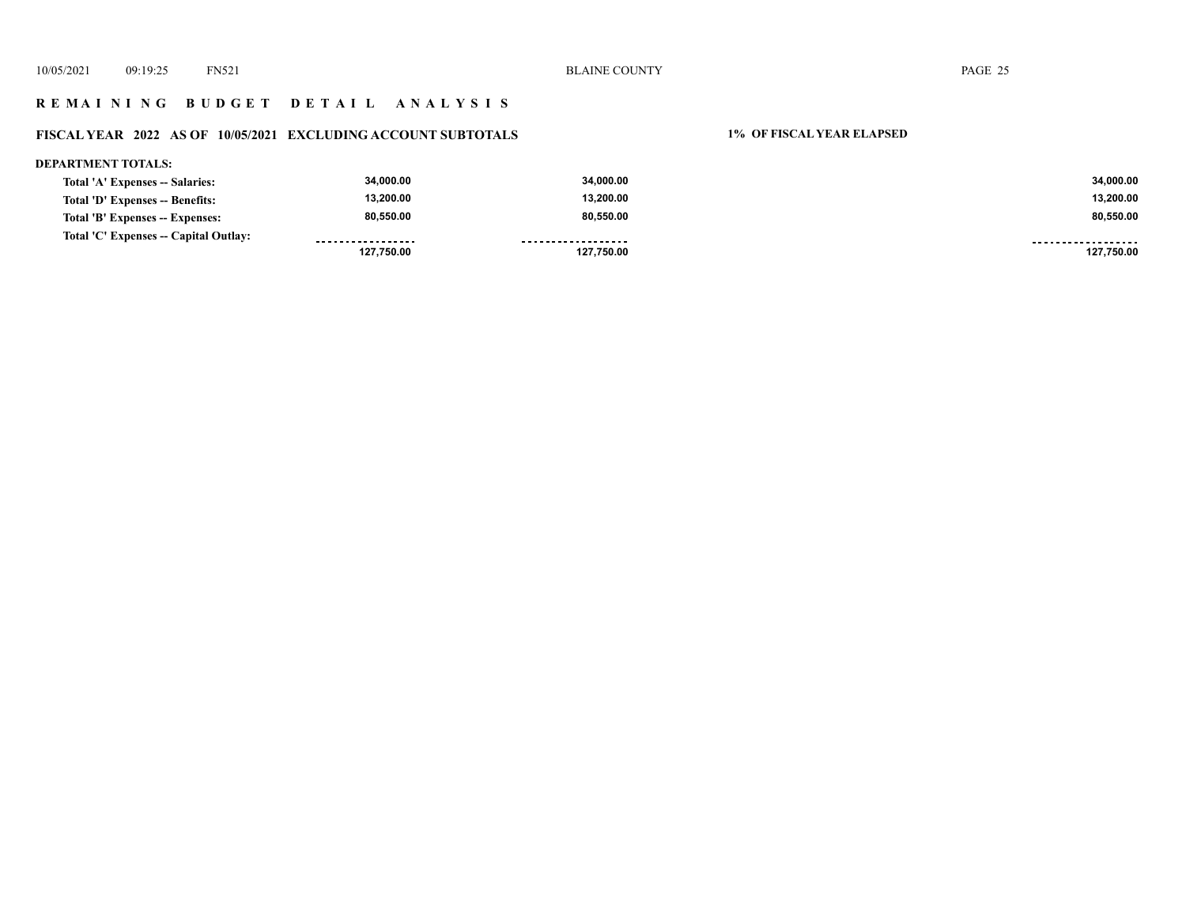## **R E M A I N I N G B U D G E T D E T A I L A N A L Y S I S**

## **FISCAL YEAR 2022 AS OF 10/05/2021 EXCLUDING ACCOUNT SUBTOTALS 1% OF FISCAL YEAR ELAPSED**

#### **DEPARTMENT TOTALS: 34,000.00 34,000.00 34,000.00 Total 'A' Expenses -- Salaries: 13,200.00 13,200.00 13,200.00 Total 'D' Expenses -- Benefits: 80,550.00 80,550.00 80,550.00 Total 'B' Expenses -- Expenses: Total 'C' Expenses -- Capital Outlay:** . . . . . . . . . . . . . . . . . . .................. ------------------- **127,750.00 127,750.00 127,750.00**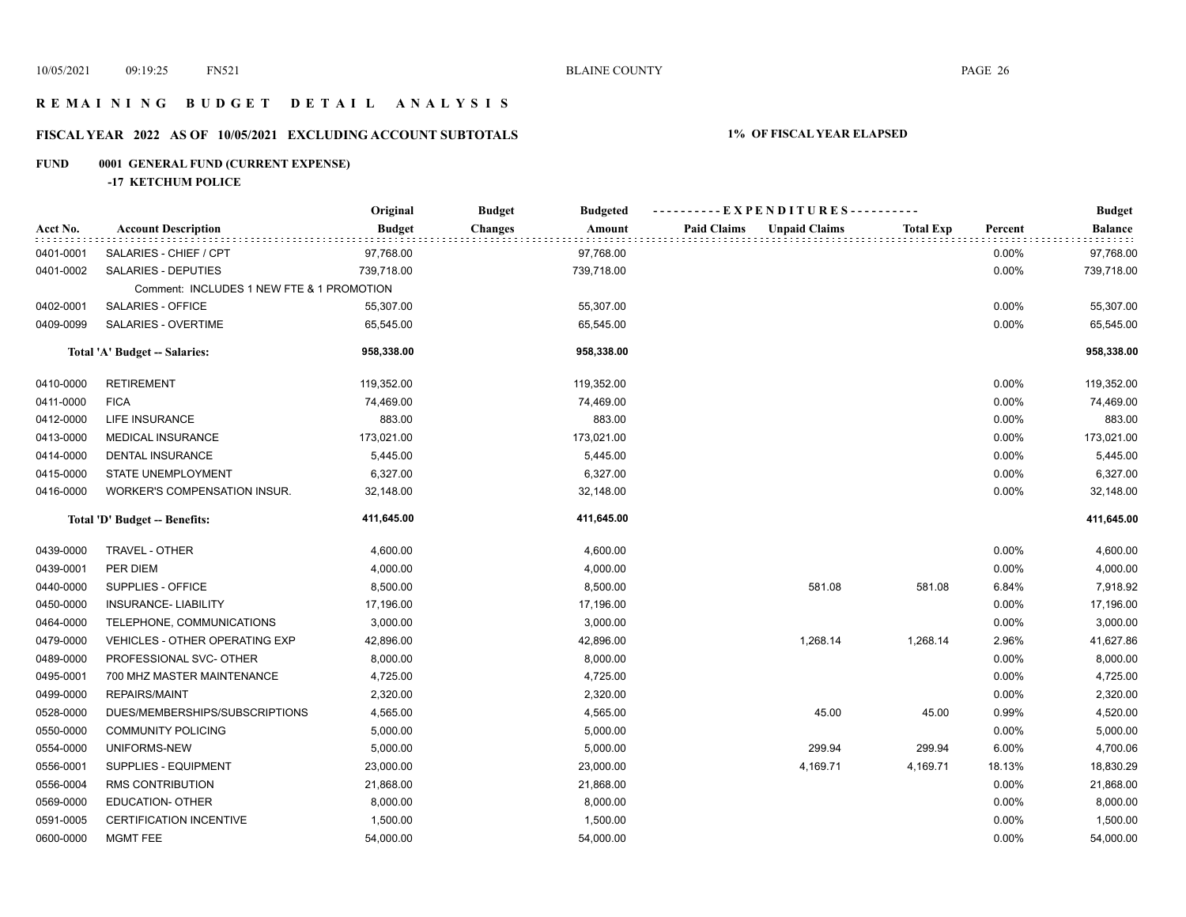## **R E M A I N I N G B U D G E T D E T A I L A N A L Y S I S**

## **FISCAL YEAR 2022 AS OF 10/05/2021 EXCLUDING ACCOUNT SUBTOTALS 1% OF FISCAL YEAR ELAPSED**

## **FUND 0001 GENERAL FUND (CURRENT EXPENSE)**

**-17 KETCHUM POLICE**

|           |                                           | Original      | <b>Budget</b><br><b>Budgeted</b> | ----------EXPENDITURES----------           |                  |         | <b>Budget</b>  |
|-----------|-------------------------------------------|---------------|----------------------------------|--------------------------------------------|------------------|---------|----------------|
| Acct No.  | <b>Account Description</b>                | <b>Budget</b> | <b>Changes</b><br>Amount         | <b>Paid Claims</b><br><b>Unpaid Claims</b> | <b>Total Exp</b> | Percent | <b>Balance</b> |
| 0401-0001 | SALARIES - CHIEF / CPT                    | 97,768.00     | 97,768.00                        |                                            |                  | 0.00%   | 97,768.00      |
| 0401-0002 | SALARIES - DEPUTIES                       | 739,718.00    | 739,718.00                       |                                            |                  | 0.00%   | 739,718.00     |
|           | Comment: INCLUDES 1 NEW FTE & 1 PROMOTION |               |                                  |                                            |                  |         |                |
| 0402-0001 | <b>SALARIES - OFFICE</b>                  | 55,307.00     | 55,307.00                        |                                            |                  | 0.00%   | 55,307.00      |
| 0409-0099 | SALARIES - OVERTIME                       | 65,545.00     | 65,545.00                        |                                            |                  | 0.00%   | 65,545.00      |
|           | Total 'A' Budget -- Salaries:             | 958,338.00    | 958,338.00                       |                                            |                  |         | 958,338.00     |
| 0410-0000 | <b>RETIREMENT</b>                         | 119,352.00    | 119,352.00                       |                                            |                  | 0.00%   | 119,352.00     |
| 0411-0000 | <b>FICA</b>                               | 74,469.00     | 74,469.00                        |                                            |                  | 0.00%   | 74,469.00      |
| 0412-0000 | LIFE INSURANCE                            | 883.00        | 883.00                           |                                            |                  | 0.00%   | 883.00         |
| 0413-0000 | MEDICAL INSURANCE                         | 173,021.00    | 173,021.00                       |                                            |                  | 0.00%   | 173,021.00     |
| 0414-0000 | <b>DENTAL INSURANCE</b>                   | 5,445.00      | 5,445.00                         |                                            |                  | 0.00%   | 5,445.00       |
| 0415-0000 | STATE UNEMPLOYMENT                        | 6,327.00      | 6,327.00                         |                                            |                  | 0.00%   | 6,327.00       |
| 0416-0000 | <b>WORKER'S COMPENSATION INSUR.</b>       | 32,148.00     | 32,148.00                        |                                            |                  | 0.00%   | 32,148.00      |
|           | Total 'D' Budget -- Benefits:             | 411,645.00    | 411,645.00                       |                                            |                  |         | 411,645.00     |
| 0439-0000 | TRAVEL - OTHER                            | 4,600.00      | 4,600.00                         |                                            |                  | 0.00%   | 4,600.00       |
| 0439-0001 | PER DIEM                                  | 4,000.00      | 4,000.00                         |                                            |                  | 0.00%   | 4,000.00       |
| 0440-0000 | SUPPLIES - OFFICE                         | 8,500.00      | 8,500.00                         | 581.08                                     | 581.08           | 6.84%   | 7,918.92       |
| 0450-0000 | <b>INSURANCE- LIABILITY</b>               | 17,196.00     | 17,196.00                        |                                            |                  | 0.00%   | 17,196.00      |
| 0464-0000 | TELEPHONE, COMMUNICATIONS                 | 3,000.00      | 3,000.00                         |                                            |                  | 0.00%   | 3,000.00       |
| 0479-0000 | <b>VEHICLES - OTHER OPERATING EXP</b>     | 42,896.00     | 42,896.00                        | 1,268.14                                   | 1,268.14         | 2.96%   | 41,627.86      |
| 0489-0000 | PROFESSIONAL SVC- OTHER                   | 8,000.00      | 8,000.00                         |                                            |                  | 0.00%   | 8,000.00       |
| 0495-0001 | 700 MHZ MASTER MAINTENANCE                | 4,725.00      | 4,725.00                         |                                            |                  | 0.00%   | 4,725.00       |
| 0499-0000 | <b>REPAIRS/MAINT</b>                      | 2,320.00      | 2,320.00                         |                                            |                  | 0.00%   | 2,320.00       |
| 0528-0000 | DUES/MEMBERSHIPS/SUBSCRIPTIONS            | 4,565.00      | 4,565.00                         | 45.00                                      | 45.00            | 0.99%   | 4,520.00       |
| 0550-0000 | <b>COMMUNITY POLICING</b>                 | 5,000.00      | 5,000.00                         |                                            |                  | 0.00%   | 5,000.00       |
| 0554-0000 | UNIFORMS-NEW                              | 5,000.00      | 5,000.00                         | 299.94                                     | 299.94           | 6.00%   | 4,700.06       |
| 0556-0001 | SUPPLIES - EQUIPMENT                      | 23,000.00     | 23,000.00                        | 4,169.71                                   | 4,169.71         | 18.13%  | 18,830.29      |
| 0556-0004 | <b>RMS CONTRIBUTION</b>                   | 21,868.00     | 21,868.00                        |                                            |                  | 0.00%   | 21,868.00      |
| 0569-0000 | EDUCATION- OTHER                          | 8,000.00      | 8,000.00                         |                                            |                  | 0.00%   | 8,000.00       |
| 0591-0005 | <b>CERTIFICATION INCENTIVE</b>            | 1,500.00      | 1,500.00                         |                                            |                  | 0.00%   | 1,500.00       |
| 0600-0000 | <b>MGMT FEE</b>                           | 54,000.00     | 54,000.00                        |                                            |                  | 0.00%   | 54,000.00      |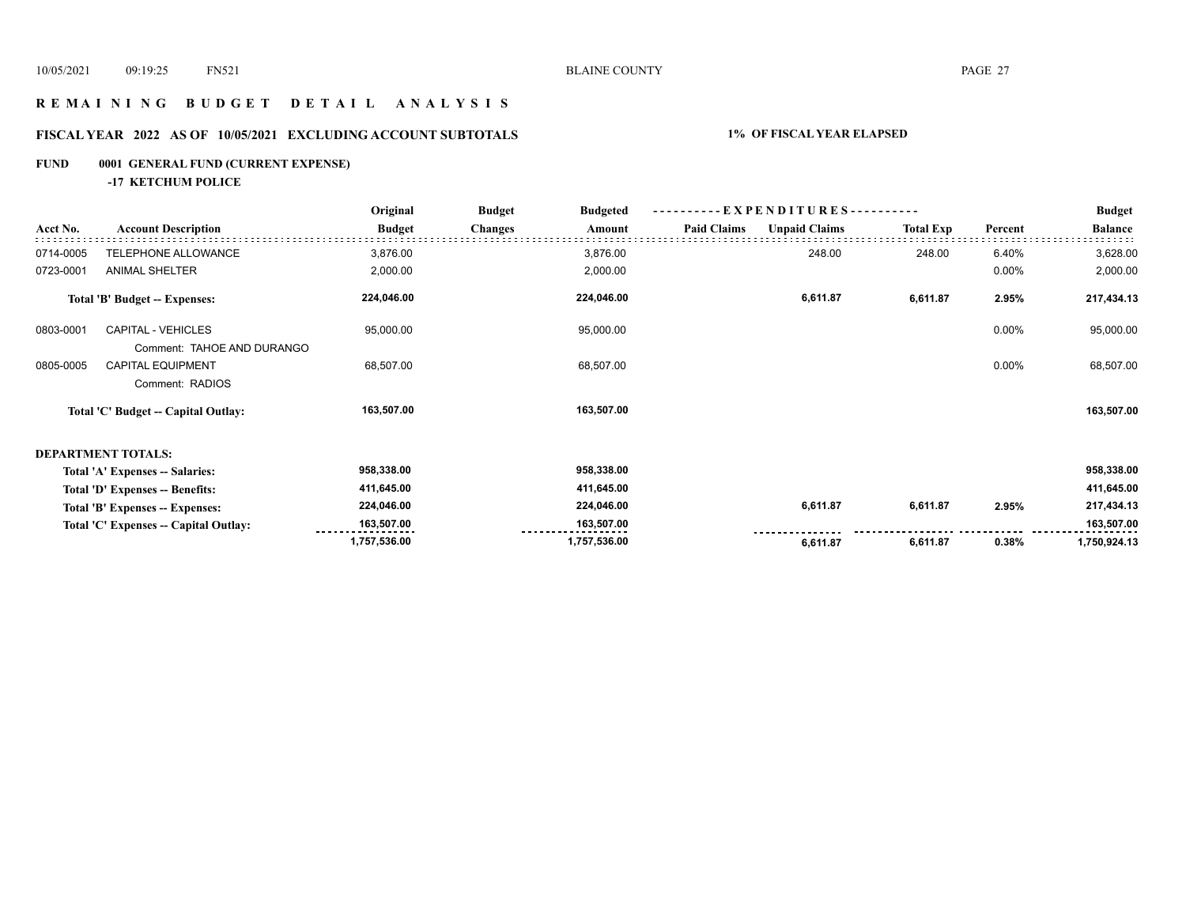## **R E M A I N I N G B U D G E T D E T A I L A N A L Y S I S**

## **FISCAL YEAR 2022 AS OF 10/05/2021 EXCLUDING ACCOUNT SUBTOTALS 1% OF FISCAL YEAR ELAPSED**

## **FUND 0001 GENERAL FUND (CURRENT EXPENSE)**

**-17 KETCHUM POLICE**

|           |                                                         | Original      | <b>Budget</b><br><b>Budgeted</b> | $-EXPENDITURES$ --------- |                    |                      |                  | <b>Budget</b> |                |
|-----------|---------------------------------------------------------|---------------|----------------------------------|---------------------------|--------------------|----------------------|------------------|---------------|----------------|
| Acct No.  | <b>Account Description</b>                              | <b>Budget</b> | <b>Changes</b>                   | Amount                    | <b>Paid Claims</b> | <b>Unpaid Claims</b> | <b>Total Exp</b> | Percent       | <b>Balance</b> |
| 0714-0005 | TELEPHONE ALLOWANCE                                     | 3,876.00      |                                  | 3,876.00                  |                    | 248.00               | 248.00           | 6.40%         | 3,628.00       |
| 0723-0001 | <b>ANIMAL SHELTER</b>                                   | 2,000.00      |                                  | 2,000.00                  |                    |                      |                  | 0.00%         | 2,000.00       |
|           | <b>Total 'B' Budget -- Expenses:</b>                    | 224,046.00    |                                  | 224,046.00                |                    | 6,611.87             | 6,611.87         | 2.95%         | 217,434.13     |
| 0803-0001 | <b>CAPITAL - VEHICLES</b><br>Comment: TAHOE AND DURANGO | 95,000.00     |                                  | 95,000.00                 |                    |                      |                  | 0.00%         | 95,000.00      |
| 0805-0005 | <b>CAPITAL EQUIPMENT</b><br>Comment: RADIOS             | 68,507.00     |                                  | 68,507.00                 |                    |                      |                  | 0.00%         | 68,507.00      |
|           | Total 'C' Budget -- Capital Outlay:                     | 163,507.00    |                                  | 163,507.00                |                    |                      |                  |               | 163,507.00     |
|           | <b>DEPARTMENT TOTALS:</b>                               |               |                                  |                           |                    |                      |                  |               |                |
|           | Total 'A' Expenses -- Salaries:                         | 958,338.00    |                                  | 958,338.00                |                    |                      |                  |               | 958,338.00     |
|           | Total 'D' Expenses -- Benefits:                         | 411,645.00    |                                  | 411,645.00                |                    |                      |                  |               | 411,645.00     |
|           | Total 'B' Expenses -- Expenses:                         | 224,046.00    |                                  | 224,046.00                |                    | 6,611.87             | 6,611.87         | 2.95%         | 217,434.13     |
|           | Total 'C' Expenses -- Capital Outlay:                   | 163,507.00    |                                  | 163,507.00                |                    |                      |                  |               | 163,507.00     |
|           |                                                         | 1,757,536.00  |                                  | 1,757,536.00              |                    | 6,611.87             | 6,611.87         | 0.38%         | 1,750,924.13   |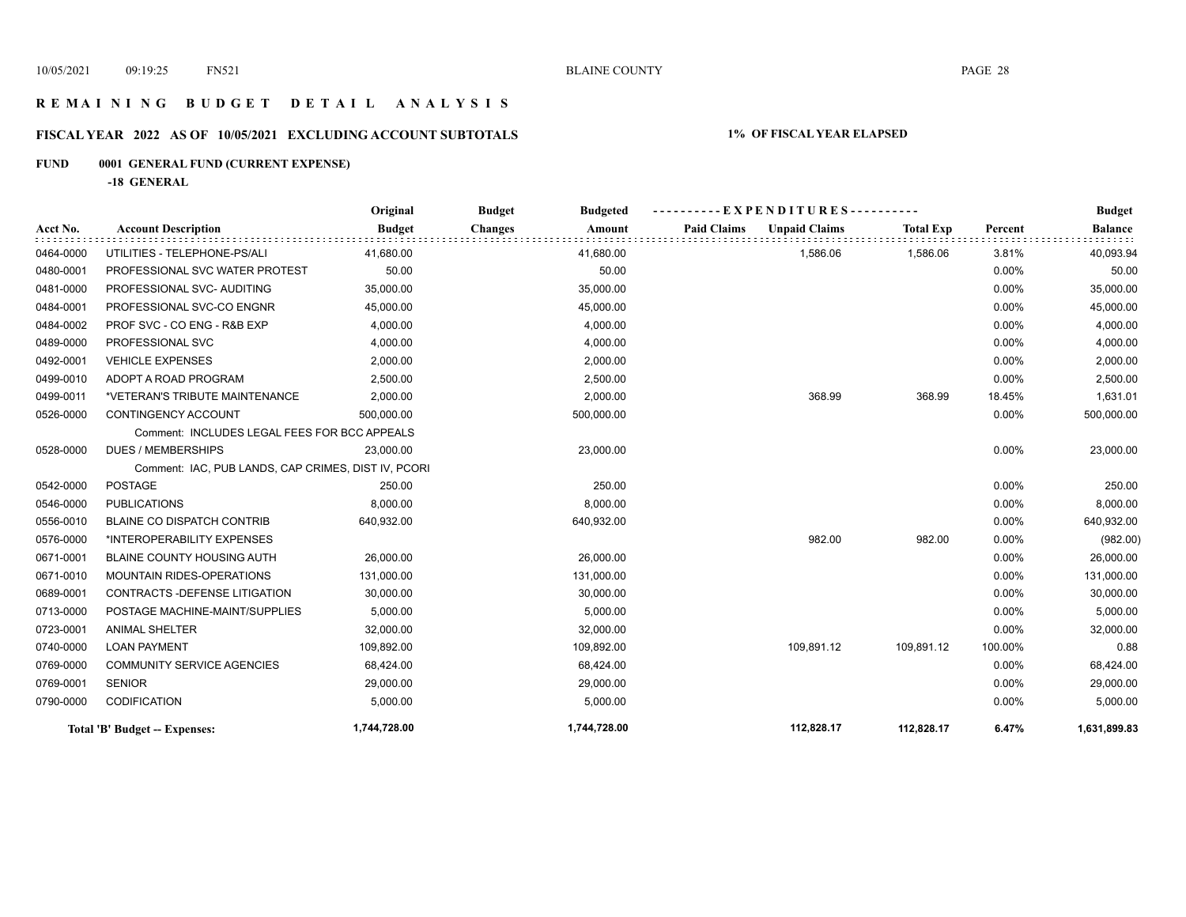## **R E M A I N I N G B U D G E T D E T A I L A N A L Y S I S**

## **FISCAL YEAR 2022 AS OF 10/05/2021 EXCLUDING ACCOUNT SUBTOTALS 1% OF FISCAL YEAR ELAPSED**

## **FUND 0001 GENERAL FUND (CURRENT EXPENSE)**

**-18 GENERAL**

|           |                                                     | Original      | <b>Budget</b><br><b>Budgeted</b> |                                            |                  |         | <b>Budget</b>  |
|-----------|-----------------------------------------------------|---------------|----------------------------------|--------------------------------------------|------------------|---------|----------------|
| Acct No.  | <b>Account Description</b>                          | <b>Budget</b> | <b>Changes</b><br>Amount         | <b>Paid Claims</b><br><b>Unpaid Claims</b> | <b>Total Exp</b> | Percent | <b>Balance</b> |
| 0464-0000 | UTILITIES - TELEPHONE-PS/ALI                        | 41,680.00     | 41,680.00                        | 1,586.06                                   | 1,586.06         | 3.81%   | 40,093.94      |
| 0480-0001 | PROFESSIONAL SVC WATER PROTEST                      | 50.00         | 50.00                            |                                            |                  | 0.00%   | 50.00          |
| 0481-0000 | PROFESSIONAL SVC- AUDITING                          | 35,000.00     | 35,000.00                        |                                            |                  | 0.00%   | 35,000.00      |
| 0484-0001 | PROFESSIONAL SVC-CO ENGNR                           | 45,000.00     | 45,000.00                        |                                            |                  | 0.00%   | 45,000.00      |
| 0484-0002 | PROF SVC - CO ENG - R&B EXP                         | 4,000.00      | 4,000.00                         |                                            |                  | 0.00%   | 4,000.00       |
| 0489-0000 | PROFESSIONAL SVC                                    | 4,000.00      | 4,000.00                         |                                            |                  | 0.00%   | 4,000.00       |
| 0492-0001 | <b>VEHICLE EXPENSES</b>                             | 2,000.00      | 2,000.00                         |                                            |                  | 0.00%   | 2,000.00       |
| 0499-0010 | ADOPT A ROAD PROGRAM                                | 2,500.00      | 2,500.00                         |                                            |                  | 0.00%   | 2,500.00       |
| 0499-0011 | *VETERAN'S TRIBUTE MAINTENANCE                      | 2,000.00      | 2,000.00                         | 368.99                                     | 368.99           | 18.45%  | 1,631.01       |
| 0526-0000 | CONTINGENCY ACCOUNT                                 | 500,000.00    | 500,000.00                       |                                            |                  | 0.00%   | 500,000.00     |
|           | Comment: INCLUDES LEGAL FEES FOR BCC APPEALS        |               |                                  |                                            |                  |         |                |
| 0528-0000 | <b>DUES / MEMBERSHIPS</b>                           | 23,000.00     | 23,000.00                        |                                            |                  | 0.00%   | 23,000.00      |
|           | Comment: IAC, PUB LANDS, CAP CRIMES, DIST IV, PCORI |               |                                  |                                            |                  |         |                |
| 0542-0000 | <b>POSTAGE</b>                                      | 250.00        | 250.00                           |                                            |                  | 0.00%   | 250.00         |
| 0546-0000 | <b>PUBLICATIONS</b>                                 | 8,000.00      | 8,000.00                         |                                            |                  | 0.00%   | 8,000.00       |
| 0556-0010 | <b>BLAINE CO DISPATCH CONTRIB</b>                   | 640,932.00    | 640,932.00                       |                                            |                  | 0.00%   | 640,932.00     |
| 0576-0000 | *INTEROPERABILITY EXPENSES                          |               |                                  | 982.00                                     | 982.00           | 0.00%   | (982.00)       |
| 0671-0001 | BLAINE COUNTY HOUSING AUTH                          | 26,000.00     | 26,000.00                        |                                            |                  | 0.00%   | 26,000.00      |
| 0671-0010 | MOUNTAIN RIDES-OPERATIONS                           | 131,000.00    | 131,000.00                       |                                            |                  | 0.00%   | 131,000.00     |
| 0689-0001 | CONTRACTS - DEFENSE LITIGATION                      | 30,000.00     | 30,000.00                        |                                            |                  | 0.00%   | 30,000.00      |
| 0713-0000 | POSTAGE MACHINE-MAINT/SUPPLIES                      | 5,000.00      | 5,000.00                         |                                            |                  | 0.00%   | 5,000.00       |
| 0723-0001 | <b>ANIMAL SHELTER</b>                               | 32,000.00     | 32,000.00                        |                                            |                  | 0.00%   | 32,000.00      |
| 0740-0000 | <b>LOAN PAYMENT</b>                                 | 109,892.00    | 109,892.00                       | 109,891.12                                 | 109,891.12       | 100.00% | 0.88           |
| 0769-0000 | <b>COMMUNITY SERVICE AGENCIES</b>                   | 68,424.00     | 68,424.00                        |                                            |                  | 0.00%   | 68,424.00      |
| 0769-0001 | <b>SENIOR</b>                                       | 29,000.00     | 29,000.00                        |                                            |                  | 0.00%   | 29,000.00      |
| 0790-0000 | CODIFICATION                                        | 5,000.00      | 5,000.00                         |                                            |                  | 0.00%   | 5,000.00       |
|           | Total 'B' Budget -- Expenses:                       | 1,744,728.00  | 1,744,728.00                     | 112,828.17                                 | 112,828.17       | 6.47%   | 1,631,899.83   |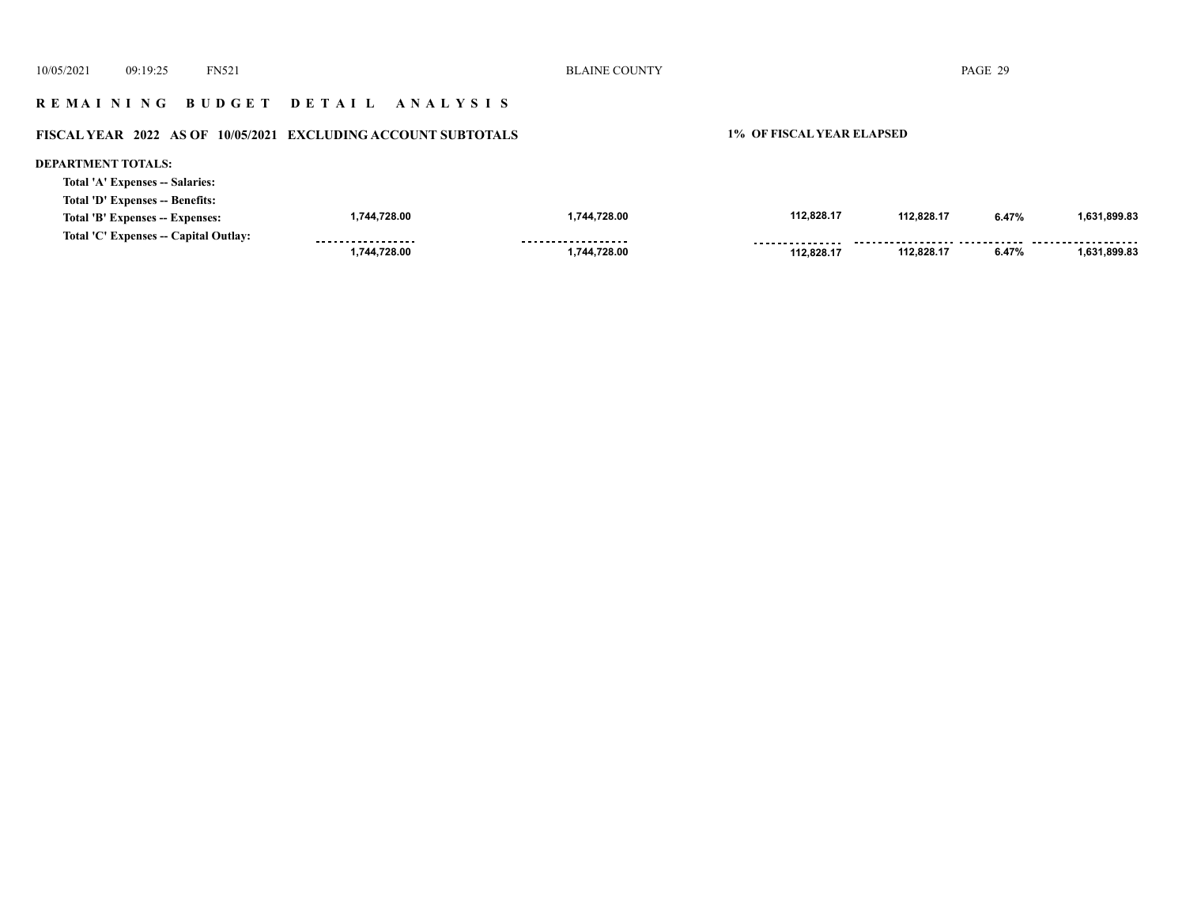## **R E M A I N I N G B U D G E T D E T A I L A N A L Y S I S**

# **FISCAL YEAR 2022 AS OF 10/05/2021 EXCLUDING ACCOUNT SUBTOTALS 1% OF FISCAL YEAR ELAPSED**

#### **DEPARTMENT TOTALS:**

|  | Total 'A' Expenses -- Salaries: |  |
|--|---------------------------------|--|
|  |                                 |  |

| Total 'D' Expenses -- Benefits:       |                   |                    |                 |            |       |              |
|---------------------------------------|-------------------|--------------------|-----------------|------------|-------|--------------|
| Total 'B' Expenses -- Expenses:       | ,744,728.00       | ,744,728.00        | 112.828.17      | 112,828.17 | 6.47% | 1.631.899.83 |
| Total 'C' Expenses -- Capital Outlay: | ----------------- | ------------------ | --------------- |            |       |              |
|                                       | ,744,728.00       | ,744,728.00        | 112.828.17      | 112.828.17 | 6.47% | 1.631.899.83 |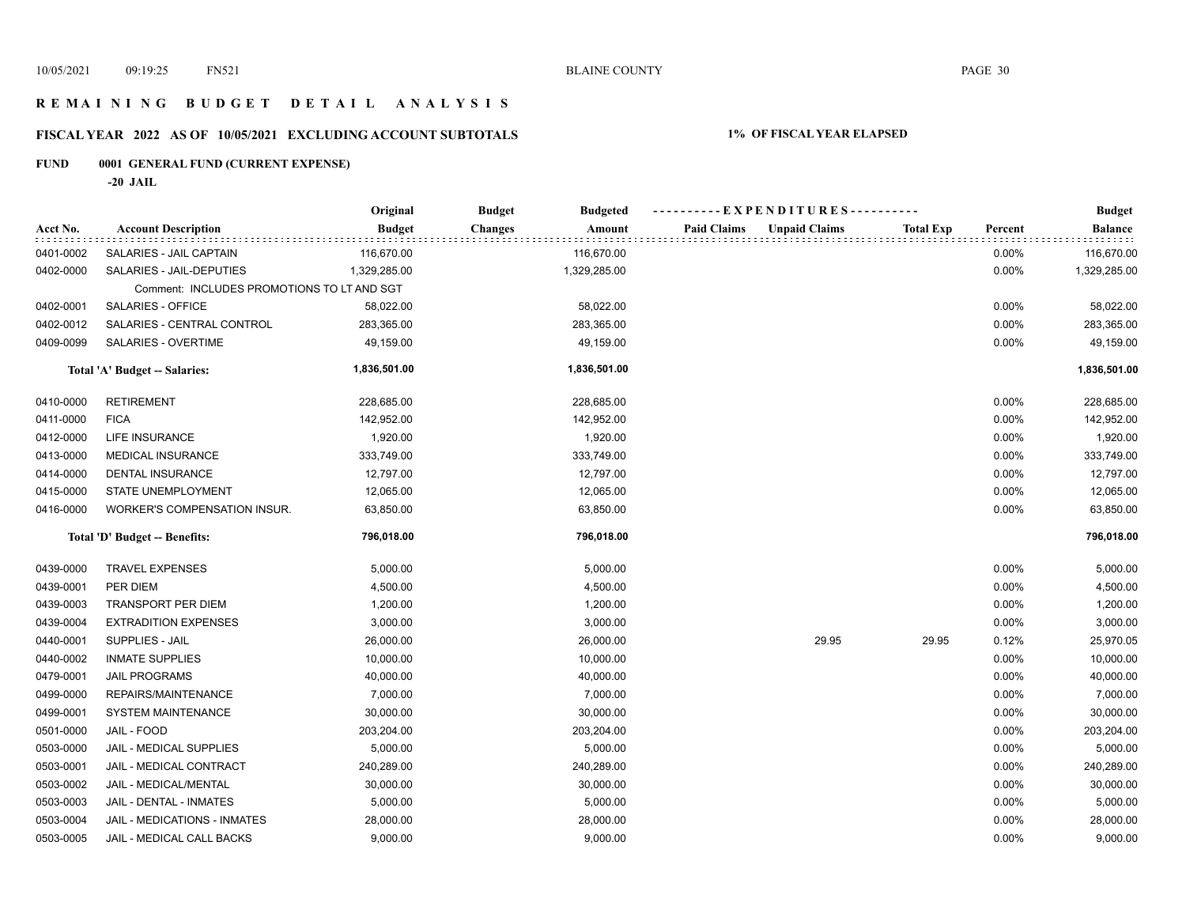## **R E M A I N I N G B U D G E T D E T A I L A N A L Y S I S**

## **FISCAL YEAR 2022 AS OF 10/05/2021 EXCLUDING ACCOUNT SUBTOTALS 1% OF FISCAL YEAR ELAPSED**

## **FUND 0001 GENERAL FUND (CURRENT EXPENSE)**

**-20 JAIL**

|           |                                            | Original      | <b>Budget</b><br><b>Budgeted</b> | ----------EXPENDITURES---------- |                      |                  |          | <b>Budget</b>  |
|-----------|--------------------------------------------|---------------|----------------------------------|----------------------------------|----------------------|------------------|----------|----------------|
| Acct No.  | <b>Account Description</b>                 | <b>Budget</b> | <b>Changes</b><br>Amount         | <b>Paid Claims</b>               | <b>Unpaid Claims</b> | <b>Total Exp</b> | Percent  | <b>Balance</b> |
| 0401-0002 | SALARIES - JAIL CAPTAIN                    | 116,670.00    | 116,670.00                       |                                  |                      |                  | 0.00%    | 116,670.00     |
| 0402-0000 | SALARIES - JAIL-DEPUTIES                   | 1,329,285.00  | 1,329,285.00                     |                                  |                      |                  | 0.00%    | 1,329,285.00   |
|           | Comment: INCLUDES PROMOTIONS TO LT AND SGT |               |                                  |                                  |                      |                  |          |                |
| 0402-0001 | SALARIES - OFFICE                          | 58,022.00     | 58,022.00                        |                                  |                      |                  | 0.00%    | 58,022.00      |
| 0402-0012 | SALARIES - CENTRAL CONTROL                 | 283,365.00    | 283,365.00                       |                                  |                      |                  | 0.00%    | 283,365.00     |
| 0409-0099 | SALARIES - OVERTIME                        | 49,159.00     | 49,159.00                        |                                  |                      |                  | 0.00%    | 49,159.00      |
|           | Total 'A' Budget -- Salaries:              | 1,836,501.00  | 1,836,501.00                     |                                  |                      |                  |          | 1,836,501.00   |
| 0410-0000 | <b>RETIREMENT</b>                          | 228,685.00    | 228,685.00                       |                                  |                      |                  | 0.00%    | 228,685.00     |
| 0411-0000 | <b>FICA</b>                                | 142,952.00    | 142,952.00                       |                                  |                      |                  | 0.00%    | 142,952.00     |
| 0412-0000 | LIFE INSURANCE                             | 1,920.00      | 1,920.00                         |                                  |                      |                  | 0.00%    | 1,920.00       |
| 0413-0000 | <b>MEDICAL INSURANCE</b>                   | 333,749.00    | 333,749.00                       |                                  |                      |                  | 0.00%    | 333,749.00     |
| 0414-0000 | DENTAL INSURANCE                           | 12,797.00     | 12,797.00                        |                                  |                      |                  | 0.00%    | 12,797.00      |
| 0415-0000 | STATE UNEMPLOYMENT                         | 12,065.00     | 12,065.00                        |                                  |                      |                  | 0.00%    | 12,065.00      |
| 0416-0000 | WORKER'S COMPENSATION INSUR.               | 63,850.00     | 63,850.00                        |                                  |                      |                  | 0.00%    | 63,850.00      |
|           | Total 'D' Budget -- Benefits:              | 796,018.00    | 796,018.00                       |                                  |                      |                  |          | 796,018.00     |
| 0439-0000 | <b>TRAVEL EXPENSES</b>                     | 5,000.00      | 5,000.00                         |                                  |                      |                  | $0.00\%$ | 5,000.00       |
| 0439-0001 | PER DIEM                                   | 4,500.00      | 4,500.00                         |                                  |                      |                  | 0.00%    | 4,500.00       |
| 0439-0003 | <b>TRANSPORT PER DIEM</b>                  | 1,200.00      | 1,200.00                         |                                  |                      |                  | 0.00%    | 1,200.00       |
| 0439-0004 | <b>EXTRADITION EXPENSES</b>                | 3,000.00      | 3,000.00                         |                                  |                      |                  | 0.00%    | 3,000.00       |
| 0440-0001 | SUPPLIES - JAIL                            | 26,000.00     | 26,000.00                        |                                  | 29.95                | 29.95            | 0.12%    | 25,970.05      |
| 0440-0002 | <b>INMATE SUPPLIES</b>                     | 10,000.00     | 10,000.00                        |                                  |                      |                  | 0.00%    | 10,000.00      |
| 0479-0001 | <b>JAIL PROGRAMS</b>                       | 40,000.00     | 40,000.00                        |                                  |                      |                  | 0.00%    | 40,000.00      |
| 0499-0000 | REPAIRS/MAINTENANCE                        | 7,000.00      | 7,000.00                         |                                  |                      |                  | 0.00%    | 7,000.00       |
| 0499-0001 | SYSTEM MAINTENANCE                         | 30,000.00     | 30,000.00                        |                                  |                      |                  | 0.00%    | 30,000.00      |
| 0501-0000 | JAIL - FOOD                                | 203,204.00    | 203,204.00                       |                                  |                      |                  | 0.00%    | 203,204.00     |
| 0503-0000 | JAIL - MEDICAL SUPPLIES                    | 5,000.00      | 5,000.00                         |                                  |                      |                  | 0.00%    | 5,000.00       |
| 0503-0001 | JAIL - MEDICAL CONTRACT                    | 240,289.00    | 240,289.00                       |                                  |                      |                  | 0.00%    | 240,289.00     |
| 0503-0002 | JAIL - MEDICAL/MENTAL                      | 30,000.00     | 30,000.00                        |                                  |                      |                  | 0.00%    | 30,000.00      |
| 0503-0003 | JAIL - DENTAL - INMATES                    | 5,000.00      | 5,000.00                         |                                  |                      |                  | 0.00%    | 5,000.00       |
| 0503-0004 | JAIL - MEDICATIONS - INMATES               | 28,000.00     | 28,000.00                        |                                  |                      |                  | 0.00%    | 28,000.00      |
| 0503-0005 | JAIL - MEDICAL CALL BACKS                  | 9,000.00      | 9,000.00                         |                                  |                      |                  | 0.00%    | 9,000.00       |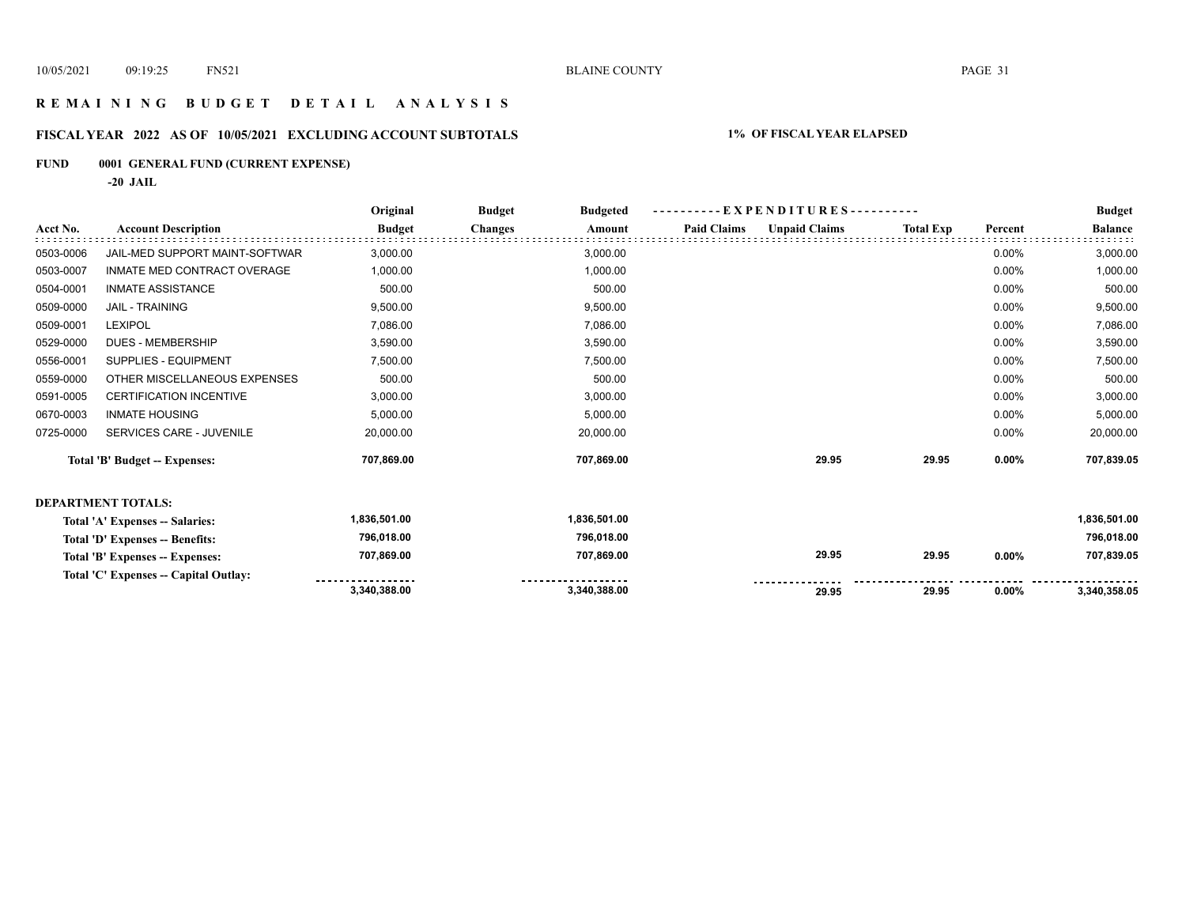## **R E M A I N I N G B U D G E T D E T A I L A N A L Y S I S**

## **FISCAL YEAR 2022 AS OF 10/05/2021 EXCLUDING ACCOUNT SUBTOTALS 1% OF FISCAL YEAR ELAPSED**

## **FUND 0001 GENERAL FUND (CURRENT EXPENSE)**

**-20 JAIL**

|           |                                       | Original      | <b>Budget</b>  | <b>Budgeted</b> |                    | $-EXPENDITURES$ --------- |                  |         | <b>Budget</b>  |
|-----------|---------------------------------------|---------------|----------------|-----------------|--------------------|---------------------------|------------------|---------|----------------|
| Acct No.  | <b>Account Description</b>            | <b>Budget</b> | <b>Changes</b> | Amount          | <b>Paid Claims</b> | <b>Unpaid Claims</b>      | <b>Total Exp</b> | Percent | <b>Balance</b> |
| 0503-0006 | JAIL-MED SUPPORT MAINT-SOFTWAR        | 3,000.00      |                | 3,000.00        |                    |                           |                  | 0.00%   | 3,000.00       |
| 0503-0007 | INMATE MED CONTRACT OVERAGE           | 1,000.00      |                | 1,000.00        |                    |                           |                  | 0.00%   | 1,000.00       |
| 0504-0001 | <b>INMATE ASSISTANCE</b>              | 500.00        |                | 500.00          |                    |                           |                  | 0.00%   | 500.00         |
| 0509-0000 | <b>JAIL - TRAINING</b>                | 9,500.00      |                | 9,500.00        |                    |                           |                  | 0.00%   | 9,500.00       |
| 0509-0001 | <b>LEXIPOL</b>                        | 7,086.00      |                | 7,086.00        |                    |                           |                  | 0.00%   | 7,086.00       |
| 0529-0000 | <b>DUES - MEMBERSHIP</b>              | 3,590.00      |                | 3,590.00        |                    |                           |                  | 0.00%   | 3,590.00       |
| 0556-0001 | SUPPLIES - EQUIPMENT                  | 7,500.00      |                | 7,500.00        |                    |                           |                  | 0.00%   | 7,500.00       |
| 0559-0000 | OTHER MISCELLANEOUS EXPENSES          | 500.00        |                | 500.00          |                    |                           |                  | 0.00%   | 500.00         |
| 0591-0005 | <b>CERTIFICATION INCENTIVE</b>        | 3,000.00      |                | 3,000.00        |                    |                           |                  | 0.00%   | 3,000.00       |
| 0670-0003 | <b>INMATE HOUSING</b>                 | 5,000.00      |                | 5,000.00        |                    |                           |                  | 0.00%   | 5,000.00       |
| 0725-0000 | SERVICES CARE - JUVENILE              | 20,000.00     |                | 20,000.00       |                    |                           |                  | 0.00%   | 20,000.00      |
|           | Total 'B' Budget -- Expenses:         | 707,869.00    |                | 707.869.00      |                    | 29.95                     | 29.95            | 0.00%   | 707,839.05     |
|           | <b>DEPARTMENT TOTALS:</b>             |               |                |                 |                    |                           |                  |         |                |
|           | Total 'A' Expenses -- Salaries:       | 1,836,501.00  |                | 1,836,501.00    |                    |                           |                  |         | 1,836,501.00   |
|           | Total 'D' Expenses -- Benefits:       | 796,018.00    |                | 796,018.00      |                    |                           |                  |         | 796,018.00     |
|           | Total 'B' Expenses -- Expenses:       | 707,869.00    |                | 707,869.00      |                    | 29.95                     | 29.95            | 0.00%   | 707,839.05     |
|           | Total 'C' Expenses -- Capital Outlay: |               |                |                 |                    |                           |                  |         |                |
|           |                                       | 3,340,388.00  |                | 3,340,388.00    |                    | 29.95                     | 29.95            | 0.00%   | 3,340,358.05   |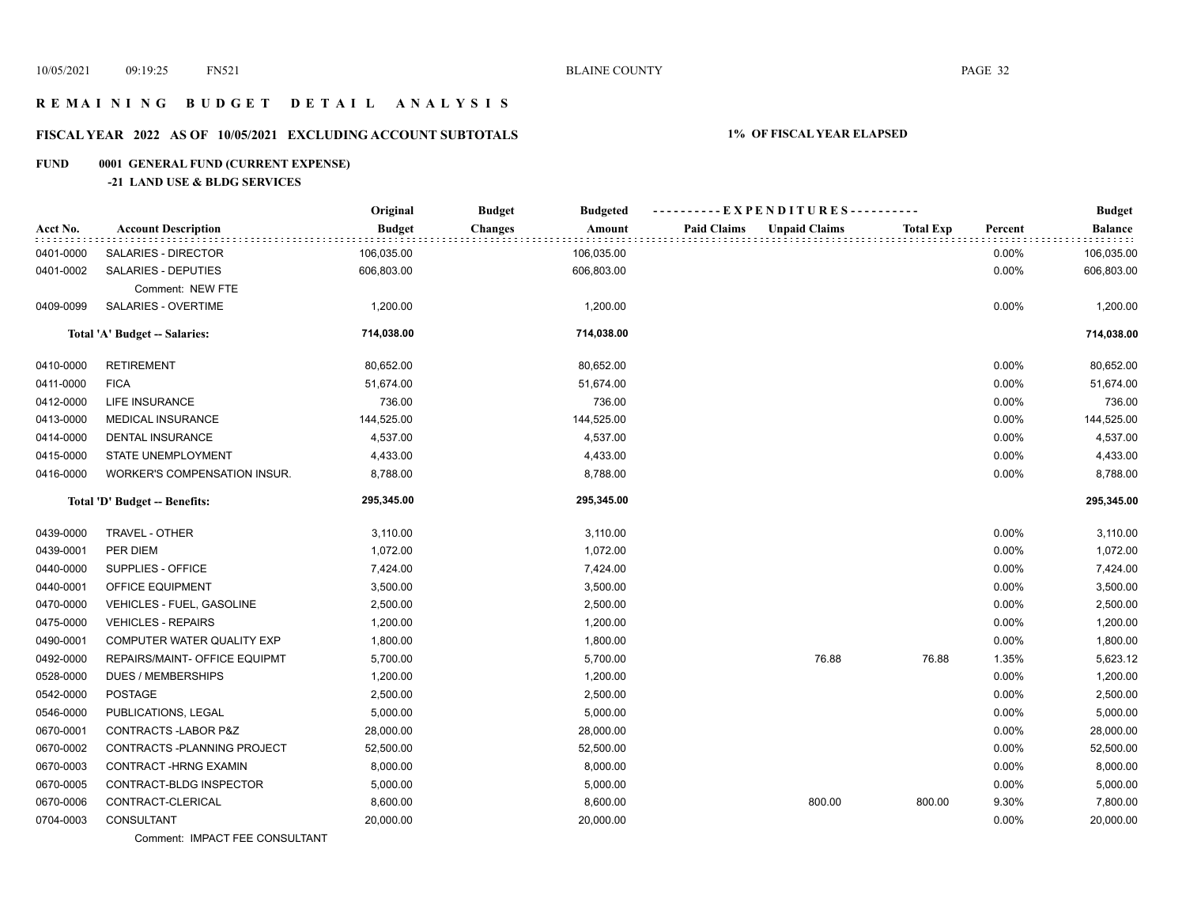## **R E M A I N I N G B U D G E T D E T A I L A N A L Y S I S**

## **FISCAL YEAR 2022 AS OF 10/05/2021 EXCLUDING ACCOUNT SUBTOTALS 1% OF FISCAL YEAR ELAPSED**

## **FUND 0001 GENERAL FUND (CURRENT EXPENSE)**

## **-21 LAND USE & BLDG SERVICES**

|           |                               | Original      | <b>Budget</b><br><b>Budgeted</b> | ----------EXPENDITURES----------           |                  |          | <b>Budget</b> |
|-----------|-------------------------------|---------------|----------------------------------|--------------------------------------------|------------------|----------|---------------|
| Acct No.  | <b>Account Description</b>    | <b>Budget</b> | <b>Changes</b><br>Amount         | <b>Paid Claims</b><br><b>Unpaid Claims</b> | <b>Total Exp</b> | Percent  | Balance       |
| 0401-0000 | SALARIES - DIRECTOR           | 106,035.00    | 106,035.00                       |                                            |                  | 0.00%    | 106,035.00    |
| 0401-0002 | SALARIES - DEPUTIES           | 606,803.00    | 606,803.00                       |                                            |                  | 0.00%    | 606,803.00    |
|           | Comment: NEW FTE              |               |                                  |                                            |                  |          |               |
| 0409-0099 | SALARIES - OVERTIME           | 1,200.00      | 1,200.00                         |                                            |                  | 0.00%    | 1,200.00      |
|           | Total 'A' Budget -- Salaries: | 714,038.00    | 714,038.00                       |                                            |                  |          | 714,038.00    |
| 0410-0000 | <b>RETIREMENT</b>             | 80,652.00     | 80,652.00                        |                                            |                  | 0.00%    | 80,652.00     |
| 0411-0000 | <b>FICA</b>                   | 51,674.00     | 51,674.00                        |                                            |                  | 0.00%    | 51,674.00     |
| 0412-0000 | <b>LIFE INSURANCE</b>         | 736.00        | 736.00                           |                                            |                  | 0.00%    | 736.00        |
| 0413-0000 | <b>MEDICAL INSURANCE</b>      | 144,525.00    | 144,525.00                       |                                            |                  | 0.00%    | 144,525.00    |
| 0414-0000 | DENTAL INSURANCE              | 4,537.00      | 4,537.00                         |                                            |                  | 0.00%    | 4,537.00      |
| 0415-0000 | STATE UNEMPLOYMENT            | 4,433.00      | 4,433.00                         |                                            |                  | 0.00%    | 4,433.00      |
| 0416-0000 | WORKER'S COMPENSATION INSUR.  | 8,788.00      | 8,788.00                         |                                            |                  | 0.00%    | 8,788.00      |
|           | Total 'D' Budget -- Benefits: | 295,345.00    | 295,345.00                       |                                            |                  |          | 295,345.00    |
| 0439-0000 | TRAVEL - OTHER                | 3,110.00      | 3,110.00                         |                                            |                  | 0.00%    | 3,110.00      |
| 0439-0001 | PER DIEM                      | 1,072.00      | 1,072.00                         |                                            |                  | 0.00%    | 1,072.00      |
| 0440-0000 | SUPPLIES - OFFICE             | 7,424.00      | 7,424.00                         |                                            |                  | 0.00%    | 7,424.00      |
| 0440-0001 | OFFICE EQUIPMENT              | 3,500.00      | 3,500.00                         |                                            |                  | 0.00%    | 3,500.00      |
| 0470-0000 | VEHICLES - FUEL, GASOLINE     | 2,500.00      | 2,500.00                         |                                            |                  | 0.00%    | 2,500.00      |
| 0475-0000 | <b>VEHICLES - REPAIRS</b>     | 1,200.00      | 1,200.00                         |                                            |                  | 0.00%    | 1,200.00      |
| 0490-0001 | COMPUTER WATER QUALITY EXP    | 1,800.00      | 1,800.00                         |                                            |                  | 0.00%    | 1,800.00      |
| 0492-0000 | REPAIRS/MAINT- OFFICE EQUIPMT | 5,700.00      | 5,700.00                         | 76.88                                      | 76.88            | 1.35%    | 5,623.12      |
| 0528-0000 | <b>DUES / MEMBERSHIPS</b>     | 1,200.00      | 1,200.00                         |                                            |                  | 0.00%    | 1,200.00      |
| 0542-0000 | <b>POSTAGE</b>                | 2,500.00      | 2,500.00                         |                                            |                  | 0.00%    | 2,500.00      |
| 0546-0000 | PUBLICATIONS, LEGAL           | 5,000.00      | 5,000.00                         |                                            |                  | 0.00%    | 5,000.00      |
| 0670-0001 | CONTRACTS-LABOR P&Z           | 28,000.00     | 28,000.00                        |                                            |                  | 0.00%    | 28,000.00     |
| 0670-0002 | CONTRACTS - PLANNING PROJECT  | 52,500.00     | 52,500.00                        |                                            |                  | 0.00%    | 52,500.00     |
| 0670-0003 | <b>CONTRACT-HRNG EXAMIN</b>   | 8,000.00      | 8,000.00                         |                                            |                  | $0.00\%$ | 8,000.00      |
| 0670-0005 | CONTRACT-BLDG INSPECTOR       | 5,000.00      | 5,000.00                         |                                            |                  | 0.00%    | 5,000.00      |
| 0670-0006 | CONTRACT-CLERICAL             | 8,600.00      | 8,600.00                         | 800.00                                     | 800.00           | 9.30%    | 7,800.00      |
| 0704-0003 | CONSULTANT                    | 20,000.00     | 20,000.00                        |                                            |                  | 0.00%    | 20,000.00     |
|           |                               |               |                                  |                                            |                  |          |               |

Comment: IMPACT FEE CONSULTANT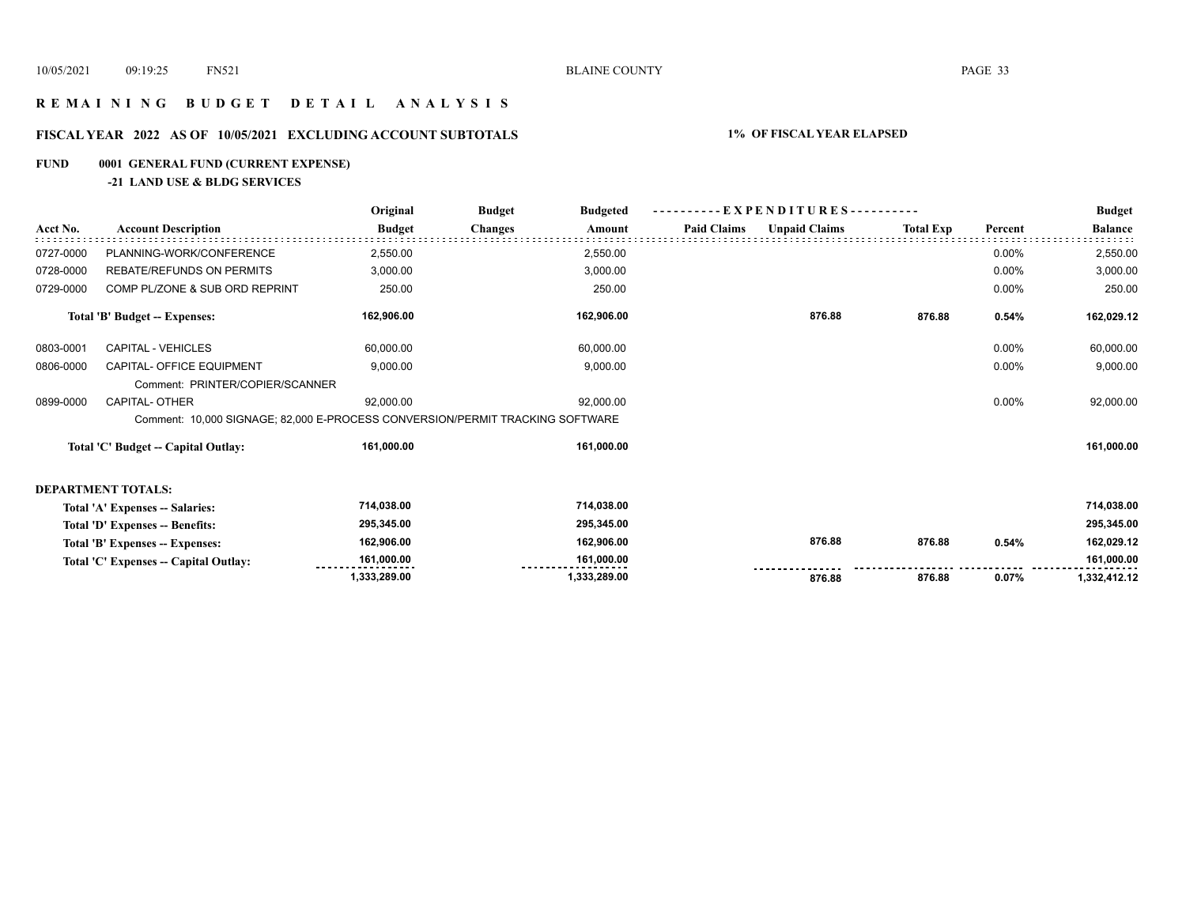## **R E M A I N I N G B U D G E T D E T A I L A N A L Y S I S**

## **FISCAL YEAR 2022 AS OF 10/05/2021 EXCLUDING ACCOUNT SUBTOTALS 1% OF FISCAL YEAR ELAPSED**

## **FUND 0001 GENERAL FUND (CURRENT EXPENSE)**

## **-21 LAND USE & BLDG SERVICES**

|           |                                                                               | Original      | <b>Budget</b><br><b>Budgeted</b> |              | EXPENDITURES---------- |                      |                  |         | <b>Budget</b>  |
|-----------|-------------------------------------------------------------------------------|---------------|----------------------------------|--------------|------------------------|----------------------|------------------|---------|----------------|
| Acct No.  | <b>Account Description</b>                                                    | <b>Budget</b> | <b>Changes</b>                   | Amount       | <b>Paid Claims</b>     | <b>Unpaid Claims</b> | <b>Total Exp</b> | Percent | <b>Balance</b> |
| 0727-0000 | PLANNING-WORK/CONFERENCE                                                      | 2,550.00      |                                  | 2,550.00     |                        |                      |                  | 0.00%   | 2,550.00       |
| 0728-0000 | <b>REBATE/REFUNDS ON PERMITS</b>                                              | 3,000.00      |                                  | 3,000.00     |                        |                      |                  | 0.00%   | 3,000.00       |
| 0729-0000 | COMP PL/ZONE & SUB ORD REPRINT                                                | 250.00        |                                  | 250.00       |                        |                      |                  | 0.00%   | 250.00         |
|           | <b>Total 'B' Budget -- Expenses:</b>                                          | 162,906.00    |                                  | 162,906.00   |                        | 876.88               | 876.88           | 0.54%   | 162,029.12     |
| 0803-0001 | CAPITAL - VEHICLES                                                            | 60,000.00     |                                  | 60,000.00    |                        |                      |                  | 0.00%   | 60,000.00      |
| 0806-0000 | CAPITAL- OFFICE EQUIPMENT                                                     | 9,000.00      |                                  | 9,000.00     |                        |                      |                  | 0.00%   | 9,000.00       |
|           | Comment: PRINTER/COPIER/SCANNER                                               |               |                                  |              |                        |                      |                  |         |                |
| 0899-0000 | CAPITAL- OTHER                                                                | 92,000.00     |                                  | 92,000.00    |                        |                      |                  | 0.00%   | 92,000.00      |
|           | Comment: 10,000 SIGNAGE; 82,000 E-PROCESS CONVERSION/PERMIT TRACKING SOFTWARE |               |                                  |              |                        |                      |                  |         |                |
|           | Total 'C' Budget -- Capital Outlay:                                           | 161,000.00    |                                  | 161,000.00   |                        |                      |                  |         | 161,000.00     |
|           | <b>DEPARTMENT TOTALS:</b>                                                     |               |                                  |              |                        |                      |                  |         |                |
|           | Total 'A' Expenses -- Salaries:                                               | 714,038.00    |                                  | 714,038.00   |                        |                      |                  |         | 714,038.00     |
|           | Total 'D' Expenses -- Benefits:                                               | 295,345.00    |                                  | 295,345.00   |                        |                      |                  |         | 295,345.00     |
|           | Total 'B' Expenses -- Expenses:                                               | 162,906.00    |                                  | 162,906.00   |                        | 876.88               | 876.88           | 0.54%   | 162,029.12     |
|           | Total 'C' Expenses -- Capital Outlay:                                         | 161,000.00    |                                  | 161,000.00   |                        |                      |                  |         | 161,000.00     |
|           |                                                                               | 1,333,289.00  |                                  | 1,333,289.00 |                        | 876.88               | 876.88           | 0.07%   | 1,332,412.12   |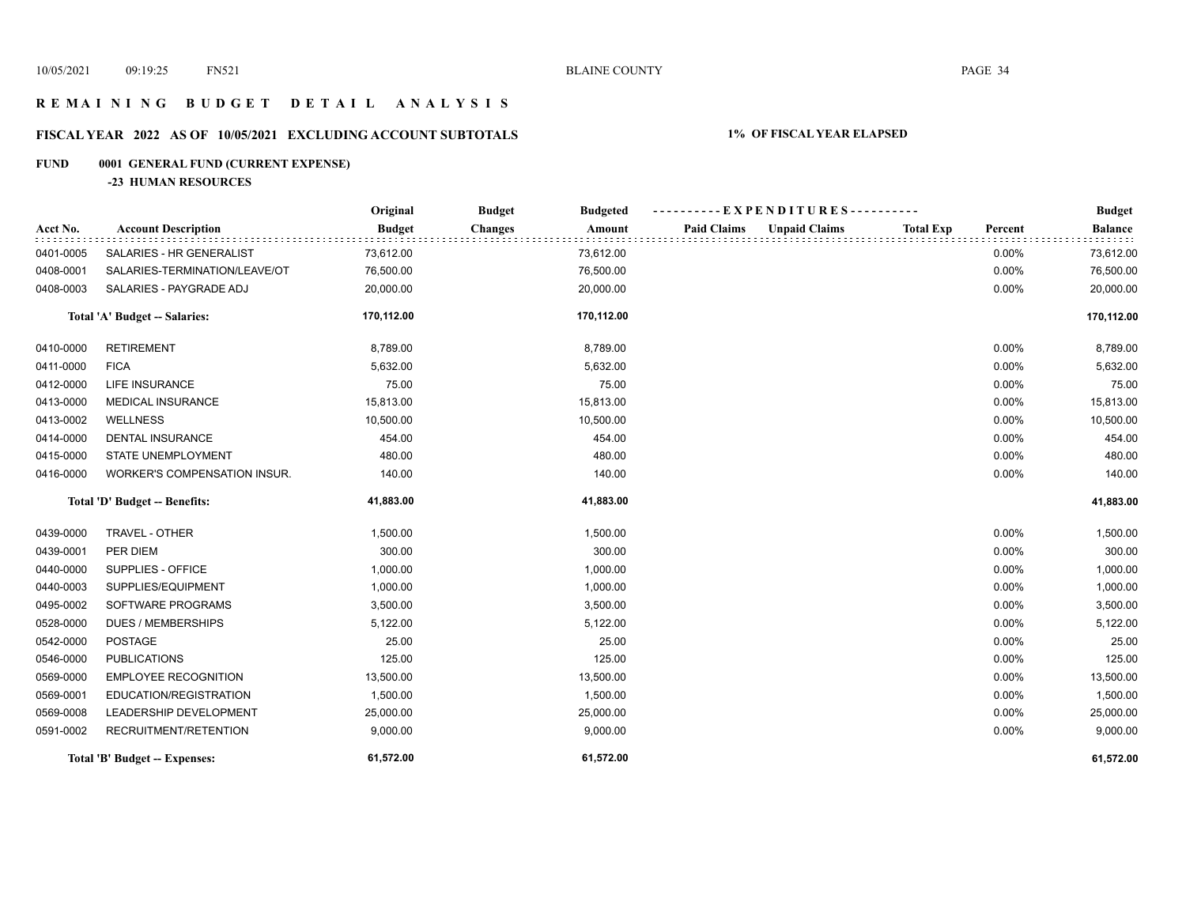## **R E M A I N I N G B U D G E T D E T A I L A N A L Y S I S**

## **FISCAL YEAR 2022 AS OF 10/05/2021 EXCLUDING ACCOUNT SUBTOTALS 1% OF FISCAL YEAR ELAPSED**

## **FUND 0001 GENERAL FUND (CURRENT EXPENSE)**

**-23 HUMAN RESOURCES**

|           |                               | Original      | <b>Budget</b><br><b>Budgeted</b> | ----------EXPENDITURES----------           |                             | <b>Budget</b>  |
|-----------|-------------------------------|---------------|----------------------------------|--------------------------------------------|-----------------------------|----------------|
| Acct No.  | <b>Account Description</b>    | <b>Budget</b> | <b>Changes</b><br>Amount         | <b>Paid Claims</b><br><b>Unpaid Claims</b> | <b>Total Exp</b><br>Percent | <b>Balance</b> |
| 0401-0005 | SALARIES - HR GENERALIST      | 73,612.00     | 73,612.00                        |                                            | 0.00%                       | 73,612.00      |
| 0408-0001 | SALARIES-TERMINATION/LEAVE/OT | 76,500.00     | 76,500.00                        |                                            | 0.00%                       | 76,500.00      |
| 0408-0003 | SALARIES - PAYGRADE ADJ       | 20,000.00     | 20,000.00                        |                                            | 0.00%                       | 20,000.00      |
|           | Total 'A' Budget -- Salaries: | 170,112.00    | 170,112.00                       |                                            |                             | 170,112.00     |
| 0410-0000 | <b>RETIREMENT</b>             | 8,789.00      | 8,789.00                         |                                            | 0.00%                       | 8,789.00       |
| 0411-0000 | <b>FICA</b>                   | 5,632.00      | 5,632.00                         |                                            | 0.00%                       | 5,632.00       |
| 0412-0000 | LIFE INSURANCE                | 75.00         | 75.00                            |                                            | 0.00%                       | 75.00          |
| 0413-0000 | <b>MEDICAL INSURANCE</b>      | 15,813.00     | 15,813.00                        |                                            | 0.00%                       | 15,813.00      |
| 0413-0002 | WELLNESS                      | 10,500.00     | 10,500.00                        |                                            | 0.00%                       | 10,500.00      |
| 0414-0000 | <b>DENTAL INSURANCE</b>       | 454.00        | 454.00                           |                                            | 0.00%                       | 454.00         |
| 0415-0000 | STATE UNEMPLOYMENT            | 480.00        | 480.00                           |                                            | 0.00%                       | 480.00         |
| 0416-0000 | WORKER'S COMPENSATION INSUR.  | 140.00        | 140.00                           |                                            | 0.00%                       | 140.00         |
|           | Total 'D' Budget -- Benefits: | 41,883.00     | 41,883.00                        |                                            |                             | 41,883.00      |
| 0439-0000 | TRAVEL - OTHER                | 1,500.00      | 1,500.00                         |                                            | 0.00%                       | 1,500.00       |
| 0439-0001 | PER DIEM                      | 300.00        | 300.00                           |                                            | 0.00%                       | 300.00         |
| 0440-0000 | SUPPLIES - OFFICE             | 1,000.00      | 1,000.00                         |                                            | 0.00%                       | 1,000.00       |
| 0440-0003 | SUPPLIES/EQUIPMENT            | 1,000.00      | 1,000.00                         |                                            | 0.00%                       | 1,000.00       |
| 0495-0002 | SOFTWARE PROGRAMS             | 3,500.00      | 3,500.00                         |                                            | 0.00%                       | 3,500.00       |
| 0528-0000 | <b>DUES / MEMBERSHIPS</b>     | 5,122.00      | 5,122.00                         |                                            | 0.00%                       | 5,122.00       |
| 0542-0000 | <b>POSTAGE</b>                | 25.00         | 25.00                            |                                            | 0.00%                       | 25.00          |
| 0546-0000 | <b>PUBLICATIONS</b>           | 125.00        | 125.00                           |                                            | 0.00%                       | 125.00         |
| 0569-0000 | <b>EMPLOYEE RECOGNITION</b>   | 13,500.00     | 13,500.00                        |                                            | 0.00%                       | 13,500.00      |
| 0569-0001 | EDUCATION/REGISTRATION        | 1,500.00      | 1,500.00                         |                                            | 0.00%                       | 1,500.00       |
| 0569-0008 | LEADERSHIP DEVELOPMENT        | 25,000.00     | 25,000.00                        |                                            | 0.00%                       | 25,000.00      |
| 0591-0002 | RECRUITMENT/RETENTION         | 9,000.00      | 9,000.00                         |                                            | 0.00%                       | 9,000.00       |
|           | Total 'B' Budget -- Expenses: | 61,572.00     | 61,572.00                        |                                            |                             | 61,572.00      |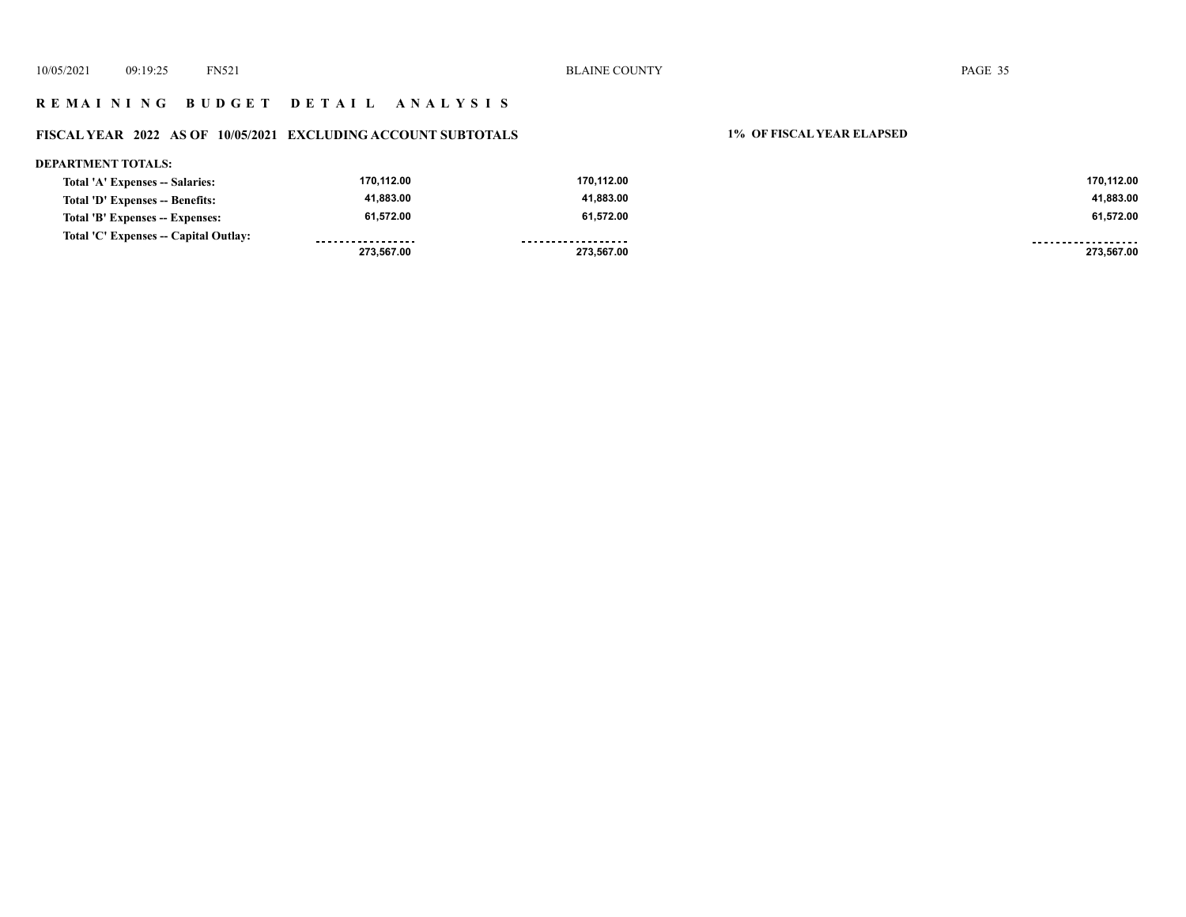## **R E M A I N I N G B U D G E T D E T A I L A N A L Y S I S**

## **FISCAL YEAR 2022 AS OF 10/05/2021 EXCLUDING ACCOUNT SUBTOTALS 1% OF FISCAL YEAR ELAPSED**

| <b>DEPARTMENT TOTALS:</b>             |                   |                    |                    |
|---------------------------------------|-------------------|--------------------|--------------------|
| Total 'A' Expenses -- Salaries:       | 170,112.00        | 170.112.00         | 170.112.00         |
| Total 'D' Expenses -- Benefits:       | 41,883.00         | 41.883.00          | 41,883.00          |
| Total 'B' Expenses -- Expenses:       | 61.572.00         | 61.572.00          | 61.572.00          |
| Total 'C' Expenses -- Capital Outlay: | ----------------- | ------------------ | ------------------ |
|                                       | 273.567.00        | 273,567.00         | 273.567.00         |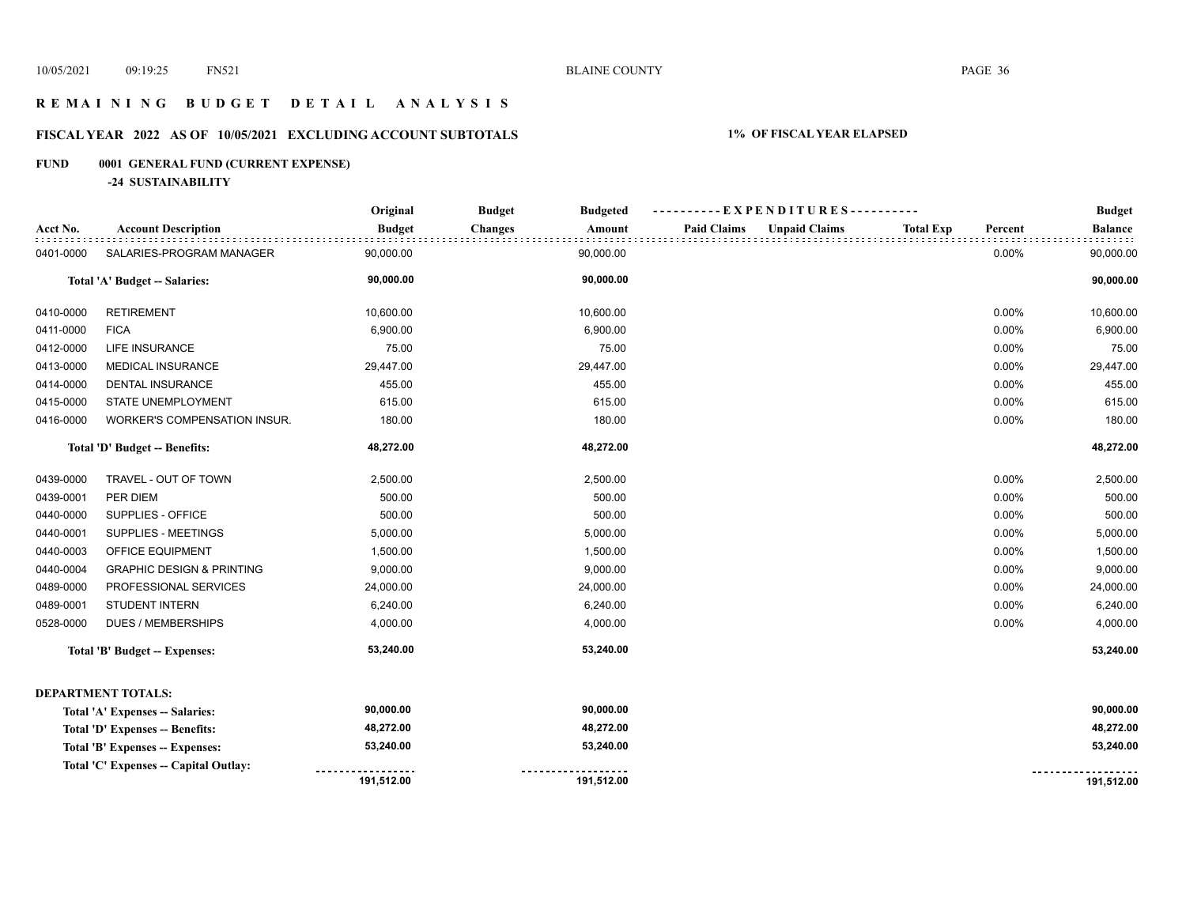## **R E M A I N I N G B U D G E T D E T A I L A N A L Y S I S**

## **FISCAL YEAR 2022 AS OF 10/05/2021 EXCLUDING ACCOUNT SUBTOTALS 1% OF FISCAL YEAR ELAPSED**

## **FUND 0001 GENERAL FUND (CURRENT EXPENSE)**

**-24 SUSTAINABILITY**

|           |                                       | Original      | <b>Budget</b><br><b>Budgeted</b> | ----------EXPENDITURES----------           |                             | <b>Budget</b>  |
|-----------|---------------------------------------|---------------|----------------------------------|--------------------------------------------|-----------------------------|----------------|
| Acct No.  | <b>Account Description</b>            | <b>Budget</b> | <b>Changes</b><br>Amount         | <b>Paid Claims</b><br><b>Unpaid Claims</b> | <b>Total Exp</b><br>Percent | <b>Balance</b> |
| 0401-0000 | SALARIES-PROGRAM MANAGER              | 90,000.00     | 90,000.00                        |                                            | 0.00%                       | 90,000.00      |
|           | Total 'A' Budget -- Salaries:         | 90,000.00     | 90,000.00                        |                                            |                             | 90,000.00      |
| 0410-0000 | <b>RETIREMENT</b>                     | 10,600.00     | 10,600.00                        |                                            | 0.00%                       | 10,600.00      |
| 0411-0000 | <b>FICA</b>                           | 6,900.00      | 6,900.00                         |                                            | 0.00%                       | 6,900.00       |
| 0412-0000 | <b>LIFE INSURANCE</b>                 | 75.00         | 75.00                            |                                            | 0.00%                       | 75.00          |
| 0413-0000 | <b>MEDICAL INSURANCE</b>              | 29,447.00     | 29,447.00                        |                                            | 0.00%                       | 29,447.00      |
| 0414-0000 | <b>DENTAL INSURANCE</b>               | 455.00        | 455.00                           |                                            | 0.00%                       | 455.00         |
| 0415-0000 | STATE UNEMPLOYMENT                    | 615.00        | 615.00                           |                                            | 0.00%                       | 615.00         |
| 0416-0000 | WORKER'S COMPENSATION INSUR.          | 180.00        | 180.00                           |                                            | 0.00%                       | 180.00         |
|           | Total 'D' Budget -- Benefits:         | 48,272.00     | 48,272.00                        |                                            |                             | 48,272.00      |
| 0439-0000 | TRAVEL - OUT OF TOWN                  | 2,500.00      | 2,500.00                         |                                            | 0.00%                       | 2,500.00       |
| 0439-0001 | PER DIEM                              | 500.00        | 500.00                           |                                            | 0.00%                       | 500.00         |
| 0440-0000 | SUPPLIES - OFFICE                     | 500.00        | 500.00                           |                                            | 0.00%                       | 500.00         |
| 0440-0001 | SUPPLIES - MEETINGS                   | 5,000.00      | 5,000.00                         |                                            | 0.00%                       | 5,000.00       |
| 0440-0003 | OFFICE EQUIPMENT                      | 1,500.00      | 1,500.00                         |                                            | 0.00%                       | 1,500.00       |
| 0440-0004 | <b>GRAPHIC DESIGN &amp; PRINTING</b>  | 9,000.00      | 9,000.00                         |                                            | 0.00%                       | 9,000.00       |
| 0489-0000 | PROFESSIONAL SERVICES                 | 24,000.00     | 24,000.00                        |                                            | 0.00%                       | 24,000.00      |
| 0489-0001 | STUDENT INTERN                        | 6,240.00      | 6,240.00                         |                                            | 0.00%                       | 6,240.00       |
| 0528-0000 | <b>DUES / MEMBERSHIPS</b>             | 4,000.00      | 4,000.00                         |                                            | 0.00%                       | 4,000.00       |
|           | Total 'B' Budget -- Expenses:         | 53,240.00     | 53,240.00                        |                                            |                             | 53,240.00      |
|           | <b>DEPARTMENT TOTALS:</b>             |               |                                  |                                            |                             |                |
|           | Total 'A' Expenses -- Salaries:       | 90,000.00     | 90,000.00                        |                                            |                             | 90,000.00      |
|           | Total 'D' Expenses -- Benefits:       | 48,272.00     | 48,272.00                        |                                            |                             | 48,272.00      |
|           | Total 'B' Expenses -- Expenses:       | 53,240.00     | 53,240.00                        |                                            |                             | 53,240.00      |
|           | Total 'C' Expenses -- Capital Outlay: |               |                                  |                                            |                             |                |
|           |                                       | 191,512.00    | 191,512.00                       |                                            |                             | 191,512.00     |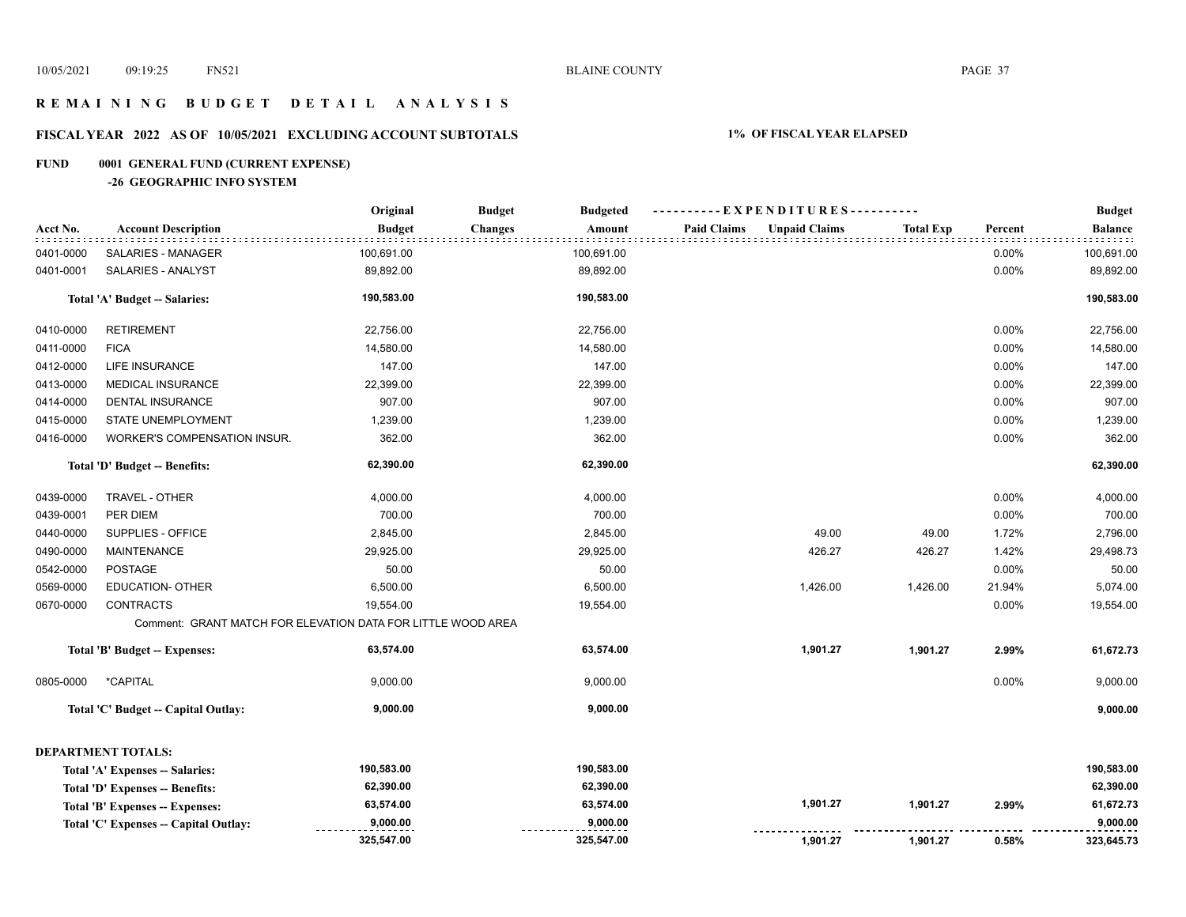**1,901.27 0.58% 323,645.73** 

 **9,000.00** 

# **R E M A I N I N G B U D G E T D E T A I L A N A L Y S I S**

# **FISCAL YEAR 2022 AS OF 10/05/2021 EXCLUDING ACCOUNT SUBTOTALS 1% OF FISCAL YEAR ELAPSED**

#### **FUND 0001 GENERAL FUND (CURRENT EXPENSE)**

#### **-26 GEOGRAPHIC INFO SYSTEM**

**Total 'C' Expenses -- Capital Outlay:**

 **9,000.00** 

|           |                                                              | Original      | <b>Budget</b><br><b>Budgeted</b> | ----------EXPENDITURES----------           |                  |         | <b>Budget</b>  |
|-----------|--------------------------------------------------------------|---------------|----------------------------------|--------------------------------------------|------------------|---------|----------------|
| Acct No.  | <b>Account Description</b>                                   | <b>Budget</b> | <b>Changes</b><br>Amount         | <b>Paid Claims</b><br><b>Unpaid Claims</b> | <b>Total Exp</b> | Percent | <b>Balance</b> |
| 0401-0000 | <b>SALARIES - MANAGER</b>                                    | 100,691.00    | 100,691.00                       |                                            |                  | 0.00%   | 100,691.00     |
| 0401-0001 | SALARIES - ANALYST                                           | 89,892.00     | 89,892.00                        |                                            |                  | 0.00%   | 89,892.00      |
|           | Total 'A' Budget -- Salaries:                                | 190,583.00    | 190,583.00                       |                                            |                  |         | 190,583.00     |
| 0410-0000 | <b>RETIREMENT</b>                                            | 22,756.00     | 22,756.00                        |                                            |                  | 0.00%   | 22,756.00      |
| 0411-0000 | <b>FICA</b>                                                  | 14,580.00     | 14,580.00                        |                                            |                  | 0.00%   | 14,580.00      |
| 0412-0000 | <b>LIFE INSURANCE</b>                                        | 147.00        | 147.00                           |                                            |                  | 0.00%   | 147.00         |
| 0413-0000 | MEDICAL INSURANCE                                            | 22,399.00     | 22,399.00                        |                                            |                  | 0.00%   | 22,399.00      |
| 0414-0000 | DENTAL INSURANCE                                             | 907.00        | 907.00                           |                                            |                  | 0.00%   | 907.00         |
| 0415-0000 | STATE UNEMPLOYMENT                                           | 1,239.00      | 1,239.00                         |                                            |                  | 0.00%   | 1,239.00       |
| 0416-0000 | WORKER'S COMPENSATION INSUR.                                 | 362.00        | 362.00                           |                                            |                  | 0.00%   | 362.00         |
|           | Total 'D' Budget -- Benefits:                                | 62,390.00     | 62,390.00                        |                                            |                  |         | 62,390.00      |
| 0439-0000 | TRAVEL - OTHER                                               | 4,000.00      | 4,000.00                         |                                            |                  | 0.00%   | 4,000.00       |
| 0439-0001 | PER DIEM                                                     | 700.00        | 700.00                           |                                            |                  | 0.00%   | 700.00         |
| 0440-0000 | SUPPLIES - OFFICE                                            | 2,845.00      | 2,845.00                         | 49.00                                      | 49.00            | 1.72%   | 2,796.00       |
| 0490-0000 | <b>MAINTENANCE</b>                                           | 29,925.00     | 29,925.00                        | 426.27                                     | 426.27           | 1.42%   | 29,498.73      |
| 0542-0000 | <b>POSTAGE</b>                                               | 50.00         | 50.00                            |                                            |                  | 0.00%   | 50.00          |
| 0569-0000 | <b>EDUCATION- OTHER</b>                                      | 6,500.00      | 6,500.00                         | 1,426.00                                   | 1,426.00         | 21.94%  | 5,074.00       |
| 0670-0000 | <b>CONTRACTS</b>                                             | 19,554.00     | 19,554.00                        |                                            |                  | 0.00%   | 19,554.00      |
|           | Comment: GRANT MATCH FOR ELEVATION DATA FOR LITTLE WOOD AREA |               |                                  |                                            |                  |         |                |
|           | Total 'B' Budget -- Expenses:                                | 63,574.00     | 63,574.00                        | 1,901.27                                   | 1,901.27         | 2.99%   | 61,672.73      |
| 0805-0000 | *CAPITAL                                                     | 9,000.00      | 9,000.00                         |                                            |                  | 0.00%   | 9,000.00       |
|           | Total 'C' Budget -- Capital Outlay:                          | 9,000.00      | 9,000.00                         |                                            |                  |         | 9,000.00       |
|           | <b>DEPARTMENT TOTALS:</b>                                    |               |                                  |                                            |                  |         |                |
|           | Total 'A' Expenses -- Salaries:                              | 190,583.00    | 190,583.00                       |                                            |                  |         | 190,583.00     |
|           | Total 'D' Expenses -- Benefits:                              | 62,390.00     | 62,390.00                        |                                            |                  |         | 62,390.00      |
|           | Total 'B' Expenses -- Expenses:                              | 63,574.00     | 63,574.00                        | 1,901.27                                   | 1,901.27         | 2.99%   | 61,672.73      |

 **9,000.00**

 **325,547.00**

 **325,547.00 1,901.27**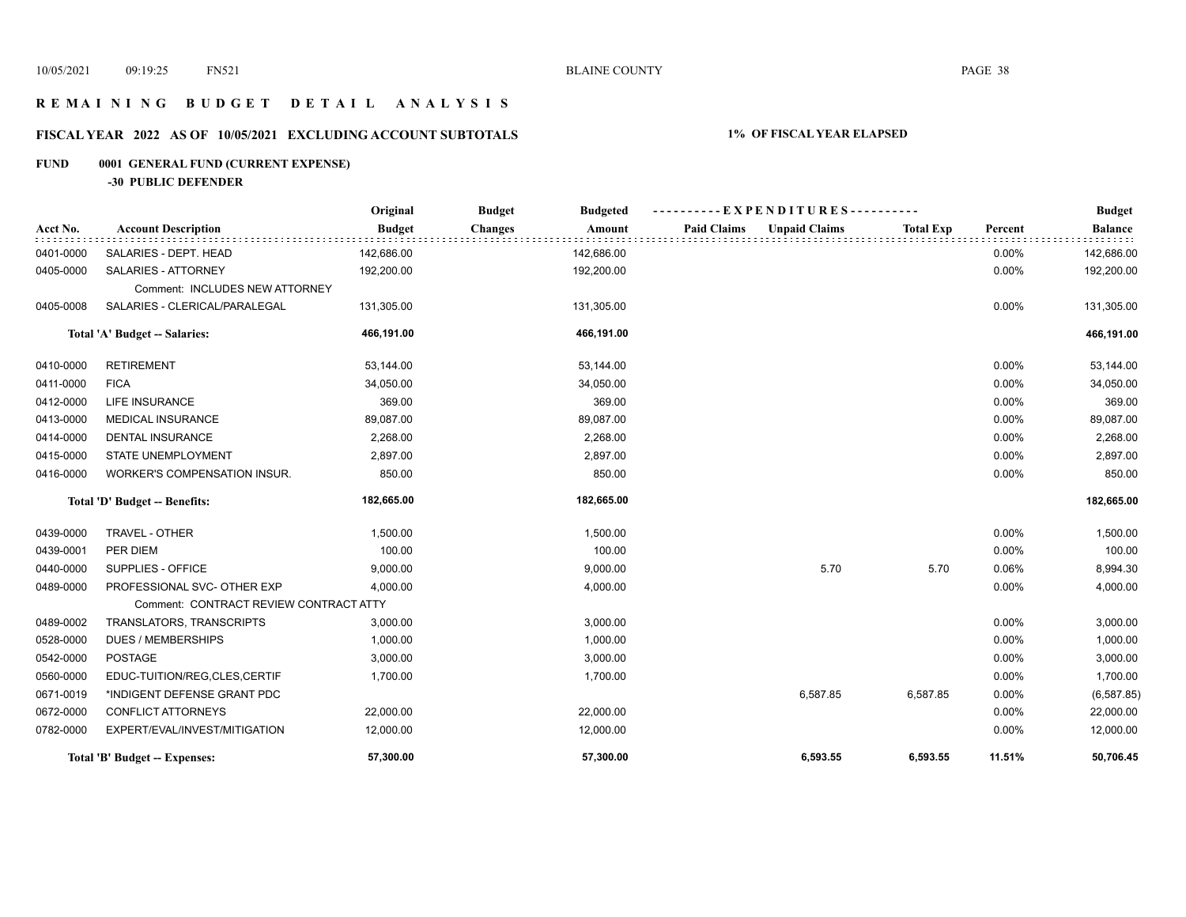# **R E M A I N I N G B U D G E T D E T A I L A N A L Y S I S**

# **FISCAL YEAR 2022 AS OF 10/05/2021 EXCLUDING ACCOUNT SUBTOTALS 1% OF FISCAL YEAR ELAPSED**

# **FUND 0001 GENERAL FUND (CURRENT EXPENSE)**

**-30 PUBLIC DEFENDER**

|           |                                        | Original      | <b>Budget</b><br><b>Budgeted</b> | ----------EXPENDITURES----------           |                  |         | <b>Budget</b>  |
|-----------|----------------------------------------|---------------|----------------------------------|--------------------------------------------|------------------|---------|----------------|
| Acct No.  | <b>Account Description</b>             | <b>Budget</b> | <b>Changes</b><br>Amount         | <b>Paid Claims</b><br><b>Unpaid Claims</b> | <b>Total Exp</b> | Percent | <b>Balance</b> |
| 0401-0000 | SALARIES - DEPT. HEAD                  | 142,686.00    | 142,686.00                       |                                            |                  | 0.00%   | 142,686.00     |
| 0405-0000 | SALARIES - ATTORNEY                    | 192,200.00    | 192,200.00                       |                                            |                  | 0.00%   | 192,200.00     |
|           | Comment: INCLUDES NEW ATTORNEY         |               |                                  |                                            |                  |         |                |
| 0405-0008 | SALARIES - CLERICAL/PARALEGAL          | 131,305.00    | 131,305.00                       |                                            |                  | 0.00%   | 131,305.00     |
|           | Total 'A' Budget -- Salaries:          | 466,191.00    | 466,191.00                       |                                            |                  |         | 466,191.00     |
| 0410-0000 | <b>RETIREMENT</b>                      | 53,144.00     | 53,144.00                        |                                            |                  | 0.00%   | 53,144.00      |
| 0411-0000 | <b>FICA</b>                            | 34,050.00     | 34,050.00                        |                                            |                  | 0.00%   | 34,050.00      |
| 0412-0000 | <b>LIFE INSURANCE</b>                  | 369.00        | 369.00                           |                                            |                  | 0.00%   | 369.00         |
| 0413-0000 | <b>MEDICAL INSURANCE</b>               | 89,087.00     | 89,087.00                        |                                            |                  | 0.00%   | 89,087.00      |
| 0414-0000 | <b>DENTAL INSURANCE</b>                | 2,268.00      | 2,268.00                         |                                            |                  | 0.00%   | 2,268.00       |
| 0415-0000 | STATE UNEMPLOYMENT                     | 2,897.00      | 2,897.00                         |                                            |                  | 0.00%   | 2,897.00       |
| 0416-0000 | WORKER'S COMPENSATION INSUR.           | 850.00        | 850.00                           |                                            |                  | 0.00%   | 850.00         |
|           | Total 'D' Budget -- Benefits:          | 182,665.00    | 182,665.00                       |                                            |                  |         | 182,665.00     |
| 0439-0000 | TRAVEL - OTHER                         | 1,500.00      | 1,500.00                         |                                            |                  | 0.00%   | 1,500.00       |
| 0439-0001 | PER DIEM                               | 100.00        | 100.00                           |                                            |                  | 0.00%   | 100.00         |
| 0440-0000 | SUPPLIES - OFFICE                      | 9,000.00      | 9,000.00                         | 5.70                                       | 5.70             | 0.06%   | 8,994.30       |
| 0489-0000 | PROFESSIONAL SVC- OTHER EXP            | 4,000.00      | 4,000.00                         |                                            |                  | 0.00%   | 4,000.00       |
|           | Comment: CONTRACT REVIEW CONTRACT ATTY |               |                                  |                                            |                  |         |                |
| 0489-0002 | TRANSLATORS, TRANSCRIPTS               | 3,000.00      | 3,000.00                         |                                            |                  | 0.00%   | 3,000.00       |
| 0528-0000 | <b>DUES / MEMBERSHIPS</b>              | 1,000.00      | 1,000.00                         |                                            |                  | 0.00%   | 1,000.00       |
| 0542-0000 | POSTAGE                                | 3,000.00      | 3,000.00                         |                                            |                  | 0.00%   | 3,000.00       |
| 0560-0000 | EDUC-TUITION/REG.CLES.CERTIF           | 1,700.00      | 1,700.00                         |                                            |                  | 0.00%   | 1,700.00       |
| 0671-0019 | *INDIGENT DEFENSE GRANT PDC            |               |                                  | 6,587.85                                   | 6,587.85         | 0.00%   | (6, 587.85)    |
| 0672-0000 | CONFLICT ATTORNEYS                     | 22,000.00     | 22,000.00                        |                                            |                  | 0.00%   | 22,000.00      |
| 0782-0000 | EXPERT/EVAL/INVEST/MITIGATION          | 12,000.00     | 12,000.00                        |                                            |                  | 0.00%   | 12,000.00      |
|           | Total 'B' Budget -- Expenses:          | 57,300.00     | 57,300.00                        | 6,593.55                                   | 6.593.55         | 11.51%  | 50,706.45      |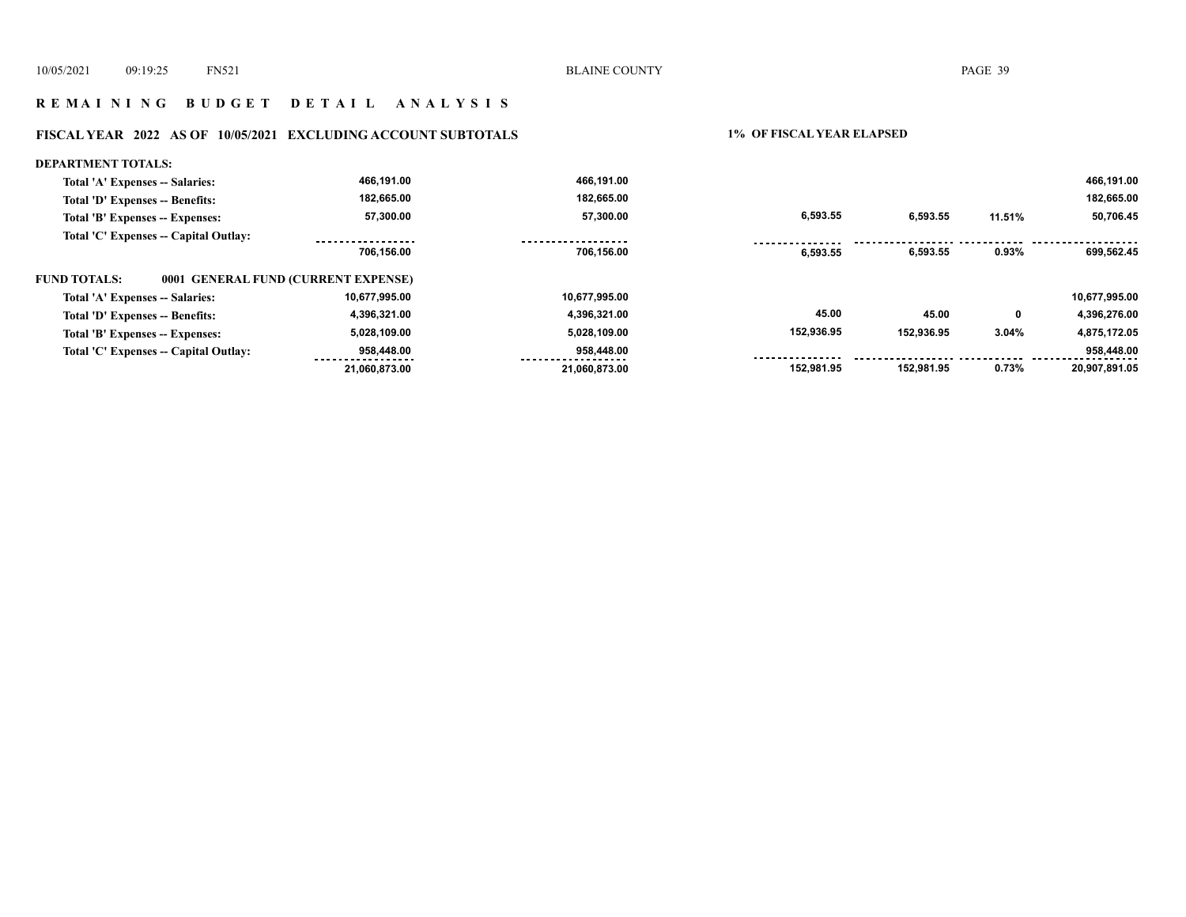# **R E M A I N I N G B U D G E T D E T A I L A N A L Y S I S**

# **FISCAL YEAR 2022 AS OF 10/05/2021 EXCLUDING ACCOUNT SUBTOTALS 1% OF FISCAL YEAR ELAPSED**

| <b>DEPARTMENT TOTALS:</b>             |                                     |               |            |            |        |               |
|---------------------------------------|-------------------------------------|---------------|------------|------------|--------|---------------|
| Total 'A' Expenses -- Salaries:       | 466,191.00                          | 466,191.00    |            |            |        | 466,191.00    |
| Total 'D' Expenses -- Benefits:       | 182,665.00                          | 182.665.00    |            |            |        | 182,665.00    |
| Total 'B' Expenses -- Expenses:       | 57,300.00                           | 57,300.00     | 6,593.55   | 6,593.55   | 11.51% | 50,706.45     |
| Total 'C' Expenses -- Capital Outlay: |                                     |               |            |            |        |               |
|                                       | 706.156.00                          | 706,156.00    | 6.593.55   | 6,593.55   | 0.93%  | 699,562.45    |
| <b>FUND TOTALS:</b>                   | 0001 GENERAL FUND (CURRENT EXPENSE) |               |            |            |        |               |
| Total 'A' Expenses -- Salaries:       | 10.677.995.00                       | 10,677,995.00 |            |            |        | 10,677,995.00 |
| Total 'D' Expenses -- Benefits:       | 4,396,321.00                        | 4,396,321.00  | 45.00      | 45.00      | 0      | 4,396,276.00  |
| Total 'B' Expenses -- Expenses:       | 5,028,109.00                        | 5,028,109.00  | 152,936.95 | 152,936.95 | 3.04%  | 4,875,172.05  |
|                                       |                                     |               |            |            |        |               |
| Total 'C' Expenses -- Capital Outlay: | 958,448.00                          | 958,448.00    |            |            |        | 958,448.00    |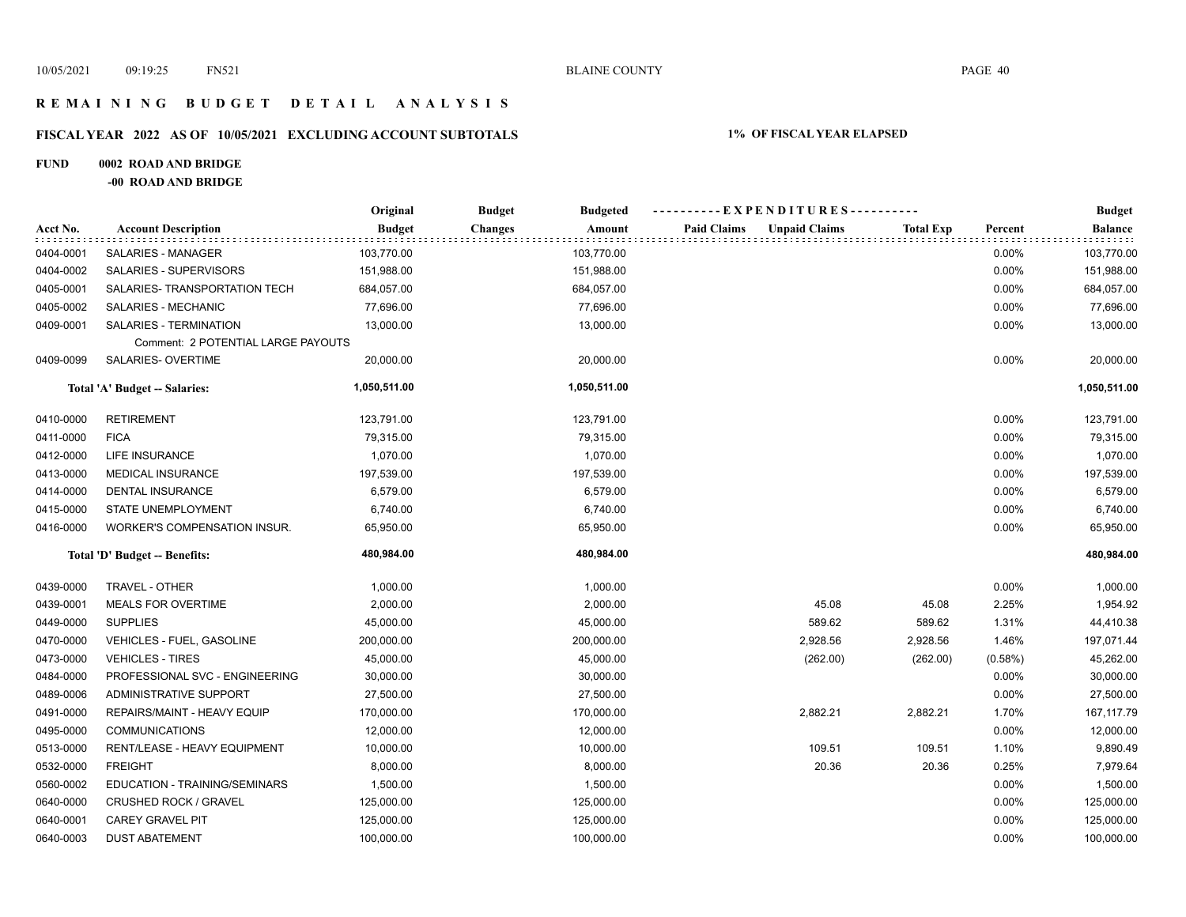# **R E M A I N I N G B U D G E T D E T A I L A N A L Y S I S**

# **FISCAL YEAR 2022 AS OF 10/05/2021 EXCLUDING ACCOUNT SUBTOTALS 1% OF FISCAL YEAR ELAPSED**

#### **FUND 0002 ROAD AND BRIDGE**

**-00 ROAD AND BRIDGE**

|           |                                    | Original      | <b>Budget</b><br><b>Budgeted</b> | ---------- EXPENDITURES----------          |           |         | <b>Budget</b>  |
|-----------|------------------------------------|---------------|----------------------------------|--------------------------------------------|-----------|---------|----------------|
| Acct No.  | <b>Account Description</b>         | <b>Budget</b> | <b>Changes</b><br>Amount         | <b>Paid Claims</b><br><b>Unpaid Claims</b> | Total Exp | Percent | <b>Balance</b> |
| 0404-0001 | <b>SALARIES - MANAGER</b>          | 103,770.00    | 103,770.00                       |                                            |           | 0.00%   | 103,770.00     |
| 0404-0002 | SALARIES - SUPERVISORS             | 151,988.00    | 151,988.00                       |                                            |           | 0.00%   | 151,988.00     |
| 0405-0001 | SALARIES- TRANSPORTATION TECH      | 684,057.00    | 684,057.00                       |                                            |           | 0.00%   | 684,057.00     |
| 0405-0002 | SALARIES - MECHANIC                | 77,696.00     | 77,696.00                        |                                            |           | 0.00%   | 77,696.00      |
| 0409-0001 | SALARIES - TERMINATION             | 13,000.00     | 13,000.00                        |                                            |           | 0.00%   | 13,000.00      |
|           | Comment: 2 POTENTIAL LARGE PAYOUTS |               |                                  |                                            |           |         |                |
| 0409-0099 | SALARIES- OVERTIME                 | 20,000.00     | 20,000.00                        |                                            |           | 0.00%   | 20,000.00      |
|           | Total 'A' Budget -- Salaries:      | 1,050,511.00  | 1,050,511.00                     |                                            |           |         | 1,050,511.00   |
| 0410-0000 | <b>RETIREMENT</b>                  | 123,791.00    | 123,791.00                       |                                            |           | 0.00%   | 123,791.00     |
| 0411-0000 | <b>FICA</b>                        | 79,315.00     | 79,315.00                        |                                            |           | 0.00%   | 79,315.00      |
| 0412-0000 | LIFE INSURANCE                     | 1,070.00      | 1,070.00                         |                                            |           | 0.00%   | 1,070.00       |
| 0413-0000 | <b>MEDICAL INSURANCE</b>           | 197,539.00    | 197,539.00                       |                                            |           | 0.00%   | 197,539.00     |
| 0414-0000 | <b>DENTAL INSURANCE</b>            | 6,579.00      | 6,579.00                         |                                            |           | 0.00%   | 6,579.00       |
| 0415-0000 | STATE UNEMPLOYMENT                 | 6,740.00      | 6,740.00                         |                                            |           | 0.00%   | 6,740.00       |
| 0416-0000 | WORKER'S COMPENSATION INSUR.       | 65,950.00     | 65,950.00                        |                                            |           | 0.00%   | 65,950.00      |
|           | Total 'D' Budget -- Benefits:      | 480,984.00    | 480,984.00                       |                                            |           |         | 480,984.00     |
| 0439-0000 | TRAVEL - OTHER                     | 1,000.00      | 1,000.00                         |                                            |           | 0.00%   | 1,000.00       |
| 0439-0001 | <b>MEALS FOR OVERTIME</b>          | 2,000.00      | 2,000.00                         | 45.08                                      | 45.08     | 2.25%   | 1,954.92       |
| 0449-0000 | <b>SUPPLIES</b>                    | 45,000.00     | 45,000.00                        | 589.62                                     | 589.62    | 1.31%   | 44,410.38      |
| 0470-0000 | VEHICLES - FUEL, GASOLINE          | 200,000.00    | 200,000.00                       | 2,928.56                                   | 2,928.56  | 1.46%   | 197,071.44     |
| 0473-0000 | <b>VEHICLES - TIRES</b>            | 45,000.00     | 45,000.00                        | (262.00)                                   | (262.00)  | (0.58%) | 45,262.00      |
| 0484-0000 | PROFESSIONAL SVC - ENGINEERING     | 30,000.00     | 30,000.00                        |                                            |           | 0.00%   | 30,000.00      |
| 0489-0006 | ADMINISTRATIVE SUPPORT             | 27,500.00     | 27,500.00                        |                                            |           | 0.00%   | 27,500.00      |
| 0491-0000 | REPAIRS/MAINT - HEAVY EQUIP        | 170,000.00    | 170,000.00                       | 2,882.21                                   | 2,882.21  | 1.70%   | 167, 117.79    |
| 0495-0000 | <b>COMMUNICATIONS</b>              | 12,000.00     | 12,000.00                        |                                            |           | 0.00%   | 12,000.00      |
| 0513-0000 | RENT/LEASE - HEAVY EQUIPMENT       | 10,000.00     | 10,000.00                        | 109.51                                     | 109.51    | 1.10%   | 9,890.49       |
| 0532-0000 | <b>FREIGHT</b>                     | 8,000.00      | 8,000.00                         | 20.36                                      | 20.36     | 0.25%   | 7,979.64       |
| 0560-0002 | EDUCATION - TRAINING/SEMINARS      | 1,500.00      | 1,500.00                         |                                            |           | 0.00%   | 1,500.00       |
| 0640-0000 | CRUSHED ROCK / GRAVEL              | 125,000.00    | 125,000.00                       |                                            |           | 0.00%   | 125,000.00     |
| 0640-0001 | <b>CAREY GRAVEL PIT</b>            | 125,000.00    | 125,000.00                       |                                            |           | 0.00%   | 125,000.00     |
| 0640-0003 | <b>DUST ABATEMENT</b>              | 100,000.00    | 100,000.00                       |                                            |           | 0.00%   | 100,000.00     |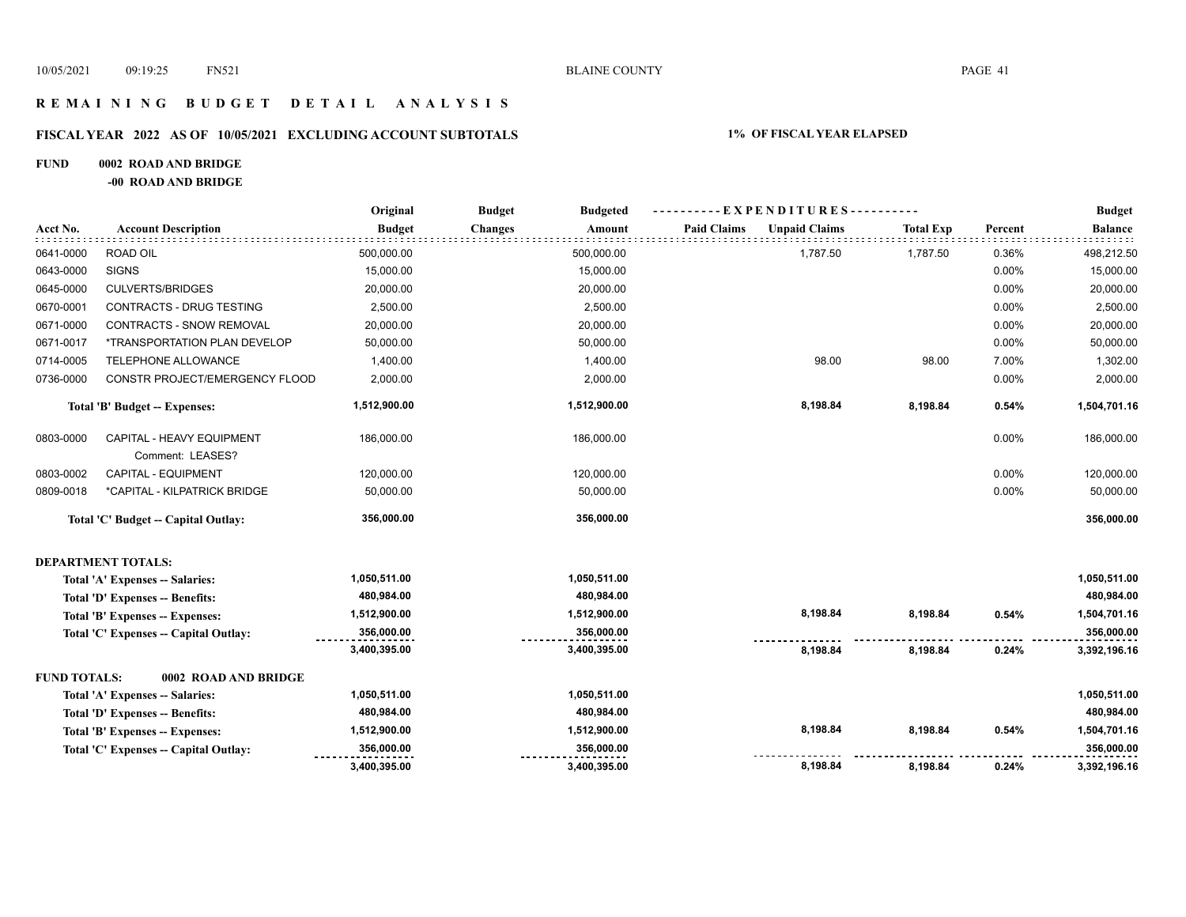# **R E M A I N I N G B U D G E T D E T A I L A N A L Y S I S**

# **FISCAL YEAR 2022 AS OF 10/05/2021 EXCLUDING ACCOUNT SUBTOTALS 1% OF FISCAL YEAR ELAPSED**

#### **FUND 0002 ROAD AND BRIDGE**

**-00 ROAD AND BRIDGE**

|                     |                                               | Original      | <b>Budget</b><br><b>Budgeted</b> | ----------EXPENDITURES----------           |                  |         | <b>Budget</b>  |
|---------------------|-----------------------------------------------|---------------|----------------------------------|--------------------------------------------|------------------|---------|----------------|
| Acct No.            | <b>Account Description</b>                    | <b>Budget</b> | <b>Changes</b><br>Amount         | <b>Paid Claims</b><br><b>Unpaid Claims</b> | <b>Total Exp</b> | Percent | <b>Balance</b> |
| 0641-0000           | <b>ROAD OIL</b>                               | 500,000.00    | 500,000.00                       | 1,787.50                                   | 1,787.50         | 0.36%   | 498,212.50     |
| 0643-0000           | <b>SIGNS</b>                                  | 15,000.00     | 15,000.00                        |                                            |                  | 0.00%   | 15,000.00      |
| 0645-0000           | <b>CULVERTS/BRIDGES</b>                       | 20,000.00     | 20,000.00                        |                                            |                  | 0.00%   | 20,000.00      |
| 0670-0001           | CONTRACTS - DRUG TESTING                      | 2,500.00      | 2,500.00                         |                                            |                  | 0.00%   | 2,500.00       |
| 0671-0000           | <b>CONTRACTS - SNOW REMOVAL</b>               | 20,000.00     | 20,000.00                        |                                            |                  | 0.00%   | 20,000.00      |
| 0671-0017           | *TRANSPORTATION PLAN DEVELOP                  | 50,000.00     | 50,000.00                        |                                            |                  | 0.00%   | 50,000.00      |
| 0714-0005           | TELEPHONE ALLOWANCE                           | 1,400.00      | 1,400.00                         | 98.00                                      | 98.00            | 7.00%   | 1,302.00       |
| 0736-0000           | CONSTR PROJECT/EMERGENCY FLOOD                | 2,000.00      | 2,000.00                         |                                            |                  | 0.00%   | 2,000.00       |
|                     | Total 'B' Budget -- Expenses:                 | 1,512,900.00  | 1,512,900.00                     | 8,198.84                                   | 8,198.84         | 0.54%   | 1,504,701.16   |
| 0803-0000           | CAPITAL - HEAVY EQUIPMENT<br>Comment: LEASES? | 186,000.00    | 186,000.00                       |                                            |                  | 0.00%   | 186,000.00     |
| 0803-0002           | CAPITAL - EQUIPMENT                           | 120,000.00    | 120,000.00                       |                                            |                  | 0.00%   | 120,000.00     |
| 0809-0018           | *CAPITAL - KILPATRICK BRIDGE                  | 50,000.00     | 50,000.00                        |                                            |                  | 0.00%   | 50,000.00      |
|                     | Total 'C' Budget -- Capital Outlay:           | 356,000.00    | 356,000.00                       |                                            |                  |         | 356,000.00     |
|                     | <b>DEPARTMENT TOTALS:</b>                     |               |                                  |                                            |                  |         |                |
|                     | Total 'A' Expenses -- Salaries:               | 1,050,511.00  | 1,050,511.00                     |                                            |                  |         | 1,050,511.00   |
|                     | <b>Total 'D' Expenses -- Benefits:</b>        | 480,984.00    | 480,984.00                       |                                            |                  |         | 480,984.00     |
|                     | Total 'B' Expenses -- Expenses:               | 1,512,900.00  | 1,512,900.00                     | 8,198.84                                   | 8,198.84         | 0.54%   | 1,504,701.16   |
|                     | Total 'C' Expenses -- Capital Outlay:         | 356,000.00    | 356,000.00                       |                                            |                  |         | 356,000.00     |
|                     |                                               | 3,400,395.00  | 3,400,395.00                     | 8,198.84                                   | 8,198.84         | 0.24%   | 3,392,196.16   |
| <b>FUND TOTALS:</b> | 0002 ROAD AND BRIDGE                          |               |                                  |                                            |                  |         |                |
|                     | Total 'A' Expenses -- Salaries:               | 1,050,511.00  | 1,050,511.00                     |                                            |                  |         | 1,050,511.00   |
|                     | Total 'D' Expenses -- Benefits:               | 480,984.00    | 480,984.00                       |                                            |                  |         | 480,984.00     |
|                     | Total 'B' Expenses -- Expenses:               | 1,512,900.00  | 1,512,900.00                     | 8,198.84                                   | 8,198.84         | 0.54%   | 1,504,701.16   |
|                     | Total 'C' Expenses - Capital Outlay:          | 356,000.00    | 356,000.00                       |                                            |                  |         | 356,000.00     |
|                     |                                               | 3,400,395.00  | 3,400,395.00                     | 8,198.84                                   | 8,198.84         | 0.24%   | 3,392,196.16   |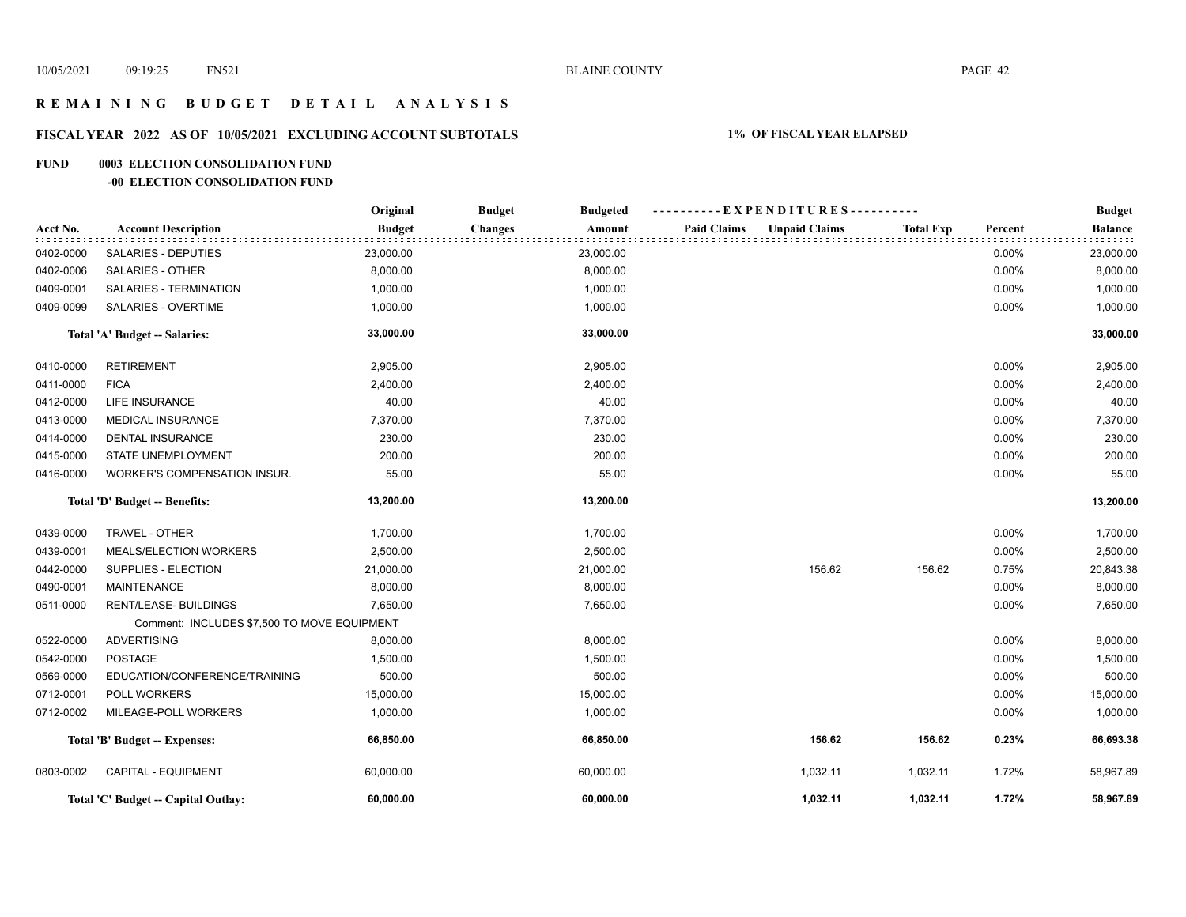# **R E M A I N I N G B U D G E T D E T A I L A N A L Y S I S**

# **FISCAL YEAR 2022 AS OF 10/05/2021 EXCLUDING ACCOUNT SUBTOTALS 1% OF FISCAL YEAR ELAPSED**

#### **FUND 0003 ELECTION CONSOLIDATION FUND**

#### **-00 ELECTION CONSOLIDATION FUND**

|           |                                             | Original      | <b>Budget</b><br><b>Budgeted</b> | ----------EXPENDITURES----------           |                  |         | <b>Budget</b>  |
|-----------|---------------------------------------------|---------------|----------------------------------|--------------------------------------------|------------------|---------|----------------|
| Acct No.  | <b>Account Description</b>                  | <b>Budget</b> | <b>Changes</b><br>Amount         | <b>Paid Claims</b><br><b>Unpaid Claims</b> | <b>Total Exp</b> | Percent | <b>Balance</b> |
| 0402-0000 | <b>SALARIES - DEPUTIES</b>                  | 23,000.00     | 23,000.00                        |                                            |                  | 0.00%   | 23,000.00      |
| 0402-0006 | <b>SALARIES - OTHER</b>                     | 8,000.00      | 8,000.00                         |                                            |                  | 0.00%   | 8,000.00       |
| 0409-0001 | SALARIES - TERMINATION                      | 1,000.00      | 1,000.00                         |                                            |                  | 0.00%   | 1,000.00       |
| 0409-0099 | <b>SALARIES - OVERTIME</b>                  | 1,000.00      | 1,000.00                         |                                            |                  | 0.00%   | 1,000.00       |
|           | Total 'A' Budget -- Salaries:               | 33,000.00     | 33,000.00                        |                                            |                  |         | 33,000.00      |
| 0410-0000 | <b>RETIREMENT</b>                           | 2,905.00      | 2,905.00                         |                                            |                  | 0.00%   | 2,905.00       |
| 0411-0000 | <b>FICA</b>                                 | 2,400.00      | 2,400.00                         |                                            |                  | 0.00%   | 2,400.00       |
| 0412-0000 | <b>LIFE INSURANCE</b>                       | 40.00         | 40.00                            |                                            |                  | 0.00%   | 40.00          |
| 0413-0000 | <b>MEDICAL INSURANCE</b>                    | 7,370.00      | 7,370.00                         |                                            |                  | 0.00%   | 7,370.00       |
| 0414-0000 | <b>DENTAL INSURANCE</b>                     | 230.00        | 230.00                           |                                            |                  | 0.00%   | 230.00         |
| 0415-0000 | STATE UNEMPLOYMENT                          | 200.00        | 200.00                           |                                            |                  | 0.00%   | 200.00         |
| 0416-0000 | <b>WORKER'S COMPENSATION INSUR.</b>         | 55.00         | 55.00                            |                                            |                  | 0.00%   | 55.00          |
|           | Total 'D' Budget -- Benefits:               | 13,200.00     | 13,200.00                        |                                            |                  |         | 13,200.00      |
| 0439-0000 | TRAVEL - OTHER                              | 1,700.00      | 1,700.00                         |                                            |                  | 0.00%   | 1,700.00       |
| 0439-0001 | MEALS/ELECTION WORKERS                      | 2,500.00      | 2,500.00                         |                                            |                  | 0.00%   | 2,500.00       |
| 0442-0000 | SUPPLIES - ELECTION                         | 21,000.00     | 21,000.00                        | 156.62                                     | 156.62           | 0.75%   | 20,843.38      |
| 0490-0001 | <b>MAINTENANCE</b>                          | 8,000.00      | 8,000.00                         |                                            |                  | 0.00%   | 8,000.00       |
| 0511-0000 | RENT/LEASE- BUILDINGS                       | 7,650.00      | 7,650.00                         |                                            |                  | 0.00%   | 7,650.00       |
|           | Comment: INCLUDES \$7,500 TO MOVE EQUIPMENT |               |                                  |                                            |                  |         |                |
| 0522-0000 | <b>ADVERTISING</b>                          | 8,000.00      | 8,000.00                         |                                            |                  | 0.00%   | 8,000.00       |
| 0542-0000 | <b>POSTAGE</b>                              | 1,500.00      | 1,500.00                         |                                            |                  | 0.00%   | 1,500.00       |
| 0569-0000 | EDUCATION/CONFERENCE/TRAINING               | 500.00        | 500.00                           |                                            |                  | 0.00%   | 500.00         |
| 0712-0001 | POLL WORKERS                                | 15,000.00     | 15,000.00                        |                                            |                  | 0.00%   | 15,000.00      |
| 0712-0002 | MILEAGE-POLL WORKERS                        | 1,000.00      | 1,000.00                         |                                            |                  | 0.00%   | 1,000.00       |
|           | Total 'B' Budget -- Expenses:               | 66,850.00     | 66,850.00                        | 156.62                                     | 156.62           | 0.23%   | 66,693.38      |
| 0803-0002 | <b>CAPITAL - EQUIPMENT</b>                  | 60,000.00     | 60,000.00                        | 1,032.11                                   | 1,032.11         | 1.72%   | 58,967.89      |
|           | Total 'C' Budget -- Capital Outlay:         | 60,000.00     | 60,000.00                        | 1,032.11                                   | 1,032.11         | 1.72%   | 58,967.89      |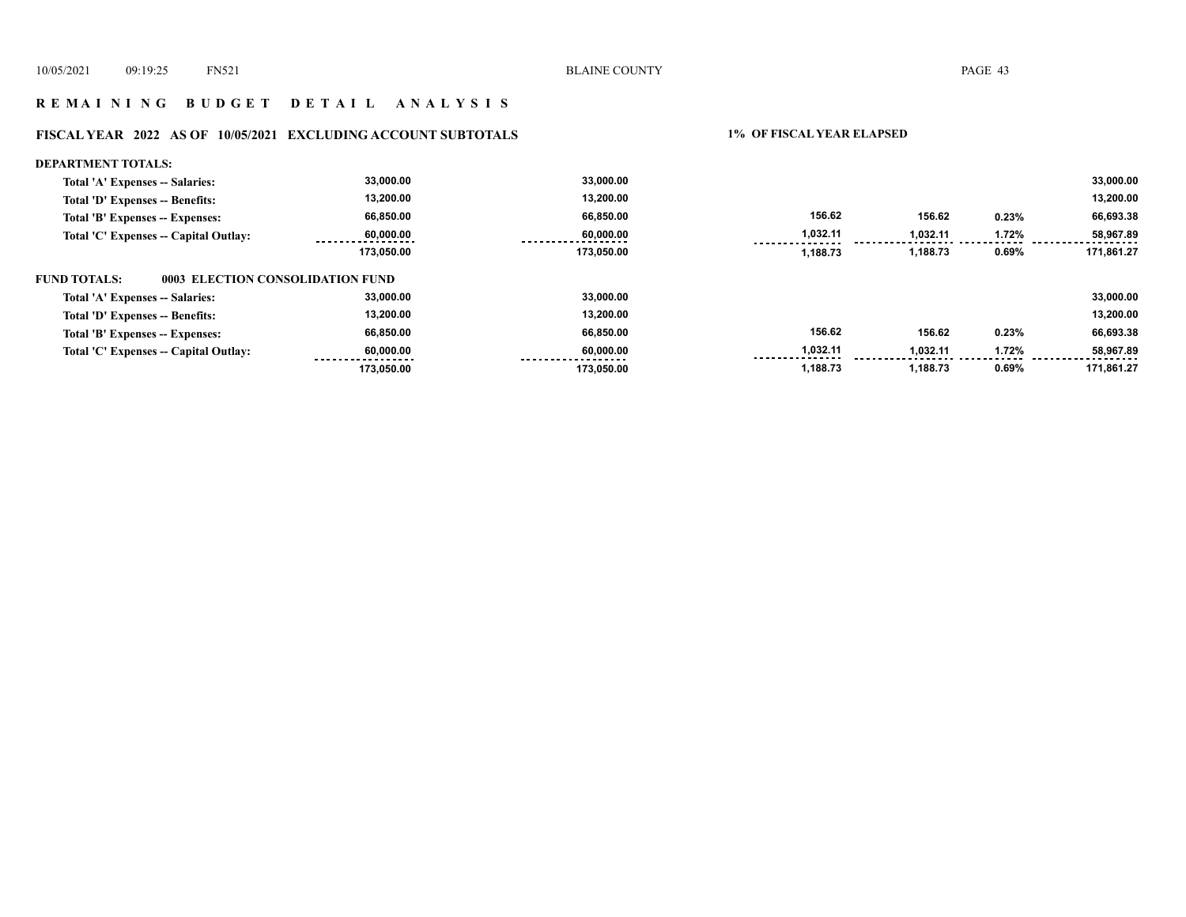# **R E M A I N I N G B U D G E T D E T A I L A N A L Y S I S**

# **FISCAL YEAR 2022 AS OF 10/05/2021 EXCLUDING ACCOUNT SUBTOTALS 1% OF FISCAL YEAR ELAPSED**

| DEPARTMENT TOTALS:                               |            |            |          |          |       |            |
|--------------------------------------------------|------------|------------|----------|----------|-------|------------|
| Total 'A' Expenses -- Salaries:                  | 33,000.00  | 33.000.00  |          |          |       | 33,000.00  |
| Total 'D' Expenses -- Benefits:                  | 13,200.00  | 13,200.00  |          |          |       | 13,200.00  |
| Total 'B' Expenses -- Expenses:                  | 66,850.00  | 66.850.00  | 156.62   | 156.62   | 0.23% | 66,693.38  |
| Total 'C' Expenses -- Capital Outlay:            | 60,000.00  | 60,000.00  | 1,032.11 | 1,032.11 | 1.72% | 58,967.89  |
|                                                  | 173.050.00 | 173,050.00 | 1,188.73 | 1,188.73 | 0.69% | 171.861.27 |
| FUND TOTALS:<br>0003 ELECTION CONSOLIDATION FUND |            |            |          |          |       |            |
| Total 'A' Expenses -- Salaries:                  | 33.000.00  | 33.000.00  |          |          |       | 33,000.00  |
| Total 'D' Expenses -- Benefits:                  | 13,200.00  | 13,200.00  |          |          |       | 13,200.00  |
| Total 'B' Expenses -- Expenses:                  | 66,850.00  | 66.850.00  | 156.62   | 156.62   | 0.23% | 66,693.38  |
| Total 'C' Expenses -- Capital Outlay:            | 60,000.00  | 60.000.00  | 1,032.11 | 1,032.11 | 1.72% | 58,967.89  |
|                                                  | 173.050.00 | 173.050.00 | 1,188.73 | 1,188.73 | 0.69% | 171.861.27 |
|                                                  |            |            |          |          |       |            |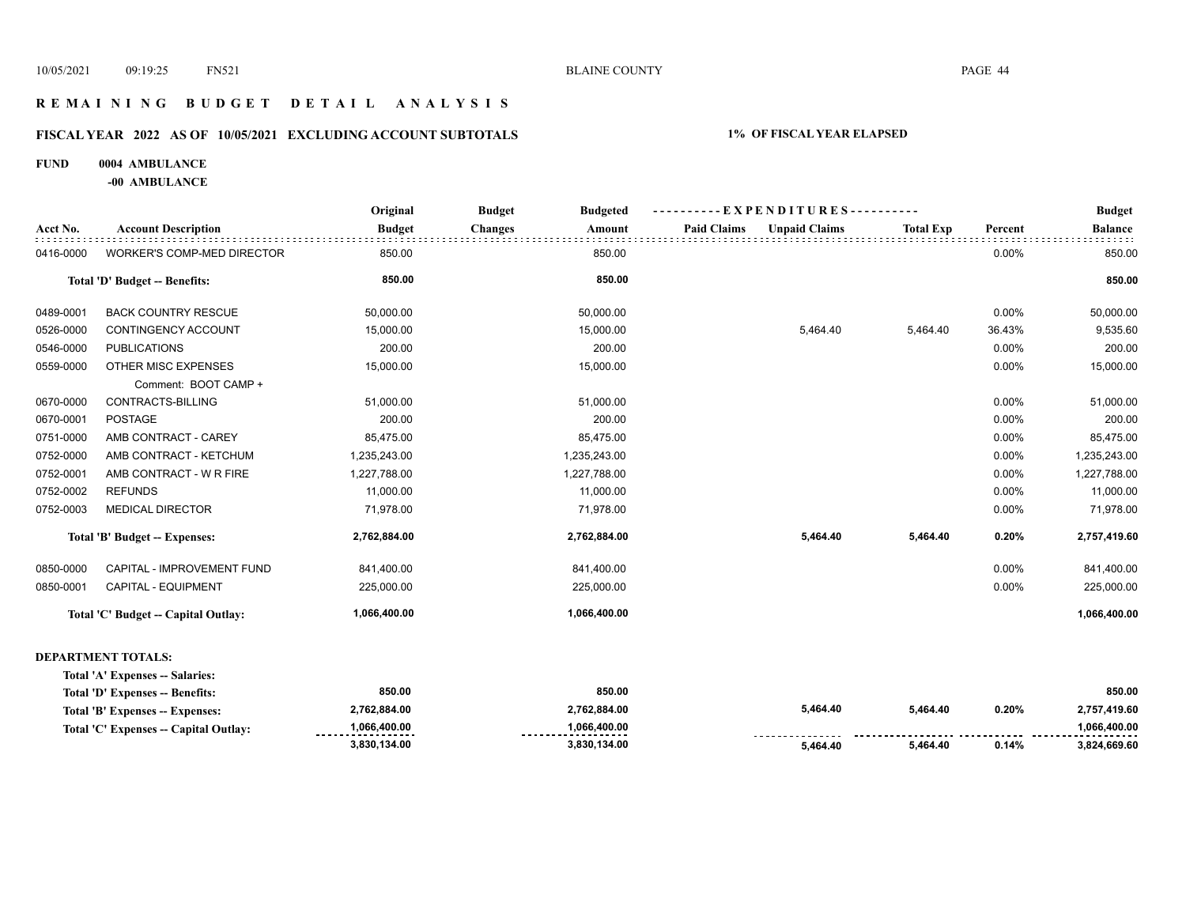# **R E M A I N I N G B U D G E T D E T A I L A N A L Y S I S**

# **FISCAL YEAR 2022 AS OF 10/05/2021 EXCLUDING ACCOUNT SUBTOTALS 1% OF FISCAL YEAR ELAPSED**

#### **FUND 0004 AMBULANCE**

**-00 AMBULANCE**

|           |                                     | Original      | <b>Budget</b><br><b>Budgeted</b> | --EXPENDITURES----------                   |                  | <b>Budget</b> |                |
|-----------|-------------------------------------|---------------|----------------------------------|--------------------------------------------|------------------|---------------|----------------|
| Acct No.  | <b>Account Description</b>          | <b>Budget</b> | <b>Changes</b><br>Amount         | <b>Paid Claims</b><br><b>Unpaid Claims</b> | <b>Total Exp</b> | Percent       | <b>Balance</b> |
| 0416-0000 | WORKER'S COMP-MED DIRECTOR          | 850.00        | 850.00                           |                                            |                  | 0.00%         | 850.00         |
|           | Total 'D' Budget -- Benefits:       | 850.00        | 850.00                           |                                            |                  |               | 850.00         |
| 0489-0001 | <b>BACK COUNTRY RESCUE</b>          | 50,000.00     | 50,000.00                        |                                            |                  | 0.00%         | 50,000.00      |
| 0526-0000 | CONTINGENCY ACCOUNT                 | 15,000.00     | 15,000.00                        | 5,464.40                                   | 5,464.40         | 36.43%        | 9,535.60       |
| 0546-0000 | <b>PUBLICATIONS</b>                 | 200.00        | 200.00                           |                                            |                  | 0.00%         | 200.00         |
| 0559-0000 | OTHER MISC EXPENSES                 | 15,000.00     | 15,000.00                        |                                            |                  | 0.00%         | 15,000.00      |
|           | Comment: BOOT CAMP +                |               |                                  |                                            |                  |               |                |
| 0670-0000 | CONTRACTS-BILLING                   | 51,000.00     | 51,000.00                        |                                            |                  | 0.00%         | 51,000.00      |
| 0670-0001 | <b>POSTAGE</b>                      | 200.00        | 200.00                           |                                            |                  | 0.00%         | 200.00         |
| 0751-0000 | AMB CONTRACT - CAREY                | 85,475.00     | 85,475.00                        |                                            |                  | 0.00%         | 85,475.00      |
| 0752-0000 | AMB CONTRACT - KETCHUM              | 1,235,243.00  | 1,235,243.00                     |                                            |                  | 0.00%         | 1,235,243.00   |
| 0752-0001 | AMB CONTRACT - W R FIRE             | 1,227,788.00  | 1,227,788.00                     |                                            |                  | 0.00%         | 1,227,788.00   |
| 0752-0002 | <b>REFUNDS</b>                      | 11,000.00     | 11,000.00                        |                                            |                  | 0.00%         | 11,000.00      |
| 0752-0003 | <b>MEDICAL DIRECTOR</b>             | 71,978.00     | 71,978.00                        |                                            |                  | 0.00%         | 71,978.00      |
|           | Total 'B' Budget -- Expenses:       | 2,762,884.00  | 2,762,884.00                     | 5,464.40                                   | 5,464.40         | 0.20%         | 2,757,419.60   |
| 0850-0000 | <b>CAPITAL - IMPROVEMENT FUND</b>   | 841,400.00    | 841,400.00                       |                                            |                  | 0.00%         | 841,400.00     |
| 0850-0001 | <b>CAPITAL - EQUIPMENT</b>          | 225,000.00    | 225,000.00                       |                                            |                  | 0.00%         | 225,000.00     |
|           | Total 'C' Budget -- Capital Outlay: | 1,066,400.00  | 1,066,400.00                     |                                            |                  |               | 1,066,400.00   |
|           |                                     |               |                                  |                                            |                  |               |                |

#### **DEPARTMENT TOTALS:**

| Total 'A' Expenses -- Salaries:       |                                   |                  |                             |          |       |                         |
|---------------------------------------|-----------------------------------|------------------|-----------------------------|----------|-------|-------------------------|
| Total 'D' Expenses -- Benefits:       | 850.00                            | 850.00           |                             |          |       | 850.00                  |
| Total 'B' Expenses -- Expenses:       | 2.762.884.00                      | 2.762.884.00     | 5,464.40                    | 5.464.40 | 0.20% | 2.757.419.60            |
| Total 'C' Expenses -- Capital Outlay: | 1.066.400.00<br>----------------- | 1.066.400.00<br> |                             |          |       | 1.066.400.00<br>------- |
|                                       | 3,830,134.00                      | 3,830,134.00     | ---------------<br>5.464.40 | 5.464.40 | 0.14% | 3,824,669.60            |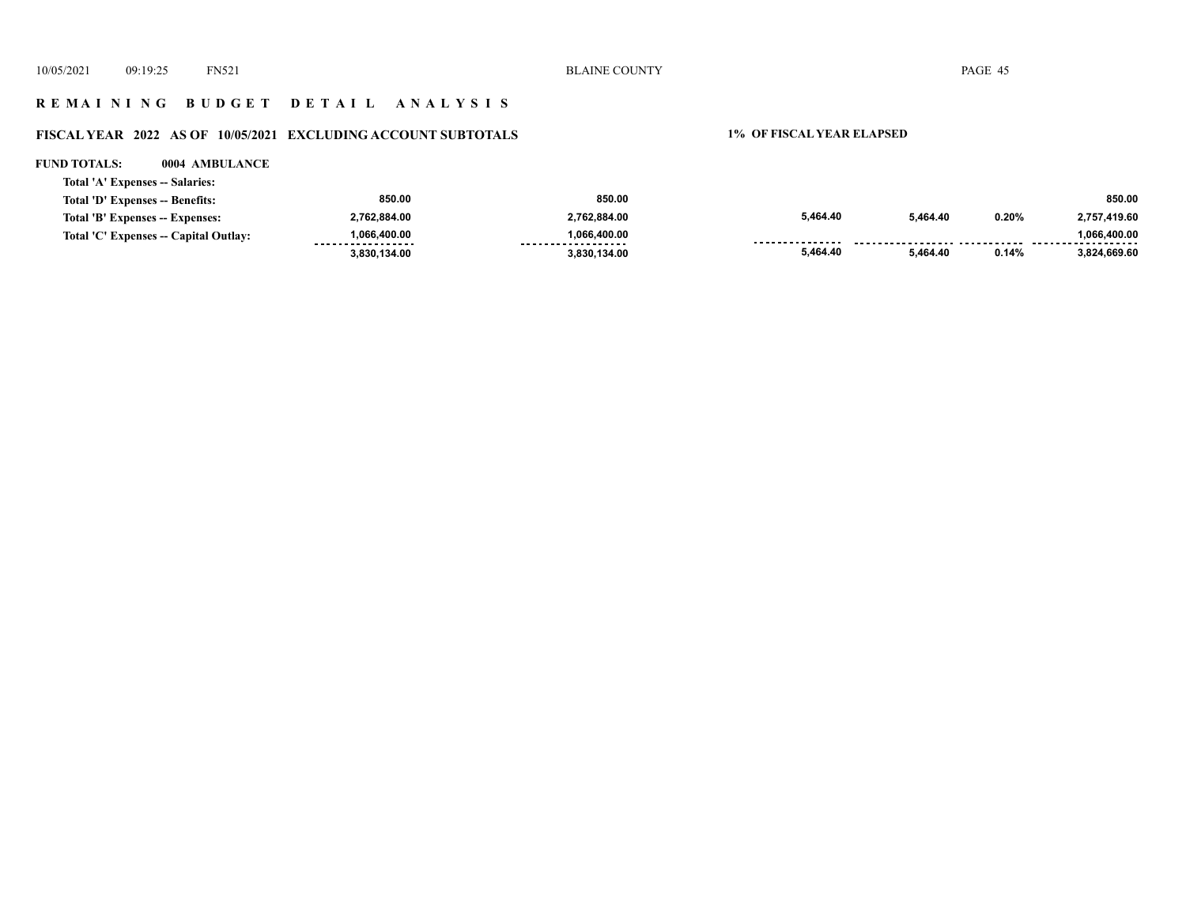# **R E M A I N I N G B U D G E T D E T A I L A N A L Y S I S**

# **FISCAL YEAR 2022 AS OF 10/05/2021 EXCLUDING ACCOUNT SUBTOTALS 1% OF FISCAL YEAR ELAPSED**

#### **FUND TOTALS: 0004 AMBULANCE**

| Total 'A' Expenses -- Salaries:       |                                   |                                    |          |          |       |              |
|---------------------------------------|-----------------------------------|------------------------------------|----------|----------|-------|--------------|
| Total 'D' Expenses -- Benefits:       | 850.00                            | 850.00                             |          |          |       | 850.00       |
| Total 'B' Expenses -- Expenses:       | 2,762,884.00                      | 2,762,884.00                       | 5,464.40 | 5.464.40 | 0.20% | 2.757.419.60 |
| Total 'C' Expenses -- Capital Outlay: | 1.066.400.00<br>----------------- | 1.066.400.00<br>------------------ |          |          |       | 1.066.400.00 |
|                                       | 3,830,134.00                      | 3,830,134.00                       | 5.464.40 | 5.464.40 | 0.14% | 3.824.669.60 |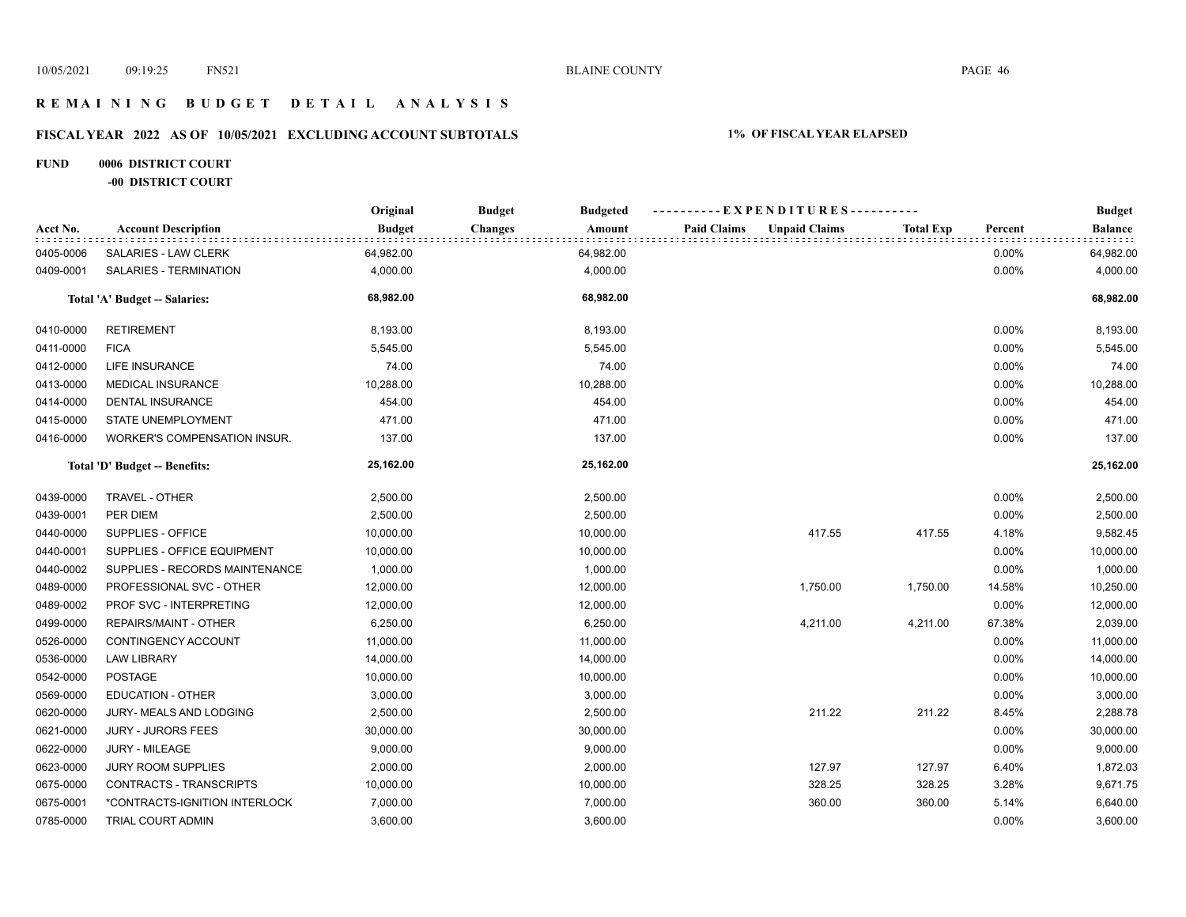# **R E M A I N I N G B U D G E T D E T A I L A N A L Y S I S**

# **FISCAL YEAR 2022 AS OF 10/05/2021 EXCLUDING ACCOUNT SUBTOTALS 1% OF FISCAL YEAR ELAPSED**

# **FUND 0006 DISTRICT COURT -00 DISTRICT COURT**

|           |                                | Original      | <b>Budget</b><br><b>Budgeted</b> |                                            | ----------EXPENDITURES---------- |         | <b>Budget</b>  |
|-----------|--------------------------------|---------------|----------------------------------|--------------------------------------------|----------------------------------|---------|----------------|
| Acct No.  | <b>Account Description</b>     | <b>Budget</b> | <b>Changes</b><br>Amount         | <b>Paid Claims</b><br><b>Unpaid Claims</b> | Total Exp                        | Percent | <b>Balance</b> |
| 0405-0006 | SALARIES - LAW CLERK           | 64,982.00     | 64,982.00                        |                                            |                                  | 0.00%   | 64,982.00      |
| 0409-0001 | SALARIES - TERMINATION         | 4,000.00      | 4,000.00                         |                                            |                                  | 0.00%   | 4,000.00       |
|           | Total 'A' Budget -- Salaries:  | 68,982.00     | 68,982.00                        |                                            |                                  |         | 68,982.00      |
| 0410-0000 | <b>RETIREMENT</b>              | 8,193.00      | 8,193.00                         |                                            |                                  | 0.00%   | 8,193.00       |
| 0411-0000 | <b>FICA</b>                    | 5,545.00      | 5,545.00                         |                                            |                                  | 0.00%   | 5,545.00       |
| 0412-0000 | LIFE INSURANCE                 | 74.00         | 74.00                            |                                            |                                  | 0.00%   | 74.00          |
| 0413-0000 | <b>MEDICAL INSURANCE</b>       | 10,288.00     | 10,288.00                        |                                            |                                  | 0.00%   | 10,288.00      |
| 0414-0000 | <b>DENTAL INSURANCE</b>        | 454.00        | 454.00                           |                                            |                                  | 0.00%   | 454.00         |
| 0415-0000 | STATE UNEMPLOYMENT             | 471.00        | 471.00                           |                                            |                                  | 0.00%   | 471.00         |
| 0416-0000 | WORKER'S COMPENSATION INSUR.   | 137.00        | 137.00                           |                                            |                                  | 0.00%   | 137.00         |
|           | Total 'D' Budget -- Benefits:  | 25,162.00     | 25,162.00                        |                                            |                                  |         | 25,162.00      |
| 0439-0000 | TRAVEL - OTHER                 | 2,500.00      | 2,500.00                         |                                            |                                  | 0.00%   | 2,500.00       |
| 0439-0001 | PER DIEM                       | 2,500.00      | 2,500.00                         |                                            |                                  | 0.00%   | 2,500.00       |
| 0440-0000 | SUPPLIES - OFFICE              | 10,000.00     | 10,000.00                        | 417.55                                     | 417.55                           | 4.18%   | 9,582.45       |
| 0440-0001 | SUPPLIES - OFFICE EQUIPMENT    | 10,000.00     | 10,000.00                        |                                            |                                  | 0.00%   | 10,000.00      |
| 0440-0002 | SUPPLIES - RECORDS MAINTENANCE | 1,000.00      | 1,000.00                         |                                            |                                  | 0.00%   | 1,000.00       |
| 0489-0000 | PROFESSIONAL SVC - OTHER       | 12,000.00     | 12,000.00                        | 1,750.00                                   | 1,750.00                         | 14.58%  | 10,250.00      |
| 0489-0002 | PROF SVC - INTERPRETING        | 12,000.00     | 12,000.00                        |                                            |                                  | 0.00%   | 12,000.00      |
| 0499-0000 | REPAIRS/MAINT - OTHER          | 6,250.00      | 6,250.00                         | 4,211.00                                   | 4,211.00                         | 67.38%  | 2,039.00       |
| 0526-0000 | CONTINGENCY ACCOUNT            | 11,000.00     | 11,000.00                        |                                            |                                  | 0.00%   | 11,000.00      |
| 0536-0000 | <b>LAW LIBRARY</b>             | 14,000.00     | 14,000.00                        |                                            |                                  | 0.00%   | 14,000.00      |
| 0542-0000 | POSTAGE                        | 10,000.00     | 10,000.00                        |                                            |                                  | 0.00%   | 10,000.00      |
| 0569-0000 | <b>EDUCATION - OTHER</b>       | 3,000.00      | 3,000.00                         |                                            |                                  | 0.00%   | 3,000.00       |
| 0620-0000 | JURY- MEALS AND LODGING        | 2,500.00      | 2,500.00                         | 211.22                                     | 211.22                           | 8.45%   | 2,288.78       |
| 0621-0000 | <b>JURY - JURORS FEES</b>      | 30,000.00     | 30,000.00                        |                                            |                                  | 0.00%   | 30,000.00      |
| 0622-0000 | JURY - MILEAGE                 | 9,000.00      | 9,000.00                         |                                            |                                  | 0.00%   | 9,000.00       |
| 0623-0000 | JURY ROOM SUPPLIES             | 2,000.00      | 2,000.00                         | 127.97                                     | 127.97                           | 6.40%   | 1,872.03       |
| 0675-0000 | CONTRACTS - TRANSCRIPTS        | 10,000.00     | 10,000.00                        | 328.25                                     | 328.25                           | 3.28%   | 9,671.75       |
| 0675-0001 | *CONTRACTS-IGNITION INTERLOCK  | 7,000.00      | 7,000.00                         | 360.00                                     | 360.00                           | 5.14%   | 6,640.00       |
| 0785-0000 | TRIAL COURT ADMIN              | 3,600.00      | 3,600.00                         |                                            |                                  | 0.00%   | 3,600.00       |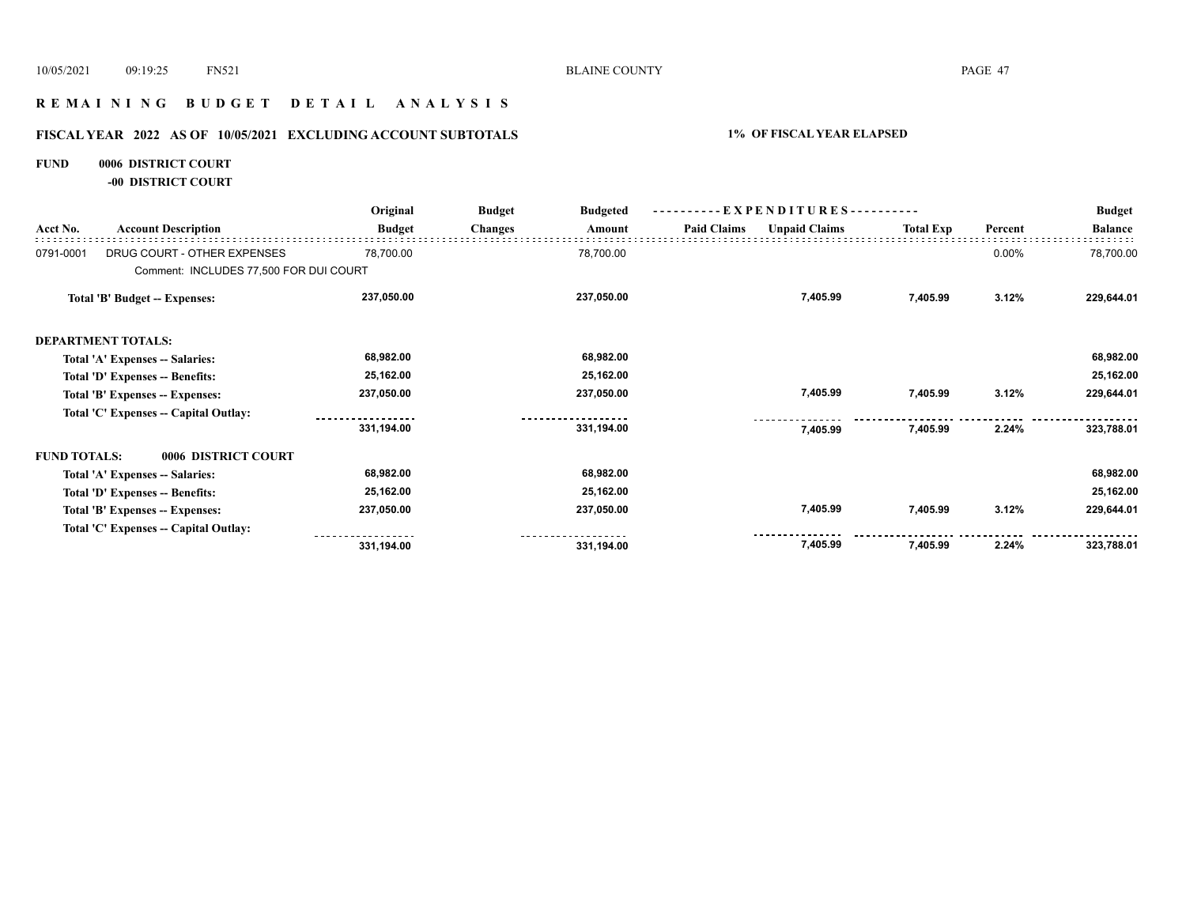# **R E M A I N I N G B U D G E T D E T A I L A N A L Y S I S**

# **FISCAL YEAR 2022 AS OF 10/05/2021 EXCLUDING ACCOUNT SUBTOTALS 1% OF FISCAL YEAR ELAPSED**

#### **FUND 0006 DISTRICT COURT**

**-00 DISTRICT COURT**

|                     |                                        | Original      | <b>Budget</b><br><b>Budgeted</b> | $-EXPENDITURES---$ |                    |                      |                  | <b>Budget</b> |                |
|---------------------|----------------------------------------|---------------|----------------------------------|--------------------|--------------------|----------------------|------------------|---------------|----------------|
| Acct No.            | <b>Account Description</b>             | <b>Budget</b> | <b>Changes</b>                   | Amount             | <b>Paid Claims</b> | <b>Unpaid Claims</b> | <b>Total Exp</b> | Percent       | <b>Balance</b> |
| 0791-0001           | DRUG COURT - OTHER EXPENSES            | 78,700.00     |                                  | 78,700.00          |                    |                      |                  | 0.00%         | 78,700.00      |
|                     | Comment: INCLUDES 77,500 FOR DUI COURT |               |                                  |                    |                    |                      |                  |               |                |
|                     | Total 'B' Budget -- Expenses:          | 237,050.00    |                                  | 237,050.00         |                    | 7,405.99             | 7,405.99         | 3.12%         | 229,644.01     |
|                     | <b>DEPARTMENT TOTALS:</b>              |               |                                  |                    |                    |                      |                  |               |                |
|                     | Total 'A' Expenses -- Salaries:        | 68,982.00     |                                  | 68,982.00          |                    |                      |                  |               | 68,982.00      |
|                     | Total 'D' Expenses -- Benefits:        | 25,162.00     |                                  | 25,162.00          |                    |                      |                  |               | 25,162.00      |
|                     | Total 'B' Expenses -- Expenses:        | 237,050.00    |                                  | 237,050.00         |                    | 7,405.99             | 7,405.99         | 3.12%         | 229,644.01     |
|                     | Total 'C' Expenses -- Capital Outlay:  |               |                                  |                    |                    |                      |                  |               |                |
|                     |                                        | 331,194.00    |                                  | 331,194.00         |                    | 7,405.99             | 7,405.99         | 2.24%         | 323,788.01     |
| <b>FUND TOTALS:</b> | 0006 DISTRICT COURT                    |               |                                  |                    |                    |                      |                  |               |                |
|                     | Total 'A' Expenses -- Salaries:        | 68,982.00     |                                  | 68,982.00          |                    |                      |                  |               | 68,982.00      |
|                     | Total 'D' Expenses -- Benefits:        | 25,162.00     |                                  | 25,162.00          |                    |                      |                  |               | 25,162.00      |
|                     | Total 'B' Expenses -- Expenses:        | 237,050.00    |                                  | 237,050.00         |                    | 7,405.99             | 7,405.99         | 3.12%         | 229,644.01     |
|                     | Total 'C' Expenses -- Capital Outlay:  |               |                                  |                    |                    |                      |                  |               |                |
|                     |                                        | 331,194.00    |                                  | 331,194.00         |                    | 7,405.99             | 7,405.99         | 2.24%         | 323,788.01     |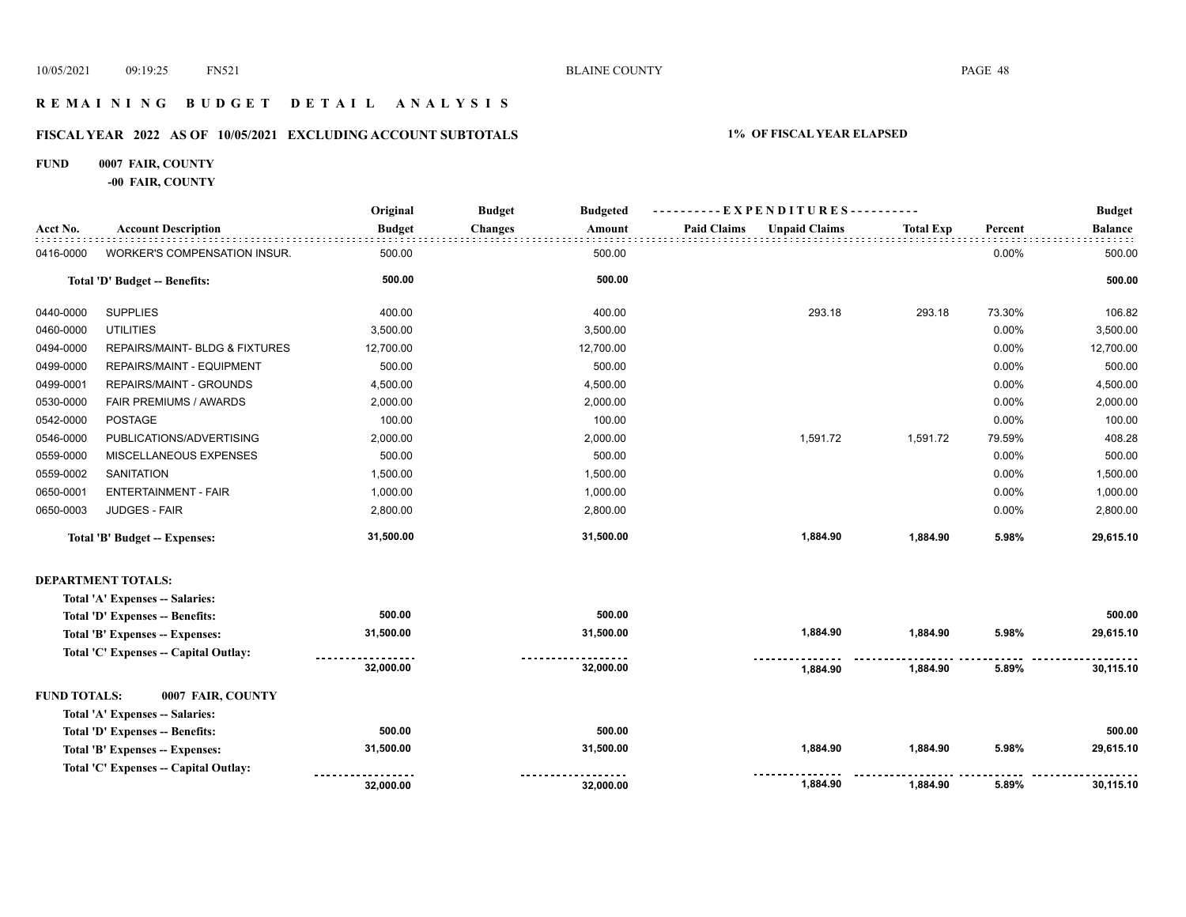# **R E M A I N I N G B U D G E T D E T A I L A N A L Y S I S**

# **FISCAL YEAR 2022 AS OF 10/05/2021 EXCLUDING ACCOUNT SUBTOTALS 1% OF FISCAL YEAR ELAPSED**

#### **FUND 0007 FAIR, COUNTY**

**-00 FAIR, COUNTY**

|           |                                      | Original      | <b>Budget</b>  | <b>Budgeted</b> |                    | ----------EXPENDITURES---------- |                  |         | <b>Budget</b>  |
|-----------|--------------------------------------|---------------|----------------|-----------------|--------------------|----------------------------------|------------------|---------|----------------|
| Acct No.  | <b>Account Description</b>           | <b>Budget</b> | <b>Changes</b> | Amount          | <b>Paid Claims</b> | <b>Unpaid Claims</b>             | <b>Total Exp</b> | Percent | <b>Balance</b> |
| 0416-0000 | WORKER'S COMPENSATION INSUR.         | 500.00        |                | 500.00          |                    |                                  |                  | 0.00%   | 500.00         |
|           | Total 'D' Budget -- Benefits:        | 500.00        |                | 500.00          |                    |                                  |                  |         | 500.00         |
| 0440-0000 | <b>SUPPLIES</b>                      | 400.00        |                | 400.00          |                    | 293.18                           | 293.18           | 73.30%  | 106.82         |
| 0460-0000 | <b>UTILITIES</b>                     | 3,500.00      |                | 3,500.00        |                    |                                  |                  | 0.00%   | 3,500.00       |
| 0494-0000 | REPAIRS/MAINT- BLDG & FIXTURES       | 12,700.00     |                | 12,700.00       |                    |                                  |                  | 0.00%   | 12,700.00      |
| 0499-0000 | REPAIRS/MAINT - EQUIPMENT            | 500.00        |                | 500.00          |                    |                                  |                  | 0.00%   | 500.00         |
| 0499-0001 | REPAIRS/MAINT - GROUNDS              | 4,500.00      |                | 4,500.00        |                    |                                  |                  | 0.00%   | 4,500.00       |
| 0530-0000 | FAIR PREMIUMS / AWARDS               | 2,000.00      |                | 2,000.00        |                    |                                  |                  | 0.00%   | 2,000.00       |
| 0542-0000 | <b>POSTAGE</b>                       | 100.00        |                | 100.00          |                    |                                  |                  | 0.00%   | 100.00         |
| 0546-0000 | PUBLICATIONS/ADVERTISING             | 2,000.00      |                | 2,000.00        |                    | 1,591.72                         | 1,591.72         | 79.59%  | 408.28         |
| 0559-0000 | MISCELLANEOUS EXPENSES               | 500.00        |                | 500.00          |                    |                                  |                  | 0.00%   | 500.00         |
| 0559-0002 | <b>SANITATION</b>                    | 1,500.00      |                | 1,500.00        |                    |                                  |                  | 0.00%   | 1,500.00       |
| 0650-0001 | <b>ENTERTAINMENT - FAIR</b>          | 1,000.00      |                | 1,000.00        |                    |                                  |                  | 0.00%   | 1,000.00       |
| 0650-0003 | <b>JUDGES - FAIR</b>                 | 2,800.00      |                | 2,800.00        |                    |                                  |                  | 0.00%   | 2,800.00       |
|           | <b>Total 'B' Budget -- Expenses:</b> | 31,500.00     |                | 31,500.00       |                    | 1,884.90                         | 1,884.90         | 5.98%   | 29,615.10      |

#### **DEPARTMENT TOTALS:**

| 500.00         | 500.00         |          |          |       | 500.00    |
|----------------|----------------|----------|----------|-------|-----------|
| 31,500.00      | 31.500.00      | 1.884.90 | 1.884.90 | 5.98% | 29,615.10 |
| .              | .              |          |          |       |           |
| 32,000.00      | 32,000.00      | 1.884.90 | 1.884.90 | 5.89% | 30.115.10 |
|                |                |          |          |       |           |
| 500.00         | 500.00         |          |          |       | 500.00    |
| 31.500.00      | 31.500.00      | 1.884.90 | 1.884.90 | 5.98% | 29,615.10 |
| .<br>32.000.00 | .<br>32.000.00 | 1.884.90 | 1.884.90 | 5.89% | 30.115.10 |
|                |                |          |          |       |           |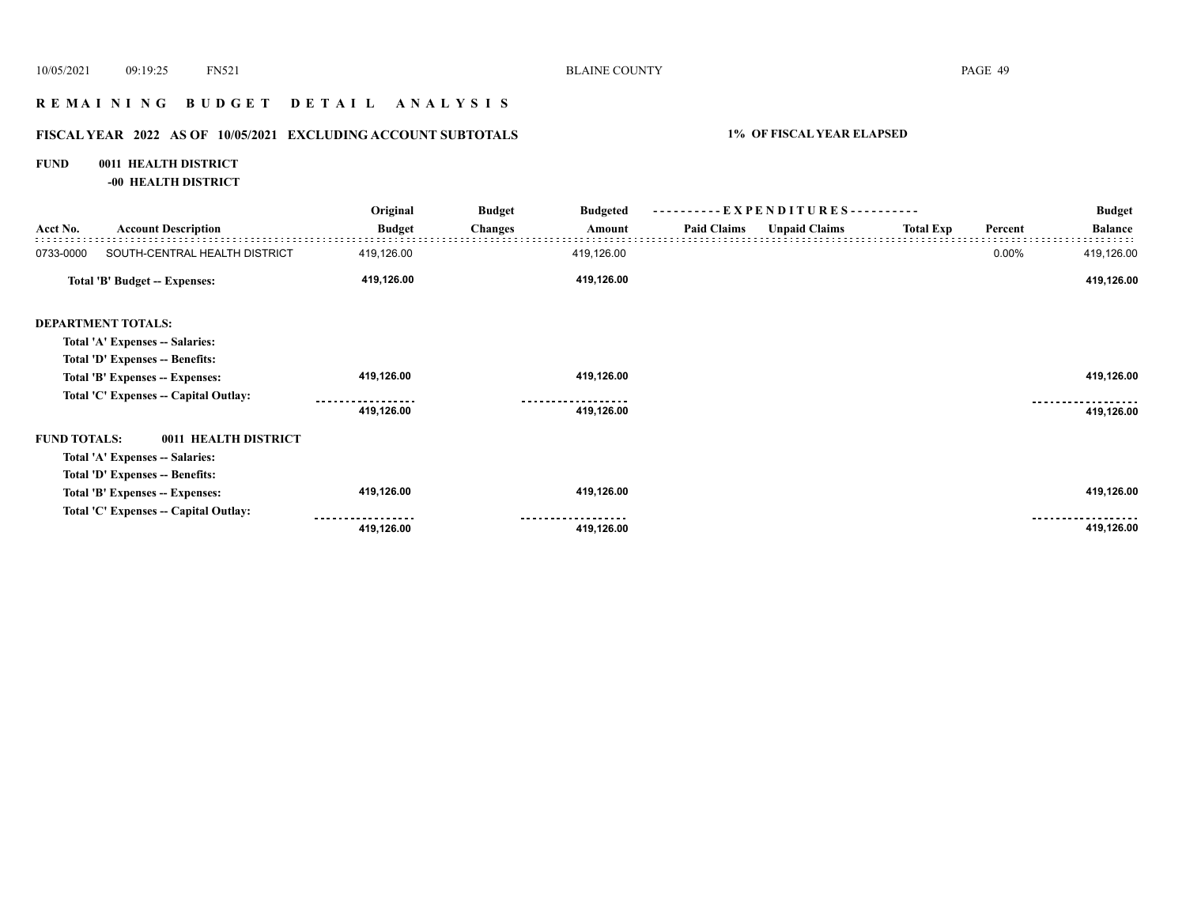# **R E M A I N I N G B U D G E T D E T A I L A N A L Y S I S**

# **FISCAL YEAR 2022 AS OF 10/05/2021 EXCLUDING ACCOUNT SUBTOTALS 1% OF FISCAL YEAR ELAPSED**

#### **FUND 0011 HEALTH DISTRICT**

**-00 HEALTH DISTRICT**

|                     |                                       | Original      | <b>Budget</b>  | <b>Budgeted</b> |                    | ----------EXPENDITURES---------- |                  |         | <b>Budget</b>  |
|---------------------|---------------------------------------|---------------|----------------|-----------------|--------------------|----------------------------------|------------------|---------|----------------|
| Acct No.            | <b>Account Description</b>            | <b>Budget</b> | <b>Changes</b> | Amount          | <b>Paid Claims</b> | <b>Unpaid Claims</b>             | <b>Total Exp</b> | Percent | <b>Balance</b> |
| 0733-0000           | SOUTH-CENTRAL HEALTH DISTRICT         | 419,126.00    |                | 419,126.00      |                    |                                  |                  | 0.00%   | 419,126.00     |
|                     | <b>Total 'B' Budget -- Expenses:</b>  | 419,126.00    |                | 419,126.00      |                    |                                  |                  |         | 419,126.00     |
|                     | <b>DEPARTMENT TOTALS:</b>             |               |                |                 |                    |                                  |                  |         |                |
|                     | Total 'A' Expenses -- Salaries:       |               |                |                 |                    |                                  |                  |         |                |
|                     | Total 'D' Expenses -- Benefits:       |               |                |                 |                    |                                  |                  |         |                |
|                     | Total 'B' Expenses -- Expenses:       | 419,126.00    |                | 419,126.00      |                    |                                  |                  |         | 419,126.00     |
|                     | Total 'C' Expenses -- Capital Outlay: |               |                |                 |                    |                                  |                  |         |                |
|                     |                                       | 419,126.00    |                | 419,126.00      |                    |                                  |                  |         | 419,126.00     |
| <b>FUND TOTALS:</b> | 0011 HEALTH DISTRICT                  |               |                |                 |                    |                                  |                  |         |                |
|                     | Total 'A' Expenses -- Salaries:       |               |                |                 |                    |                                  |                  |         |                |
|                     | Total 'D' Expenses -- Benefits:       |               |                |                 |                    |                                  |                  |         |                |
|                     | Total 'B' Expenses -- Expenses:       | 419,126.00    |                | 419,126.00      |                    |                                  |                  |         | 419,126.00     |
|                     | Total 'C' Expenses - Capital Outlay:  |               |                |                 |                    |                                  |                  |         |                |
|                     |                                       | 419,126.00    |                | 419,126.00      |                    |                                  |                  |         | 419,126.00     |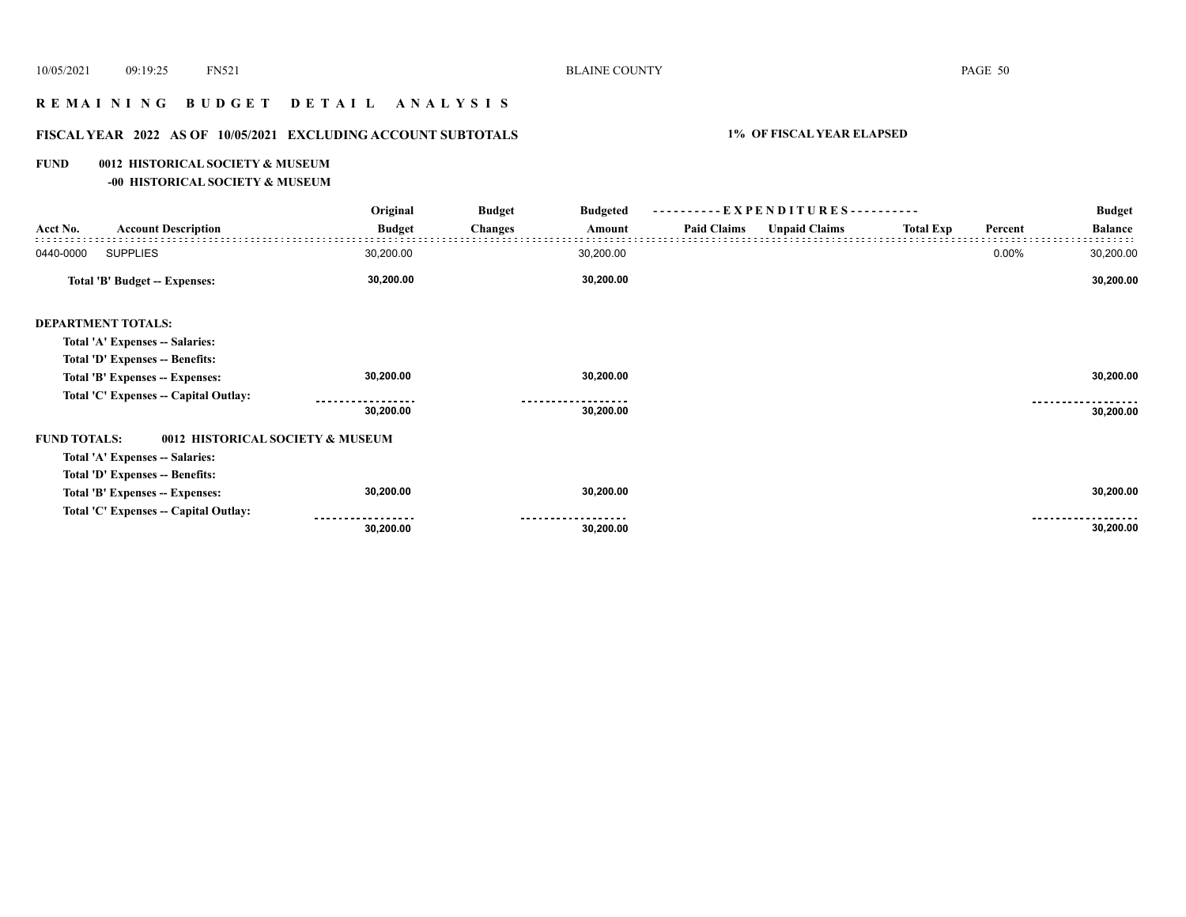# **R E M A I N I N G B U D G E T D E T A I L A N A L Y S I S**

# **FISCAL YEAR 2022 AS OF 10/05/2021 EXCLUDING ACCOUNT SUBTOTALS 1% OF FISCAL YEAR ELAPSED**

#### **FUND 0012 HISTORICAL SOCIETY & MUSEUM**

**-00 HISTORICAL SOCIETY & MUSEUM**

|                     |                                       | Original      | <b>Budget</b><br><b>Budgeted</b> | $-EXPENDITURES$ --------- |                    |                      |                  | <b>Budget</b> |                |
|---------------------|---------------------------------------|---------------|----------------------------------|---------------------------|--------------------|----------------------|------------------|---------------|----------------|
| Acct No.            | <b>Account Description</b>            | <b>Budget</b> | <b>Changes</b>                   | Amount                    | <b>Paid Claims</b> | <b>Unpaid Claims</b> | <b>Total Exp</b> | Percent       | <b>Balance</b> |
| 0440-0000           | <b>SUPPLIES</b>                       | 30,200.00     |                                  | 30,200.00                 |                    |                      |                  | 0.00%         | 30,200.00      |
|                     | <b>Total 'B' Budget -- Expenses:</b>  | 30,200.00     |                                  | 30,200.00                 |                    |                      |                  |               | 30,200.00      |
|                     | <b>DEPARTMENT TOTALS:</b>             |               |                                  |                           |                    |                      |                  |               |                |
|                     | Total 'A' Expenses -- Salaries:       |               |                                  |                           |                    |                      |                  |               |                |
|                     | Total 'D' Expenses -- Benefits:       |               |                                  |                           |                    |                      |                  |               |                |
|                     | Total 'B' Expenses -- Expenses:       | 30,200.00     |                                  | 30,200.00                 |                    |                      |                  |               | 30,200.00      |
|                     | Total 'C' Expenses -- Capital Outlay: |               |                                  |                           |                    |                      |                  |               |                |
|                     |                                       | 30,200.00     |                                  | 30,200.00                 |                    |                      |                  |               | 30,200.00      |
| <b>FUND TOTALS:</b> | 0012 HISTORICAL SOCIETY & MUSEUM      |               |                                  |                           |                    |                      |                  |               |                |
|                     | Total 'A' Expenses -- Salaries:       |               |                                  |                           |                    |                      |                  |               |                |
|                     | Total 'D' Expenses -- Benefits:       |               |                                  |                           |                    |                      |                  |               |                |
|                     | Total 'B' Expenses -- Expenses:       | 30,200.00     |                                  | 30,200.00                 |                    |                      |                  |               | 30,200.00      |
|                     | Total 'C' Expenses -- Capital Outlay: |               |                                  |                           |                    |                      |                  |               |                |
|                     |                                       | 30,200.00     |                                  | 30,200.00                 |                    |                      |                  |               | 30,200.00      |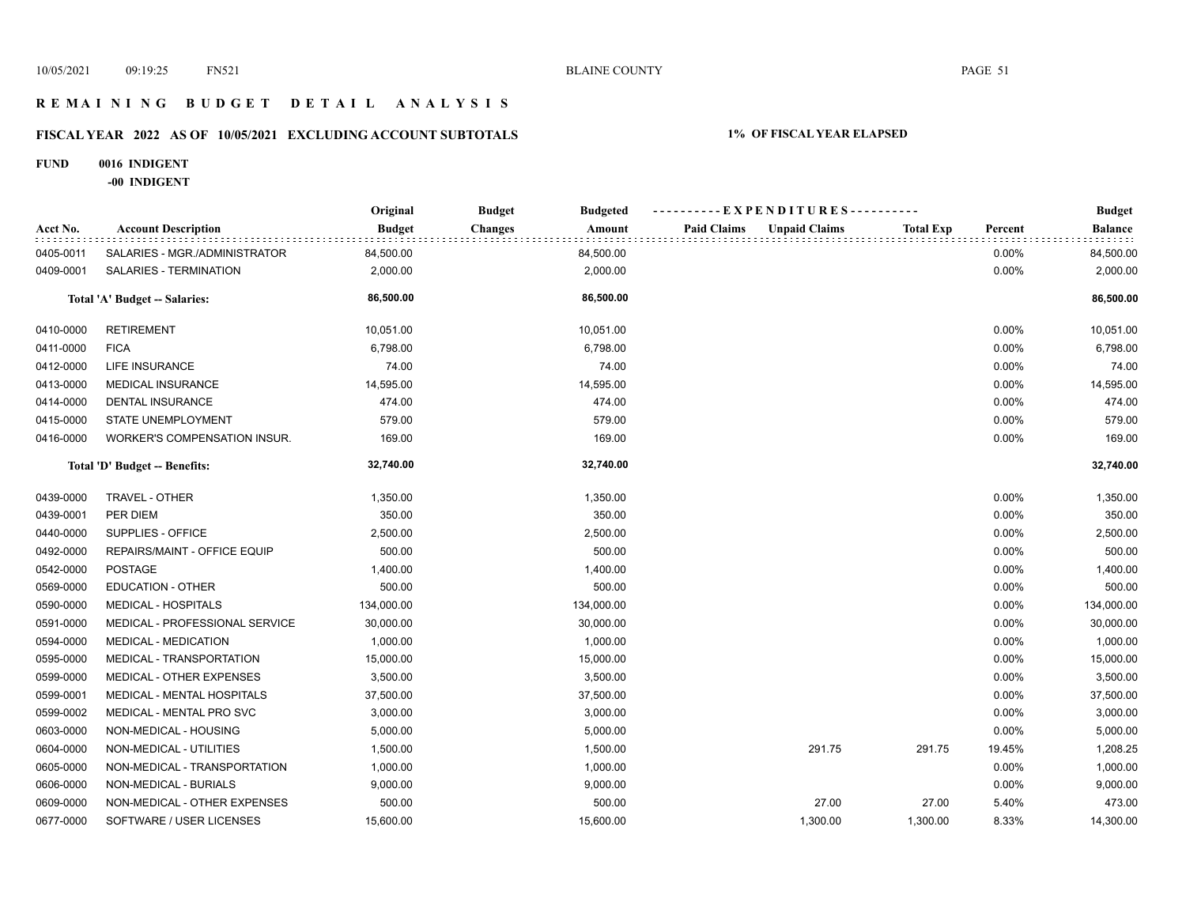# **R E M A I N I N G B U D G E T D E T A I L A N A L Y S I S**

# **FISCAL YEAR 2022 AS OF 10/05/2021 EXCLUDING ACCOUNT SUBTOTALS 1% OF FISCAL YEAR ELAPSED**

#### **FUND 0016 INDIGENT**

**-00 INDIGENT**

|           |                                | Original      | <b>Budget</b><br><b>Budgeted</b> | ----------EXPENDITURES----------           |                  | <b>Budget</b> |                |
|-----------|--------------------------------|---------------|----------------------------------|--------------------------------------------|------------------|---------------|----------------|
| Acct No.  | <b>Account Description</b>     | <b>Budget</b> | <b>Changes</b><br>Amount         | <b>Paid Claims</b><br><b>Unpaid Claims</b> | <b>Total Exp</b> | Percent       | <b>Balance</b> |
| 0405-0011 | SALARIES - MGR./ADMINISTRATOR  | 84,500.00     | 84,500.00                        |                                            |                  | 0.00%         | 84,500.00      |
| 0409-0001 | SALARIES - TERMINATION         | 2,000.00      | 2,000.00                         |                                            |                  | 0.00%         | 2,000.00       |
|           | Total 'A' Budget -- Salaries:  | 86,500.00     | 86,500.00                        |                                            |                  |               | 86,500.00      |
| 0410-0000 | <b>RETIREMENT</b>              | 10,051.00     | 10,051.00                        |                                            |                  | 0.00%         | 10,051.00      |
| 0411-0000 | <b>FICA</b>                    | 6,798.00      | 6,798.00                         |                                            |                  | 0.00%         | 6,798.00       |
| 0412-0000 | LIFE INSURANCE                 | 74.00         | 74.00                            |                                            |                  | 0.00%         | 74.00          |
| 0413-0000 | <b>MEDICAL INSURANCE</b>       | 14,595.00     | 14,595.00                        |                                            |                  | 0.00%         | 14,595.00      |
| 0414-0000 | <b>DENTAL INSURANCE</b>        | 474.00        | 474.00                           |                                            |                  | 0.00%         | 474.00         |
| 0415-0000 | STATE UNEMPLOYMENT             | 579.00        | 579.00                           |                                            |                  | 0.00%         | 579.00         |
| 0416-0000 | WORKER'S COMPENSATION INSUR.   | 169.00        | 169.00                           |                                            |                  | 0.00%         | 169.00         |
|           | Total 'D' Budget -- Benefits:  | 32,740.00     | 32,740.00                        |                                            |                  |               | 32,740.00      |
| 0439-0000 | TRAVEL - OTHER                 | 1,350.00      | 1,350.00                         |                                            |                  | 0.00%         | 1,350.00       |
| 0439-0001 | PER DIEM                       | 350.00        | 350.00                           |                                            |                  | 0.00%         | 350.00         |
| 0440-0000 | SUPPLIES - OFFICE              | 2,500.00      | 2,500.00                         |                                            |                  | 0.00%         | 2,500.00       |
| 0492-0000 | REPAIRS/MAINT - OFFICE EQUIP   | 500.00        | 500.00                           |                                            |                  | 0.00%         | 500.00         |
| 0542-0000 | POSTAGE                        | 1,400.00      | 1,400.00                         |                                            |                  | 0.00%         | 1,400.00       |
| 0569-0000 | <b>EDUCATION - OTHER</b>       | 500.00        | 500.00                           |                                            |                  | 0.00%         | 500.00         |
| 0590-0000 | <b>MEDICAL - HOSPITALS</b>     | 134,000.00    | 134,000.00                       |                                            |                  | 0.00%         | 134,000.00     |
| 0591-0000 | MEDICAL - PROFESSIONAL SERVICE | 30,000.00     | 30,000.00                        |                                            |                  | 0.00%         | 30,000.00      |
| 0594-0000 | <b>MEDICAL - MEDICATION</b>    | 1,000.00      | 1,000.00                         |                                            |                  | 0.00%         | 1,000.00       |
| 0595-0000 | MEDICAL - TRANSPORTATION       | 15,000.00     | 15,000.00                        |                                            |                  | 0.00%         | 15,000.00      |
| 0599-0000 | MEDICAL - OTHER EXPENSES       | 3,500.00      | 3,500.00                         |                                            |                  | 0.00%         | 3,500.00       |
| 0599-0001 | MEDICAL - MENTAL HOSPITALS     | 37,500.00     | 37,500.00                        |                                            |                  | 0.00%         | 37,500.00      |
| 0599-0002 | MEDICAL - MENTAL PRO SVC       | 3,000.00      | 3,000.00                         |                                            |                  | 0.00%         | 3,000.00       |
| 0603-0000 | NON-MEDICAL - HOUSING          | 5,000.00      | 5,000.00                         |                                            |                  | 0.00%         | 5,000.00       |
| 0604-0000 | NON-MEDICAL - UTILITIES        | 1,500.00      | 1,500.00                         | 291.75                                     | 291.75           | 19.45%        | 1,208.25       |
| 0605-0000 | NON-MEDICAL - TRANSPORTATION   | 1,000.00      | 1,000.00                         |                                            |                  | 0.00%         | 1,000.00       |
| 0606-0000 | NON-MEDICAL - BURIALS          | 9,000.00      | 9,000.00                         |                                            |                  | 0.00%         | 9,000.00       |
| 0609-0000 | NON-MEDICAL - OTHER EXPENSES   | 500.00        | 500.00                           | 27.00                                      | 27.00            | 5.40%         | 473.00         |
| 0677-0000 | SOFTWARE / USER LICENSES       | 15,600.00     | 15,600.00                        | 1,300.00                                   | 1,300.00         | 8.33%         | 14,300.00      |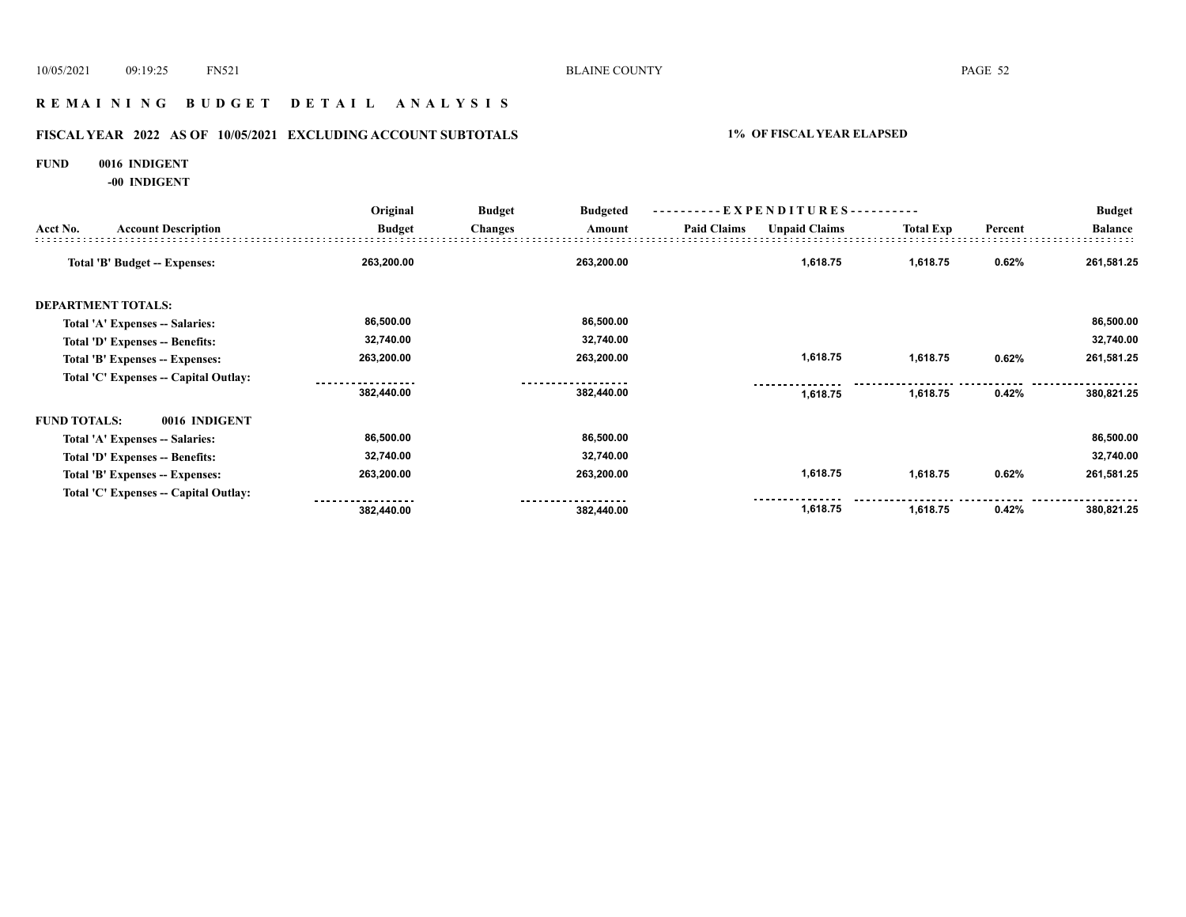# **R E M A I N I N G B U D G E T D E T A I L A N A L Y S I S**

# **FISCAL YEAR 2022 AS OF 10/05/2021 EXCLUDING ACCOUNT SUBTOTALS 1% OF FISCAL YEAR ELAPSED**

#### **FUND 0016 INDIGENT**

**-00 INDIGENT**

|                     |                                       | Original      | <b>Budget</b><br><b>Budgeted</b> | ----------EXPENDITURES---------- |                    |                      |                  | <b>Budget</b> |                |
|---------------------|---------------------------------------|---------------|----------------------------------|----------------------------------|--------------------|----------------------|------------------|---------------|----------------|
| Acct No.            | <b>Account Description</b>            | <b>Budget</b> | <b>Changes</b>                   | Amount                           | <b>Paid Claims</b> | <b>Unpaid Claims</b> | <b>Total Exp</b> | Percent       | <b>Balance</b> |
|                     | Total 'B' Budget -- Expenses:         | 263,200.00    |                                  | 263,200.00                       |                    | 1,618.75             | 1,618.75         | 0.62%         | 261,581.25     |
|                     | <b>DEPARTMENT TOTALS:</b>             |               |                                  |                                  |                    |                      |                  |               |                |
|                     | Total 'A' Expenses -- Salaries:       | 86,500.00     |                                  | 86,500.00                        |                    |                      |                  |               | 86,500.00      |
|                     | Total 'D' Expenses -- Benefits:       | 32,740.00     |                                  | 32,740.00                        |                    |                      |                  |               | 32,740.00      |
|                     | Total 'B' Expenses -- Expenses:       | 263,200.00    |                                  | 263,200.00                       |                    | 1,618.75             | 1,618.75         | 0.62%         | 261,581.25     |
|                     | Total 'C' Expenses -- Capital Outlay: |               |                                  |                                  |                    |                      |                  |               |                |
|                     |                                       | 382,440.00    |                                  | 382,440.00                       |                    | 1,618.75             | 1,618.75         | 0.42%         | 380,821.25     |
| <b>FUND TOTALS:</b> | 0016 INDIGENT                         |               |                                  |                                  |                    |                      |                  |               |                |
|                     | Total 'A' Expenses -- Salaries:       | 86,500.00     |                                  | 86,500.00                        |                    |                      |                  |               | 86,500.00      |
|                     | Total 'D' Expenses -- Benefits:       | 32,740.00     |                                  | 32,740.00                        |                    |                      |                  |               | 32,740.00      |
|                     | Total 'B' Expenses -- Expenses:       | 263,200.00    |                                  | 263,200.00                       |                    | 1,618.75             | 1,618.75         | 0.62%         | 261,581.25     |
|                     | Total 'C' Expenses -- Capital Outlay: |               |                                  |                                  |                    |                      |                  |               |                |
|                     |                                       | 382,440.00    |                                  | 382,440.00                       |                    | 1,618.75             | 1,618.75         | 0.42%         | 380,821.25     |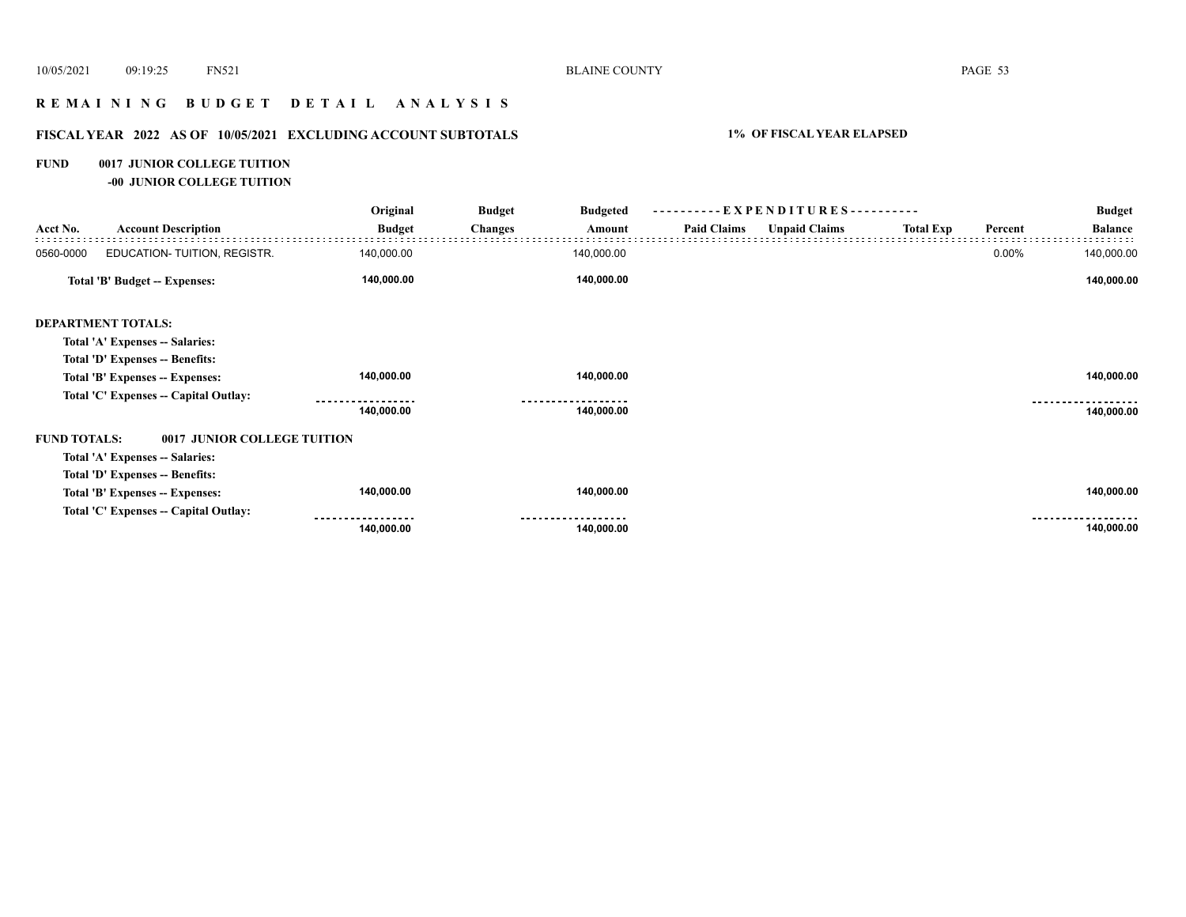# **R E M A I N I N G B U D G E T D E T A I L A N A L Y S I S**

# **FISCAL YEAR 2022 AS OF 10/05/2021 EXCLUDING ACCOUNT SUBTOTALS 1% OF FISCAL YEAR ELAPSED**

#### **FUND 0017 JUNIOR COLLEGE TUITION**

**-00 JUNIOR COLLEGE TUITION**

|                     |                                       | Original      | <b>Budget</b><br><b>Budgeted</b> |                    | ----------EXPENDITURES---------- |                  |         | <b>Budget</b>  |
|---------------------|---------------------------------------|---------------|----------------------------------|--------------------|----------------------------------|------------------|---------|----------------|
| Acct No.            | <b>Account Description</b>            | <b>Budget</b> | <b>Changes</b><br>Amount         | <b>Paid Claims</b> | <b>Unpaid Claims</b>             | <b>Total Exp</b> | Percent | <b>Balance</b> |
| 0560-0000           | EDUCATION- TUITION, REGISTR.          | 140,000.00    | 140,000.00                       |                    |                                  |                  | 0.00%   | 140,000.00     |
|                     | Total 'B' Budget -- Expenses:         | 140,000.00    | 140,000.00                       |                    |                                  |                  |         | 140,000.00     |
|                     | <b>DEPARTMENT TOTALS:</b>             |               |                                  |                    |                                  |                  |         |                |
|                     | Total 'A' Expenses -- Salaries:       |               |                                  |                    |                                  |                  |         |                |
|                     | Total 'D' Expenses -- Benefits:       |               |                                  |                    |                                  |                  |         |                |
|                     | Total 'B' Expenses -- Expenses:       | 140,000.00    | 140,000.00                       |                    |                                  |                  |         | 140,000.00     |
|                     | Total 'C' Expenses -- Capital Outlay: |               |                                  |                    |                                  |                  |         |                |
|                     |                                       | 140,000.00    | 140,000.00                       |                    |                                  |                  |         | 140,000.00     |
| <b>FUND TOTALS:</b> | 0017 JUNIOR COLLEGE TUITION           |               |                                  |                    |                                  |                  |         |                |
|                     | Total 'A' Expenses -- Salaries:       |               |                                  |                    |                                  |                  |         |                |
|                     | Total 'D' Expenses -- Benefits:       |               |                                  |                    |                                  |                  |         |                |
|                     | Total 'B' Expenses -- Expenses:       | 140,000.00    | 140,000.00                       |                    |                                  |                  |         | 140,000.00     |
|                     | Total 'C' Expenses - Capital Outlay:  |               |                                  |                    |                                  |                  |         |                |
|                     |                                       | 140,000.00    | 140,000.00                       |                    |                                  |                  |         | 140,000.00     |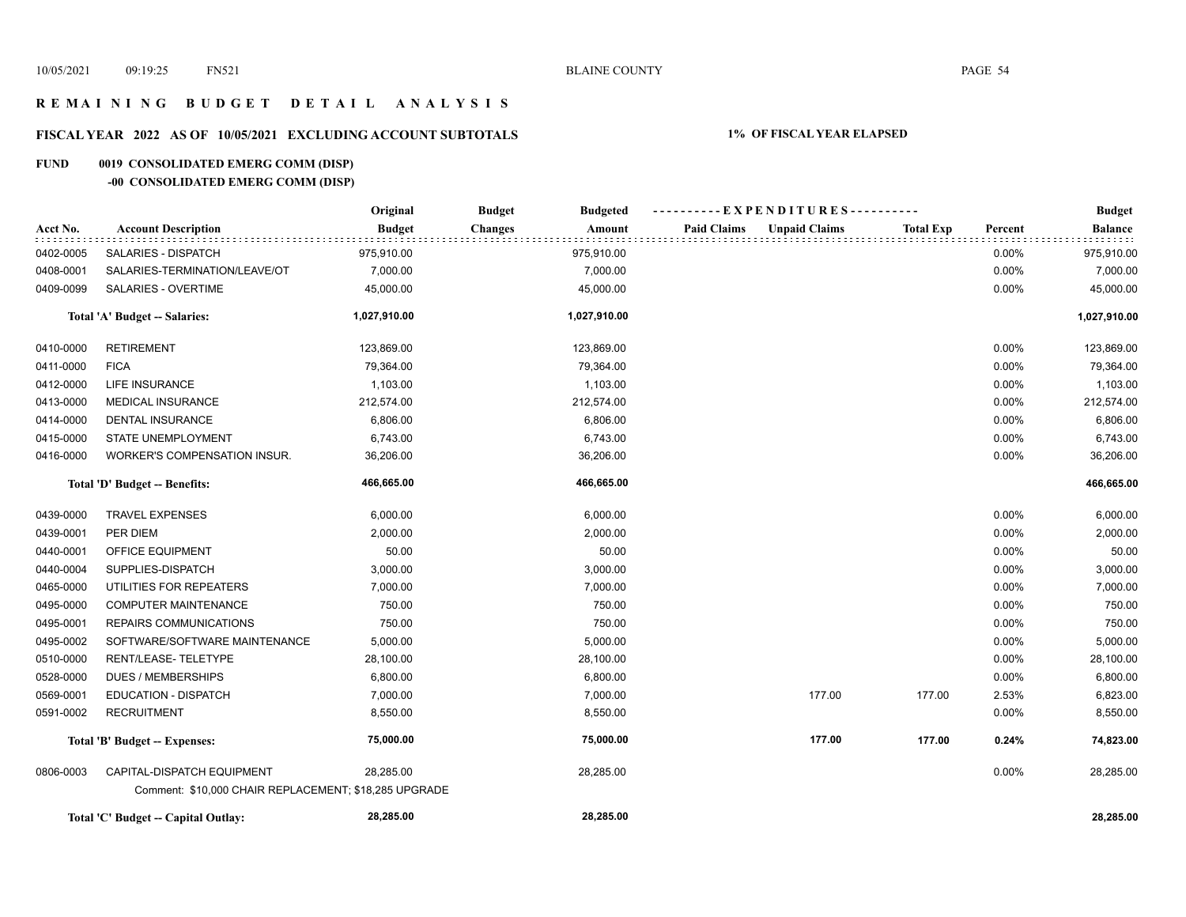# **R E M A I N I N G B U D G E T D E T A I L A N A L Y S I S**

# **FISCAL YEAR 2022 AS OF 10/05/2021 EXCLUDING ACCOUNT SUBTOTALS 1% OF FISCAL YEAR ELAPSED**

# **FUND 0019 CONSOLIDATED EMERG COMM (DISP)**

# **-00 CONSOLIDATED EMERG COMM (DISP)**

|           |                                                       | Original      | <b>Budget</b><br><b>Budgeted</b> |                    | ----------EXPENDITURES---------- |                  |         | <b>Budget</b>  |
|-----------|-------------------------------------------------------|---------------|----------------------------------|--------------------|----------------------------------|------------------|---------|----------------|
| Acct No.  | <b>Account Description</b>                            | <b>Budget</b> | <b>Changes</b><br>Amount         | <b>Paid Claims</b> | <b>Unpaid Claims</b>             | <b>Total Exp</b> | Percent | <b>Balance</b> |
| 0402-0005 | <b>SALARIES - DISPATCH</b>                            | 975,910.00    | 975,910.00                       |                    |                                  |                  | 0.00%   | 975,910.00     |
| 0408-0001 | SALARIES-TERMINATION/LEAVE/OT                         | 7,000.00      | 7,000.00                         |                    |                                  |                  | 0.00%   | 7,000.00       |
| 0409-0099 | SALARIES - OVERTIME                                   | 45,000.00     | 45,000.00                        |                    |                                  |                  | 0.00%   | 45,000.00      |
|           | Total 'A' Budget -- Salaries:                         | 1,027,910.00  | 1,027,910.00                     |                    |                                  |                  |         | 1,027,910.00   |
| 0410-0000 | <b>RETIREMENT</b>                                     | 123,869.00    | 123,869.00                       |                    |                                  |                  | 0.00%   | 123,869.00     |
| 0411-0000 | <b>FICA</b>                                           | 79,364.00     | 79,364.00                        |                    |                                  |                  | 0.00%   | 79,364.00      |
| 0412-0000 | LIFE INSURANCE                                        | 1,103.00      | 1,103.00                         |                    |                                  |                  | 0.00%   | 1,103.00       |
| 0413-0000 | <b>MEDICAL INSURANCE</b>                              | 212,574.00    | 212,574.00                       |                    |                                  |                  | 0.00%   | 212,574.00     |
| 0414-0000 | <b>DENTAL INSURANCE</b>                               | 6,806.00      | 6,806.00                         |                    |                                  |                  | 0.00%   | 6,806.00       |
| 0415-0000 | STATE UNEMPLOYMENT                                    | 6,743.00      | 6,743.00                         |                    |                                  |                  | 0.00%   | 6,743.00       |
| 0416-0000 | <b>WORKER'S COMPENSATION INSUR.</b>                   | 36,206.00     | 36,206.00                        |                    |                                  |                  | 0.00%   | 36,206.00      |
|           | Total 'D' Budget -- Benefits:                         | 466,665.00    | 466,665.00                       |                    |                                  |                  |         | 466,665.00     |
| 0439-0000 | <b>TRAVEL EXPENSES</b>                                | 6,000.00      | 6,000.00                         |                    |                                  |                  | 0.00%   | 6,000.00       |
| 0439-0001 | PER DIEM                                              | 2,000.00      | 2,000.00                         |                    |                                  |                  | 0.00%   | 2,000.00       |
| 0440-0001 | OFFICE EQUIPMENT                                      | 50.00         |                                  | 50.00              |                                  |                  | 0.00%   | 50.00          |
| 0440-0004 | SUPPLIES-DISPATCH                                     | 3,000.00      | 3,000.00                         |                    |                                  |                  | 0.00%   | 3,000.00       |
| 0465-0000 | UTILITIES FOR REPEATERS                               | 7,000.00      | 7,000.00                         |                    |                                  |                  | 0.00%   | 7,000.00       |
| 0495-0000 | <b>COMPUTER MAINTENANCE</b>                           | 750.00        | 750.00                           |                    |                                  |                  | 0.00%   | 750.00         |
| 0495-0001 | <b>REPAIRS COMMUNICATIONS</b>                         | 750.00        | 750.00                           |                    |                                  |                  | 0.00%   | 750.00         |
| 0495-0002 | SOFTWARE/SOFTWARE MAINTENANCE                         | 5,000.00      | 5,000.00                         |                    |                                  |                  | 0.00%   | 5,000.00       |
| 0510-0000 | RENT/LEASE-TELETYPE                                   | 28,100.00     | 28,100.00                        |                    |                                  |                  | 0.00%   | 28,100.00      |
| 0528-0000 | <b>DUES / MEMBERSHIPS</b>                             | 6,800.00      | 6,800.00                         |                    |                                  |                  | 0.00%   | 6,800.00       |
| 0569-0001 | <b>EDUCATION - DISPATCH</b>                           | 7,000.00      | 7,000.00                         |                    | 177.00                           | 177.00           | 2.53%   | 6,823.00       |
| 0591-0002 | <b>RECRUITMENT</b>                                    | 8,550.00      | 8,550.00                         |                    |                                  |                  | 0.00%   | 8,550.00       |
|           | Total 'B' Budget -- Expenses:                         | 75,000.00     | 75,000.00                        |                    | 177.00                           | 177.00           | 0.24%   | 74,823.00      |
| 0806-0003 | CAPITAL-DISPATCH EQUIPMENT                            | 28,285.00     | 28,285.00                        |                    |                                  |                  | 0.00%   | 28,285.00      |
|           | Comment: \$10,000 CHAIR REPLACEMENT; \$18,285 UPGRADE |               |                                  |                    |                                  |                  |         |                |
|           | Total 'C' Budget -- Capital Outlay:                   | 28,285.00     | 28,285.00                        |                    |                                  |                  |         | 28,285.00      |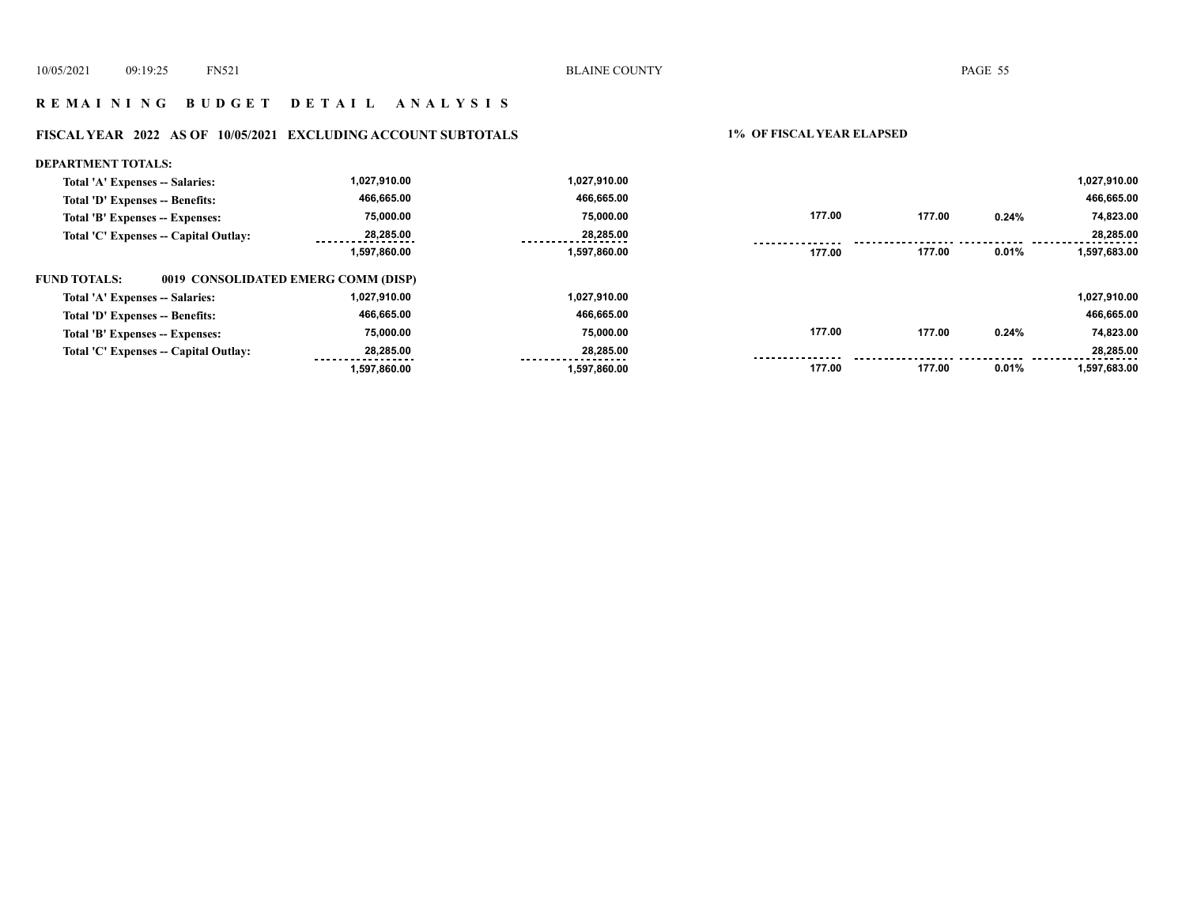#### **R E M A I N I N G B U D G E T D E T A I L A N A L Y S I S**

#### **FISCAL YEAR 2022 AS OF 10/05/2021 EXCLUDING ACCOUNT SUBTOTALS 1% OF FISCAL YEAR ELAPSED**

#### **DEPARTMENT TOTALS: 1,027,910.00 1,027,910.00 1,027,910.00 Total 'A' Expenses -- Salaries: 466,665.00 466,665.00 Total 'D' Expenses -- Benefits: 466,665.00 75,000.00 75,000.00 177.00 177.00 0.24% 74,823.00 Total 'B' Expenses -- Expenses: 28,285.00 28,285.00 Total 'C' Expenses -- Capital Outlay: 28,285.00** ........ . . . . . . . . . . . . . . . . ........ . . . . . . .  **177.00 0.01% 1,597,683.00 1,597,860.00 1,597,860.00 177.00 FUND TOTALS: 0019 CONSOLIDATED EMERG COMM (DISP)Total 'A' Expenses -- Salaries: 1,027,910.00 1,027,910.00 1,027,910.00 466,665.00 466,665.00 466,665.00 Total 'D' Expenses -- Benefits: 177.00 177.00 0.24% 75,000.00 75,000.00 74,823.00 Total 'B' Expenses -- Expenses: Total 'C' Expenses -- Capital Outlay: 28,285.00 28,285.00 28,285.00**  . . . . . . . . . <u>........</u> . . . . . . .  **1,597,860.00 1,597,860.00 177.00 177.00 0.01% 1,597,683.00**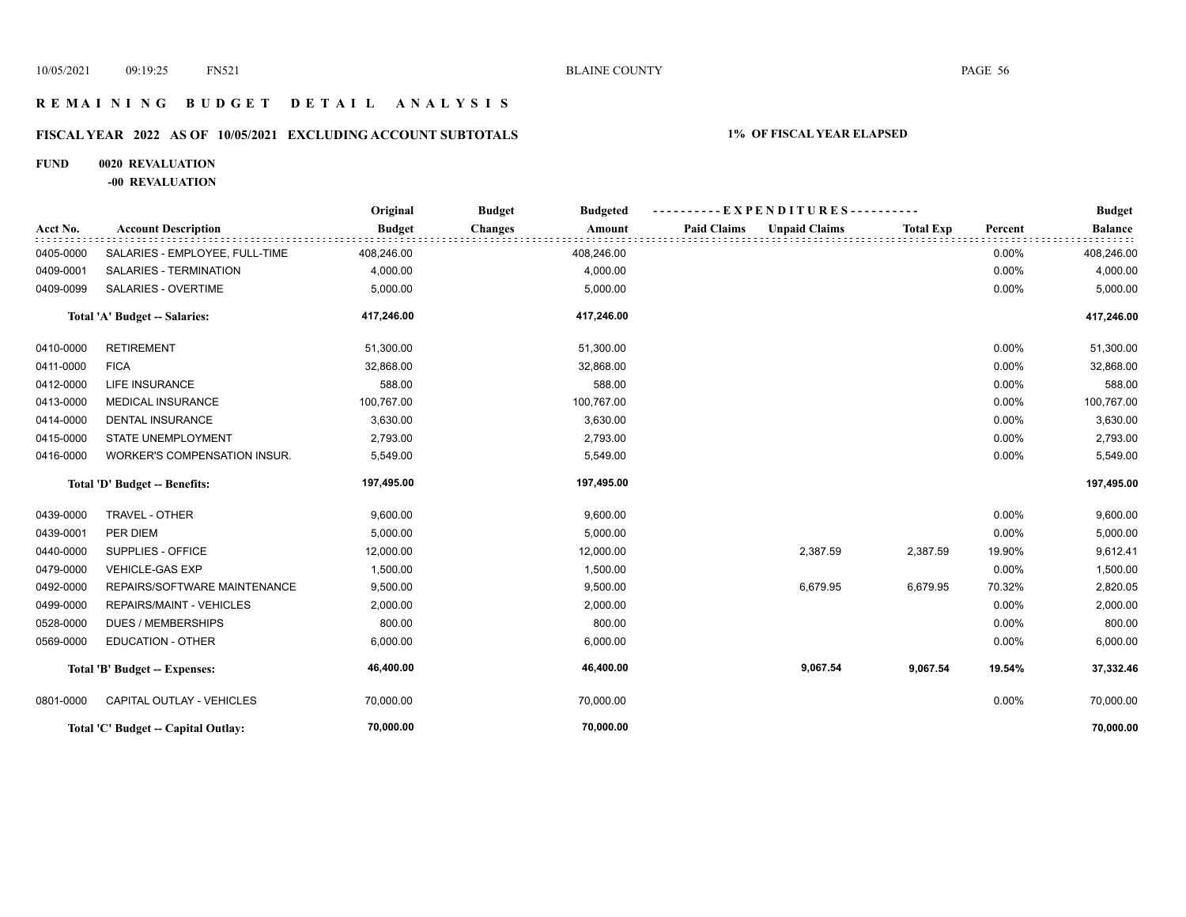# **R E M A I N I N G B U D G E T D E T A I L A N A L Y S I S**

# **FISCAL YEAR 2022 AS OF 10/05/2021 EXCLUDING ACCOUNT SUBTOTALS 1% OF FISCAL YEAR ELAPSED**

# **FUND 0020 REVALUATION**

**-00 REVALUATION**

|           |                                     | Original      | <b>Budget</b><br><b>Budgeted</b> | ----------EXPENDITURES----------           |                  |         | <b>Budget</b>  |
|-----------|-------------------------------------|---------------|----------------------------------|--------------------------------------------|------------------|---------|----------------|
| Acct No.  | <b>Account Description</b>          | <b>Budget</b> | <b>Changes</b><br>Amount         | <b>Unpaid Claims</b><br><b>Paid Claims</b> | <b>Total Exp</b> | Percent | <b>Balance</b> |
| 0405-0000 | SALARIES - EMPLOYEE, FULL-TIME      | 408,246.00    | 408,246.00                       |                                            |                  | 0.00%   | 408,246.00     |
| 0409-0001 | SALARIES - TERMINATION              | 4,000.00      | 4,000.00                         |                                            |                  | 0.00%   | 4,000.00       |
| 0409-0099 | SALARIES - OVERTIME                 | 5,000.00      | 5,000.00                         |                                            |                  | 0.00%   | 5,000.00       |
|           | Total 'A' Budget -- Salaries:       | 417,246.00    | 417,246.00                       |                                            |                  |         | 417,246.00     |
| 0410-0000 | <b>RETIREMENT</b>                   | 51,300.00     | 51,300.00                        |                                            |                  | 0.00%   | 51,300.00      |
| 0411-0000 | <b>FICA</b>                         | 32,868.00     | 32,868.00                        |                                            |                  | 0.00%   | 32,868.00      |
| 0412-0000 | <b>LIFE INSURANCE</b>               | 588.00        | 588.00                           |                                            |                  | 0.00%   | 588.00         |
| 0413-0000 | <b>MEDICAL INSURANCE</b>            | 100,767.00    | 100,767.00                       |                                            |                  | 0.00%   | 100,767.00     |
| 0414-0000 | <b>DENTAL INSURANCE</b>             | 3,630.00      | 3,630.00                         |                                            |                  | 0.00%   | 3,630.00       |
| 0415-0000 | <b>STATE UNEMPLOYMENT</b>           | 2,793.00      | 2,793.00                         |                                            |                  | 0.00%   | 2,793.00       |
| 0416-0000 | WORKER'S COMPENSATION INSUR.        | 5,549.00      | 5,549.00                         |                                            |                  | 0.00%   | 5,549.00       |
|           | Total 'D' Budget -- Benefits:       | 197,495.00    | 197,495.00                       |                                            |                  |         | 197,495.00     |
| 0439-0000 | TRAVEL - OTHER                      | 9,600.00      | 9,600.00                         |                                            |                  | 0.00%   | 9,600.00       |
| 0439-0001 | PER DIEM                            | 5,000.00      | 5,000.00                         |                                            |                  | 0.00%   | 5,000.00       |
| 0440-0000 | SUPPLIES - OFFICE                   | 12,000.00     | 12,000.00                        | 2,387.59                                   | 2,387.59         | 19.90%  | 9,612.41       |
| 0479-0000 | <b>VEHICLE-GAS EXP</b>              | 1,500.00      | 1,500.00                         |                                            |                  | 0.00%   | 1,500.00       |
| 0492-0000 | REPAIRS/SOFTWARE MAINTENANCE        | 9,500.00      | 9,500.00                         | 6,679.95                                   | 6,679.95         | 70.32%  | 2,820.05       |
| 0499-0000 | REPAIRS/MAINT - VEHICLES            | 2,000.00      | 2,000.00                         |                                            |                  | 0.00%   | 2,000.00       |
| 0528-0000 | <b>DUES / MEMBERSHIPS</b>           | 800.00        | 800.00                           |                                            |                  | 0.00%   | 800.00         |
| 0569-0000 | <b>EDUCATION - OTHER</b>            | 6,000.00      | 6,000.00                         |                                            |                  | 0.00%   | 6,000.00       |
|           | Total 'B' Budget -- Expenses:       | 46,400.00     | 46,400.00                        | 9,067.54                                   | 9,067.54         | 19.54%  | 37,332.46      |
| 0801-0000 | CAPITAL OUTLAY - VEHICLES           | 70,000.00     | 70,000.00                        |                                            |                  | 0.00%   | 70,000.00      |
|           | Total 'C' Budget -- Capital Outlay: | 70,000.00     | 70,000.00                        |                                            |                  |         | 70,000.00      |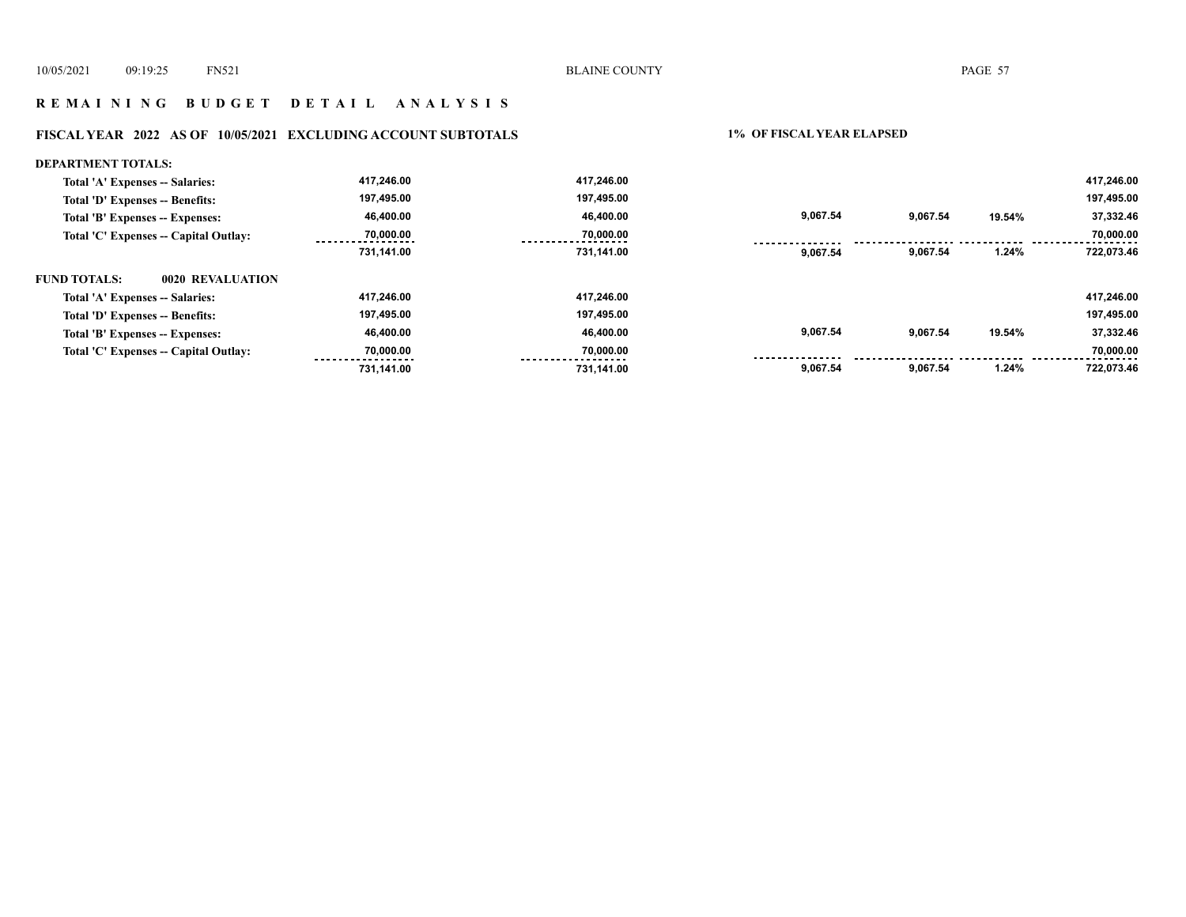# **R E M A I N I N G B U D G E T D E T A I L A N A L Y S I S**

# **FISCAL YEAR 2022 AS OF 10/05/2021 EXCLUDING ACCOUNT SUBTOTALS 1% OF FISCAL YEAR ELAPSED**

| <b>DEPARTMENT TOTALS:</b>               |            |            |          |          |        |            |
|-----------------------------------------|------------|------------|----------|----------|--------|------------|
| Total 'A' Expenses -- Salaries:         | 417,246.00 | 417,246.00 |          |          |        | 417,246.00 |
| Total 'D' Expenses -- Benefits:         | 197,495.00 | 197,495.00 |          |          |        | 197,495.00 |
| Total 'B' Expenses -- Expenses:         | 46,400.00  | 46,400.00  | 9,067.54 | 9,067.54 | 19.54% | 37,332.46  |
| Total 'C' Expenses -- Capital Outlay:   | 70,000.00  | 70,000.00  |          |          |        | 70,000.00  |
|                                         | 731,141.00 | 731,141.00 | 9.067.54 | 9,067.54 | 1.24%  | 722,073.46 |
| 0020 REVALUATION<br><b>FUND TOTALS:</b> |            |            |          |          |        |            |
| Total 'A' Expenses -- Salaries:         | 417,246.00 | 417.246.00 |          |          |        | 417,246.00 |
| Total 'D' Expenses -- Benefits:         | 197,495.00 | 197,495.00 |          |          |        | 197,495.00 |
| Total 'B' Expenses -- Expenses:         | 46,400.00  | 46,400.00  | 9,067.54 | 9,067.54 | 19.54% | 37,332.46  |
| Total 'C' Expenses -- Capital Outlay:   | 70,000.00  | 70,000.00  |          |          |        | 70,000.00  |
|                                         | 731.141.00 | 731.141.00 | 9,067.54 | 9,067.54 | 1.24%  | 722,073.46 |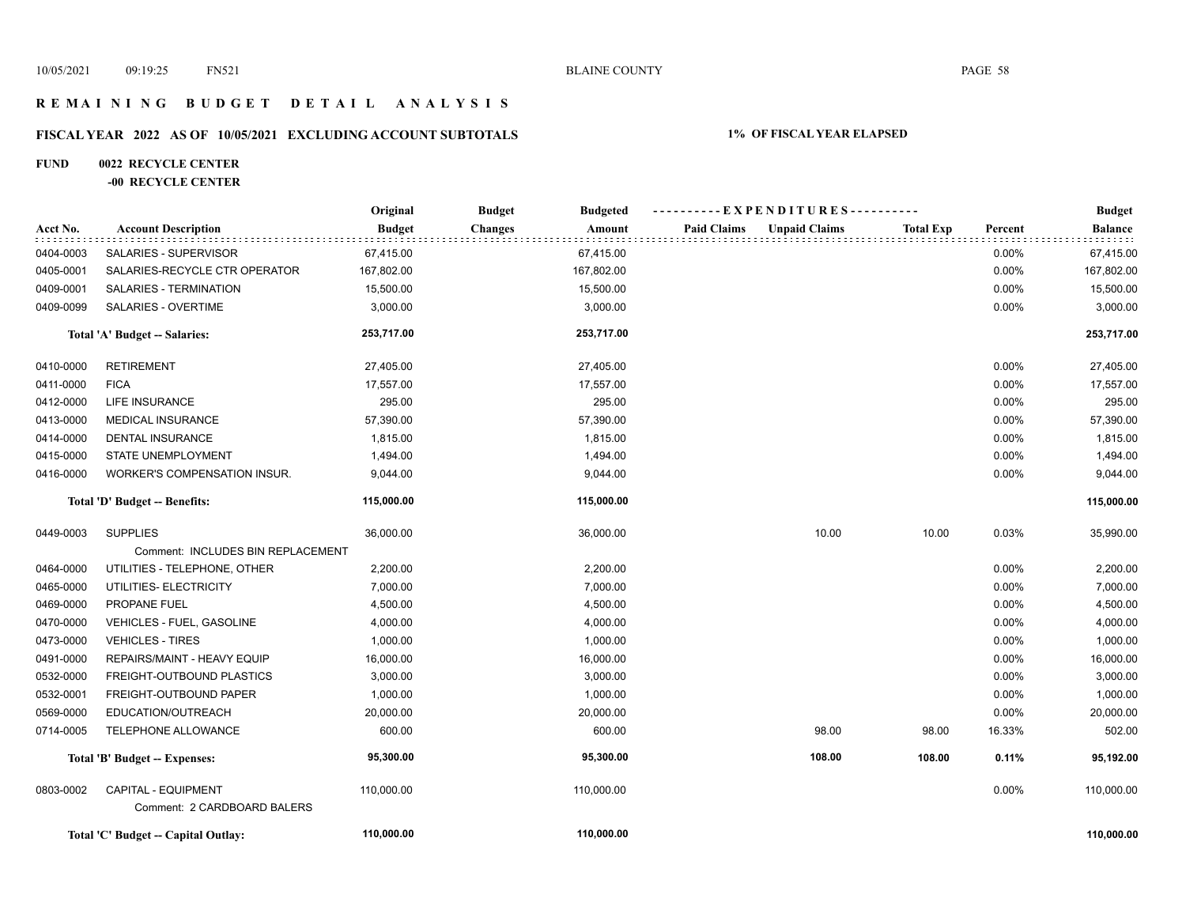# **R E M A I N I N G B U D G E T D E T A I L A N A L Y S I S**

# **FISCAL YEAR 2022 AS OF 10/05/2021 EXCLUDING ACCOUNT SUBTOTALS 1% OF FISCAL YEAR ELAPSED**

# **FUND 0022 RECYCLE CENTER**

#### **-00 RECYCLE CENTER**

|           |                                     | Original      | <b>Budget</b>  | <b>Budgeted</b> | ----------EXPENDITURES---------- |                      |                  |         | <b>Budget</b> |
|-----------|-------------------------------------|---------------|----------------|-----------------|----------------------------------|----------------------|------------------|---------|---------------|
| Acct No.  | <b>Account Description</b>          | <b>Budget</b> | <b>Changes</b> | Amount          | <b>Paid Claims</b>               | <b>Unpaid Claims</b> | <b>Total Exp</b> | Percent | Balance       |
| 0404-0003 | SALARIES - SUPERVISOR               | 67,415.00     |                | 67,415.00       |                                  |                      |                  | 0.00%   | 67,415.00     |
| 0405-0001 | SALARIES-RECYCLE CTR OPERATOR       | 167,802.00    |                | 167,802.00      |                                  |                      |                  | 0.00%   | 167,802.00    |
| 0409-0001 | SALARIES - TERMINATION              | 15,500.00     |                | 15,500.00       |                                  |                      |                  | 0.00%   | 15,500.00     |
| 0409-0099 | <b>SALARIES - OVERTIME</b>          | 3,000.00      |                | 3,000.00        |                                  |                      |                  | 0.00%   | 3,000.00      |
|           | Total 'A' Budget -- Salaries:       | 253,717.00    |                | 253,717.00      |                                  |                      |                  |         | 253,717.00    |
| 0410-0000 | <b>RETIREMENT</b>                   | 27,405.00     |                | 27,405.00       |                                  |                      |                  | 0.00%   | 27,405.00     |
| 0411-0000 | <b>FICA</b>                         | 17,557.00     |                | 17,557.00       |                                  |                      |                  | 0.00%   | 17,557.00     |
| 0412-0000 | LIFE INSURANCE                      | 295.00        |                | 295.00          |                                  |                      |                  | 0.00%   | 295.00        |
| 0413-0000 | <b>MEDICAL INSURANCE</b>            | 57,390.00     |                | 57,390.00       |                                  |                      |                  | 0.00%   | 57,390.00     |
| 0414-0000 | <b>DENTAL INSURANCE</b>             | 1,815.00      |                | 1,815.00        |                                  |                      |                  | 0.00%   | 1,815.00      |
| 0415-0000 | STATE UNEMPLOYMENT                  | 1,494.00      |                | 1,494.00        |                                  |                      |                  | 0.00%   | 1,494.00      |
| 0416-0000 | <b>WORKER'S COMPENSATION INSUR.</b> | 9,044.00      |                | 9,044.00        |                                  |                      |                  | 0.00%   | 9,044.00      |
|           | Total 'D' Budget -- Benefits:       | 115,000.00    |                | 115,000.00      |                                  |                      |                  |         | 115,000.00    |
| 0449-0003 | <b>SUPPLIES</b>                     | 36,000.00     |                | 36,000.00       |                                  | 10.00                | 10.00            | 0.03%   | 35,990.00     |
|           | Comment: INCLUDES BIN REPLACEMENT   |               |                |                 |                                  |                      |                  |         |               |
| 0464-0000 | UTILITIES - TELEPHONE, OTHER        | 2,200.00      |                | 2,200.00        |                                  |                      |                  | 0.00%   | 2,200.00      |
| 0465-0000 | UTILITIES- ELECTRICITY              | 7,000.00      |                | 7,000.00        |                                  |                      |                  | 0.00%   | 7,000.00      |
| 0469-0000 | PROPANE FUEL                        | 4,500.00      |                | 4,500.00        |                                  |                      |                  | 0.00%   | 4,500.00      |
| 0470-0000 | <b>VEHICLES - FUEL, GASOLINE</b>    | 4,000.00      |                | 4,000.00        |                                  |                      |                  | 0.00%   | 4,000.00      |
| 0473-0000 | <b>VEHICLES - TIRES</b>             | 1,000.00      |                | 1,000.00        |                                  |                      |                  | 0.00%   | 1,000.00      |
| 0491-0000 | REPAIRS/MAINT - HEAVY EQUIP         | 16,000.00     |                | 16,000.00       |                                  |                      |                  | 0.00%   | 16,000.00     |
| 0532-0000 | FREIGHT-OUTBOUND PLASTICS           | 3,000.00      |                | 3,000.00        |                                  |                      |                  | 0.00%   | 3,000.00      |
| 0532-0001 | FREIGHT-OUTBOUND PAPER              | 1,000.00      |                | 1,000.00        |                                  |                      |                  | 0.00%   | 1,000.00      |
| 0569-0000 | EDUCATION/OUTREACH                  | 20,000.00     |                | 20,000.00       |                                  |                      |                  | 0.00%   | 20,000.00     |
| 0714-0005 | TELEPHONE ALLOWANCE                 | 600.00        |                | 600.00          |                                  | 98.00                | 98.00            | 16.33%  | 502.00        |
|           | Total 'B' Budget -- Expenses:       | 95,300.00     |                | 95,300.00       |                                  | 108.00               | 108.00           | 0.11%   | 95,192.00     |
| 0803-0002 | <b>CAPITAL - EQUIPMENT</b>          | 110,000.00    |                | 110.000.00      |                                  |                      |                  | 0.00%   | 110,000.00    |
|           | Comment: 2 CARDBOARD BALERS         |               |                |                 |                                  |                      |                  |         |               |
|           | Total 'C' Budget -- Capital Outlay: | 110,000.00    |                | 110,000.00      |                                  |                      |                  |         | 110,000.00    |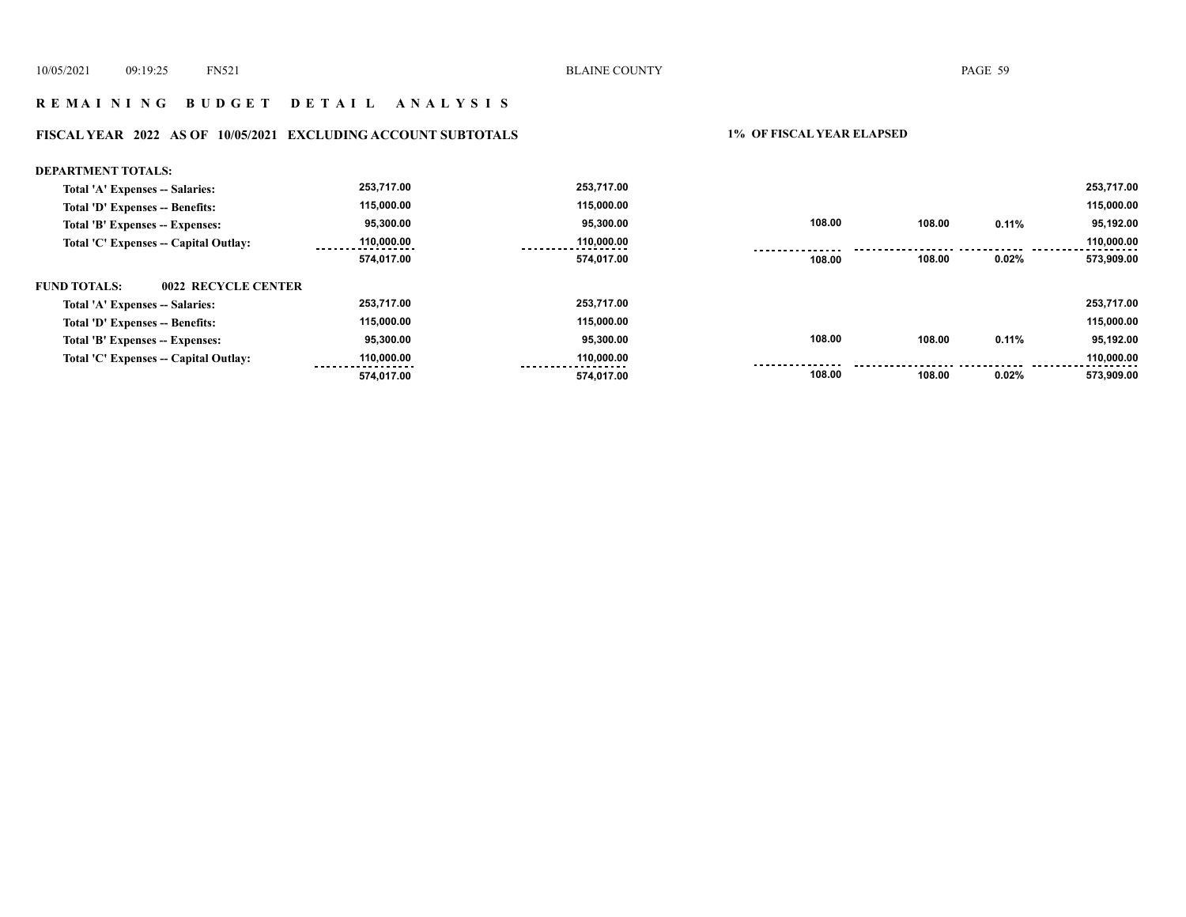# **R E M A I N I N G B U D G E T D E T A I L A N A L Y S I S**

# **FISCAL YEAR 2022 AS OF 10/05/2021 EXCLUDING ACCOUNT SUBTOTALS 1% OF FISCAL YEAR ELAPSED**

| <b>DEPARTMENT TOTALS:</b>                  |            |            |        |        |          |            |
|--------------------------------------------|------------|------------|--------|--------|----------|------------|
| Total 'A' Expenses -- Salaries:            | 253,717.00 | 253,717.00 |        |        |          | 253,717.00 |
| Total 'D' Expenses -- Benefits:            | 115,000.00 | 115,000.00 |        |        |          | 115,000.00 |
| Total 'B' Expenses -- Expenses:            | 95,300.00  | 95.300.00  | 108.00 | 108.00 | 0.11%    | 95,192.00  |
| Total 'C' Expenses -- Capital Outlay:      | 110,000.00 | 110,000.00 |        |        |          | 110,000.00 |
|                                            | 574,017.00 | 574,017.00 | 108.00 | 108.00 | 0.02%    | 573,909.00 |
| <b>FUND TOTALS:</b><br>0022 RECYCLE CENTER |            |            |        |        |          |            |
| Total 'A' Expenses -- Salaries:            | 253,717.00 | 253.717.00 |        |        |          | 253,717.00 |
| Total 'D' Expenses -- Benefits:            | 115,000.00 | 115.000.00 |        |        |          | 115,000.00 |
| Total 'B' Expenses -- Expenses:            | 95,300.00  | 95,300.00  | 108.00 | 108.00 | 0.11%    | 95,192.00  |
| Total 'C' Expenses -- Capital Outlay:      | 110,000.00 | 110,000.00 |        |        |          | 110,000.00 |
|                                            | 574.017.00 | 574,017.00 | 108.00 | 108.00 | $0.02\%$ | 573,909.00 |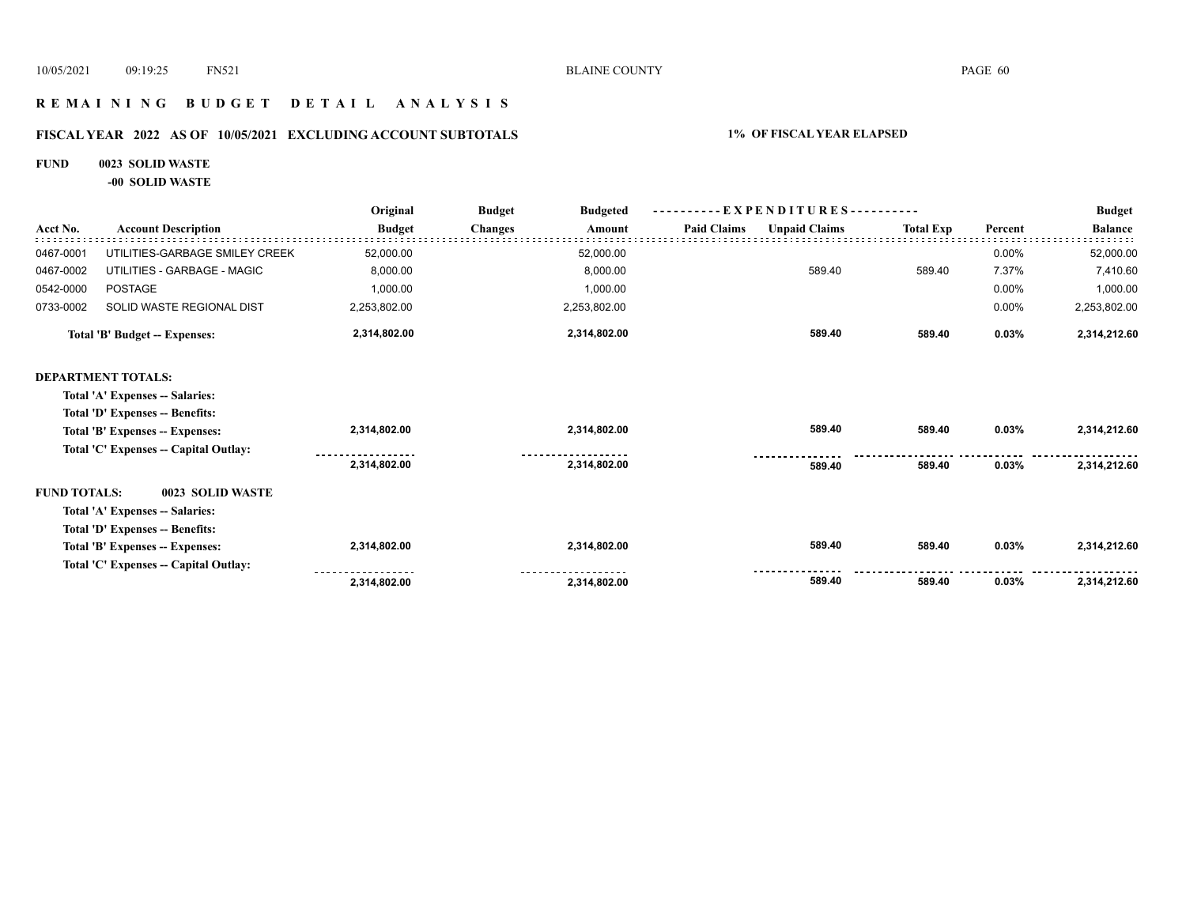# **R E M A I N I N G B U D G E T D E T A I L A N A L Y S I S**

# **FISCAL YEAR 2022 AS OF 10/05/2021 EXCLUDING ACCOUNT SUBTOTALS 1% OF FISCAL YEAR ELAPSED**

#### **FUND 0023 SOLID WASTE**

**-00 SOLID WASTE**

|                     |                                       | Original      | <b>Budget</b><br><b>Budgeted</b> | $-$ EXPENDITURES----------                 |                  | <b>Budget</b> |                |
|---------------------|---------------------------------------|---------------|----------------------------------|--------------------------------------------|------------------|---------------|----------------|
| Acct No.            | <b>Account Description</b>            | <b>Budget</b> | <b>Changes</b><br>Amount         | <b>Paid Claims</b><br><b>Unpaid Claims</b> | <b>Total Exp</b> | Percent       | <b>Balance</b> |
| 0467-0001           | UTILITIES-GARBAGE SMILEY CREEK        | 52,000.00     | 52,000.00                        |                                            |                  | 0.00%         | 52,000.00      |
| 0467-0002           | UTILITIES - GARBAGE - MAGIC           | 8,000.00      | 8,000.00                         | 589.40                                     | 589.40           | 7.37%         | 7,410.60       |
| 0542-0000           | <b>POSTAGE</b>                        | 1,000.00      | 1,000.00                         |                                            |                  | 0.00%         | 1,000.00       |
| 0733-0002           | SOLID WASTE REGIONAL DIST             | 2,253,802.00  | 2,253,802.00                     |                                            |                  | 0.00%         | 2,253,802.00   |
|                     | <b>Total 'B' Budget -- Expenses:</b>  | 2,314,802.00  | 2,314,802.00                     | 589.40                                     | 589.40           | 0.03%         | 2,314,212.60   |
|                     | <b>DEPARTMENT TOTALS:</b>             |               |                                  |                                            |                  |               |                |
|                     | Total 'A' Expenses -- Salaries:       |               |                                  |                                            |                  |               |                |
|                     | Total 'D' Expenses -- Benefits:       |               |                                  |                                            |                  |               |                |
|                     | Total 'B' Expenses -- Expenses:       | 2,314,802.00  | 2,314,802.00                     | 589.40                                     | 589.40           | 0.03%         | 2,314,212.60   |
|                     | Total 'C' Expenses -- Capital Outlay: |               |                                  |                                            |                  |               |                |
|                     |                                       | 2,314,802.00  | 2,314,802.00                     | 589.40                                     | 589.40           | 0.03%         | 2,314,212.60   |
| <b>FUND TOTALS:</b> | 0023 SOLID WASTE                      |               |                                  |                                            |                  |               |                |
|                     | Total 'A' Expenses -- Salaries:       |               |                                  |                                            |                  |               |                |
|                     | Total 'D' Expenses -- Benefits:       |               |                                  |                                            |                  |               |                |
|                     | Total 'B' Expenses -- Expenses:       | 2,314,802.00  | 2,314,802.00                     | 589.40                                     | 589.40           | 0.03%         | 2,314,212.60   |
|                     | Total 'C' Expenses -- Capital Outlay: |               |                                  |                                            |                  |               |                |
|                     |                                       | 2,314,802.00  | 2,314,802.00                     | 589.40                                     | 589.40           | 0.03%         | 2,314,212.60   |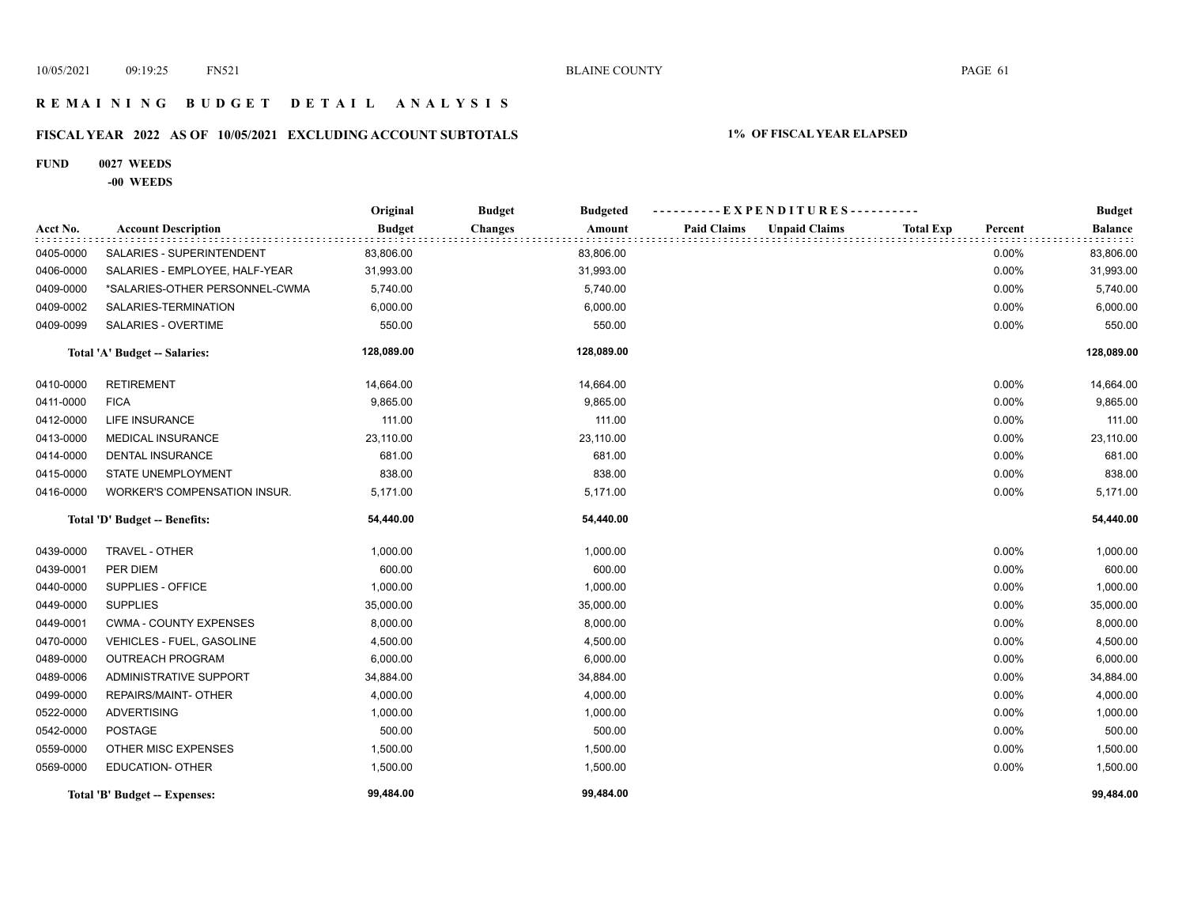# **R E M A I N I N G B U D G E T D E T A I L A N A L Y S I S**

# **FISCAL YEAR 2022 AS OF 10/05/2021 EXCLUDING ACCOUNT SUBTOTALS 1% OF FISCAL YEAR ELAPSED**

#### **FUND 0027 WEEDS**

#### **-00 WEEDS**

|           |                                | Original      | <b>Budget</b><br><b>Budgeted</b> | ----------EXPENDITURES----------           |                             | <b>Budget</b>  |
|-----------|--------------------------------|---------------|----------------------------------|--------------------------------------------|-----------------------------|----------------|
| Acct No.  | <b>Account Description</b>     | <b>Budget</b> | <b>Changes</b><br>Amount         | <b>Paid Claims</b><br><b>Unpaid Claims</b> | <b>Total Exp</b><br>Percent | <b>Balance</b> |
| 0405-0000 | SALARIES - SUPERINTENDENT      | 83,806.00     | 83,806.00                        |                                            | 0.00%                       | 83,806.00      |
| 0406-0000 | SALARIES - EMPLOYEE, HALF-YEAR | 31,993.00     | 31,993.00                        |                                            | 0.00%                       | 31,993.00      |
| 0409-0000 | *SALARIES-OTHER PERSONNEL-CWMA | 5,740.00      | 5,740.00                         |                                            | 0.00%                       | 5,740.00       |
| 0409-0002 | SALARIES-TERMINATION           | 6,000.00      | 6,000.00                         |                                            | 0.00%                       | 6,000.00       |
| 0409-0099 | SALARIES - OVERTIME            | 550.00        | 550.00                           |                                            | 0.00%                       | 550.00         |
|           | Total 'A' Budget -- Salaries:  | 128,089.00    | 128,089.00                       |                                            |                             | 128,089.00     |
| 0410-0000 | <b>RETIREMENT</b>              | 14,664.00     | 14,664.00                        |                                            | 0.00%                       | 14,664.00      |
| 0411-0000 | <b>FICA</b>                    | 9,865.00      | 9,865.00                         |                                            | 0.00%                       | 9,865.00       |
| 0412-0000 | <b>LIFE INSURANCE</b>          | 111.00        | 111.00                           |                                            | 0.00%                       | 111.00         |
| 0413-0000 | MEDICAL INSURANCE              | 23,110.00     | 23,110.00                        |                                            | 0.00%                       | 23,110.00      |
| 0414-0000 | <b>DENTAL INSURANCE</b>        | 681.00        | 681.00                           |                                            | 0.00%                       | 681.00         |
| 0415-0000 | STATE UNEMPLOYMENT             | 838.00        | 838.00                           |                                            | 0.00%                       | 838.00         |
| 0416-0000 | WORKER'S COMPENSATION INSUR.   | 5,171.00      | 5,171.00                         |                                            | 0.00%                       | 5,171.00       |
|           | Total 'D' Budget -- Benefits:  | 54,440.00     | 54,440.00                        |                                            |                             | 54,440.00      |
| 0439-0000 | TRAVEL - OTHER                 | 1,000.00      | 1,000.00                         |                                            | 0.00%                       | 1,000.00       |
| 0439-0001 | PER DIEM                       | 600.00        | 600.00                           |                                            | 0.00%                       | 600.00         |
| 0440-0000 | SUPPLIES - OFFICE              | 1,000.00      | 1,000.00                         |                                            | 0.00%                       | 1,000.00       |
| 0449-0000 | <b>SUPPLIES</b>                | 35,000.00     | 35,000.00                        |                                            | 0.00%                       | 35,000.00      |
| 0449-0001 | <b>CWMA - COUNTY EXPENSES</b>  | 8,000.00      | 8,000.00                         |                                            | 0.00%                       | 8,000.00       |
| 0470-0000 | VEHICLES - FUEL, GASOLINE      | 4,500.00      | 4,500.00                         |                                            | 0.00%                       | 4,500.00       |
| 0489-0000 | <b>OUTREACH PROGRAM</b>        | 6,000.00      | 6,000.00                         |                                            | 0.00%                       | 6,000.00       |
| 0489-0006 | ADMINISTRATIVE SUPPORT         | 34,884.00     | 34,884.00                        |                                            | 0.00%                       | 34,884.00      |
| 0499-0000 | REPAIRS/MAINT- OTHER           | 4,000.00      | 4,000.00                         |                                            | 0.00%                       | 4,000.00       |
| 0522-0000 | <b>ADVERTISING</b>             | 1,000.00      | 1,000.00                         |                                            | 0.00%                       | 1,000.00       |
| 0542-0000 | <b>POSTAGE</b>                 | 500.00        | 500.00                           |                                            | 0.00%                       | 500.00         |
| 0559-0000 | OTHER MISC EXPENSES            | 1,500.00      | 1,500.00                         |                                            | 0.00%                       | 1,500.00       |
| 0569-0000 | <b>EDUCATION- OTHER</b>        | 1,500.00      | 1,500.00                         |                                            | 0.00%                       | 1,500.00       |
|           | Total 'B' Budget -- Expenses:  | 99,484.00     | 99,484.00                        |                                            |                             | 99,484.00      |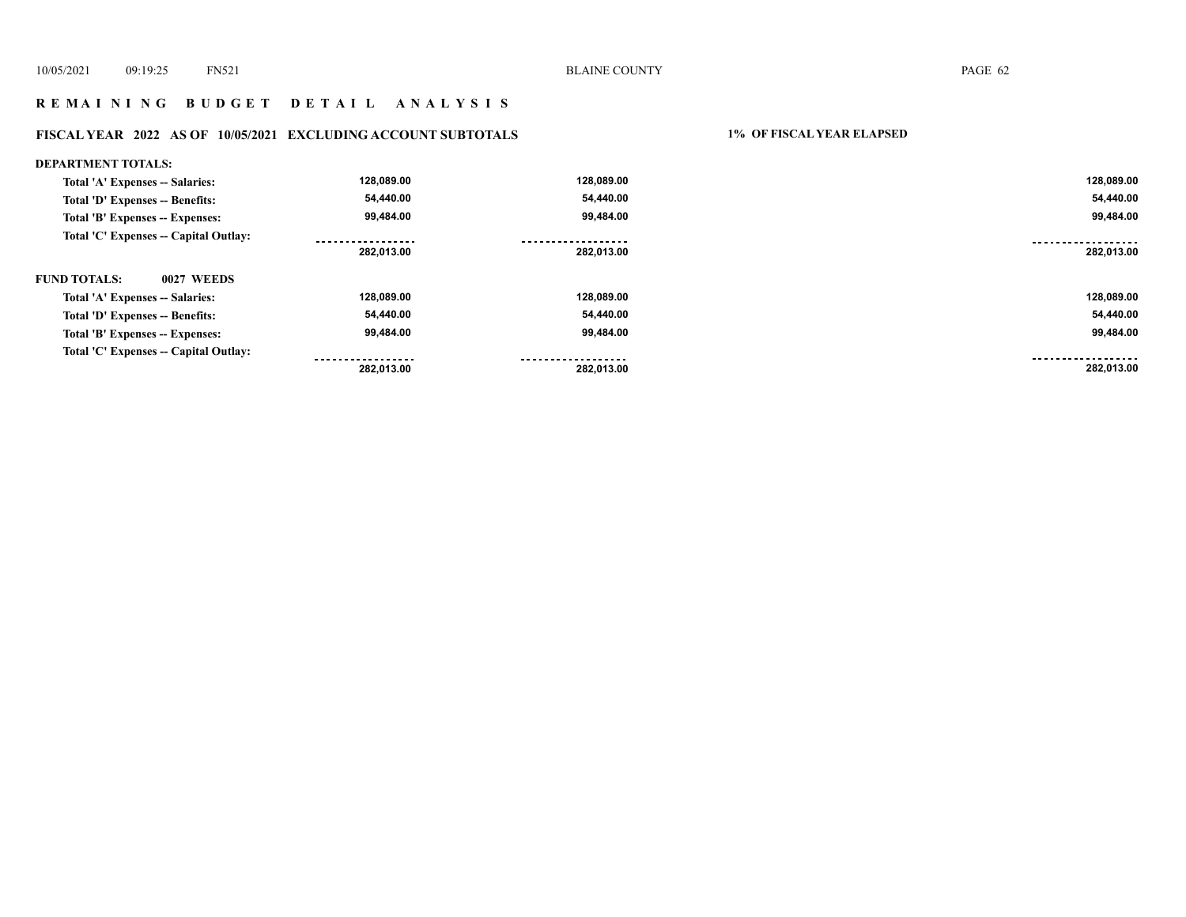# **R E M A I N I N G B U D G E T D E T A I L A N A L Y S I S**

# **FISCAL YEAR 2022 AS OF 10/05/2021 EXCLUDING ACCOUNT SUBTOTALS 1% OF FISCAL YEAR ELAPSED**

| <b>DEPARTMENT TOTALS:</b>              |                |                 |                |
|----------------------------------------|----------------|-----------------|----------------|
| Total 'A' Expenses -- Salaries:        | 128,089.00     | 128,089.00      | 128,089.00     |
| <b>Total 'D' Expenses -- Benefits:</b> | 54,440.00      | 54,440.00       | 54,440.00      |
| Total 'B' Expenses -- Expenses:        | 99,484.00      | 99,484.00       | 99,484.00      |
| Total 'C' Expenses -- Capital Outlay:  | <br>282,013.00 | <br>282,013.00  | <br>282,013.00 |
| <b>FUND TOTALS:</b><br>0027 WEEDS      |                |                 |                |
| Total 'A' Expenses -- Salaries:        | 128,089.00     | 128,089.00      | 128,089.00     |
| Total 'D' Expenses -- Benefits:        | 54,440.00      | 54,440.00       | 54,440.00      |
| Total 'B' Expenses -- Expenses:        | 99,484.00      | 99,484.00       | 99,484.00      |
| Total 'C' Expenses -- Capital Outlay:  | <br>282.013.00 | .<br>282.013.00 | <br>282.013.00 |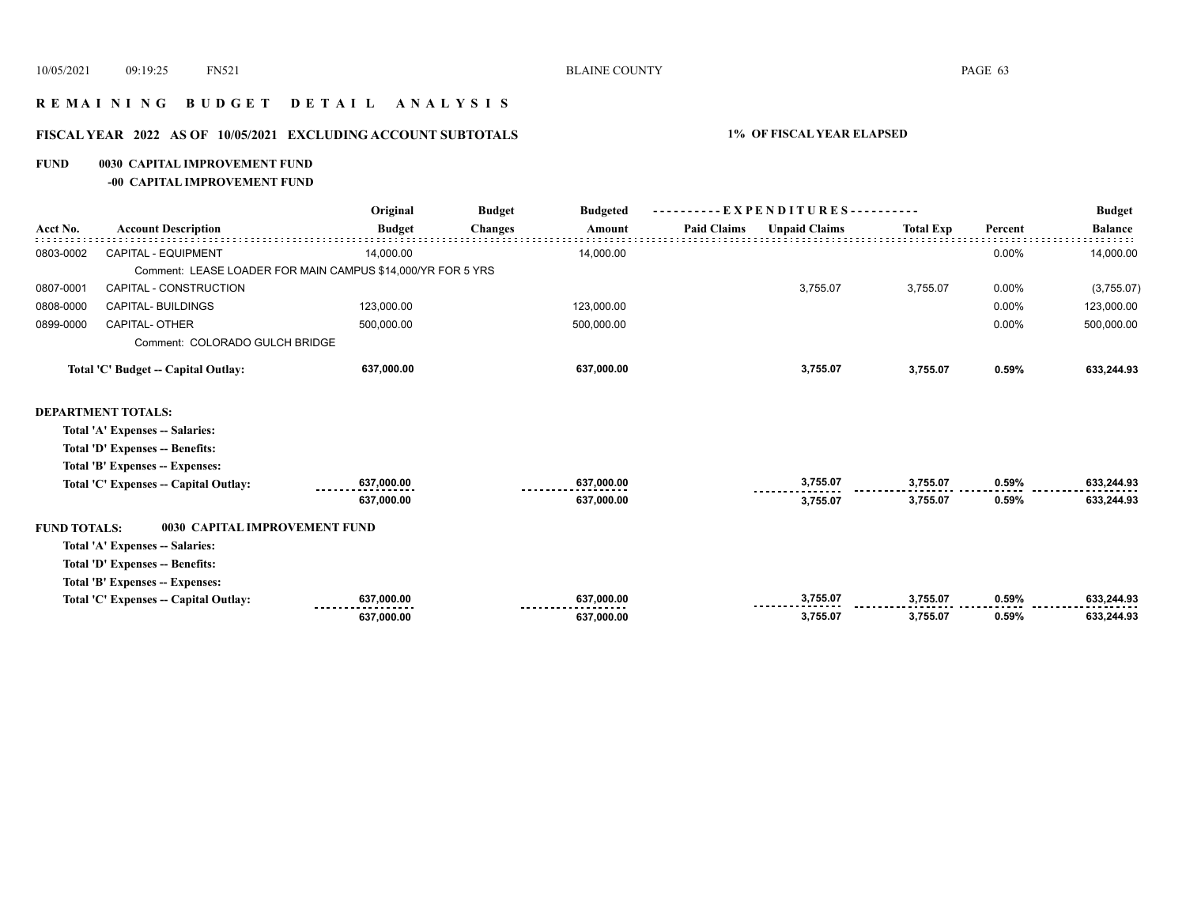# **R E M A I N I N G B U D G E T D E T A I L A N A L Y S I S**

# **FISCAL YEAR 2022 AS OF 10/05/2021 EXCLUDING ACCOUNT SUBTOTALS 1% OF FISCAL YEAR ELAPSED**

#### **FUND 0030 CAPITAL IMPROVEMENT FUND**

**-00 CAPITAL IMPROVEMENT FUND**

|                     |                                       | Original                                                    | <b>Budget</b>  | <b>Budgeted</b> |                    | $-EXPENDITURES$ --------- |                  |         | <b>Budget</b>  |
|---------------------|---------------------------------------|-------------------------------------------------------------|----------------|-----------------|--------------------|---------------------------|------------------|---------|----------------|
| Acct No.            | <b>Account Description</b>            | <b>Budget</b>                                               | <b>Changes</b> | Amount          | <b>Paid Claims</b> | <b>Unpaid Claims</b>      | <b>Total Exp</b> | Percent | <b>Balance</b> |
| 0803-0002           | <b>CAPITAL - EQUIPMENT</b>            | 14.000.00                                                   |                | 14.000.00       |                    |                           |                  | 0.00%   | 14,000.00      |
|                     |                                       | Comment: LEASE LOADER FOR MAIN CAMPUS \$14,000/YR FOR 5 YRS |                |                 |                    |                           |                  |         |                |
| 0807-0001           | CAPITAL - CONSTRUCTION                |                                                             |                |                 |                    | 3,755.07                  | 3,755.07         | 0.00%   | (3,755.07)     |
| 0808-0000           | <b>CAPITAL- BUILDINGS</b>             | 123,000.00                                                  |                | 123,000.00      |                    |                           |                  | 0.00%   | 123,000.00     |
| 0899-0000           | <b>CAPITAL- OTHER</b>                 | 500,000.00                                                  |                | 500,000.00      |                    |                           |                  | 0.00%   | 500,000.00     |
|                     | Comment: COLORADO GULCH BRIDGE        |                                                             |                |                 |                    |                           |                  |         |                |
|                     | Total 'C' Budget -- Capital Outlay:   | 637,000.00                                                  |                | 637,000.00      |                    | 3,755.07                  | 3,755.07         | 0.59%   | 633,244.93     |
|                     | <b>DEPARTMENT TOTALS:</b>             |                                                             |                |                 |                    |                           |                  |         |                |
|                     | Total 'A' Expenses -- Salaries:       |                                                             |                |                 |                    |                           |                  |         |                |
|                     | Total 'D' Expenses -- Benefits:       |                                                             |                |                 |                    |                           |                  |         |                |
|                     | Total 'B' Expenses -- Expenses:       |                                                             |                |                 |                    |                           |                  |         |                |
|                     | Total 'C' Expenses -- Capital Outlay: | 637,000.00                                                  |                | 637,000.00      |                    | 3,755.07                  | 3,755.07         | 0.59%   | 633,244.93     |
|                     |                                       | 637,000.00                                                  |                | 637,000.00      |                    | 3,755.07                  | 3,755.07         | 0.59%   | 633,244.93     |
| <b>FUND TOTALS:</b> | 0030 CAPITAL IMPROVEMENT FUND         |                                                             |                |                 |                    |                           |                  |         |                |
|                     | Total 'A' Expenses -- Salaries:       |                                                             |                |                 |                    |                           |                  |         |                |
|                     | Total 'D' Expenses -- Benefits:       |                                                             |                |                 |                    |                           |                  |         |                |
|                     | Total 'B' Expenses -- Expenses:       |                                                             |                |                 |                    |                           |                  |         |                |
|                     | Total 'C' Expenses -- Capital Outlay: | 637,000.00                                                  |                | 637,000.00      |                    | 3,755.07                  | 3,755.07         | 0.59%   | 633,244.93     |
|                     |                                       | 637,000.00                                                  |                | 637,000.00      |                    | 3,755.07                  | 3,755.07         | 0.59%   | 633,244.93     |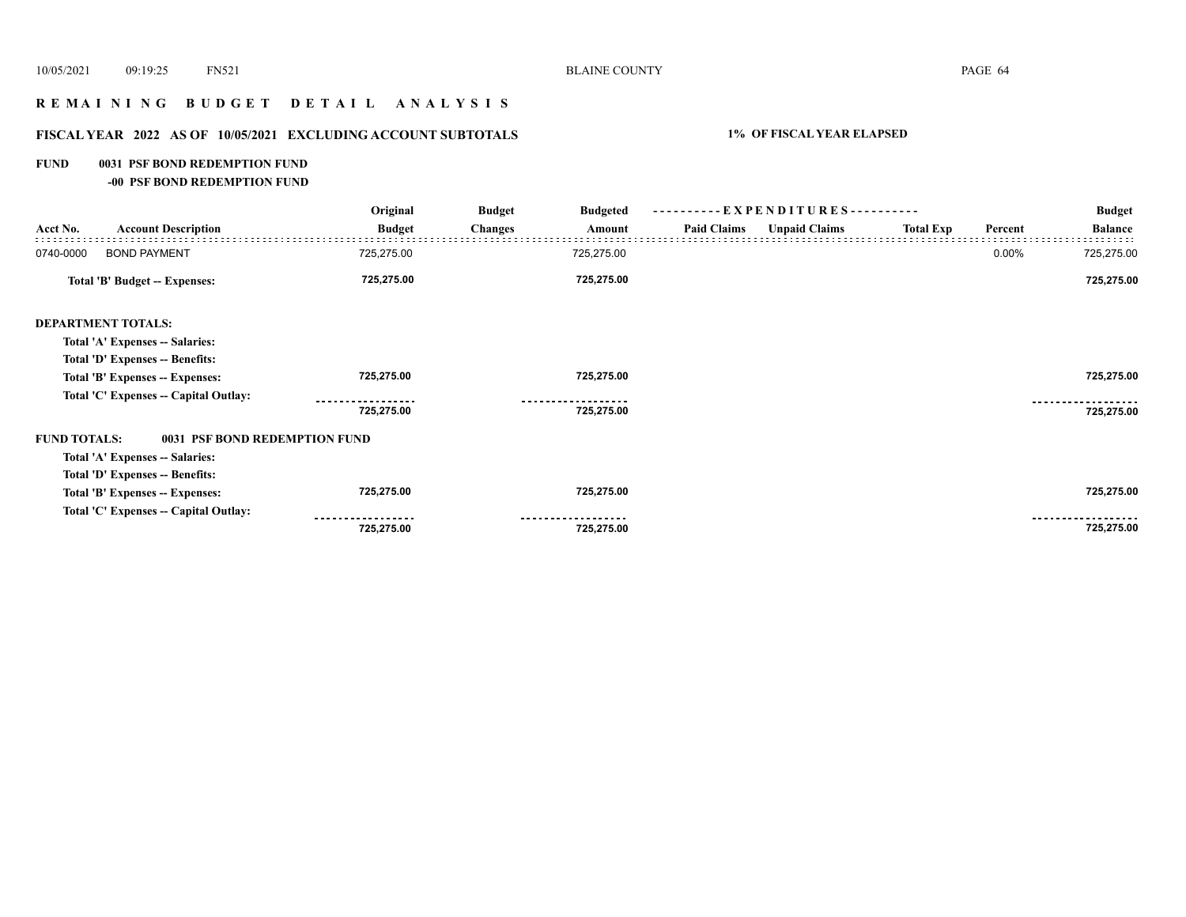# **R E M A I N I N G B U D G E T D E T A I L A N A L Y S I S**

# **FISCAL YEAR 2022 AS OF 10/05/2021 EXCLUDING ACCOUNT SUBTOTALS 1% OF FISCAL YEAR ELAPSED**

#### **FUND 0031 PSF BOND REDEMPTION FUND**

**-00 PSF BOND REDEMPTION FUND**

|                     |                                       | Original      | <b>Budget</b><br><b>Budgeted</b> |                    | ----------EXPENDITURES---------- |                  |         | <b>Budget</b>  |
|---------------------|---------------------------------------|---------------|----------------------------------|--------------------|----------------------------------|------------------|---------|----------------|
| Acct No.            | <b>Account Description</b>            | <b>Budget</b> | <b>Changes</b><br>Amount         | <b>Paid Claims</b> | <b>Unpaid Claims</b>             | <b>Total Exp</b> | Percent | <b>Balance</b> |
| 0740-0000           | <b>BOND PAYMENT</b>                   | 725,275.00    | 725,275.00                       |                    |                                  |                  | 0.00%   | 725,275.00     |
|                     | <b>Total 'B' Budget -- Expenses:</b>  | 725,275.00    | 725,275.00                       |                    |                                  |                  |         | 725,275.00     |
|                     | <b>DEPARTMENT TOTALS:</b>             |               |                                  |                    |                                  |                  |         |                |
|                     | Total 'A' Expenses -- Salaries:       |               |                                  |                    |                                  |                  |         |                |
|                     | Total 'D' Expenses -- Benefits:       |               |                                  |                    |                                  |                  |         |                |
|                     | Total 'B' Expenses -- Expenses:       | 725,275.00    | 725,275.00                       |                    |                                  |                  |         | 725,275.00     |
|                     | Total 'C' Expenses -- Capital Outlay: |               |                                  |                    |                                  |                  |         |                |
|                     |                                       | 725,275.00    | 725,275.00                       |                    |                                  |                  |         | 725,275.00     |
| <b>FUND TOTALS:</b> | 0031 PSF BOND REDEMPTION FUND         |               |                                  |                    |                                  |                  |         |                |
|                     | Total 'A' Expenses -- Salaries:       |               |                                  |                    |                                  |                  |         |                |
|                     | Total 'D' Expenses -- Benefits:       |               |                                  |                    |                                  |                  |         |                |
|                     | Total 'B' Expenses -- Expenses:       | 725,275.00    | 725,275.00                       |                    |                                  |                  |         | 725,275.00     |
|                     | Total 'C' Expenses - Capital Outlay:  |               |                                  |                    |                                  |                  |         |                |
|                     |                                       | 725,275.00    | 725,275.00                       |                    |                                  |                  |         | 725,275.00     |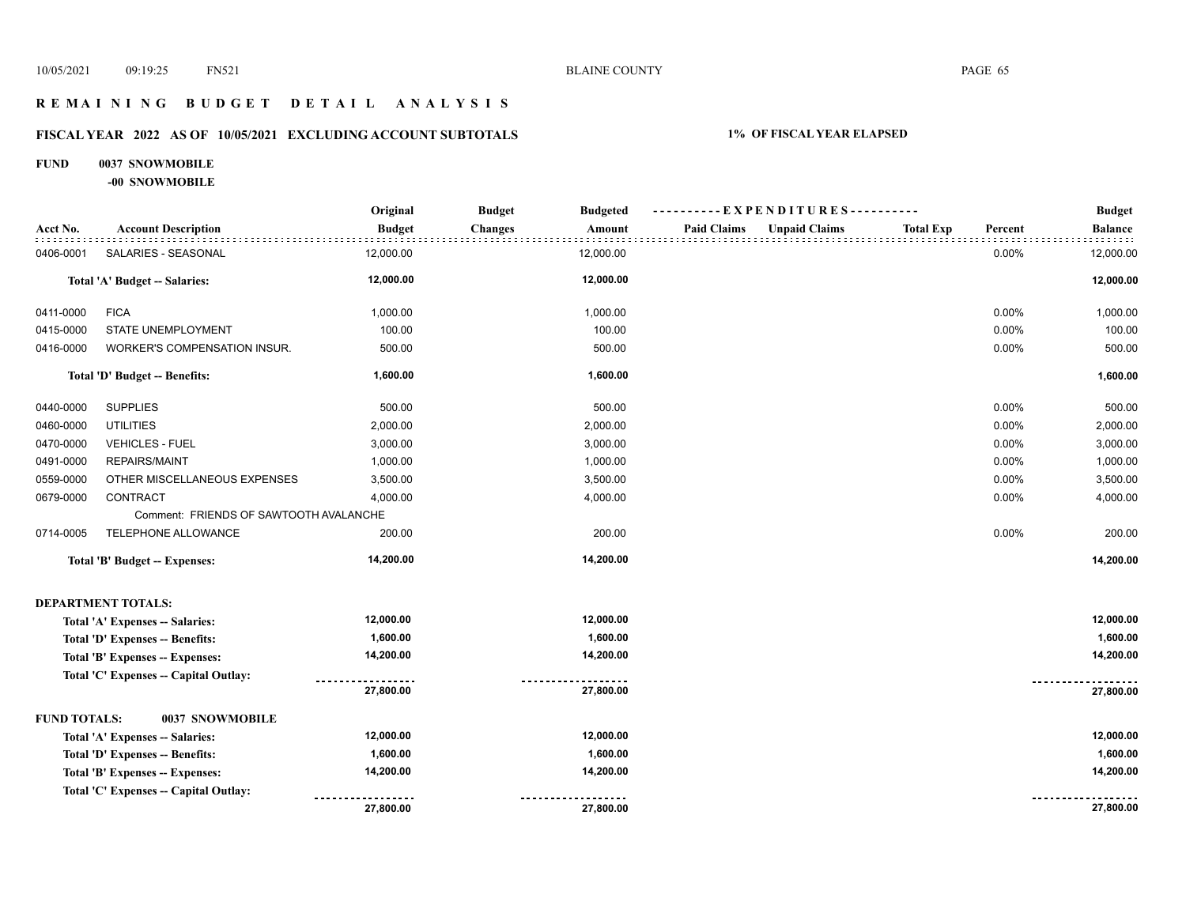# **R E M A I N I N G B U D G E T D E T A I L A N A L Y S I S**

# **FISCAL YEAR 2022 AS OF 10/05/2021 EXCLUDING ACCOUNT SUBTOTALS 1% OF FISCAL YEAR ELAPSED**

#### **FUND 0037 SNOWMOBILE**

**-00 SNOWMOBILE**

|                     |                                        | Original      | <b>Budget</b>  | <b>Budgeted</b> |                    | ----------EXPENDITURES---------- |                  |         | <b>Budget</b>  |
|---------------------|----------------------------------------|---------------|----------------|-----------------|--------------------|----------------------------------|------------------|---------|----------------|
| Acct No.            | <b>Account Description</b>             | <b>Budget</b> | <b>Changes</b> | Amount          | <b>Paid Claims</b> | <b>Unpaid Claims</b>             | <b>Total Exp</b> | Percent | <b>Balance</b> |
| 0406-0001           | SALARIES - SEASONAL                    | 12,000.00     |                | 12,000.00       |                    |                                  |                  | 0.00%   | 12,000.00      |
|                     | Total 'A' Budget -- Salaries:          | 12,000.00     |                | 12,000.00       |                    |                                  |                  |         | 12,000.00      |
| 0411-0000           | <b>FICA</b>                            | 1,000.00      |                | 1,000.00        |                    |                                  |                  | 0.00%   | 1,000.00       |
| 0415-0000           | STATE UNEMPLOYMENT                     | 100.00        |                | 100.00          |                    |                                  |                  | 0.00%   | 100.00         |
| 0416-0000           | WORKER'S COMPENSATION INSUR.           | 500.00        |                | 500.00          |                    |                                  |                  | 0.00%   | 500.00         |
|                     | Total 'D' Budget -- Benefits:          | 1,600.00      |                | 1,600.00        |                    |                                  |                  |         | 1,600.00       |
| 0440-0000           | <b>SUPPLIES</b>                        | 500.00        |                | 500.00          |                    |                                  |                  | 0.00%   | 500.00         |
| 0460-0000           | <b>UTILITIES</b>                       | 2,000.00      |                | 2,000.00        |                    |                                  |                  | 0.00%   | 2,000.00       |
| 0470-0000           | <b>VEHICLES - FUEL</b>                 | 3,000.00      |                | 3,000.00        |                    |                                  |                  | 0.00%   | 3,000.00       |
| 0491-0000           | <b>REPAIRS/MAINT</b>                   | 1,000.00      |                | 1,000.00        |                    |                                  |                  | 0.00%   | 1,000.00       |
| 0559-0000           | OTHER MISCELLANEOUS EXPENSES           | 3,500.00      |                | 3,500.00        |                    |                                  |                  | 0.00%   | 3,500.00       |
| 0679-0000           | CONTRACT                               | 4,000.00      |                | 4,000.00        |                    |                                  |                  | 0.00%   | 4,000.00       |
|                     | Comment: FRIENDS OF SAWTOOTH AVALANCHE |               |                |                 |                    |                                  |                  |         |                |
| 0714-0005           | TELEPHONE ALLOWANCE                    | 200.00        |                | 200.00          |                    |                                  |                  | 0.00%   | 200.00         |
|                     | Total 'B' Budget -- Expenses:          | 14,200.00     |                | 14,200.00       |                    |                                  |                  |         | 14,200.00      |
|                     | <b>DEPARTMENT TOTALS:</b>              |               |                |                 |                    |                                  |                  |         |                |
|                     | Total 'A' Expenses -- Salaries:        | 12,000.00     |                | 12,000.00       |                    |                                  |                  |         | 12,000.00      |
|                     | Total 'D' Expenses -- Benefits:        | 1,600.00      |                | 1,600.00        |                    |                                  |                  |         | 1,600.00       |
|                     | Total 'B' Expenses -- Expenses:        | 14,200.00     |                | 14,200.00       |                    |                                  |                  |         | 14,200.00      |
|                     | Total 'C' Expenses -- Capital Outlay:  |               |                |                 |                    |                                  |                  |         |                |
|                     |                                        | 27,800.00     |                | 27,800.00       |                    |                                  |                  |         | 27,800.00      |
| <b>FUND TOTALS:</b> | 0037 SNOWMOBILE                        |               |                |                 |                    |                                  |                  |         |                |
|                     | Total 'A' Expenses -- Salaries:        | 12,000.00     |                | 12,000.00       |                    |                                  |                  |         | 12,000.00      |
|                     | Total 'D' Expenses -- Benefits:        | 1,600.00      |                | 1,600.00        |                    |                                  |                  |         | 1,600.00       |
|                     | Total 'B' Expenses -- Expenses:        | 14,200.00     |                | 14,200.00       |                    |                                  |                  |         | 14,200.00      |
|                     | Total 'C' Expenses -- Capital Outlay:  |               |                |                 |                    |                                  |                  |         |                |
|                     |                                        | 27,800.00     |                | 27,800.00       |                    |                                  |                  |         | 27,800.00      |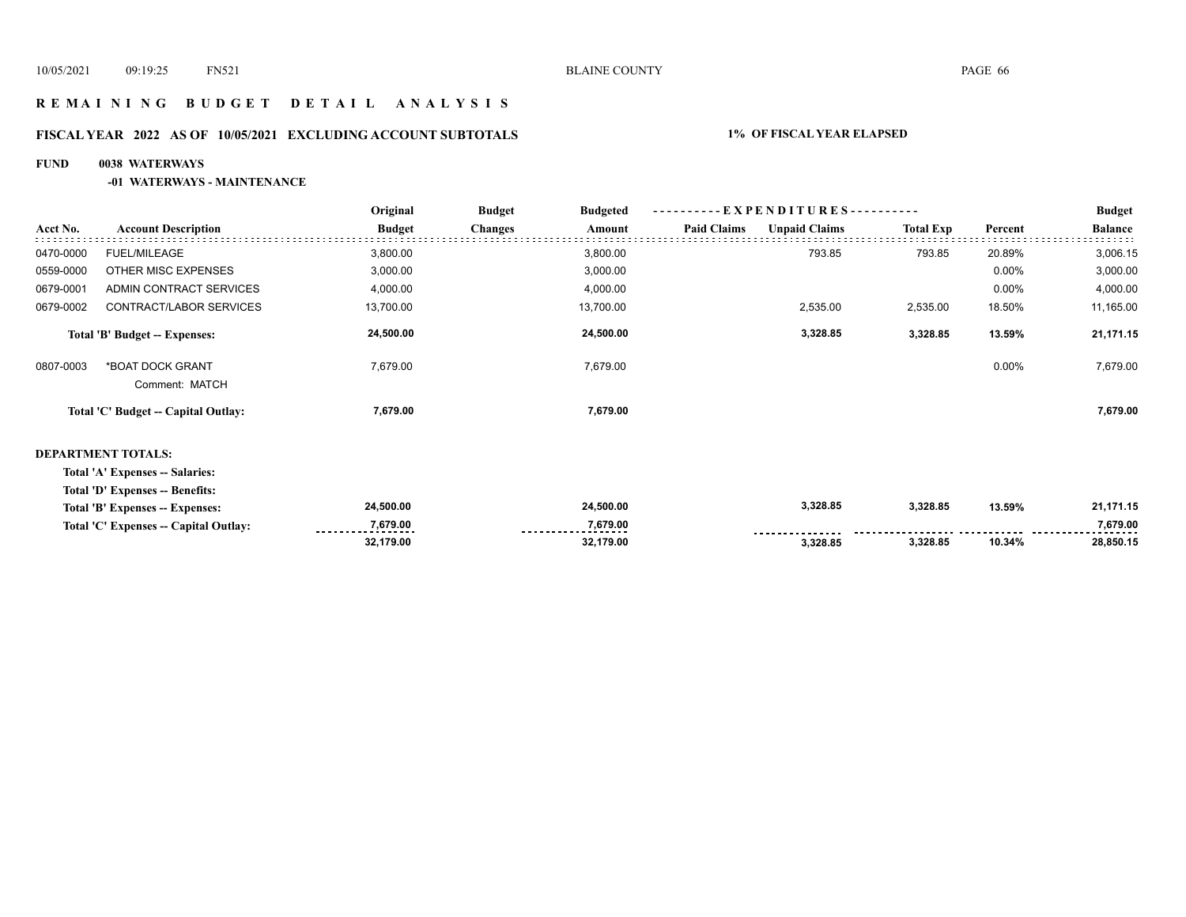# **R E M A I N I N G B U D G E T D E T A I L A N A L Y S I S**

# **FISCAL YEAR 2022 AS OF 10/05/2021 EXCLUDING ACCOUNT SUBTOTALS 1% OF FISCAL YEAR ELAPSED**

#### **FUND 0038 WATERWAYS**

#### **-01 WATERWAYS - MAINTENANCE**

|           |                                     | Original      | <b>Budget</b>  | <b>Budgeted</b> |                    | ----------EXPENDITURES---------- |                  |          | <b>Budget</b>  |
|-----------|-------------------------------------|---------------|----------------|-----------------|--------------------|----------------------------------|------------------|----------|----------------|
| Acct No.  | <b>Account Description</b>          | <b>Budget</b> | <b>Changes</b> | Amount          | <b>Paid Claims</b> | <b>Unpaid Claims</b>             | <b>Total Exp</b> | Percent  | <b>Balance</b> |
| 0470-0000 | <b>FUEL/MILEAGE</b>                 | 3,800.00      |                | 3,800.00        |                    | 793.85                           | 793.85           | 20.89%   | 3,006.15       |
| 0559-0000 | OTHER MISC EXPENSES                 | 3,000.00      |                | 3,000.00        |                    |                                  |                  | $0.00\%$ | 3,000.00       |
| 0679-0001 | ADMIN CONTRACT SERVICES             | 4,000.00      |                | 4,000.00        |                    |                                  |                  | $0.00\%$ | 4,000.00       |
| 0679-0002 | CONTRACT/LABOR SERVICES             | 13,700.00     |                | 13,700.00       |                    | 2,535.00                         | 2,535.00         | 18.50%   | 11,165.00      |
|           | Total 'B' Budget -- Expenses:       | 24,500.00     |                | 24,500.00       |                    | 3,328.85                         | 3,328.85         | 13.59%   | 21,171.15      |
| 0807-0003 | *BOAT DOCK GRANT<br>Comment: MATCH  | 7,679.00      |                | 7,679.00        |                    |                                  |                  | $0.00\%$ | 7,679.00       |
|           | Total 'C' Budget -- Capital Outlay: | 7,679.00      |                | 7,679.00        |                    |                                  |                  |          | 7,679.00       |
|           |                                     |               |                |                 |                    |                                  |                  |          |                |

#### **DEPARTMENT TOTALS:**

| Total 'A' Expenses -- Salaries:       |                               |                                  |          |          |        |               |
|---------------------------------------|-------------------------------|----------------------------------|----------|----------|--------|---------------|
| Total 'D' Expenses -- Benefits:       |                               |                                  |          |          |        |               |
| Total 'B' Expenses -- Expenses:       | 24.500.00                     | 24,500.00                        | 3,328.85 | 3.328.85 | 13.59% | 21,171.15     |
| Total 'C' Expenses -- Capital Outlay: | 7.679.00<br>----------------- | 7.679.00<br>-------------------- |          |          |        | 7.679.00<br>. |
|                                       | 32.179.00                     | 32.179.00                        | 3.328.85 | 3.328.85 | 10.34% | 28.850.15     |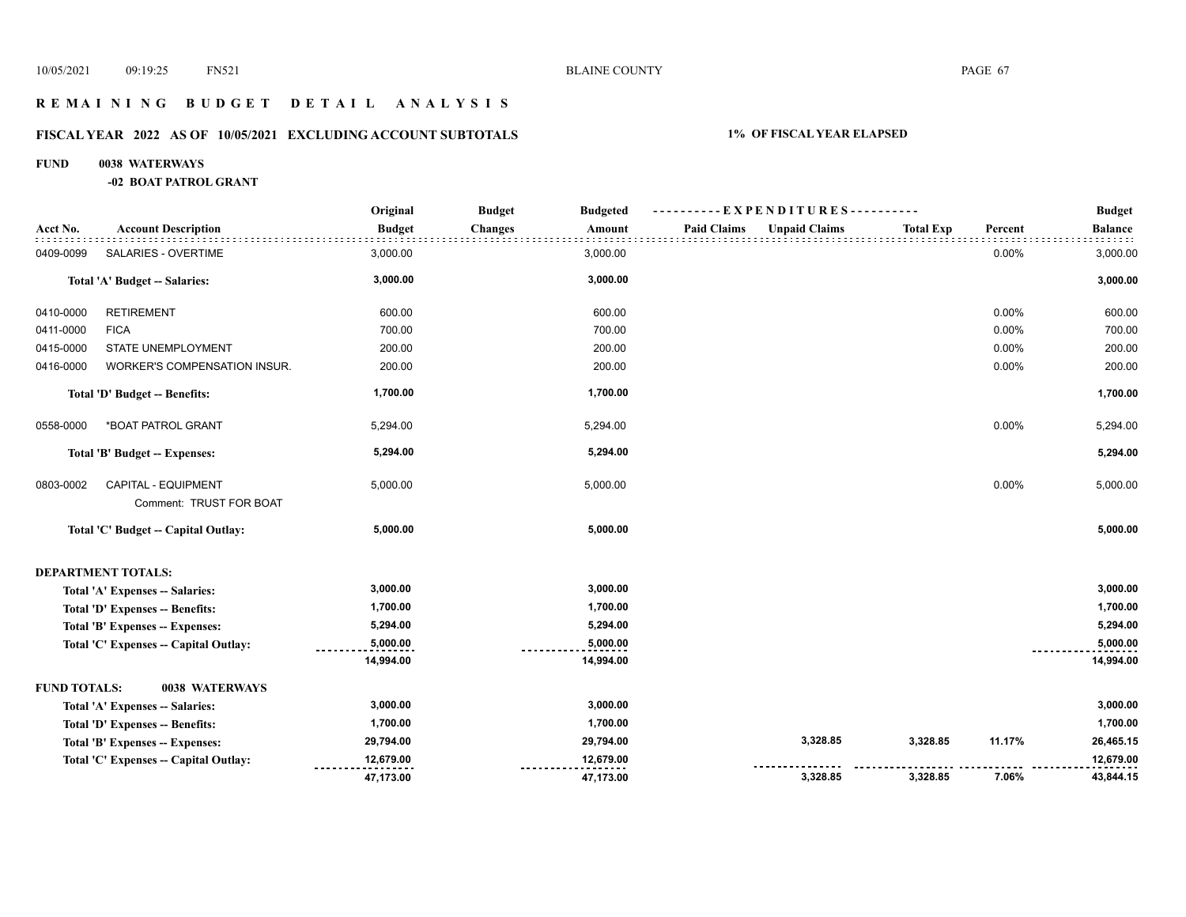# **R E M A I N I N G B U D G E T D E T A I L A N A L Y S I S**

# **FISCAL YEAR 2022 AS OF 10/05/2021 EXCLUDING ACCOUNT SUBTOTALS 1% OF FISCAL YEAR ELAPSED**

#### **FUND 0038 WATERWAYS**

**-02 BOAT PATROL GRANT**

|                     |                                                       | Original      | <b>Budget</b><br><b>Budgeted</b> | ----------EXPENDITURES---------- |                      |                  |         | <b>Budget</b>  |
|---------------------|-------------------------------------------------------|---------------|----------------------------------|----------------------------------|----------------------|------------------|---------|----------------|
| Acct No.            | <b>Account Description</b>                            | <b>Budget</b> | <b>Changes</b><br>Amount         | <b>Paid Claims</b>               | <b>Unpaid Claims</b> | <b>Total Exp</b> | Percent | <b>Balance</b> |
| 0409-0099           | SALARIES - OVERTIME                                   | 3,000.00      | 3,000.00                         |                                  |                      |                  | 0.00%   | 3,000.00       |
|                     | Total 'A' Budget -- Salaries:                         | 3,000.00      | 3,000.00                         |                                  |                      |                  |         | 3,000.00       |
| 0410-0000           | <b>RETIREMENT</b>                                     | 600.00        | 600.00                           |                                  |                      |                  | 0.00%   | 600.00         |
| 0411-0000           | <b>FICA</b>                                           | 700.00        | 700.00                           |                                  |                      |                  | 0.00%   | 700.00         |
| 0415-0000           | STATE UNEMPLOYMENT                                    | 200.00        | 200.00                           |                                  |                      |                  | 0.00%   | 200.00         |
| 0416-0000           | WORKER'S COMPENSATION INSUR.                          | 200.00        | 200.00                           |                                  |                      |                  | 0.00%   | 200.00         |
|                     | Total 'D' Budget -- Benefits:                         | 1,700.00      | 1,700.00                         |                                  |                      |                  |         | 1,700.00       |
| 0558-0000           | *BOAT PATROL GRANT                                    | 5,294.00      | 5,294.00                         |                                  |                      |                  | 0.00%   | 5,294.00       |
|                     | Total 'B' Budget -- Expenses:                         | 5,294.00      | 5,294.00                         |                                  |                      |                  |         | 5,294.00       |
| 0803-0002           | <b>CAPITAL - EQUIPMENT</b><br>Comment: TRUST FOR BOAT | 5,000.00      | 5,000.00                         |                                  |                      |                  | 0.00%   | 5,000.00       |
|                     | Total 'C' Budget -- Capital Outlay:                   | 5,000.00      | 5,000.00                         |                                  |                      |                  |         | 5,000.00       |
|                     | <b>DEPARTMENT TOTALS:</b>                             |               |                                  |                                  |                      |                  |         |                |
|                     | Total 'A' Expenses -- Salaries:                       | 3,000.00      | 3,000.00                         |                                  |                      |                  |         | 3,000.00       |
|                     | Total 'D' Expenses -- Benefits:                       | 1,700.00      | 1,700.00                         |                                  |                      |                  |         | 1,700.00       |
|                     | Total 'B' Expenses -- Expenses:                       | 5,294.00      | 5,294.00                         |                                  |                      |                  |         | 5,294.00       |
|                     | Total 'C' Expenses -- Capital Outlay:                 | 5,000.00      | 5,000.00                         |                                  |                      |                  |         | 5,000.00       |
|                     |                                                       | 14,994.00     | 14,994.00                        |                                  |                      |                  |         | 14,994.00      |
| <b>FUND TOTALS:</b> | 0038 WATERWAYS                                        |               |                                  |                                  |                      |                  |         |                |
|                     | Total 'A' Expenses -- Salaries:                       | 3,000.00      | 3,000.00                         |                                  |                      |                  |         | 3,000.00       |
|                     | Total 'D' Expenses -- Benefits:                       | 1,700.00      | 1,700.00                         |                                  |                      |                  |         | 1,700.00       |
|                     | Total 'B' Expenses -- Expenses:                       | 29,794.00     | 29,794.00                        |                                  | 3,328.85             | 3,328.85         | 11.17%  | 26,465.15      |
|                     | Total 'C' Expenses -- Capital Outlay:                 | 12,679.00     | 12,679.00                        |                                  |                      |                  |         | 12,679.00      |
|                     |                                                       | 47,173.00     | 47,173.00                        |                                  | 3,328.85             | 3,328.85         | 7.06%   | 43,844.15      |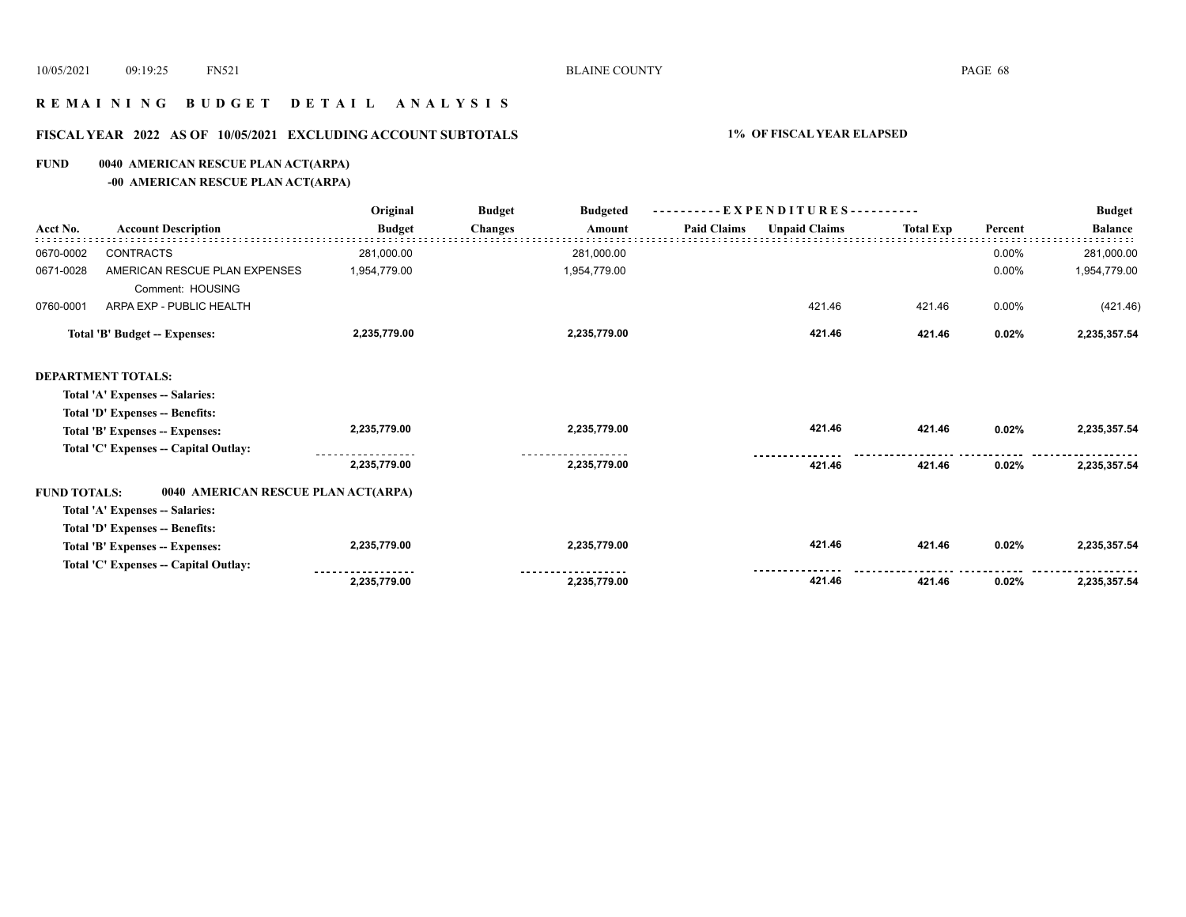# **R E M A I N I N G B U D G E T D E T A I L A N A L Y S I S**

# **FISCAL YEAR 2022 AS OF 10/05/2021 EXCLUDING ACCOUNT SUBTOTALS 1% OF FISCAL YEAR ELAPSED**

# **FUND 0040 AMERICAN RESCUE PLAN ACT(ARPA)**

**-00 AMERICAN RESCUE PLAN ACT(ARPA)**

|                     |                                                   | Original      | <b>Budget</b><br><b>Budgeted</b> | --EXPENDITURES---------- |                      |                  |         | <b>Budget</b>  |
|---------------------|---------------------------------------------------|---------------|----------------------------------|--------------------------|----------------------|------------------|---------|----------------|
| Acct No.            | <b>Account Description</b>                        | <b>Budget</b> | <b>Changes</b><br>Amount         | <b>Paid Claims</b>       | <b>Unpaid Claims</b> | <b>Total Exp</b> | Percent | <b>Balance</b> |
| 0670-0002           | <b>CONTRACTS</b>                                  | 281,000.00    | 281,000.00                       |                          |                      |                  | 0.00%   | 281,000.00     |
| 0671-0028           | AMERICAN RESCUE PLAN EXPENSES<br>Comment: HOUSING | 1,954,779.00  | 1,954,779.00                     |                          |                      |                  | 0.00%   | 1,954,779.00   |
| 0760-0001           | ARPA EXP - PUBLIC HEALTH                          |               |                                  |                          | 421.46               | 421.46           | 0.00%   | (421.46)       |
|                     | <b>Total 'B' Budget -- Expenses:</b>              | 2,235,779.00  | 2,235,779.00                     |                          | 421.46               | 421.46           | 0.02%   | 2,235,357.54   |
|                     | <b>DEPARTMENT TOTALS:</b>                         |               |                                  |                          |                      |                  |         |                |
|                     | Total 'A' Expenses -- Salaries:                   |               |                                  |                          |                      |                  |         |                |
|                     | Total 'D' Expenses -- Benefits:                   |               |                                  |                          |                      |                  |         |                |
|                     | Total 'B' Expenses -- Expenses:                   | 2,235,779.00  | 2,235,779.00                     |                          | 421.46               | 421.46           | 0.02%   | 2,235,357.54   |
|                     | Total 'C' Expenses -- Capital Outlay:             |               |                                  |                          |                      |                  |         |                |
|                     |                                                   | 2,235,779.00  | 2,235,779.00                     |                          | 421.46               | 421.46           | 0.02%   | 2,235,357.54   |
| <b>FUND TOTALS:</b> | 0040 AMERICAN RESCUE PLAN ACT(ARPA)               |               |                                  |                          |                      |                  |         |                |
|                     | Total 'A' Expenses -- Salaries:                   |               |                                  |                          |                      |                  |         |                |
|                     | Total 'D' Expenses -- Benefits:                   |               |                                  |                          |                      |                  |         |                |
|                     | Total 'B' Expenses -- Expenses:                   | 2,235,779.00  | 2,235,779.00                     |                          | 421.46               | 421.46           | 0.02%   | 2,235,357.54   |
|                     | Total 'C' Expenses -- Capital Outlay:             |               |                                  |                          |                      |                  |         |                |
|                     |                                                   | 2,235,779.00  | 2,235,779.00                     |                          | 421.46               | 421.46           | 0.02%   | 2,235,357.54   |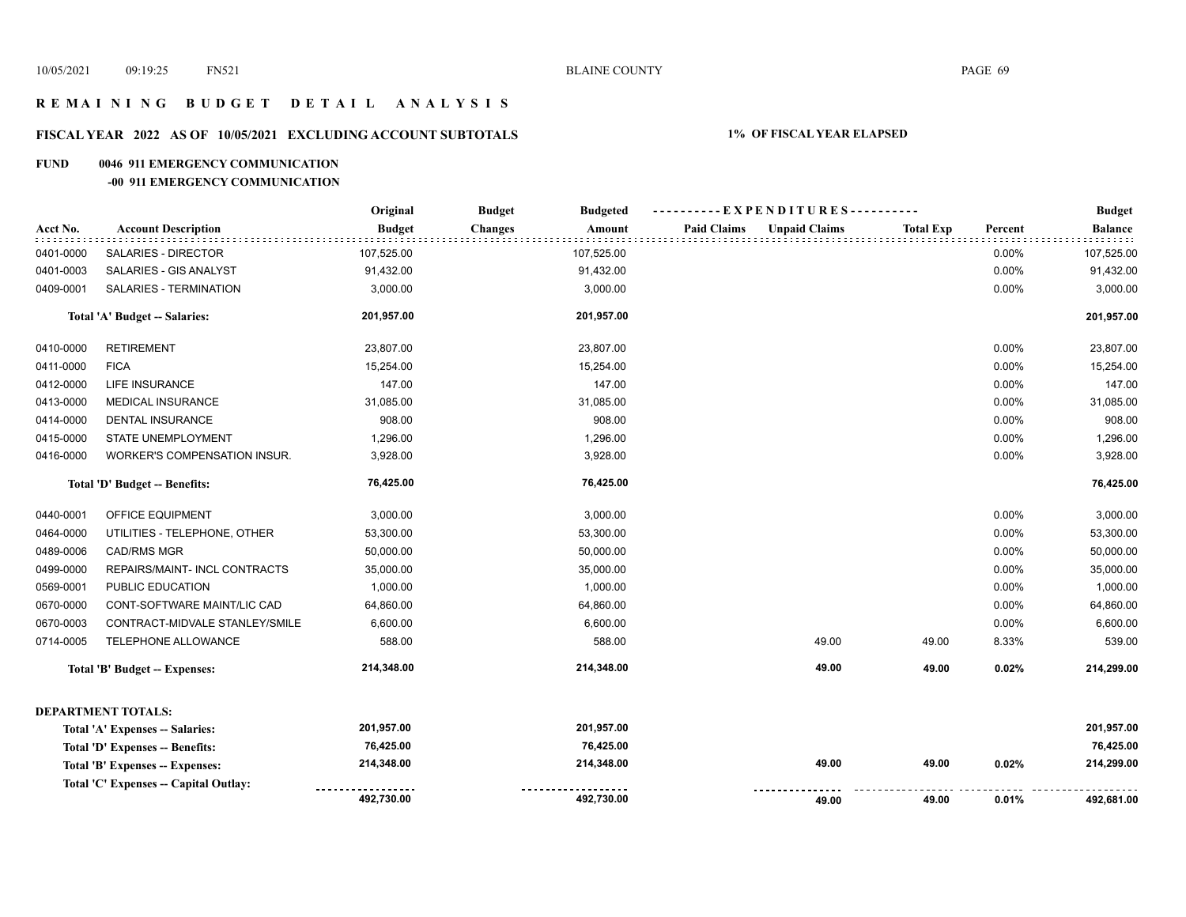# **R E M A I N I N G B U D G E T D E T A I L A N A L Y S I S**

# **FISCAL YEAR 2022 AS OF 10/05/2021 EXCLUDING ACCOUNT SUBTOTALS 1% OF FISCAL YEAR ELAPSED**

#### **FUND 0046 911 EMERGENCY COMMUNICATION**

#### **-00 911 EMERGENCY COMMUNICATION**

|           |                                       | Original      | <b>Budget</b><br><b>Budgeted</b> | ----------EXPENDITURES----------           |                  |         | <b>Budget</b>  |
|-----------|---------------------------------------|---------------|----------------------------------|--------------------------------------------|------------------|---------|----------------|
| Acct No.  | <b>Account Description</b>            | <b>Budget</b> | <b>Changes</b><br>Amount         | <b>Paid Claims</b><br><b>Unpaid Claims</b> | <b>Total Exp</b> | Percent | <b>Balance</b> |
| 0401-0000 | SALARIES - DIRECTOR                   | 107,525.00    | 107,525.00                       |                                            |                  | 0.00%   | 107,525.00     |
| 0401-0003 | SALARIES - GIS ANALYST                | 91,432.00     | 91,432.00                        |                                            |                  | 0.00%   | 91,432.00      |
| 0409-0001 | SALARIES - TERMINATION                | 3,000.00      | 3,000.00                         |                                            |                  | 0.00%   | 3,000.00       |
|           | Total 'A' Budget -- Salaries:         | 201,957.00    | 201,957.00                       |                                            |                  |         | 201,957.00     |
| 0410-0000 | <b>RETIREMENT</b>                     | 23,807.00     | 23,807.00                        |                                            |                  | 0.00%   | 23,807.00      |
| 0411-0000 | <b>FICA</b>                           | 15,254.00     | 15,254.00                        |                                            |                  | 0.00%   | 15,254.00      |
| 0412-0000 | LIFE INSURANCE                        | 147.00        | 147.00                           |                                            |                  | 0.00%   | 147.00         |
| 0413-0000 | MEDICAL INSURANCE                     | 31,085.00     | 31,085.00                        |                                            |                  | 0.00%   | 31,085.00      |
| 0414-0000 | <b>DENTAL INSURANCE</b>               | 908.00        | 908.00                           |                                            |                  | 0.00%   | 908.00         |
| 0415-0000 | STATE UNEMPLOYMENT                    | 1,296.00      | 1,296.00                         |                                            |                  | 0.00%   | 1,296.00       |
| 0416-0000 | WORKER'S COMPENSATION INSUR.          | 3,928.00      | 3,928.00                         |                                            |                  | 0.00%   | 3,928.00       |
|           | Total 'D' Budget -- Benefits:         | 76,425.00     | 76,425.00                        |                                            |                  |         | 76,425.00      |
| 0440-0001 | OFFICE EQUIPMENT                      | 3,000.00      | 3,000.00                         |                                            |                  | 0.00%   | 3,000.00       |
| 0464-0000 | UTILITIES - TELEPHONE, OTHER          | 53,300.00     | 53,300.00                        |                                            |                  | 0.00%   | 53,300.00      |
| 0489-0006 | <b>CAD/RMS MGR</b>                    | 50,000.00     | 50,000.00                        |                                            |                  | 0.00%   | 50,000.00      |
| 0499-0000 | REPAIRS/MAINT- INCL CONTRACTS         | 35,000.00     | 35,000.00                        |                                            |                  | 0.00%   | 35,000.00      |
| 0569-0001 | PUBLIC EDUCATION                      | 1,000.00      | 1,000.00                         |                                            |                  | 0.00%   | 1,000.00       |
| 0670-0000 | CONT-SOFTWARE MAINT/LIC CAD           | 64,860.00     | 64,860.00                        |                                            |                  | 0.00%   | 64,860.00      |
| 0670-0003 | CONTRACT-MIDVALE STANLEY/SMILE        | 6,600.00      | 6,600.00                         |                                            |                  | 0.00%   | 6,600.00       |
| 0714-0005 | TELEPHONE ALLOWANCE                   | 588.00        | 588.00                           | 49.00                                      | 49.00            | 8.33%   | 539.00         |
|           | <b>Total 'B' Budget -- Expenses:</b>  | 214,348.00    | 214,348.00                       | 49.00                                      | 49.00            | 0.02%   | 214,299.00     |
|           | <b>DEPARTMENT TOTALS:</b>             |               |                                  |                                            |                  |         |                |
|           | Total 'A' Expenses -- Salaries:       | 201,957.00    | 201,957.00                       |                                            |                  |         | 201,957.00     |
|           | Total 'D' Expenses -- Benefits:       | 76,425.00     | 76,425.00                        |                                            |                  |         | 76,425.00      |
|           | Total 'B' Expenses -- Expenses:       | 214,348.00    | 214,348.00                       | 49.00                                      | 49.00            | 0.02%   | 214,299.00     |
|           | Total 'C' Expenses -- Capital Outlay: |               |                                  |                                            |                  |         |                |
|           |                                       | 492,730.00    | 492,730.00                       | 49.00                                      | 49.00            | 0.01%   | 492,681.00     |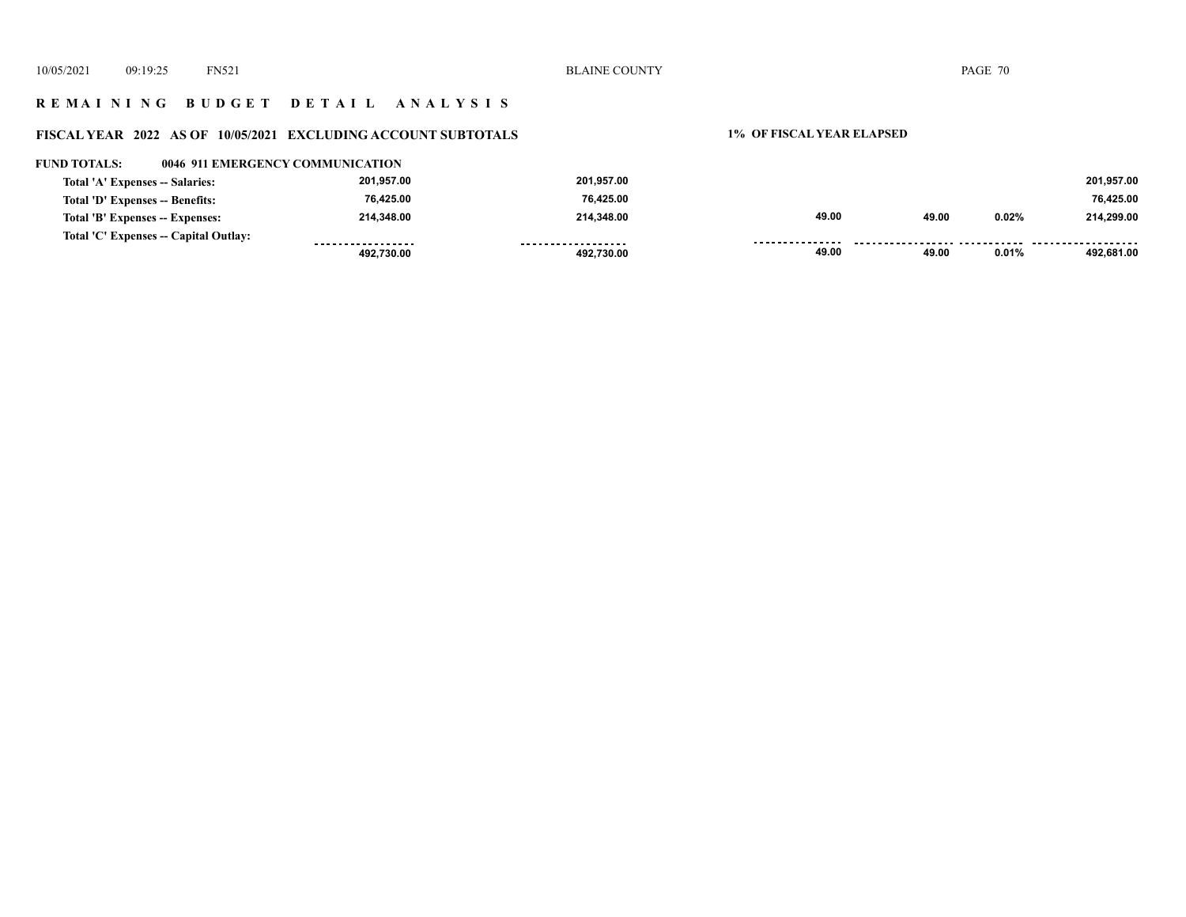# **R E M A I N I N G B U D G E T D E T A I L A N A L Y S I S**

# **FISCAL YEAR 2022 AS OF 10/05/2021 EXCLUDING ACCOUNT SUBTOTALS 1% OF FISCAL YEAR ELAPSED**

| <b>FUND TOTALS:</b>             | 0046 911 EMERGENCY COMMUNICATION      |            |                     |       |       |       |            |
|---------------------------------|---------------------------------------|------------|---------------------|-------|-------|-------|------------|
| Total 'A' Expenses -- Salaries: |                                       | 201.957.00 | 201.957.00          |       |       |       | 201.957.00 |
| Total 'D' Expenses -- Benefits: |                                       | 76,425.00  | 76,425.00           |       |       |       | 76,425.00  |
| Total 'B' Expenses -- Expenses: |                                       | 214.348.00 | 214.348.00          | 49.00 | 49.00 | 0.02% | 214.299.00 |
|                                 | Total 'C' Expenses -- Capital Outlay: |            | ------------------- |       |       |       |            |
|                                 |                                       | 492.730.00 | 492.730.00          | 49.00 | 49.00 | 0.01% | 492.681.00 |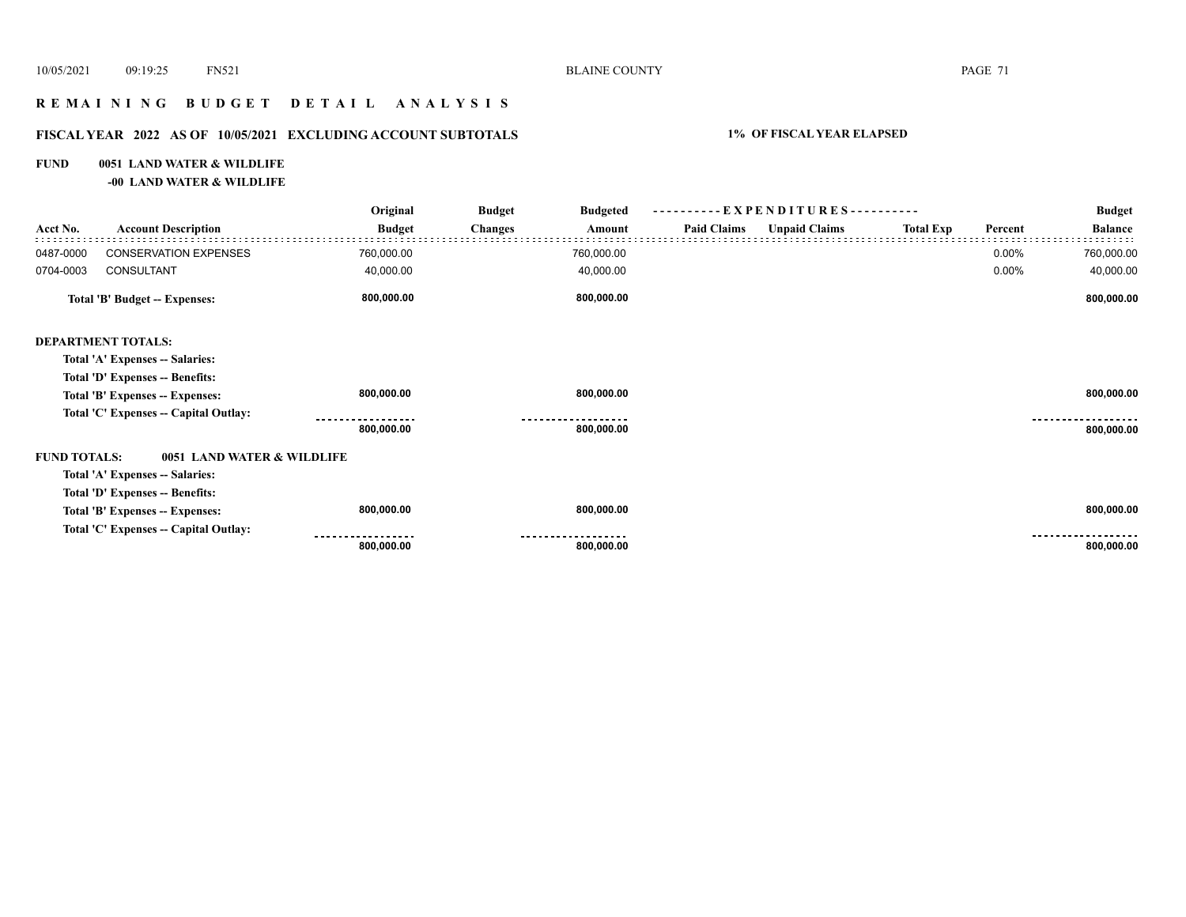# **R E M A I N I N G B U D G E T D E T A I L A N A L Y S I S**

# **FISCAL YEAR 2022 AS OF 10/05/2021 EXCLUDING ACCOUNT SUBTOTALS 1% OF FISCAL YEAR ELAPSED**

# **FUND 0051 LAND WATER & WILDLIFE**

**-00 LAND WATER & WILDLIFE**

| Acct No.                      | <b>Account Description</b>            | Original<br><b>Budget</b> | <b>Budget</b><br><b>Budgeted</b><br><b>Changes</b><br>Amount | ----------EXPENDITURES---------- |                      |                  |         | <b>Budget</b>  |
|-------------------------------|---------------------------------------|---------------------------|--------------------------------------------------------------|----------------------------------|----------------------|------------------|---------|----------------|
|                               |                                       |                           |                                                              | <b>Paid Claims</b>               | <b>Unpaid Claims</b> | <b>Total Exp</b> | Percent | <b>Balance</b> |
| 0487-0000                     | <b>CONSERVATION EXPENSES</b>          | 760,000.00                | 760,000.00                                                   |                                  |                      |                  | 0.00%   | 760,000.00     |
| 0704-0003                     | CONSULTANT                            | 40,000.00                 | 40,000.00                                                    |                                  |                      |                  | 0.00%   | 40,000.00      |
| Total 'B' Budget -- Expenses: |                                       | 800,000.00                | 800,000.00                                                   |                                  |                      |                  |         | 800,000.00     |
|                               | <b>DEPARTMENT TOTALS:</b>             |                           |                                                              |                                  |                      |                  |         |                |
|                               | Total 'A' Expenses -- Salaries:       |                           |                                                              |                                  |                      |                  |         |                |
|                               | Total 'D' Expenses -- Benefits:       |                           |                                                              |                                  |                      |                  |         |                |
|                               | Total 'B' Expenses -- Expenses:       | 800,000.00                | 800,000.00                                                   |                                  |                      |                  |         | 800,000.00     |
|                               | Total 'C' Expenses -- Capital Outlay: |                           |                                                              |                                  |                      |                  |         |                |
|                               |                                       | 800,000.00                | 800,000.00                                                   |                                  |                      |                  |         | 800,000.00     |
| <b>FUND TOTALS:</b>           | 0051 LAND WATER & WILDLIFE            |                           |                                                              |                                  |                      |                  |         |                |
|                               | Total 'A' Expenses -- Salaries:       |                           |                                                              |                                  |                      |                  |         |                |
|                               | Total 'D' Expenses -- Benefits:       |                           |                                                              |                                  |                      |                  |         |                |
|                               | Total 'B' Expenses -- Expenses:       | 800,000.00                | 800,000.00                                                   |                                  |                      |                  |         | 800,000.00     |
|                               | Total 'C' Expenses -- Capital Outlay: |                           |                                                              |                                  |                      |                  |         |                |
|                               |                                       | 800,000.00                | 800,000.00                                                   |                                  |                      |                  |         | 800,000.00     |